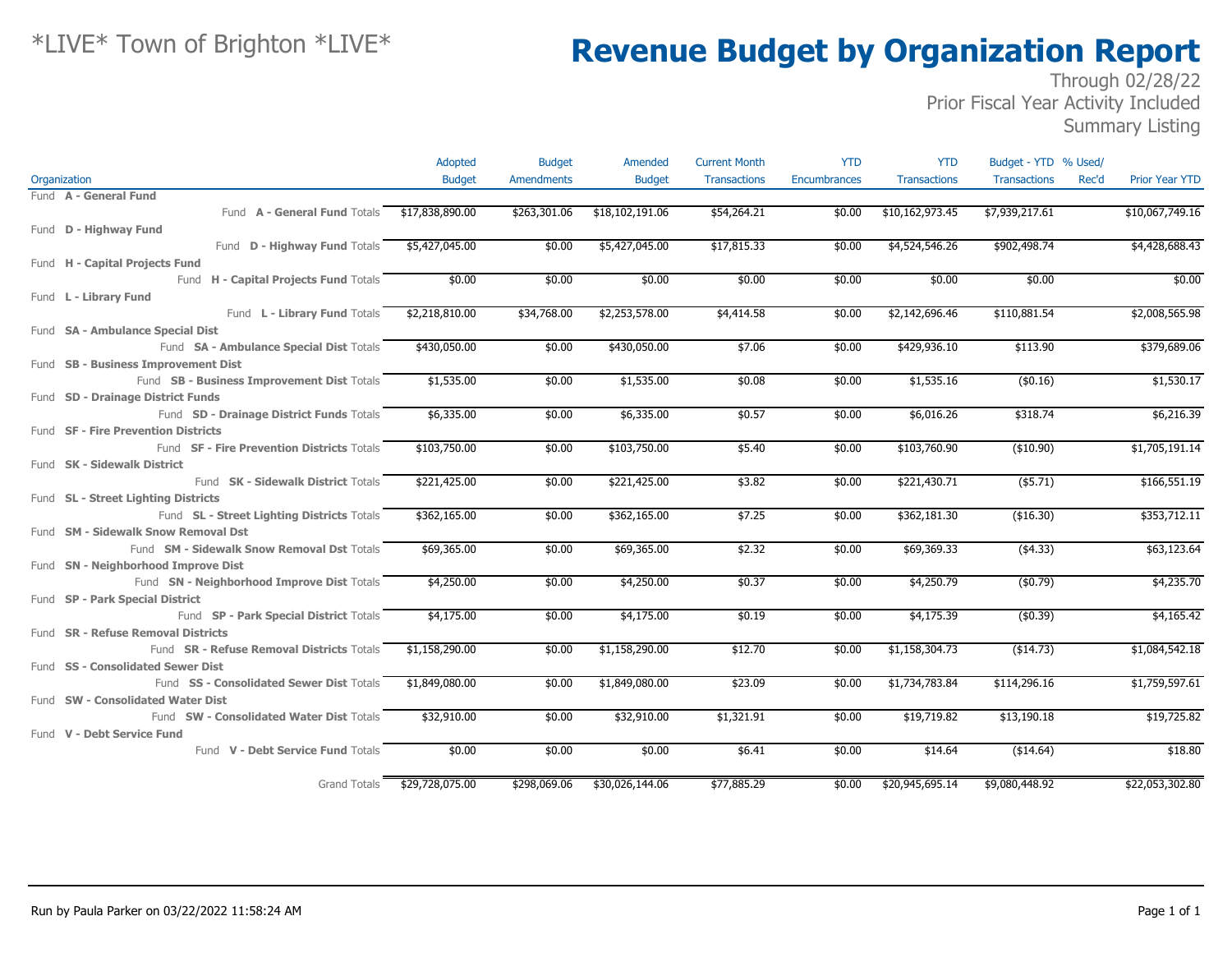|                                                  | Adopted         | <b>Budget</b>     | Amended         | <b>Current Month</b> | <b>YTD</b>          | <b>YTD</b>          | Budget - YTD % Used/ |                                |
|--------------------------------------------------|-----------------|-------------------|-----------------|----------------------|---------------------|---------------------|----------------------|--------------------------------|
| Organization                                     | <b>Budget</b>   | <b>Amendments</b> | <b>Budget</b>   | <b>Transactions</b>  | <b>Encumbrances</b> | <b>Transactions</b> | <b>Transactions</b>  | <b>Prior Year YTD</b><br>Rec'd |
| Fund A - General Fund                            |                 |                   |                 |                      |                     |                     |                      |                                |
| Fund A - General Fund Totals                     | \$17,838,890.00 | \$263,301.06      | \$18,102,191.06 | \$54,264.21          | \$0.00              | \$10,162,973.45     | \$7,939,217.61       | \$10,067,749.16                |
| Fund D - Highway Fund                            |                 |                   |                 |                      |                     |                     |                      |                                |
| Fund D - Highway Fund Totals                     | \$5,427,045.00  | \$0.00            | \$5,427,045.00  | \$17,815.33          | \$0.00              | \$4,524,546.26      | \$902,498.74         | \$4,428,688.43                 |
| Fund H - Capital Projects Fund                   |                 |                   |                 |                      |                     |                     |                      |                                |
| Fund H - Capital Projects Fund Totals            | \$0.00          | \$0.00            | \$0.00          | \$0.00               | \$0.00              | \$0.00              | \$0.00               | \$0.00                         |
| Fund L - Library Fund                            |                 |                   |                 |                      |                     |                     |                      |                                |
| Fund L - Library Fund Totals                     | \$2,218,810.00  | \$34,768.00       | \$2,253,578.00  | \$4,414.58           | \$0.00              | \$2,142,696.46      | \$110,881.54         | \$2,008,565.98                 |
| Fund SA - Ambulance Special Dist                 |                 |                   |                 |                      |                     |                     |                      |                                |
| Fund SA - Ambulance Special Dist Totals          | \$430,050.00    | \$0.00            | \$430,050.00    | \$7.06               | \$0.00              | \$429,936.10        | \$113.90             | \$379,689.06                   |
| Fund SB - Business Improvement Dist              |                 |                   |                 |                      |                     |                     |                      |                                |
| Fund SB - Business Improvement Dist Totals       | \$1,535.00      | \$0.00            | \$1,535.00      | \$0.08               | \$0.00              | \$1,535.16          | $($ \$0.16)          | \$1,530.17                     |
| Fund SD - Drainage District Funds                |                 |                   |                 |                      |                     |                     |                      |                                |
| Fund SD - Drainage District Funds Totals         | \$6,335.00      | \$0.00            | \$6,335.00      | \$0.57               | \$0.00              | \$6,016.26          | \$318.74             | \$6,216.39                     |
| Fund SF - Fire Prevention Districts              |                 |                   |                 |                      |                     |                     |                      |                                |
| Fund SF - Fire Prevention Districts Totals       | \$103,750.00    | \$0.00            | \$103,750.00    | \$5.40               | \$0.00              | \$103,760.90        | (\$10.90)            | \$1,705,191.14                 |
| Fund SK - Sidewalk District                      |                 |                   |                 |                      |                     |                     |                      |                                |
| Fund SK - Sidewalk District Totals               | \$221,425.00    | \$0.00            | \$221,425.00    | \$3.82               | \$0.00              | \$221,430.71        | $($ \$5.71)          | \$166,551.19                   |
| Fund SL - Street Lighting Districts              |                 |                   |                 |                      |                     |                     |                      |                                |
| Fund SL - Street Lighting Districts Totals       | \$362,165.00    | \$0.00            | \$362,165.00    | \$7.25               | \$0.00              | \$362,181.30        | (\$16.30)            | \$353,712.11                   |
| Fund SM - Sidewalk Snow Removal Dst              |                 |                   |                 |                      |                     |                     |                      |                                |
| Fund SM - Sidewalk Snow Removal Dst Totals       | \$69,365.00     | \$0.00            | \$69,365.00     | \$2.32               | \$0.00              | \$69,369.33         | (4.33)               | \$63,123.64                    |
| Fund SN - Neighborhood Improve Dist              |                 |                   |                 |                      |                     |                     |                      |                                |
| Fund SN - Neighborhood Improve Dist Totals       | \$4,250.00      | \$0.00            | \$4,250.00      | \$0.37               | \$0.00              | \$4,250.79          | (\$0.79)             | \$4,235.70                     |
| Fund SP - Park Special District                  |                 |                   |                 |                      |                     |                     |                      |                                |
| Fund SP - Park Special District Totals           | \$4,175.00      | \$0.00            | \$4,175.00      | \$0.19               | \$0.00              | \$4,175.39          | (\$0.39)             | \$4,165.42                     |
| Fund SR - Refuse Removal Districts               |                 |                   |                 |                      |                     |                     |                      |                                |
| Fund <b>SR - Refuse Removal Districts</b> Totals | \$1,158,290.00  | \$0.00            | \$1,158,290.00  | \$12.70              | \$0.00              | \$1,158,304.73      | ( \$14.73)           | \$1,084,542.18                 |
| Fund SS - Consolidated Sewer Dist                |                 |                   |                 |                      |                     |                     |                      |                                |
| Fund SS - Consolidated Sewer Dist Totals         | \$1,849,080.00  | \$0.00            | \$1,849,080.00  | \$23.09              | \$0.00              | \$1,734,783.84      | \$114,296.16         | \$1,759,597.61                 |
| Fund SW - Consolidated Water Dist                |                 |                   |                 |                      |                     |                     |                      |                                |
| Fund SW - Consolidated Water Dist Totals         | \$32,910.00     | \$0.00            | \$32,910.00     | \$1,321.91           | \$0.00              | \$19,719.82         | \$13,190.18          | \$19,725.82                    |
| Fund V - Debt Service Fund                       |                 |                   |                 |                      |                     |                     |                      |                                |
| Fund V - Debt Service Fund Totals                | \$0.00          | \$0.00            | \$0.00          | \$6.41               | \$0.00              | \$14.64             | ( \$14.64)           | \$18.80                        |
|                                                  |                 |                   |                 |                      |                     |                     |                      |                                |
| Grand Totals                                     | \$29,728,075.00 | \$298,069.06      | \$30,026,144.06 | \$77,885.29          | \$0.00              | \$20,945,695.14     | \$9,080,448.92       | \$22,053,302.80                |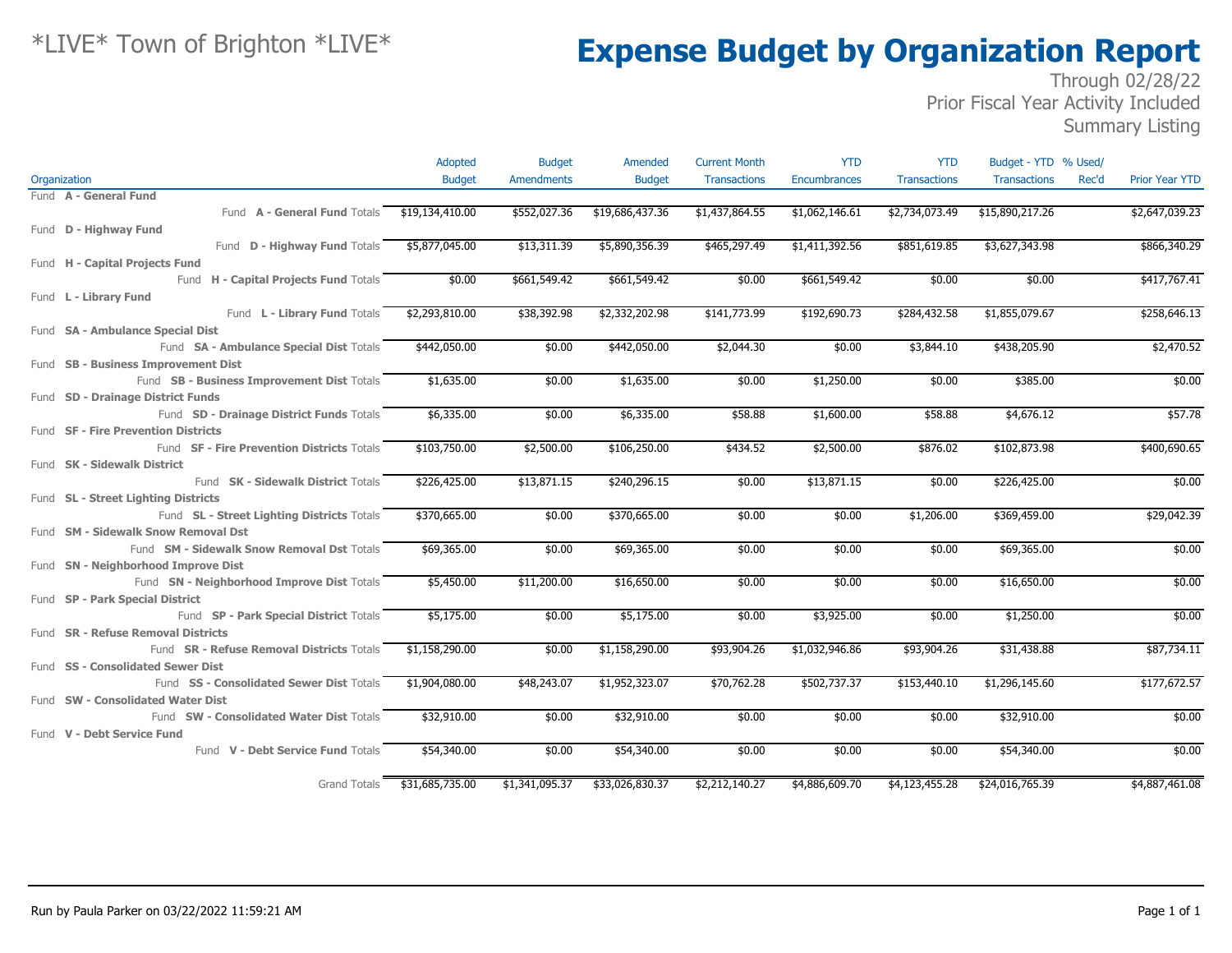### Through 02/28/22 Prior Fiscal Year Activity Included

Summary Listing

|                                            | Adopted         | <b>Budget</b>     | Amended         | <b>Current Month</b> | <b>YTD</b>          | <b>YTD</b>          | Budget - YTD % Used/ |       |                       |
|--------------------------------------------|-----------------|-------------------|-----------------|----------------------|---------------------|---------------------|----------------------|-------|-----------------------|
| Organization                               | <b>Budget</b>   | <b>Amendments</b> | <b>Budget</b>   | <b>Transactions</b>  | <b>Encumbrances</b> | <b>Transactions</b> | <b>Transactions</b>  | Rec'd | <b>Prior Year YTD</b> |
| Fund A - General Fund                      |                 |                   |                 |                      |                     |                     |                      |       |                       |
| Fund A - General Fund Totals               | \$19,134,410.00 | \$552,027.36      | \$19,686,437.36 | \$1,437,864.55       | \$1,062,146.61      | \$2,734,073.49      | \$15,890,217.26      |       | \$2,647,039.23        |
| Fund <b>D - Highway Fund</b>               |                 |                   |                 |                      |                     |                     |                      |       |                       |
| Fund D - Highway Fund Totals               | \$5,877,045.00  | \$13,311.39       | \$5,890,356.39  | \$465,297.49         | \$1,411,392.56      | \$851,619.85        | \$3,627,343.98       |       | \$866,340.29          |
| Fund H - Capital Projects Fund             |                 |                   |                 |                      |                     |                     |                      |       |                       |
| Fund H - Capital Projects Fund Totals      | \$0.00          | \$661,549.42      | \$661,549.42    | \$0.00               | \$661,549.42        | \$0.00              | \$0.00               |       | \$417,767.41          |
| Fund L - Library Fund                      |                 |                   |                 |                      |                     |                     |                      |       |                       |
| Fund L - Library Fund Totals               | \$2,293,810.00  | \$38,392.98       | \$2,332,202.98  | \$141,773.99         | \$192,690.73        | \$284,432.58        | \$1,855,079.67       |       | \$258,646.13          |
| Fund <b>SA - Ambulance Special Dist</b>    |                 |                   |                 |                      |                     |                     |                      |       |                       |
| Fund SA - Ambulance Special Dist Totals    | \$442,050.00    | \$0.00            | \$442,050.00    | \$2,044.30           | \$0.00              | \$3,844.10          | \$438,205.90         |       | \$2,470.52            |
| Fund SB - Business Improvement Dist        |                 |                   |                 |                      |                     |                     |                      |       |                       |
| Fund SB - Business Improvement Dist Totals | \$1,635.00      | \$0.00            | \$1,635.00      | \$0.00               | \$1,250.00          | \$0.00              | \$385.00             |       | \$0.00                |
| Fund SD - Drainage District Funds          |                 |                   |                 |                      |                     |                     |                      |       |                       |
| Fund SD - Drainage District Funds Totals   | \$6,335.00      | \$0.00            | \$6,335.00      | \$58.88              | \$1,600.00          | \$58.88             | \$4,676.12           |       | \$57.78               |
| Fund SF - Fire Prevention Districts        |                 |                   |                 |                      |                     |                     |                      |       |                       |
| Fund SF - Fire Prevention Districts Totals | \$103,750.00    | \$2,500.00        | \$106,250.00    | \$434.52             | \$2,500.00          | \$876.02            | \$102,873.98         |       | \$400,690.65          |
| Fund SK - Sidewalk District                |                 |                   |                 |                      |                     |                     |                      |       |                       |
| Fund SK - Sidewalk District Totals         | \$226,425.00    | \$13,871.15       | \$240,296.15    | \$0.00               | \$13,871.15         | \$0.00              | \$226,425.00         |       | \$0.00                |
| Fund SL - Street Lighting Districts        |                 |                   |                 |                      |                     |                     |                      |       |                       |
| Fund SL - Street Lighting Districts Totals | \$370,665.00    | \$0.00            | \$370,665.00    | \$0.00               | \$0.00              | \$1,206.00          | \$369,459.00         |       | \$29,042.39           |
| Fund SM - Sidewalk Snow Removal Dst        |                 |                   |                 |                      |                     |                     |                      |       |                       |
| Fund SM - Sidewalk Snow Removal Dst Totals | \$69,365.00     | \$0.00            | \$69,365.00     | \$0.00               | \$0.00              | \$0.00              | \$69,365.00          |       | \$0.00                |
| Fund SN - Neighborhood Improve Dist        |                 |                   |                 |                      |                     |                     |                      |       |                       |
| Fund SN - Neighborhood Improve Dist Totals | \$5,450.00      | \$11,200.00       | \$16,650.00     | \$0.00               | \$0.00              | \$0.00              | \$16,650.00          |       | \$0.00                |
| Fund SP - Park Special District            |                 |                   |                 |                      |                     |                     |                      |       |                       |
| Fund SP - Park Special District Totals     | \$5,175.00      | \$0.00            | \$5,175.00      | \$0.00               | \$3,925.00          | \$0.00              | \$1,250.00           |       | \$0.00                |
| Fund SR - Refuse Removal Districts         |                 |                   |                 |                      |                     |                     |                      |       |                       |
| Fund SR - Refuse Removal Districts Totals  | \$1,158,290.00  | \$0.00            | \$1,158,290.00  | \$93,904.26          | \$1,032,946.86      | \$93,904.26         | \$31,438.88          |       | \$87,734.11           |
| Fund SS - Consolidated Sewer Dist          |                 |                   |                 |                      |                     |                     |                      |       |                       |
| Fund SS - Consolidated Sewer Dist Totals   | \$1,904,080.00  | \$48,243.07       | \$1,952,323.07  | \$70,762.28          | \$502,737.37        | \$153,440.10        | \$1,296,145.60       |       | \$177,672.57          |
| Fund SW - Consolidated Water Dist          |                 |                   |                 |                      |                     |                     |                      |       |                       |
| Fund SW - Consolidated Water Dist Totals   | \$32,910.00     | \$0.00            | \$32,910.00     | \$0.00               | \$0.00              | \$0.00              | \$32,910.00          |       | \$0.00                |
| Fund V - Debt Service Fund                 |                 |                   |                 |                      |                     |                     |                      |       |                       |
| Fund V - Debt Service Fund Totals          | \$54,340.00     | \$0.00            | \$54,340.00     | \$0.00               | \$0.00              | \$0.00              | \$54,340.00          |       | \$0.00                |
| <b>Grand Totals</b>                        | \$31,685,735.00 | \$1,341,095.37    | \$33,026,830.37 | \$2,212,140.27       | \$4,886,609.70      | \$4,123,455.28      | \$24,016,765.39      |       | \$4,887,461.08        |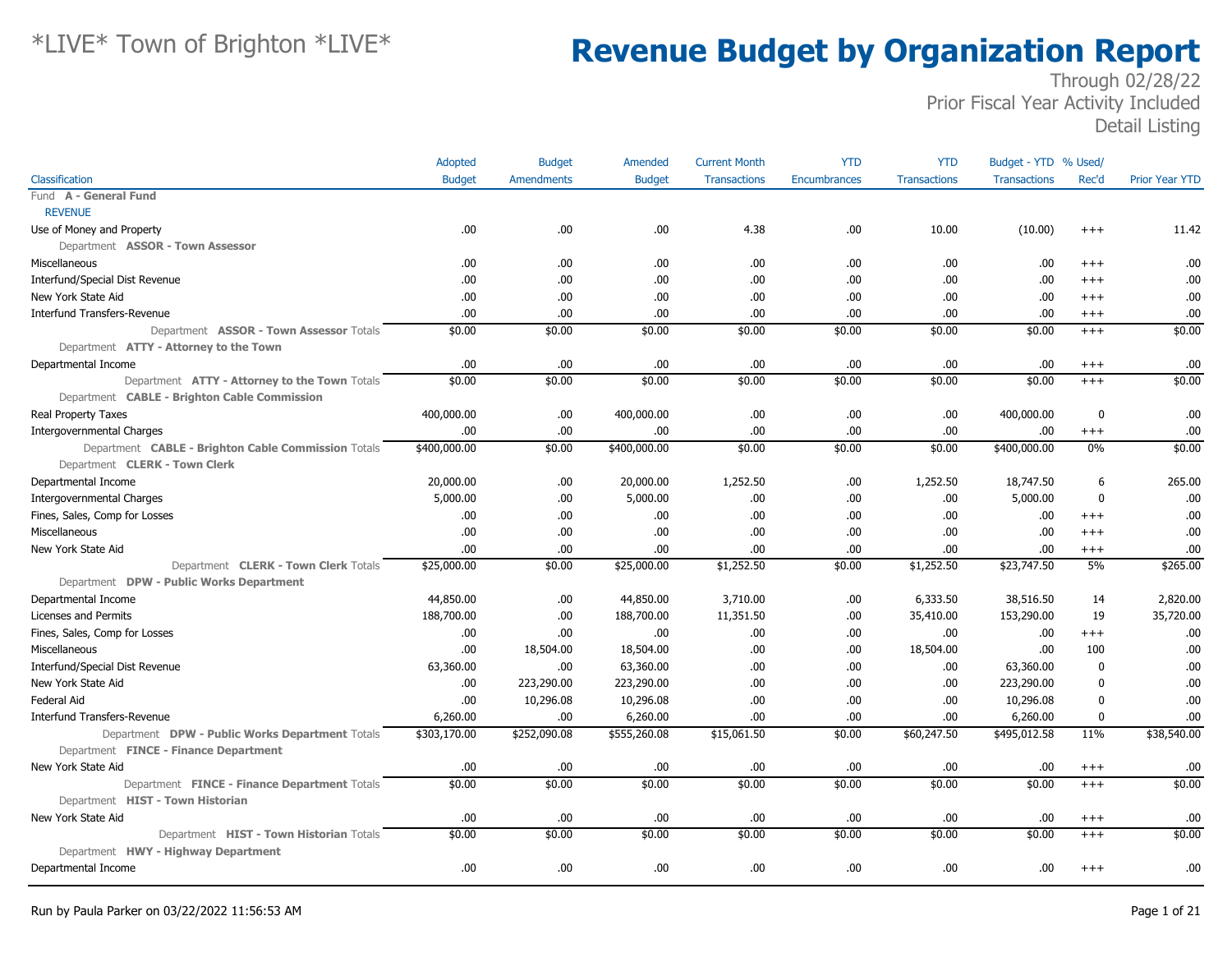|                                                     | Adopted       | <b>Budget</b>     | Amended       | <b>Current Month</b> | <b>YTD</b>   | <b>YTD</b>          | Budget - YTD % Used/ |                  |                       |
|-----------------------------------------------------|---------------|-------------------|---------------|----------------------|--------------|---------------------|----------------------|------------------|-----------------------|
| Classification                                      | <b>Budget</b> | <b>Amendments</b> | <b>Budget</b> | <b>Transactions</b>  | Encumbrances | <b>Transactions</b> | <b>Transactions</b>  | Rec'd            | <b>Prior Year YTD</b> |
| Fund A - General Fund                               |               |                   |               |                      |              |                     |                      |                  |                       |
| <b>REVENUE</b>                                      |               |                   |               |                      |              |                     |                      |                  |                       |
| Use of Money and Property                           | .00           | .00.              | .00           | 4.38                 | .00          | 10.00               | (10.00)              | $+++$            | 11.42                 |
| Department ASSOR - Town Assessor                    |               |                   |               |                      |              |                     |                      |                  |                       |
| Miscellaneous                                       | .00.          | .00               | .00           | .00.                 | .00          | .00                 | .00                  | $^{+++}$         | .00                   |
| Interfund/Special Dist Revenue                      | .00           | .00.              | .00           | .00.                 | .00          | .00                 | .00                  | $+++$            | .00                   |
| New York State Aid                                  | .00           | .00.              | .00           | .00.                 | .00          | .00                 | .00                  | $+++$            | .00                   |
| <b>Interfund Transfers-Revenue</b>                  | .00           | .00               | .00           | .00.                 | .00          | .00.                | .00                  | $^{+++}$         | .00                   |
| Department ASSOR - Town Assessor Totals             | \$0.00        | \$0.00            | \$0.00        | \$0.00               | \$0.00       | \$0.00              | \$0.00               | $^{+++}$         | \$0.00                |
| Department ATTY - Attorney to the Town              |               |                   |               |                      |              |                     |                      |                  |                       |
| Departmental Income                                 | .00           | .00.              | .00           | .00.                 | .00          | .00.                | .00                  | $^{+++}$         | .00                   |
| Department ATTY - Attorney to the Town Totals       | \$0.00        | \$0.00            | \$0.00        | \$0.00               | \$0.00       | \$0.00              | \$0.00               | $+++$            | \$0.00                |
| Department CABLE - Brighton Cable Commission        |               |                   |               |                      |              |                     |                      |                  |                       |
| <b>Real Property Taxes</b>                          | 400,000.00    | .00.              | 400,000.00    | .00.                 | .00          | .00.                | 400,000.00           | $\boldsymbol{0}$ | .00                   |
| <b>Intergovernmental Charges</b>                    | .00           | .00.              | .00           | .00.                 | .00          | .00                 | .00                  | $^{+++}$         | .00                   |
| Department CABLE - Brighton Cable Commission Totals | \$400,000.00  | \$0.00            | \$400,000.00  | \$0.00               | \$0.00       | \$0.00              | \$400,000.00         | 0%               | \$0.00                |
| Department CLERK - Town Clerk                       |               |                   |               |                      |              |                     |                      |                  |                       |
| Departmental Income                                 | 20,000.00     | .00               | 20,000.00     | 1,252.50             | .00          | 1,252.50            | 18,747.50            | 6                | 265.00                |
| Intergovernmental Charges                           | 5,000.00      | .00               | 5,000.00      | .00.                 | .00          | .00.                | 5,000.00             | $\Omega$         | .00                   |
| Fines, Sales, Comp for Losses                       | .00           | .00.              | .00           | .00                  | .00          | .00.                | .00                  | $^{+++}$         | .00                   |
| Miscellaneous                                       | .00           | .00.              | .00           | .00.                 | .00          | .00.                | .00                  | $+++$            | .00                   |
| New York State Aid                                  | .00           | .00.              | .00           | .00.                 | .00          | .00.                | .00                  | $^{+++}$         | .00                   |
| Department CLERK - Town Clerk Totals                | \$25,000.00   | \$0.00            | \$25,000.00   | \$1,252.50           | \$0.00       | \$1,252.50          | \$23,747.50          | 5%               | \$265.00              |
| Department DPW - Public Works Department            |               |                   |               |                      |              |                     |                      |                  |                       |
| Departmental Income                                 | 44,850.00     | .00.              | 44,850.00     | 3,710.00             | .00          | 6,333.50            | 38,516.50            | 14               | 2,820.00              |
| Licenses and Permits                                | 188,700.00    | .00.              | 188,700.00    | 11,351.50            | .00          | 35,410.00           | 153,290.00           | 19               | 35,720.00             |
| Fines, Sales, Comp for Losses                       | .00           | .00               | .00           | .00                  | .00          | .00.                | .00                  | $^{+++}$         | .00                   |
| Miscellaneous                                       | .00           | 18,504.00         | 18,504.00     | .00.                 | .00          | 18,504.00           | .00                  | 100              | .00                   |
| <b>Interfund/Special Dist Revenue</b>               | 63,360.00     | .00.              | 63,360.00     | .00.                 | .00          | .00.                | 63,360.00            | $\mathbf{0}$     | .00                   |
| New York State Aid                                  | .00           | 223,290.00        | 223,290.00    | .00.                 | .00          | .00.                | 223,290.00           | $\Omega$         | .00                   |
| Federal Aid                                         | .00           | 10,296.08         | 10,296.08     | .00.                 | .00          | .00.                | 10,296.08            | 0                | .00                   |
| <b>Interfund Transfers-Revenue</b>                  | 6,260.00      | .00.              | 6,260.00      | .00.                 | .00          | .00.                | 6,260.00             | $\mathbf 0$      | .00                   |
| Department DPW - Public Works Department Totals     | \$303,170.00  | \$252,090.08      | \$555,260.08  | \$15,061.50          | \$0.00       | \$60,247.50         | \$495,012.58         | 11%              | \$38,540.00           |
| Department FINCE - Finance Department               |               |                   |               |                      |              |                     |                      |                  |                       |
| New York State Aid                                  | .00           | .00               | .00           | .00                  | .00          | .00.                | .00                  | $^{+++}$         | .00                   |
| Department FINCE - Finance Department Totals        | \$0.00        | \$0.00            | \$0.00        | \$0.00               | \$0.00       | \$0.00              | \$0.00               | $+++$            | \$0.00                |
| Department HIST - Town Historian                    |               |                   |               |                      |              |                     |                      |                  |                       |
| New York State Aid                                  | .00           | .00.              | .00           | .00.                 | .00          | .00                 | .00                  | $^{+++}$         | .00                   |
| Department HIST - Town Historian Totals             | \$0.00        | \$0.00            | \$0.00        | \$0.00               | \$0.00       | \$0.00              | \$0.00               | $+++$            | \$0.00                |
| Department HWY - Highway Department                 |               |                   |               |                      |              |                     |                      |                  |                       |
| Departmental Income                                 | .00           | .00               | .00           | .00.                 | .00          | .00.                | .00                  | $^{+++}$         | .00                   |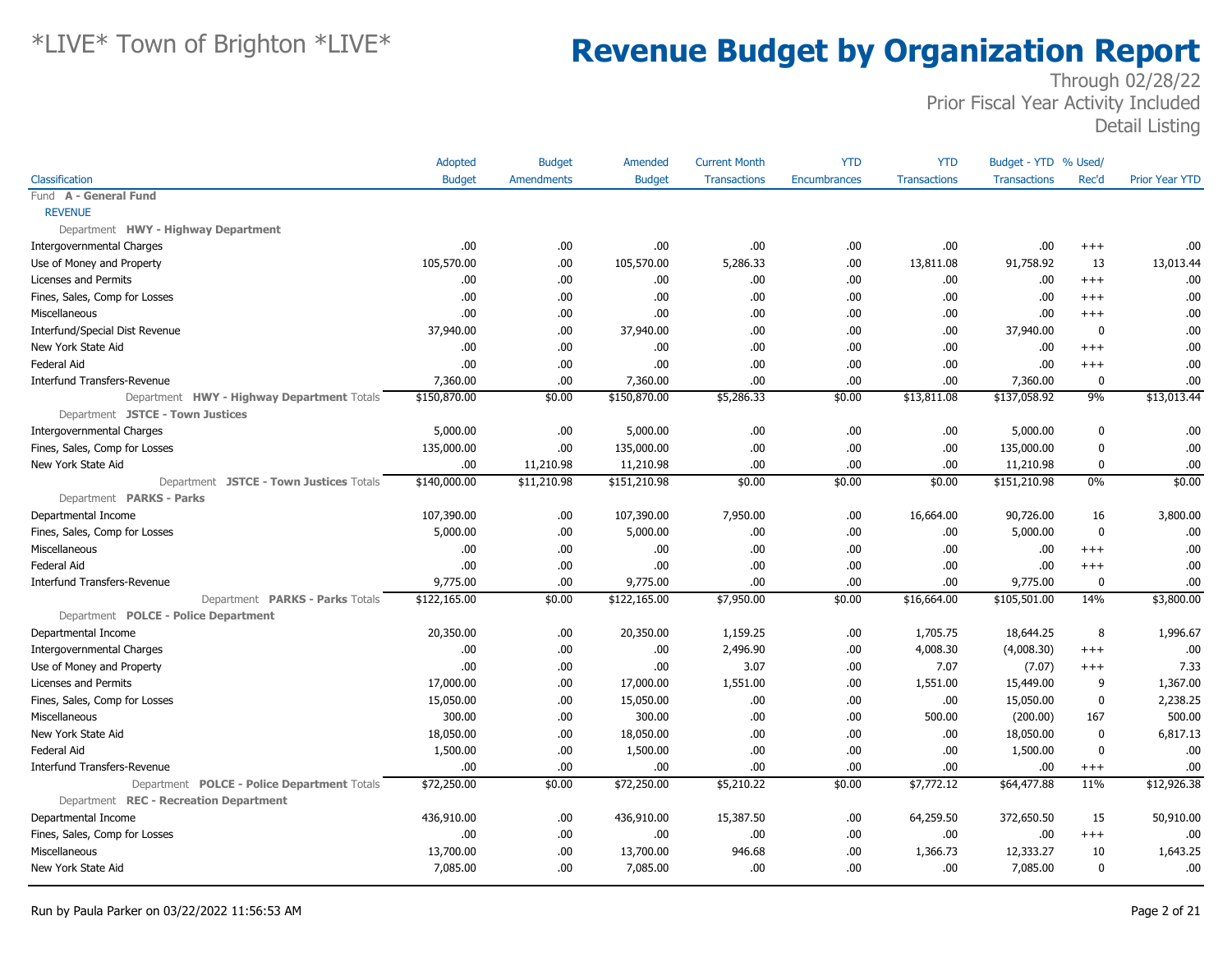|                                             | Adopted       | <b>Budget</b>     | Amended       | <b>Current Month</b> | <b>YTD</b>   | <b>YTD</b>          | Budget - YTD % Used/ |              |                       |
|---------------------------------------------|---------------|-------------------|---------------|----------------------|--------------|---------------------|----------------------|--------------|-----------------------|
| Classification                              | <b>Budget</b> | <b>Amendments</b> | <b>Budget</b> | <b>Transactions</b>  | Encumbrances | <b>Transactions</b> | <b>Transactions</b>  | Rec'd        | <b>Prior Year YTD</b> |
| Fund A - General Fund                       |               |                   |               |                      |              |                     |                      |              |                       |
| <b>REVENUE</b>                              |               |                   |               |                      |              |                     |                      |              |                       |
| Department HWY - Highway Department         |               |                   |               |                      |              |                     |                      |              |                       |
| Intergovernmental Charges                   | .00           | .00.              | .00.          | .00                  | .00          | .00                 | .00                  | $+++$        | .00                   |
| Use of Money and Property                   | 105,570.00    | .00.              | 105,570.00    | 5,286.33             | .00          | 13,811.08           | 91,758.92            | 13           | 13,013.44             |
| Licenses and Permits                        | .00           | .00.              | .00.          | .00.                 | .00          | .00                 | .00                  | $+++$        | .00                   |
| Fines, Sales, Comp for Losses               | .00           | .00.              | .00.          | .00.                 | .00          | .00.                | .00                  | $+++$        | .00                   |
| Miscellaneous                               | .00           | .00.              | .00           | .00.                 | .00          | .00.                | .00                  | $^{+++}$     | .00                   |
| Interfund/Special Dist Revenue              | 37,940.00     | .00.              | 37,940.00     | .00.                 | .00          | .00.                | 37,940.00            | $\mathbf 0$  | .00                   |
| New York State Aid                          | .00           | .00.              | .00.          | .00                  | .00          | .00                 | .00.                 | $+++$        | .00                   |
| Federal Aid                                 | .00           | .00.              | .00           | .00                  | .00          | .00.                | .00                  | $^{+++}$     | .00                   |
| <b>Interfund Transfers-Revenue</b>          | 7,360.00      | .00.              | 7,360.00      | .00                  | .00          | .00                 | 7,360.00             | $\mathbf{0}$ | .00                   |
| Department HWY - Highway Department Totals  | \$150,870.00  | \$0.00            | \$150,870.00  | \$5,286.33           | \$0.00       | \$13,811.08         | \$137,058.92         | 9%           | \$13,013.44           |
| Department JSTCE - Town Justices            |               |                   |               |                      |              |                     |                      |              |                       |
| <b>Intergovernmental Charges</b>            | 5,000.00      | .00.              | 5,000.00      | .00.                 | .00          | .00.                | 5,000.00             | $\mathbf 0$  | .00                   |
| Fines, Sales, Comp for Losses               | 135,000.00    | .00.              | 135,000.00    | .00.                 | .00          | .00.                | 135,000.00           | $\mathbf{0}$ | .00                   |
| New York State Aid                          | .00           | 11,210.98         | 11,210.98     | .00.                 | .00          | .00.                | 11,210.98            | $\mathbf{0}$ | .00                   |
| Department JSTCE - Town Justices Totals     | \$140,000.00  | \$11,210.98       | \$151,210.98  | \$0.00               | \$0.00       | \$0.00              | \$151,210.98         | 0%           | \$0.00                |
| Department PARKS - Parks                    |               |                   |               |                      |              |                     |                      |              |                       |
| Departmental Income                         | 107,390.00    | .00.              | 107,390.00    | 7,950.00             | .00          | 16,664.00           | 90,726.00            | 16           | 3,800.00              |
| Fines, Sales, Comp for Losses               | 5,000.00      | .00.              | 5,000.00      | .00.                 | .00          | .00.                | 5,000.00             | $\mathbf 0$  | .00                   |
| Miscellaneous                               | .00           | .00.              | .00           | .00.                 | .00          | .00                 | .00                  | $+++$        | .00                   |
| Federal Aid                                 | .00           | .00.              | .00           | .00.                 | .00          | .00                 | .00                  | $^{+++}$     | .00                   |
| <b>Interfund Transfers-Revenue</b>          | 9,775.00      | .00.              | 9,775.00      | .00.                 | .00          | .00.                | 9,775.00             | $\mathbf{0}$ | .00                   |
| Department PARKS - Parks Totals             | \$122,165.00  | \$0.00            | \$122,165.00  | \$7,950.00           | \$0.00       | \$16,664.00         | \$105,501.00         | 14%          | \$3,800.00            |
| Department POLCE - Police Department        |               |                   |               |                      |              |                     |                      |              |                       |
| Departmental Income                         | 20,350.00     | .00.              | 20,350.00     | 1,159.25             | .00          | 1,705.75            | 18,644.25            | 8            | 1,996.67              |
| <b>Intergovernmental Charges</b>            | .00           | .00.              | .00.          | 2,496.90             | .00          | 4,008.30            | (4,008.30)           | $^{+++}$     | .00                   |
| Use of Money and Property                   | .00           | .00.              | .00           | 3.07                 | .00          | 7.07                | (7.07)               | $^{+++}$     | 7.33                  |
| Licenses and Permits                        | 17,000.00     | .00.              | 17,000.00     | 1,551.00             | .00          | 1,551.00            | 15,449.00            | 9            | 1,367.00              |
| Fines, Sales, Comp for Losses               | 15,050.00     | .00.              | 15,050.00     | .00                  | .00          | .00                 | 15,050.00            | $\mathbf 0$  | 2,238.25              |
| Miscellaneous                               | 300.00        | .00.              | 300.00        | .00.                 | .00          | 500.00              | (200.00)             | 167          | 500.00                |
| New York State Aid                          | 18,050.00     | .00.              | 18,050.00     | .00.                 | .00          | .00                 | 18,050.00            | $\mathbf 0$  | 6,817.13              |
| Federal Aid                                 | 1,500.00      | .00.              | 1,500.00      | .00                  | .00          | .00                 | 1,500.00             | $\mathbf{0}$ | .00                   |
| <b>Interfund Transfers-Revenue</b>          | .00           | .00.              | .00.          | .00.                 | .00          | .00.                | .00                  | $^{+++}$     | .00                   |
| Department POLCE - Police Department Totals | \$72,250.00   | \$0.00            | \$72,250.00   | \$5,210.22           | \$0.00       | \$7,772.12          | \$64,477.88          | 11%          | \$12,926.38           |
| Department REC - Recreation Department      |               |                   |               |                      |              |                     |                      |              |                       |
| Departmental Income                         | 436,910.00    | .00.              | 436,910.00    | 15,387.50            | .00          | 64,259.50           | 372,650.50           | 15           | 50,910.00             |
| Fines, Sales, Comp for Losses               | .00           | .00.              | .00           | .00.                 | .00          | .00.                | .00                  | $^{+++}$     | .00                   |
| Miscellaneous                               | 13,700.00     | .00.              | 13,700.00     | 946.68               | .00          | 1,366.73            | 12,333.27            | 10           | 1,643.25              |
| New York State Aid                          | 7,085.00      | .00.              | 7,085.00      | .00                  | .00          | .00                 | 7,085.00             | 0            | .00                   |
|                                             |               |                   |               |                      |              |                     |                      |              |                       |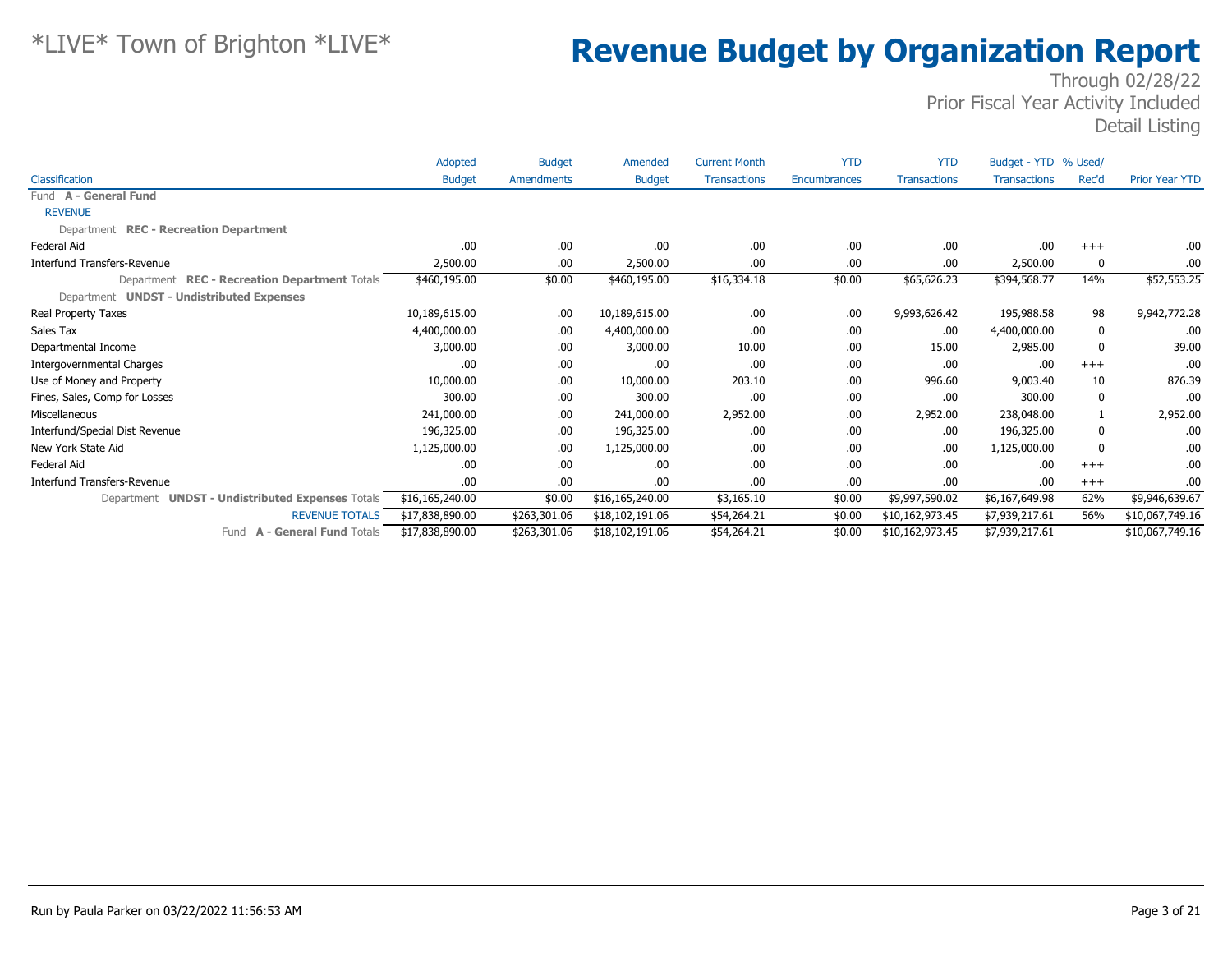|                                                  | Adopted         | <b>Budget</b>     | Amended         | <b>Current Month</b> | <b>YTD</b>   | <b>YTD</b>          | Budget - YTD % Used/ |              |                       |
|--------------------------------------------------|-----------------|-------------------|-----------------|----------------------|--------------|---------------------|----------------------|--------------|-----------------------|
| Classification                                   | <b>Budget</b>   | <b>Amendments</b> | <b>Budget</b>   | <b>Transactions</b>  | Encumbrances | <b>Transactions</b> | <b>Transactions</b>  | Rec'd        | <b>Prior Year YTD</b> |
| Fund A - General Fund                            |                 |                   |                 |                      |              |                     |                      |              |                       |
| <b>REVENUE</b>                                   |                 |                   |                 |                      |              |                     |                      |              |                       |
| Department REC - Recreation Department           |                 |                   |                 |                      |              |                     |                      |              |                       |
| Federal Aid                                      | .00             | .00.              | .00             | .00.                 | .00          | .00                 | .00                  | $+++$        | .00                   |
| Interfund Transfers-Revenue                      | 2,500.00        | .00.              | 2,500.00        | .00.                 | .00          | .00                 | 2,500.00             | $\Omega$     | .00                   |
| Department REC - Recreation Department Totals    | \$460,195.00    | \$0.00            | \$460,195.00    | \$16,334.18          | \$0.00       | \$65,626.23         | \$394,568.77         | 14%          | \$52,553.25           |
| Department UNDST - Undistributed Expenses        |                 |                   |                 |                      |              |                     |                      |              |                       |
| Real Property Taxes                              | 10,189,615.00   | .00.              | 10,189,615.00   | .00.                 | .00          | 9,993,626.42        | 195,988.58           | 98           | 9,942,772.28          |
| Sales Tax                                        | 4,400,000.00    | .00.              | 4,400,000.00    | .00                  | .00          | .00                 | 4,400,000.00         | 0            | .00                   |
| Departmental Income                              | 3,000.00        | .00.              | 3,000.00        | 10.00                | .00          | 15.00               | 2,985.00             | 0            | 39.00                 |
| <b>Intergovernmental Charges</b>                 | .00             | .00               | .00             | .00                  | .00          | .00                 | .00                  | $+++$        | .00                   |
| Use of Money and Property                        | 10,000.00       | .00.              | 10,000.00       | 203.10               | .00          | 996.60              | 9,003.40             | 10           | 876.39                |
| Fines, Sales, Comp for Losses                    | 300.00          | .00.              | 300.00          | .00                  | .00          | .00                 | 300.00               | 0            | .00                   |
| Miscellaneous                                    | 241,000.00      | .00.              | 241,000.00      | 2,952.00             | .00          | 2,952.00            | 238,048.00           |              | 2,952.00              |
| Interfund/Special Dist Revenue                   | 196,325.00      | .00.              | 196,325.00      | .00                  | .00          | .00                 | 196,325.00           | 0            | .00                   |
| New York State Aid                               | 1,125,000.00    | .00.              | 1,125,000.00    | .00.                 | .00          | .00                 | 1,125,000.00         | $\mathbf{0}$ | .00                   |
| Federal Aid                                      | .00             | .00.              | .00             | .00.                 | .00          | .00                 | .00                  | $+++$        | .00                   |
| Interfund Transfers-Revenue                      | .00             | .00               | .00             | .00.                 | .00          | .00                 | .00                  | $+++$        | .00                   |
| Department UNDST - Undistributed Expenses Totals | \$16,165,240.00 | \$0.00            | \$16,165,240.00 | \$3,165.10           | \$0.00       | \$9,997,590.02      | \$6,167,649.98       | 62%          | \$9,946,639.67        |
| <b>REVENUE TOTALS</b>                            | \$17,838,890.00 | \$263,301.06      | \$18,102,191.06 | \$54,264.21          | \$0.00       | \$10,162,973.45     | \$7,939,217.61       | 56%          | \$10,067,749.16       |
| <b>A - General Fund Totals</b><br>Fund           | \$17,838,890.00 | \$263,301.06      | \$18,102,191.06 | \$54,264.21          | \$0.00       | \$10,162,973.45     | \$7,939,217.61       |              | \$10,067,749.16       |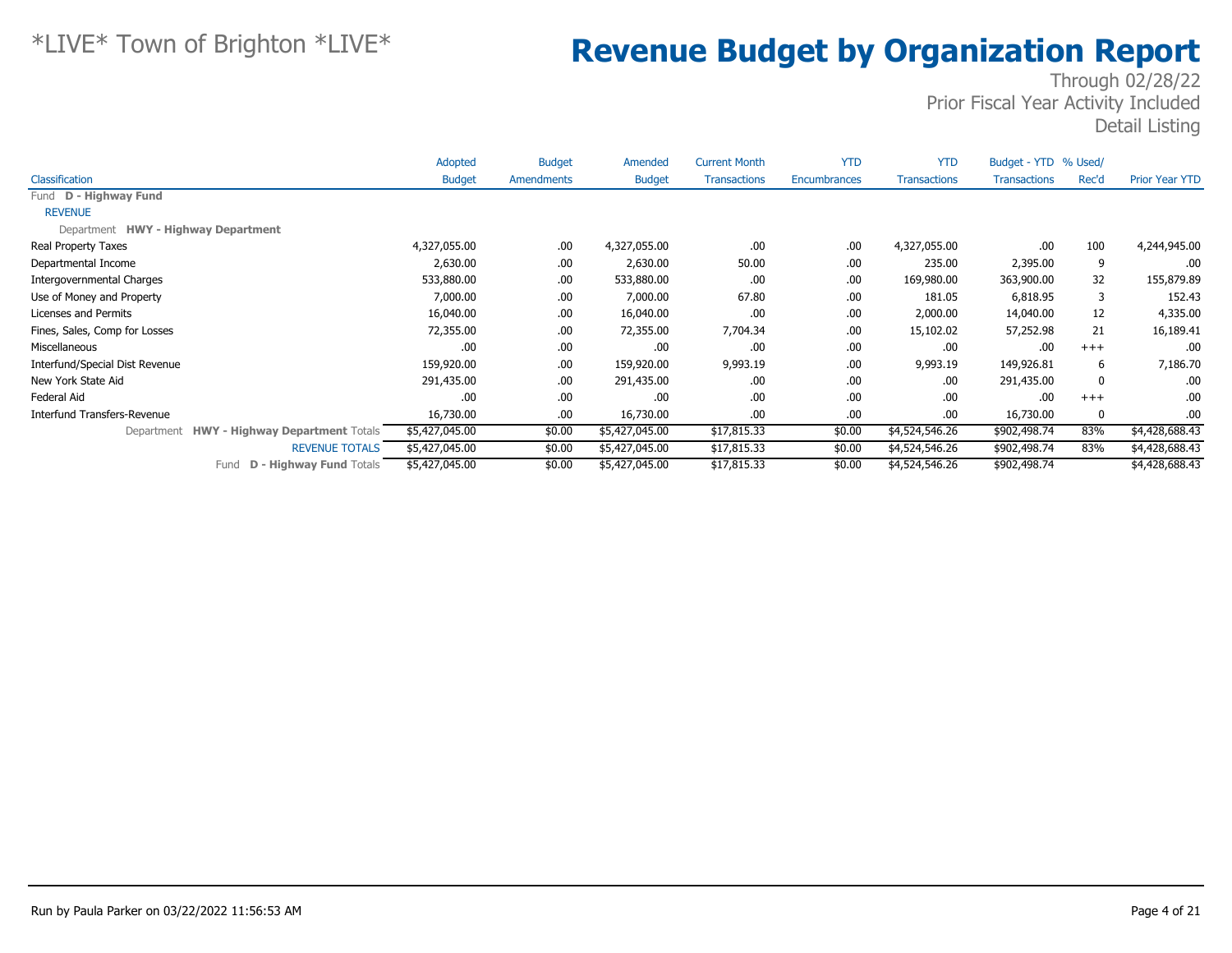|                                            | Adopted        | <b>Budget</b> | Amended        | <b>Current Month</b> | <b>YTD</b>   | <b>YTD</b>          | Budget - YTD % Used/ |       |                       |
|--------------------------------------------|----------------|---------------|----------------|----------------------|--------------|---------------------|----------------------|-------|-----------------------|
| <b>Classification</b>                      | <b>Budget</b>  | Amendments    | <b>Budget</b>  | <b>Transactions</b>  | Encumbrances | <b>Transactions</b> | <b>Transactions</b>  | Rec'd | <b>Prior Year YTD</b> |
| Fund D - Highway Fund                      |                |               |                |                      |              |                     |                      |       |                       |
| <b>REVENUE</b>                             |                |               |                |                      |              |                     |                      |       |                       |
| Department HWY - Highway Department        |                |               |                |                      |              |                     |                      |       |                       |
| Real Property Taxes                        | 4,327,055.00   | .00.          | 4,327,055.00   | .00.                 | .00          | 4,327,055.00        | .00                  | 100   | 4,244,945.00          |
| Departmental Income                        | 2,630.00       | .00.          | 2,630.00       | 50.00                | .00          | 235.00              | 2,395.00             | 9     | .00                   |
| Intergovernmental Charges                  | 533,880.00     | .00.          | 533,880.00     | .00.                 | .00          | 169,980.00          | 363,900.00           | 32    | 155,879.89            |
| Use of Money and Property                  | 7,000.00       | .00.          | 7,000.00       | 67.80                | .00          | 181.05              | 6,818.95             | 3     | 152.43                |
| Licenses and Permits                       | 16,040.00      | .00.          | 16,040.00      | .00.                 | .00          | 2,000.00            | 14,040.00            | 12    | 4,335.00              |
| Fines, Sales, Comp for Losses              | 72,355.00      | .00.          | 72,355.00      | 7,704.34             | .00          | 15,102.02           | 57,252.98            | 21    | 16,189.41             |
| Miscellaneous                              | .00            | .00.          | .00.           | .00.                 | .00          | .00.                | .00                  | $+++$ | .00                   |
| Interfund/Special Dist Revenue             | 159,920.00     | .00.          | 159,920.00     | 9,993.19             | .00          | 9,993.19            | 149,926.81           | 6     | 7,186.70              |
| New York State Aid                         | 291,435.00     | .00.          | 291,435.00     | .00.                 | .00          | .00.                | 291,435.00           | 0     | .00                   |
| Federal Aid                                | .00            | .00.          | .00.           | .00.                 | .00          | .00                 | .00                  | $+++$ | .00                   |
| Interfund Transfers-Revenue                | 16,730.00      | .00.          | 16,730.00      | .00.                 | .00          | .00.                | 16,730.00            | 0     | .00                   |
| Department HWY - Highway Department Totals | \$5,427,045.00 | \$0.00        | \$5,427,045.00 | \$17,815.33          | \$0.00       | \$4,524,546.26      | \$902,498.74         | 83%   | \$4,428,688.43        |
| <b>REVENUE TOTALS</b>                      | \$5,427,045.00 | \$0.00        | \$5,427,045.00 | \$17,815.33          | \$0.00       | \$4,524,546.26      | \$902,498.74         | 83%   | \$4,428,688.43        |
| <b>D - Highway Fund Totals</b><br>Fund     | \$5,427,045.00 | \$0.00        | \$5,427,045.00 | \$17,815.33          | \$0.00       | \$4,524,546.26      | \$902,498.74         |       | \$4,428,688.43        |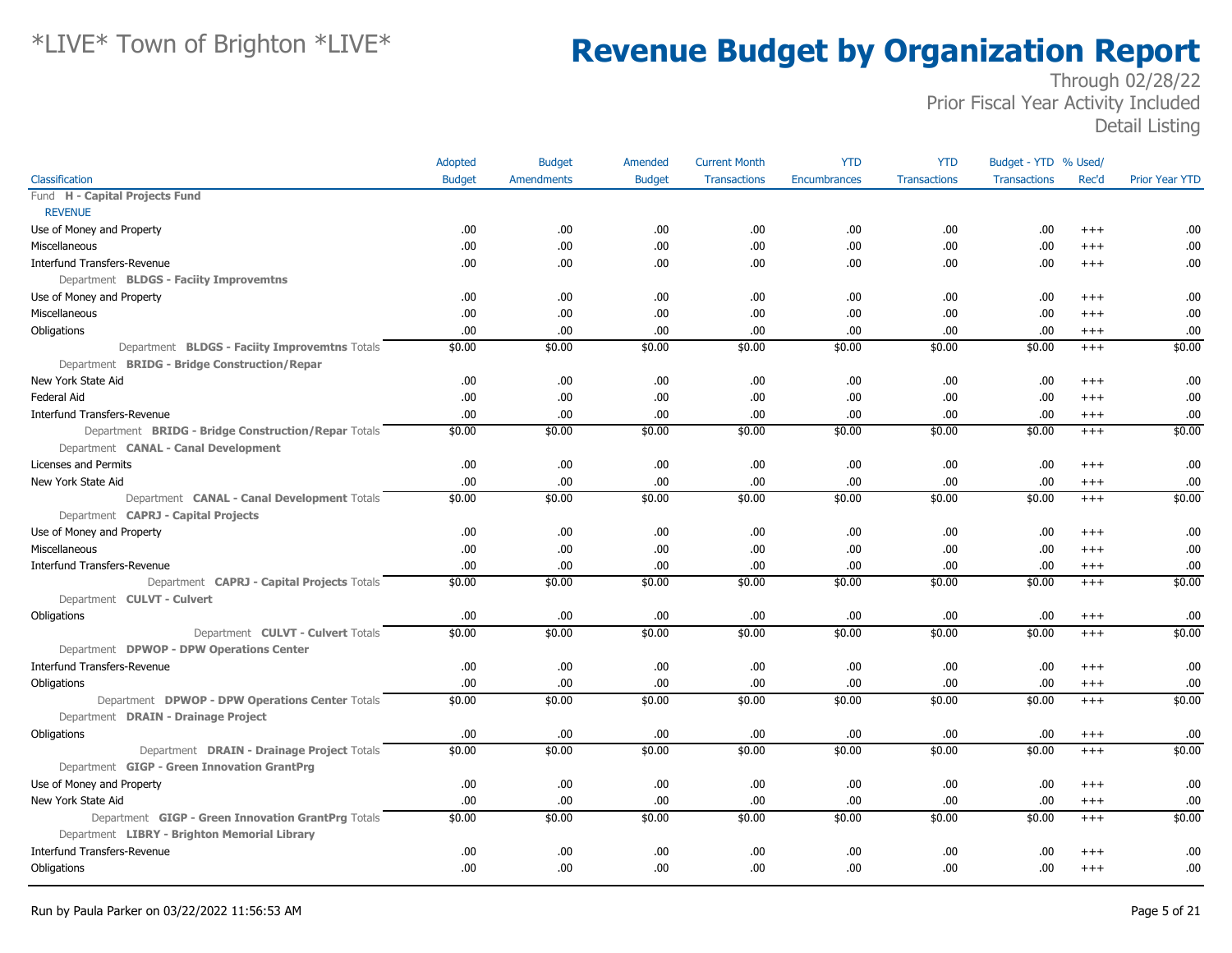|                                                     | Adopted       | <b>Budget</b> | Amended       | <b>Current Month</b> | <b>YTD</b>   | <b>YTD</b>          | Budget - YTD % Used/ |          |                       |
|-----------------------------------------------------|---------------|---------------|---------------|----------------------|--------------|---------------------|----------------------|----------|-----------------------|
| Classification                                      | <b>Budget</b> | Amendments    | <b>Budget</b> | <b>Transactions</b>  | Encumbrances | <b>Transactions</b> | <b>Transactions</b>  | Rec'd    | <b>Prior Year YTD</b> |
| Fund H - Capital Projects Fund                      |               |               |               |                      |              |                     |                      |          |                       |
| <b>REVENUE</b>                                      |               |               |               |                      |              |                     |                      |          |                       |
| Use of Money and Property                           | .00           | .00.          | .00           | .00.                 | .00          | .00                 | .00                  | $^{+++}$ | .00                   |
| Miscellaneous                                       | .00           | .00.          | .00           | .00.                 | .00          | .00.                | .00                  | $+++$    | .00                   |
| <b>Interfund Transfers-Revenue</b>                  | .00           | .00.          | .00           | .00.                 | .00          | .00.                | .00                  | $^{+++}$ | .00                   |
| Department BLDGS - Faciity Improvemtns              |               |               |               |                      |              |                     |                      |          |                       |
| Use of Money and Property                           | .00           | .00.          | .00           | .00.                 | .00          | .00.                | .00                  | $^{+++}$ | .00                   |
| Miscellaneous                                       | .00           | .00.          | .00           | .00.                 | .00          | .00                 | .00                  | $^{+++}$ | .00                   |
| Obligations                                         | .00           | .00.          | .00           | .00                  | .00          | .00.                | .00                  | $^{+++}$ | .00                   |
| Department BLDGS - Faciity Improvemtns Totals       | \$0.00        | \$0.00        | \$0.00        | \$0.00               | \$0.00       | \$0.00              | \$0.00               | $+++$    | \$0.00                |
| Department BRIDG - Bridge Construction/Repar        |               |               |               |                      |              |                     |                      |          |                       |
| New York State Aid                                  | .00           | .00.          | .00           | .00.                 | .00          | .00.                | .00                  | $^{+++}$ | .00                   |
| Federal Aid                                         | .00           | .00.          | .00           | .00.                 | .00          | .00.                | .00                  | $^{++}$  | .00                   |
| <b>Interfund Transfers-Revenue</b>                  | .00           | .00.          | .00           | .00.                 | .00          | .00.                | .00                  | $^{+++}$ | .00                   |
| Department BRIDG - Bridge Construction/Repar Totals | \$0.00        | \$0.00        | \$0.00        | \$0.00               | \$0.00       | \$0.00              | \$0.00               | $+++$    | \$0.00                |
| Department CANAL - Canal Development                |               |               |               |                      |              |                     |                      |          |                       |
| Licenses and Permits                                | .00           | .00.          | .00           | .00.                 | .00          | .00                 | .00                  | $^{++}$  | .00                   |
| New York State Aid                                  | .00           | .00.          | .00           | .00.                 | .00          | .00                 | .00                  | $^{+++}$ | .00                   |
| Department CANAL - Canal Development Totals         | \$0.00        | \$0.00        | \$0.00        | \$0.00               | \$0.00       | \$0.00              | \$0.00               | $+++$    | \$0.00                |
| Department CAPRJ - Capital Projects                 |               |               |               |                      |              |                     |                      |          |                       |
| Use of Money and Property                           | .00           | .00.          | .00           | .00.                 | .00          | .00                 | .00                  | $^{++}$  | .00                   |
| <b>Miscellaneous</b>                                | .00           | .00.          | .00           | .00                  | .00          | .00                 | .00                  | $^{++}$  | .00                   |
| <b>Interfund Transfers-Revenue</b>                  | .00           | .00.          | .00           | .00.                 | .00          | .00                 | .00                  | $^{+++}$ | .00                   |
| Department CAPRJ - Capital Projects Totals          | \$0.00        | \$0.00        | \$0.00        | \$0.00               | \$0.00       | \$0.00              | \$0.00               | $^{+++}$ | \$0.00                |
| Department CULVT - Culvert                          |               |               |               |                      |              |                     |                      |          |                       |
| Obligations                                         | .00           | .00.          | .00           | .00.                 | .00          | .00                 | .00                  | $^{+++}$ | .00                   |
| Department CULVT - Culvert Totals                   | \$0.00        | \$0.00        | \$0.00        | \$0.00               | \$0.00       | \$0.00              | \$0.00               | $+++$    | \$0.00                |
| Department DPWOP - DPW Operations Center            |               |               |               |                      |              |                     |                      |          |                       |
| <b>Interfund Transfers-Revenue</b>                  | .00           | .00.          | .00           | .00.                 | .00          | .00                 | .00                  | $^{+++}$ | .00                   |
| Obligations                                         | .00           | .00.          | .00           | .00                  | .00          | .00                 | .00                  | $^{+++}$ | .00                   |
| Department DPWOP - DPW Operations Center Totals     | \$0.00        | \$0.00        | \$0.00        | \$0.00               | \$0.00       | \$0.00              | \$0.00               | $+++$    | \$0.00                |
| Department DRAIN - Drainage Project                 |               |               |               |                      |              |                     |                      |          |                       |
| Obligations                                         | .00           | .00.          | .00           | .00.                 | .00          | .00                 | .00                  | $^{+++}$ | .00                   |
| Department DRAIN - Drainage Project Totals          | \$0.00        | \$0.00        | \$0.00        | \$0.00               | \$0.00       | \$0.00              | \$0.00               | $^{+++}$ | \$0.00                |
| Department GIGP - Green Innovation GrantPrg         |               |               |               |                      |              |                     |                      |          |                       |
| Use of Money and Property                           | .00           | .00.          | .00           | .00.                 | .00          | .00.                | .00                  | $+++$    | .00                   |
| New York State Aid                                  | .00           | .00.          | .00           | .00.                 | .00          | .00                 | .00                  | $^{+++}$ | .00                   |
| Department GIGP - Green Innovation GrantPrg Totals  | \$0.00        | \$0.00        | \$0.00        | \$0.00               | \$0.00       | \$0.00              | \$0.00               | $+++$    | \$0.00                |
| Department LIBRY - Brighton Memorial Library        |               |               |               |                      |              |                     |                      |          |                       |
| <b>Interfund Transfers-Revenue</b>                  | .00           | .00.          | .00           | .00.                 | .00          | .00                 | .00                  | $+++$    | .00                   |
| Obligations                                         | .00           | .00.          | .00           | .00.                 | .00          | .00.                | .00                  | $^{+++}$ | .00                   |
|                                                     |               |               |               |                      |              |                     |                      |          |                       |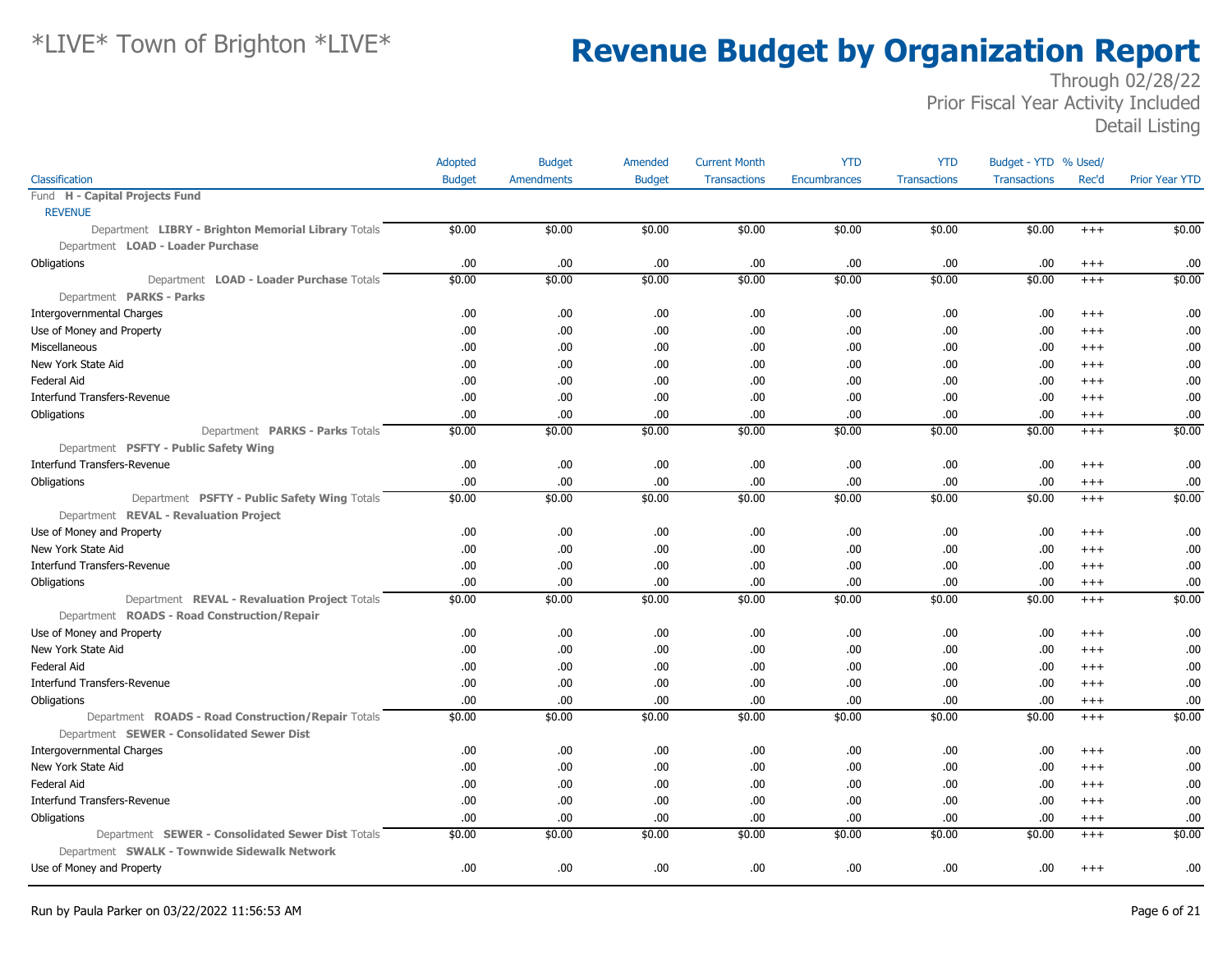|                                                     | Adopted       | <b>Budget</b>     | Amended       | <b>Current Month</b> | <b>YTD</b>          | <b>YTD</b>          | Budget - YTD % Used/ |          |                       |
|-----------------------------------------------------|---------------|-------------------|---------------|----------------------|---------------------|---------------------|----------------------|----------|-----------------------|
| Classification                                      | <b>Budget</b> | <b>Amendments</b> | <b>Budget</b> | <b>Transactions</b>  | <b>Encumbrances</b> | <b>Transactions</b> | <b>Transactions</b>  | Rec'd    | <b>Prior Year YTD</b> |
| Fund H - Capital Projects Fund                      |               |                   |               |                      |                     |                     |                      |          |                       |
| <b>REVENUE</b>                                      |               |                   |               |                      |                     |                     |                      |          |                       |
| Department LIBRY - Brighton Memorial Library Totals | \$0.00        | \$0.00            | \$0.00        | \$0.00               | \$0.00              | \$0.00              | \$0.00               | $^{+++}$ | \$0.00                |
| Department LOAD - Loader Purchase                   |               |                   |               |                      |                     |                     |                      |          |                       |
| Obligations                                         | .00.          | .00.              | .00.          | .00                  | .00                 | .00                 | .00.                 | $^{+++}$ | .00                   |
| Department LOAD - Loader Purchase Totals            | \$0.00        | \$0.00            | \$0.00        | \$0.00               | \$0.00              | \$0.00              | \$0.00               | $^{+++}$ | \$0.00                |
| Department PARKS - Parks                            |               |                   |               |                      |                     |                     |                      |          |                       |
| <b>Intergovernmental Charges</b>                    | .00.          | .00               | .00.          | .00                  | .00                 | .00                 | .00.                 | $^{+++}$ | .00                   |
| Use of Money and Property                           | .00.          | .00.              | .00           | .00                  | .00                 | .00                 | .00.                 | $^{++}$  | .00                   |
| Miscellaneous                                       | .00.          | .00.              | .00.          | .00                  | .00                 | .00                 | .00.                 | $^{++}$  | .00                   |
| New York State Aid                                  | .00.          | .00               | .00.          | .00                  | .00                 | .00                 | .00.                 | $^{++}$  | .00                   |
| <b>Federal Aid</b>                                  | .00           | .00               | .00.          | .00.                 | .00                 | .00                 | .00.                 | $^{++}$  | .00                   |
| Interfund Transfers-Revenue                         | .00.          | .00.              | .00.          | .00                  | .00.                | .00                 | .00.                 | $^{+++}$ | .00                   |
| Obligations                                         | .00.          | .00               | .00.          | .00                  | .00                 | .00                 | .00.                 | $^{+++}$ | .00                   |
| Department PARKS - Parks Totals                     | \$0.00        | \$0.00            | \$0.00        | \$0.00               | \$0.00              | \$0.00              | \$0.00               | $^{+++}$ | \$0.00                |
| Department PSFTY - Public Safety Wing               |               |                   |               |                      |                     |                     |                      |          |                       |
| <b>Interfund Transfers-Revenue</b>                  | .00.          | .00.              | .00.          | .00                  | .00.                | .00                 | .00.                 | $+++$    | .00                   |
| Obligations                                         | .00.          | .00               | .00.          | .00                  | .00                 | .00                 | .00.                 | $^{+++}$ | .00                   |
| Department PSFTY - Public Safety Wing Totals        | \$0.00        | \$0.00            | \$0.00        | \$0.00               | \$0.00              | \$0.00              | \$0.00               | $+++$    | \$0.00                |
| Department REVAL - Revaluation Project              |               |                   |               |                      |                     |                     |                      |          |                       |
| Use of Money and Property                           | .00.          | .00               | .00.          | .00                  | .00.                | .00                 | .00.                 | $^{+++}$ | .00                   |
| New York State Aid                                  | .00.          | .00               | .00.          | .00                  | .00.                | .00                 | .00                  | $^{+++}$ | .00                   |
| <b>Interfund Transfers-Revenue</b>                  | .00.          | .00               | .00.          | .00                  | .00                 | .00                 | .00.                 | $^{++}$  | .00                   |
| Obligations                                         | .00.          | .00               | .00.          | .00                  | .00.                | .00                 | .00.                 | $^{+++}$ | .00                   |
| Department REVAL - Revaluation Project Totals       | \$0.00        | \$0.00            | \$0.00        | \$0.00               | \$0.00              | \$0.00              | \$0.00               | $^{+++}$ | \$0.00                |
| Department ROADS - Road Construction/Repair         |               |                   |               |                      |                     |                     |                      |          |                       |
| Use of Money and Property                           | .00.          | .00.              | .00.          | .00                  | .00                 | .00                 | .00.                 | $^{+++}$ | .00                   |
| New York State Aid                                  | .00.          | .00               | .00.          | .00                  | .00.                | .00                 | .00.                 | $^{+++}$ | .00                   |
| <b>Federal Aid</b>                                  | .00.          | .00               | .00.          | .00                  | .00.                | .00                 | .00.                 | $^{+++}$ | .00                   |
| <b>Interfund Transfers-Revenue</b>                  | .00           | .00               | .00.          | .00                  | .00                 | .00                 | .00.                 | $^{++}$  | .00                   |
| Obligations                                         | .00.          | .00               | .00.          | .00                  | .00.                | .00                 | .00.                 | $^{+++}$ | .00                   |
| Department ROADS - Road Construction/Repair Totals  | \$0.00        | \$0.00            | \$0.00        | \$0.00               | \$0.00              | \$0.00              | \$0.00               | $^{+++}$ | \$0.00                |
| Department SEWER - Consolidated Sewer Dist          |               |                   |               |                      |                     |                     |                      |          |                       |
| <b>Intergovernmental Charges</b>                    | .00.          | .00               | .00.          | .00                  | .00                 | .00                 | .00.                 | $^{+++}$ | .00                   |
| New York State Aid                                  | .00.          | .00               | .00.          | .00                  | .00.                | .00                 | .00.                 | $^{++}$  | .00                   |
| <b>Federal Aid</b>                                  | .00.          | .00               | .00.          | .00                  | .00                 | .00                 | .00.                 | $^{++}$  | .00                   |
| <b>Interfund Transfers-Revenue</b>                  | .00           | .00               | .00.          | .00                  | .00                 | .00                 | .00.                 | $^{++}$  | .00                   |
| Obligations                                         | .00           | .00.              | .00.          | .00                  | .00.                | .00                 | .00.                 | $^{+++}$ | .00                   |
| Department SEWER - Consolidated Sewer Dist Totals   | \$0.00        | \$0.00            | \$0.00        | \$0.00               | \$0.00              | \$0.00              | \$0.00               | $^{+++}$ | \$0.00                |
| Department SWALK - Townwide Sidewalk Network        |               |                   |               |                      |                     |                     |                      |          |                       |
| Use of Money and Property                           | .00.          | .00               | .00.          | .00                  | .00                 | .00                 | .00.                 | $^{+++}$ | .00                   |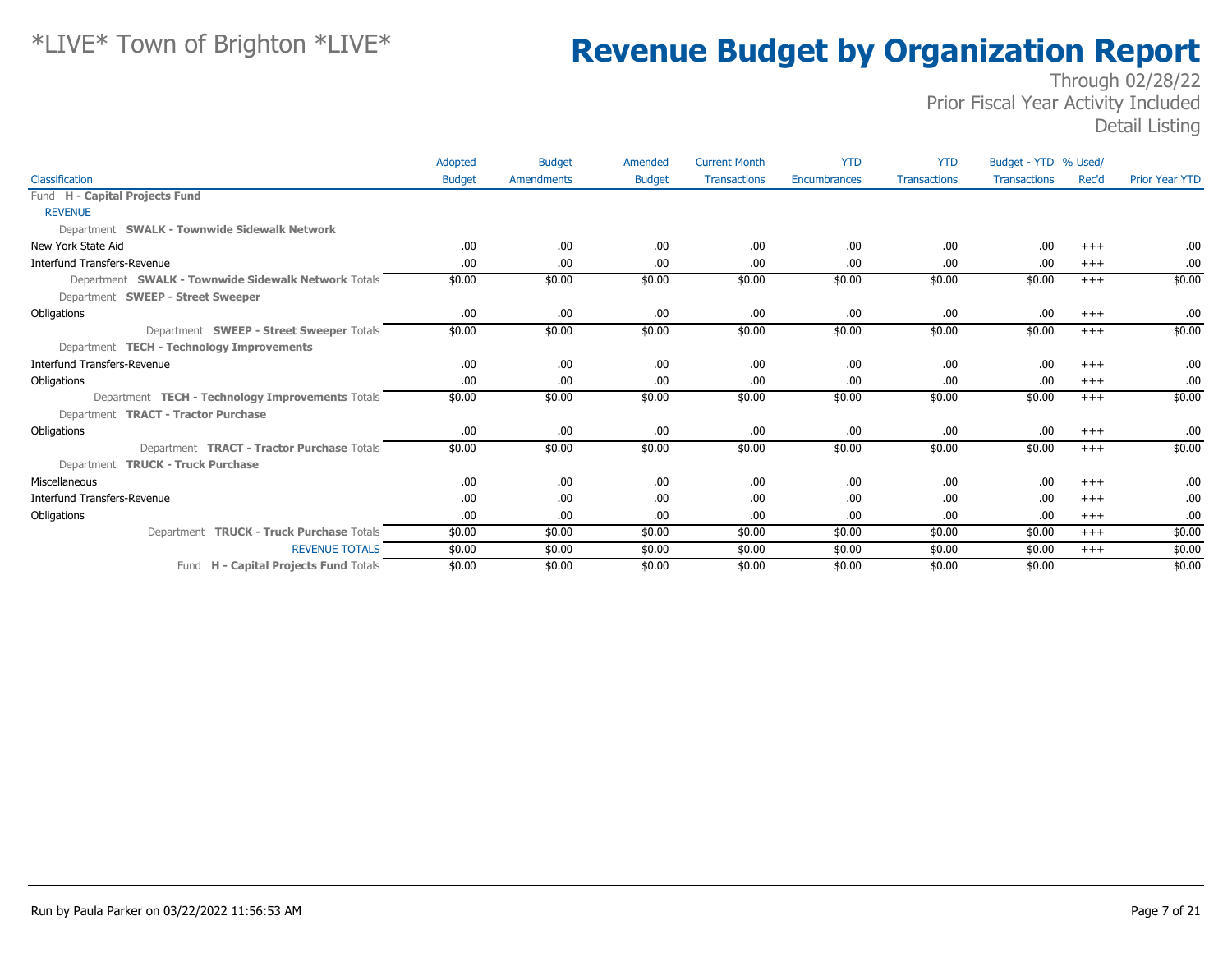|                                                     | Adopted       | <b>Budget</b> | Amended       | <b>Current Month</b> | <b>YTD</b>   | <b>YTD</b>          | Budget - YTD % Used/ |          |                       |
|-----------------------------------------------------|---------------|---------------|---------------|----------------------|--------------|---------------------|----------------------|----------|-----------------------|
| Classification                                      | <b>Budget</b> | Amendments    | <b>Budget</b> | <b>Transactions</b>  | Encumbrances | <b>Transactions</b> | <b>Transactions</b>  | Rec'd    | <b>Prior Year YTD</b> |
| Fund H - Capital Projects Fund                      |               |               |               |                      |              |                     |                      |          |                       |
| <b>REVENUE</b>                                      |               |               |               |                      |              |                     |                      |          |                       |
| Department SWALK - Townwide Sidewalk Network        |               |               |               |                      |              |                     |                      |          |                       |
| New York State Aid                                  | .00.          | .00           | .00           | .00                  | .00.         | .00.                | .00                  | $+++$    | .00                   |
| <b>Interfund Transfers-Revenue</b>                  | .00.          | .00           | .00.          | .00                  | .00.         | .00.                | .00                  | $^{+++}$ | .00.                  |
| Department SWALK - Townwide Sidewalk Network Totals | \$0.00        | \$0.00        | \$0.00        | \$0.00               | \$0.00       | \$0.00              | \$0.00               | $^{+++}$ | \$0.00                |
| Department SWEEP - Street Sweeper                   |               |               |               |                      |              |                     |                      |          |                       |
| Obligations                                         | .00.          | .00           | .00.          | .00                  | .00.         | .00.                | .00                  | $^{+++}$ | .00.                  |
| Department SWEEP - Street Sweeper Totals            | \$0.00        | \$0.00        | \$0.00        | \$0.00               | \$0.00       | \$0.00              | \$0.00               | $+++$    | \$0.00                |
| Department TECH - Technology Improvements           |               |               |               |                      |              |                     |                      |          |                       |
| <b>Interfund Transfers-Revenue</b>                  | .00.          | .00           | .00.          | .00                  | .00.         | .00.                | .00                  | $^{+++}$ | .00.                  |
| Obligations                                         | .00.          | .00           | .00           | .00                  | .00.         | .00.                | .00                  | $^{+++}$ | .00.                  |
| Department TECH - Technology Improvements Totals    | \$0.00        | \$0.00        | \$0.00        | \$0.00               | \$0.00       | \$0.00              | \$0.00               | $+++$    | \$0.00                |
| Department <b>TRACT - Tractor Purchase</b>          |               |               |               |                      |              |                     |                      |          |                       |
| Obligations                                         | .00           | .00           | .00.          | .00                  | .00.         | .00.                | .00                  | $^{+++}$ | .00                   |
| Department <b>TRACT - Tractor Purchase</b> Totals   | \$0.00        | \$0.00        | \$0.00        | \$0.00               | \$0.00       | \$0.00              | \$0.00               | $+++$    | \$0.00                |
| Department TRUCK - Truck Purchase                   |               |               |               |                      |              |                     |                      |          |                       |
| Miscellaneous                                       | .00.          | .00           | .00.          | .00                  | .00.         | .00.                | .00                  | $^{+++}$ | .00.                  |
| <b>Interfund Transfers-Revenue</b>                  | .00.          | .00           | .00.          | .00                  | .00.         | .00                 | .00                  | $+++$    | .00.                  |
| Obligations                                         | .00.          | .00           | .00           | .00                  | .00.         | .00.                | .00                  | $^{+++}$ | .00                   |
| Department TRUCK - Truck Purchase Totals            | \$0.00        | \$0.00        | \$0.00        | \$0.00               | \$0.00       | \$0.00              | \$0.00               | $+++$    | \$0.00                |
| <b>REVENUE TOTALS</b>                               | \$0.00        | \$0.00        | \$0.00        | \$0.00               | \$0.00       | \$0.00              | \$0.00               | $+++$    | \$0.00                |
| Fund H - Capital Projects Fund Totals               | \$0.00        | \$0.00        | \$0.00        | \$0.00               | \$0.00       | \$0.00              | \$0.00               |          | \$0.00                |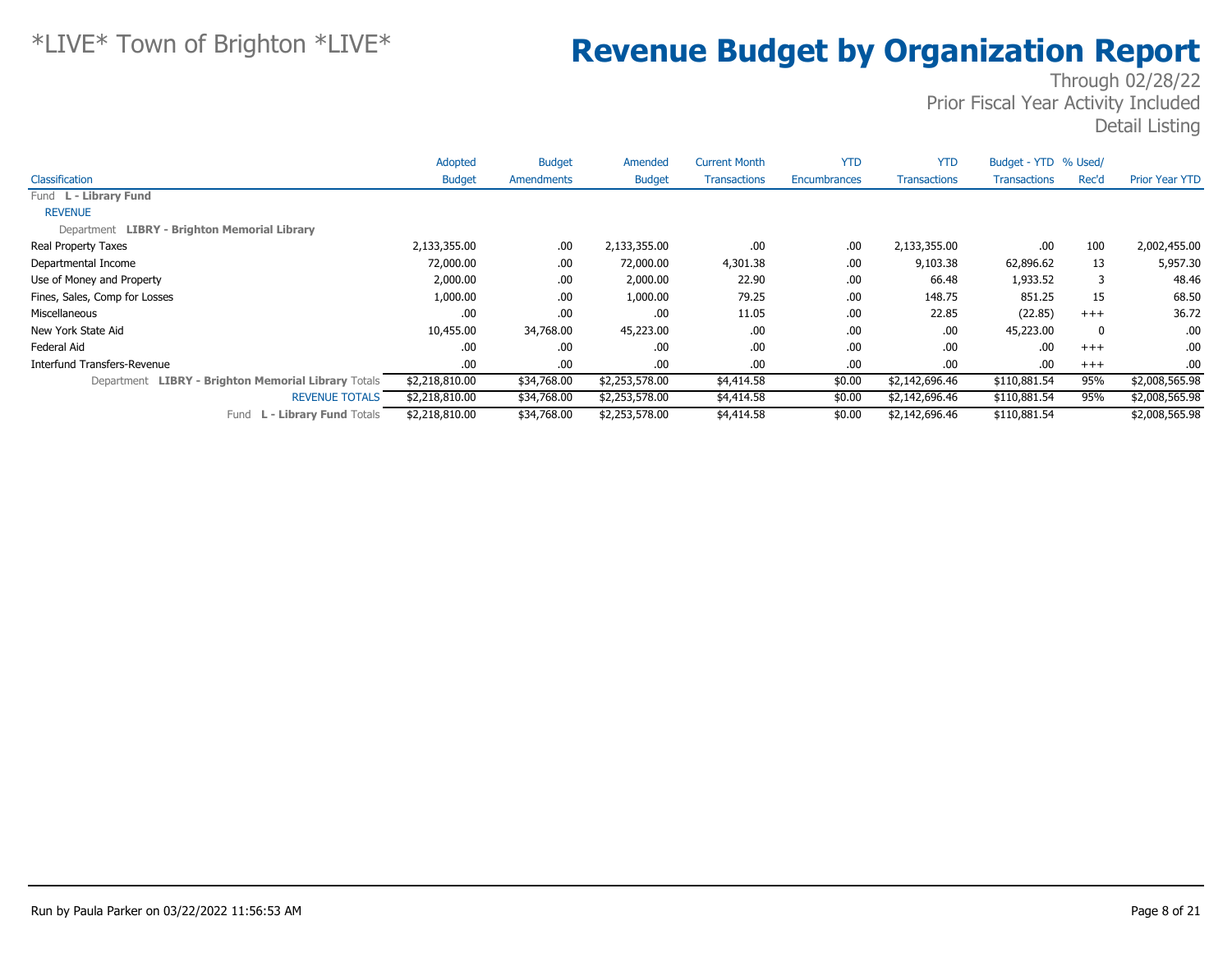|                                                     | Adopted        | <b>Budget</b> | Amended        | <b>Current Month</b> | <b>YTD</b>          | <b>YTD</b>          | Budget - YTD % Used/ |              |                       |
|-----------------------------------------------------|----------------|---------------|----------------|----------------------|---------------------|---------------------|----------------------|--------------|-----------------------|
| Classification                                      | <b>Budget</b>  | Amendments    | <b>Budget</b>  | <b>Transactions</b>  | <b>Encumbrances</b> | <b>Transactions</b> | <b>Transactions</b>  | Rec'd        | <b>Prior Year YTD</b> |
| Fund L - Library Fund                               |                |               |                |                      |                     |                     |                      |              |                       |
| <b>REVENUE</b>                                      |                |               |                |                      |                     |                     |                      |              |                       |
| Department LIBRY - Brighton Memorial Library        |                |               |                |                      |                     |                     |                      |              |                       |
| Real Property Taxes                                 | 2,133,355.00   | .00.          | 2,133,355.00   | .00.                 | .00.                | 2,133,355.00        | .00                  | 100          | 2,002,455.00          |
| Departmental Income                                 | 72,000.00      | .00.          | 72,000.00      | 4,301.38             | .00                 | 9,103.38            | 62,896.62            | 13           | 5,957.30              |
| Use of Money and Property                           | 2,000.00       | .00.          | 2,000.00       | 22.90                | .00                 | 66.48               | 1,933.52             | 3            | 48.46                 |
| Fines, Sales, Comp for Losses                       | 1,000.00       | .00.          | 1,000.00       | 79.25                | .00                 | 148.75              | 851.25               | 15           | 68.50                 |
| Miscellaneous                                       | .00            | .00.          | .00.           | 11.05                | .00                 | 22.85               | (22.85)              | $+++$        | 36.72                 |
| New York State Aid                                  | 10,455.00      | 34,768.00     | 45,223.00      | .00.                 | .00                 | .00.                | 45,223.00            | $\mathbf{0}$ | .00.                  |
| Federal Aid                                         | .00            | .00.          | .00            | .00.                 | .00                 | .00                 | .00                  | $+++$        | .00                   |
| Interfund Transfers-Revenue                         | .00.           | .00.          | .00.           | .00.                 | .00                 | .00.                | .00                  | $+++$        | .00.                  |
| Department LIBRY - Brighton Memorial Library Totals | \$2,218,810.00 | \$34,768.00   | \$2,253,578.00 | \$4,414.58           | \$0.00              | \$2,142,696.46      | \$110,881.54         | 95%          | \$2,008,565.98        |
| <b>REVENUE TOTALS</b>                               | \$2,218,810.00 | \$34,768.00   | \$2,253,578.00 | \$4,414.58           | \$0.00              | \$2,142,696.46      | \$110,881.54         | 95%          | \$2,008,565.98        |
| <b>L - Library Fund Totals</b><br>Fund              | \$2,218,810.00 | \$34,768.00   | \$2,253,578.00 | \$4,414.58           | \$0.00              | \$2,142,696.46      | \$110,881.54         |              | \$2,008,565.98        |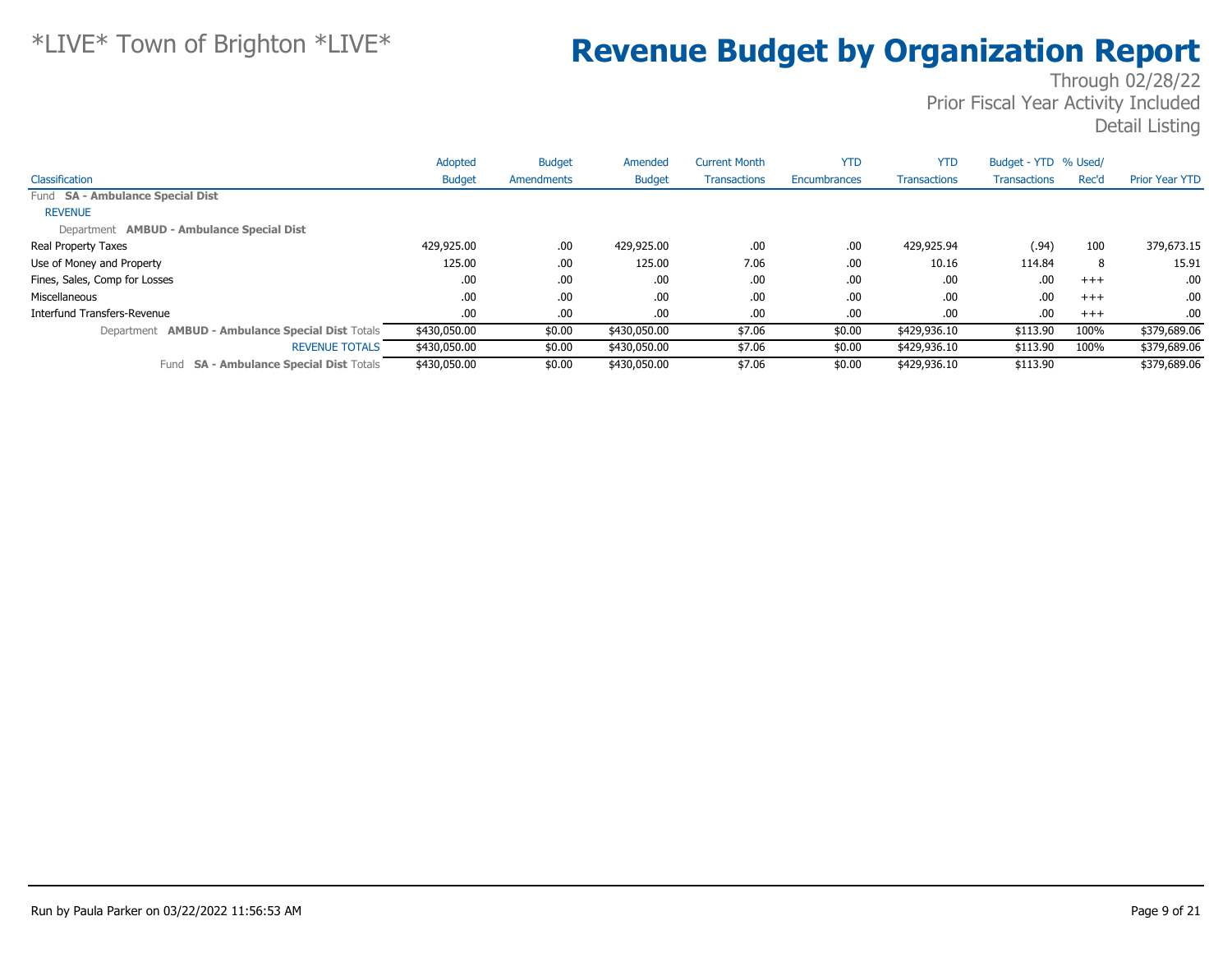|                                                         | Adopted       | <b>Budget</b> | Amended       | <b>Current Month</b> | <b>YTD</b>   | <b>YTD</b>          | Budget - YTD % Used/ |          |                       |
|---------------------------------------------------------|---------------|---------------|---------------|----------------------|--------------|---------------------|----------------------|----------|-----------------------|
| Classification                                          | <b>Budget</b> | Amendments    | <b>Budget</b> | <b>Transactions</b>  | Encumbrances | <b>Transactions</b> | <b>Transactions</b>  | Rec'd    | <b>Prior Year YTD</b> |
| Fund SA - Ambulance Special Dist                        |               |               |               |                      |              |                     |                      |          |                       |
| <b>REVENUE</b>                                          |               |               |               |                      |              |                     |                      |          |                       |
| Department AMBUD - Ambulance Special Dist               |               |               |               |                      |              |                     |                      |          |                       |
| Real Property Taxes                                     | 429,925.00    | .00.          | 429,925.00    | .00                  | .00          | 429,925.94          | (.94)                | 100      | 379,673.15            |
| Use of Money and Property                               | 125.00        | .00.          | 125.00        | 7.06                 | .00          | 10.16               | 114.84               | 8        | 15.91                 |
| Fines, Sales, Comp for Losses                           | .00.          | .00.          | .00.          | .00                  | .00          | .00                 | .00                  | $^{+++}$ | .00.                  |
| Miscellaneous                                           | .00           | .00.          | .00.          | .00                  | .00          | .00                 | .00                  | $^{+++}$ | .00.                  |
| Interfund Transfers-Revenue                             | .00.          | .00.          | .00.          | .00                  | .00          | .00                 | .00                  | $+++$    | .00.                  |
| Department <b>AMBUD - Ambulance Special Dist Totals</b> | \$430,050.00  | \$0.00        | \$430,050.00  | \$7.06               | \$0.00       | \$429,936.10        | \$113.90             | 100%     | \$379,689.06          |
| <b>REVENUE TOTALS</b>                                   | \$430,050.00  | \$0.00        | \$430,050.00  | \$7.06               | \$0.00       | \$429,936.10        | \$113.90             | 100%     | \$379,689.06          |
| <b>SA - Ambulance Special Dist Totals</b><br>Fund       | \$430,050,00  | \$0.00        | \$430,050.00  | \$7.06               | \$0.00       | \$429,936.10        | \$113.90             |          | \$379,689.06          |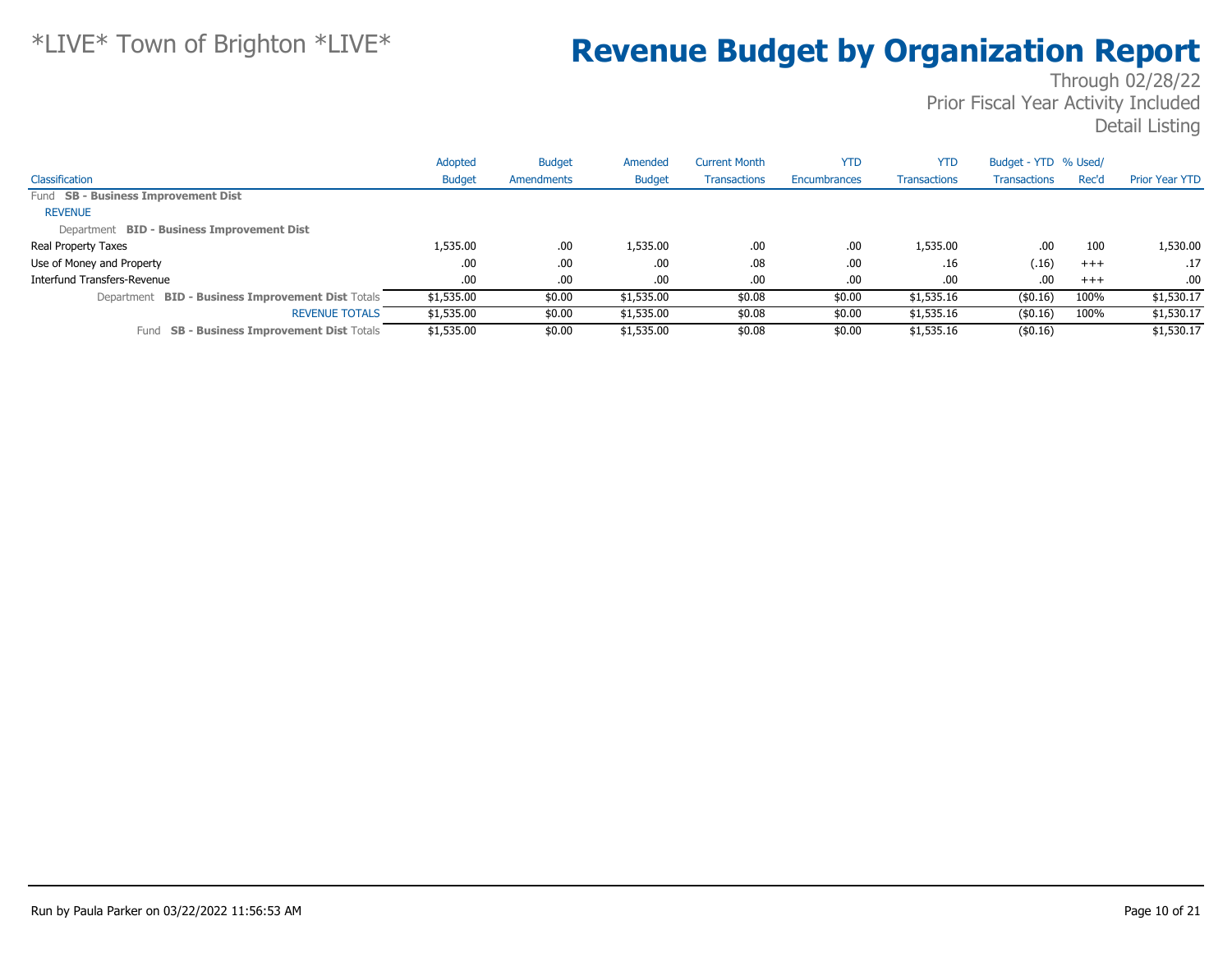|                                                             | Adopted       | <b>Budget</b> | Amended       | <b>Current Month</b> | <b>YTD</b>   | <b>YTD</b>          | Budget - YTD % Used/ |       |                       |
|-------------------------------------------------------------|---------------|---------------|---------------|----------------------|--------------|---------------------|----------------------|-------|-----------------------|
| Classification                                              | <b>Budget</b> | Amendments    | <b>Budget</b> | <b>Transactions</b>  | Encumbrances | <b>Transactions</b> | <b>Transactions</b>  | Rec'd | <b>Prior Year YTD</b> |
| Fund SB - Business Improvement Dist                         |               |               |               |                      |              |                     |                      |       |                       |
| <b>REVENUE</b>                                              |               |               |               |                      |              |                     |                      |       |                       |
| Department BID - Business Improvement Dist                  |               |               |               |                      |              |                     |                      |       |                       |
| Real Property Taxes                                         | 1,535.00      | .00           | 1,535.00      | .00                  | .00          | 1,535.00            | .00                  | 100   | 1,530.00              |
| Use of Money and Property                                   | .00           | .00.          | .00           | .08                  | .00          | .16                 | (.16)                | $+++$ | .17                   |
| Interfund Transfers-Revenue                                 | .00.          | .00.          | .00           | .00                  | .00          | .00                 | .00                  | $+++$ | .00.                  |
| <b>BID - Business Improvement Dist Totals</b><br>Department | \$1,535.00    | \$0.00        | \$1,535.00    | \$0.08               | \$0.00       | \$1,535.16          | $($ \$0.16)          | 100%  | \$1,530.17            |
| <b>REVENUE TOTALS</b>                                       | \$1,535.00    | \$0.00        | \$1,535.00    | \$0.08               | \$0.00       | \$1,535.16          | $($ \$0.16)          | 100%  | \$1,530.17            |
| <b>SB - Business Improvement Dist Totals</b><br>Fund        | \$1,535.00    | \$0.00        | \$1,535.00    | \$0.08               | \$0.00       | \$1,535.16          | $($ \$0.16)          |       | \$1,530.17            |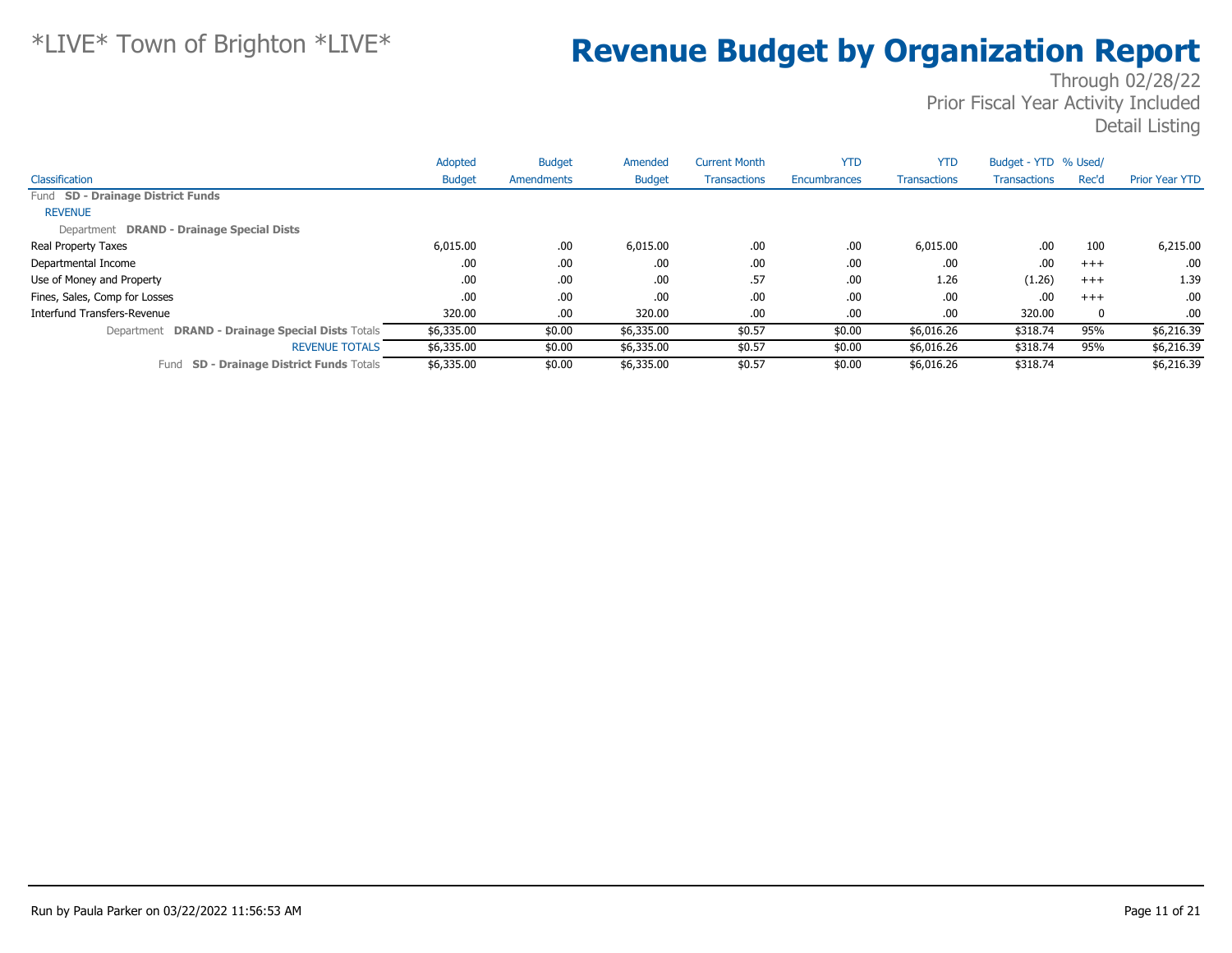|                                                    | Adopted       | <b>Budget</b> | Amended       | <b>Current Month</b> | <b>YTD</b>   | <b>YTD</b>          | Budget - YTD % Used/ |       |                       |
|----------------------------------------------------|---------------|---------------|---------------|----------------------|--------------|---------------------|----------------------|-------|-----------------------|
| Classification                                     | <b>Budget</b> | Amendments    | <b>Budget</b> | <b>Transactions</b>  | Encumbrances | <b>Transactions</b> | <b>Transactions</b>  | Rec'd | <b>Prior Year YTD</b> |
| Fund SD - Drainage District Funds                  |               |               |               |                      |              |                     |                      |       |                       |
| <b>REVENUE</b>                                     |               |               |               |                      |              |                     |                      |       |                       |
| Department DRAND - Drainage Special Dists          |               |               |               |                      |              |                     |                      |       |                       |
| <b>Real Property Taxes</b>                         | 6,015.00      | .00.          | 6,015.00      | .00.                 | .00          | 6,015.00            | .00                  | 100   | 6,215.00              |
| Departmental Income                                | .00           | .00.          | .00.          | .00.                 | .00          | .00                 | .00                  | $+++$ | .00                   |
| Use of Money and Property                          | .00           | .00.          | .00           | .57                  | .00          | 1.26                | (1.26)               | $+++$ | 1.39                  |
| Fines, Sales, Comp for Losses                      | .00           | .00.          | .00.          | .00.                 | .00          | .00.                | .00                  | $+++$ | $.00 \cdot$           |
| Interfund Transfers-Revenue                        | 320.00        | .00.          | 320.00        | .00.                 | .00          | .00.                | 320.00               | 0     | .00.                  |
| Department DRAND - Drainage Special Dists Totals   | \$6,335.00    | \$0.00        | \$6,335.00    | \$0.57               | \$0.00       | \$6,016.26          | \$318.74             | 95%   | \$6,216.39            |
| <b>REVENUE TOTALS</b>                              | \$6,335.00    | \$0.00        | \$6,335.00    | \$0.57               | \$0.00       | \$6,016.26          | \$318.74             | 95%   | \$6,216.39            |
| <b>SD - Drainage District Funds Totals</b><br>Fund | \$6,335.00    | \$0.00        | \$6,335.00    | \$0.57               | \$0.00       | \$6,016.26          | \$318.74             |       | \$6,216.39            |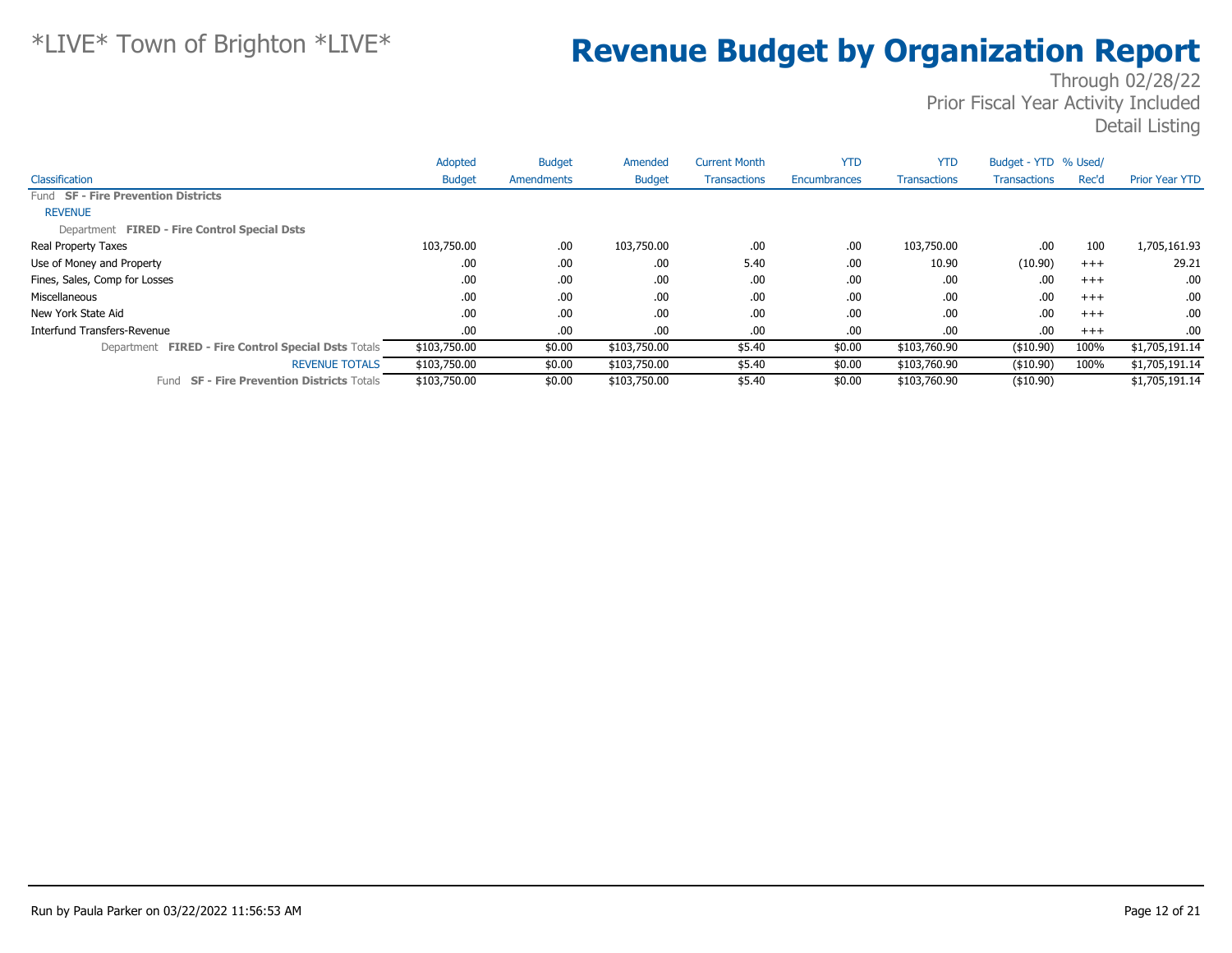|                                                      | Adopted       | <b>Budget</b> | Amended       | <b>Current Month</b> | <b>YTD</b>   | <b>YTD</b>          | Budget - YTD % Used/ |          |                       |
|------------------------------------------------------|---------------|---------------|---------------|----------------------|--------------|---------------------|----------------------|----------|-----------------------|
| Classification                                       | <b>Budget</b> | Amendments    | <b>Budget</b> | <b>Transactions</b>  | Encumbrances | <b>Transactions</b> | <b>Transactions</b>  | Rec'd    | <b>Prior Year YTD</b> |
| Fund SF - Fire Prevention Districts                  |               |               |               |                      |              |                     |                      |          |                       |
| <b>REVENUE</b>                                       |               |               |               |                      |              |                     |                      |          |                       |
| Department FIRED - Fire Control Special Dsts         |               |               |               |                      |              |                     |                      |          |                       |
| Real Property Taxes                                  | 103,750.00    | .00.          | 103,750.00    | .00                  | .00          | 103,750.00          | .00.                 | 100      | 1,705,161.93          |
| Use of Money and Property                            | .00           | .00.          | .00.          | 5.40                 | .00          | 10.90               | (10.90)              | $^{+++}$ | 29.21                 |
| Fines, Sales, Comp for Losses                        | .00           | .00.          | .00           | .00                  | .00          | .00.                | .00                  | $^{+++}$ | .00.                  |
| Miscellaneous                                        | .00           | .00.          | .00.          | .00                  | .00          | .00                 | .00.                 | $+++$    | .00.                  |
| New York State Aid                                   | .00           | .00.          | .00           | .00                  | .00          | .00                 | .00                  | $^{+++}$ | .00.                  |
| Interfund Transfers-Revenue                          | .00.          | .00.          | .00.          | .00                  | .00          | .00.                | .00.                 | $+++$    | .00                   |
| Department FIRED - Fire Control Special Dsts Totals  | \$103,750.00  | \$0.00        | \$103,750.00  | \$5.40               | \$0.00       | \$103,760.90        | ( \$10.90)           | 100%     | \$1,705,191.14        |
| <b>REVENUE TOTALS</b>                                | \$103,750.00  | \$0.00        | \$103,750.00  | \$5.40               | \$0.00       | \$103,760.90        | $($ \$10.90)         | 100%     | \$1,705,191.14        |
| <b>SF - Fire Prevention Districts Totals</b><br>Fund | \$103,750.00  | \$0.00        | \$103,750.00  | \$5.40               | \$0.00       | \$103,760.90        | ( \$10.90)           |          | \$1,705,191.14        |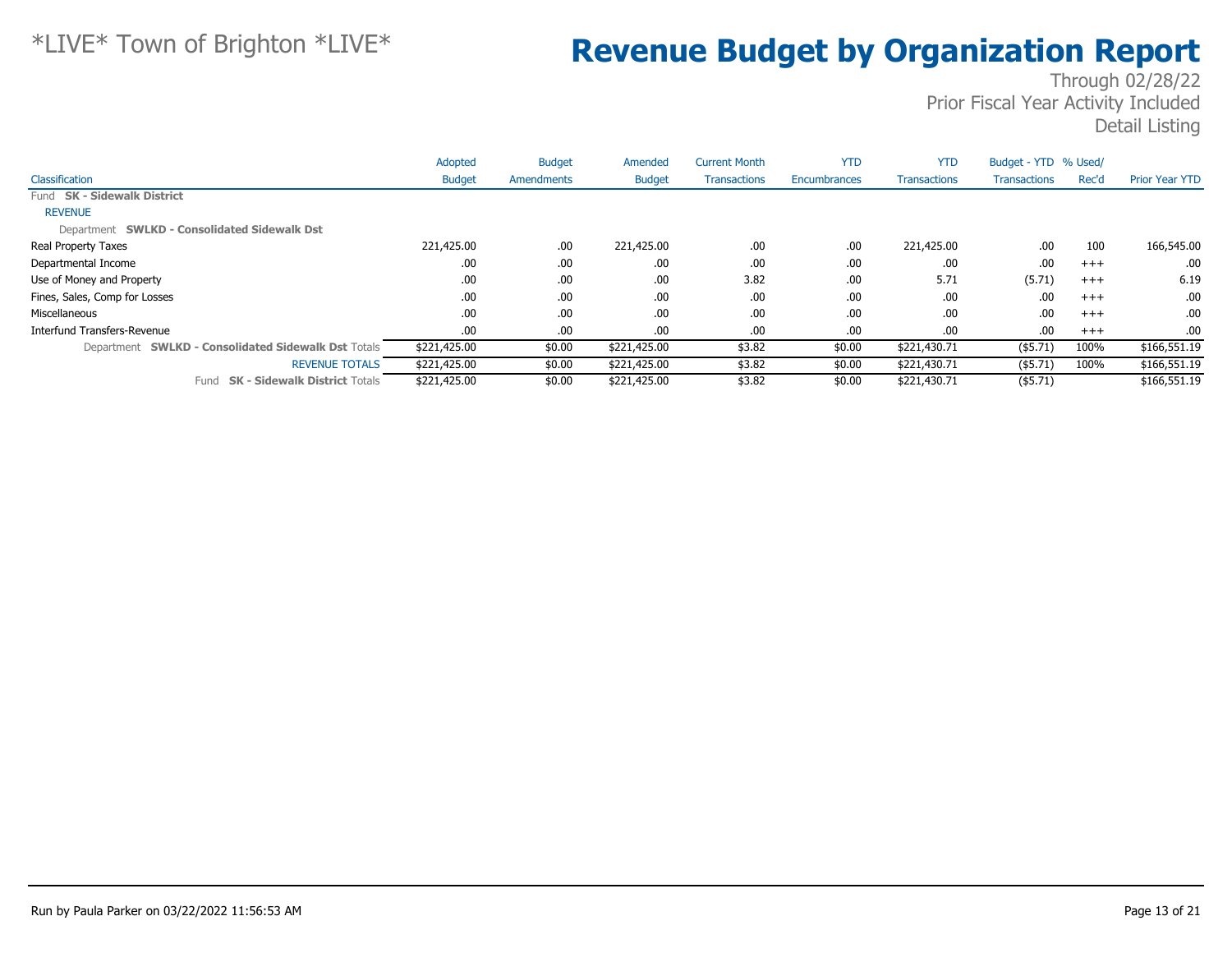|                                                     | Adopted       | <b>Budget</b> | Amended       | <b>Current Month</b> | <b>YTD</b>   | <b>YTD</b>          | Budget - YTD % Used/ |       |                       |
|-----------------------------------------------------|---------------|---------------|---------------|----------------------|--------------|---------------------|----------------------|-------|-----------------------|
| Classification                                      | <b>Budget</b> | Amendments    | <b>Budget</b> | <b>Transactions</b>  | Encumbrances | <b>Transactions</b> | <b>Transactions</b>  | Rec'd | <b>Prior Year YTD</b> |
| Fund SK - Sidewalk District                         |               |               |               |                      |              |                     |                      |       |                       |
| <b>REVENUE</b>                                      |               |               |               |                      |              |                     |                      |       |                       |
| Department SWLKD - Consolidated Sidewalk Dst        |               |               |               |                      |              |                     |                      |       |                       |
| Real Property Taxes                                 | 221,425.00    | .00           | 221,425.00    | .00                  | .00          | 221,425.00          | .00                  | 100   | 166,545.00            |
| Departmental Income                                 | .00           | .00           | .00           | .00                  | .00          | .00                 | .00                  | $+++$ | .00                   |
| Use of Money and Property                           | .00           | .00           | .00           | 3.82                 | .00          | 5.71                | (5.71)               | $+++$ | 6.19                  |
| Fines, Sales, Comp for Losses                       | .00           | .00           | .00           | .00                  | .00          | .00                 | .00                  | $+++$ | .00.                  |
| Miscellaneous                                       | .00           | .00           | .00           | .00.                 | .00          | .00                 | .00                  | $+++$ | .00.                  |
| Interfund Transfers-Revenue                         | .00           | .00           | .00           | .00                  | .00          | .00                 | .00                  | $+++$ | $.00 \cdot$           |
| Department SWLKD - Consolidated Sidewalk Dst Totals | \$221,425.00  | \$0.00        | \$221,425.00  | \$3.82               | \$0.00       | \$221,430.71        | $($ \$5.71)          | 100%  | \$166,551.19          |
| <b>REVENUE TOTALS</b>                               | \$221,425.00  | \$0.00        | \$221,425.00  | \$3.82               | \$0.00       | \$221,430.71        | $($ \$5.71)          | 100%  | \$166,551.19          |
| <b>SK - Sidewalk District Totals</b><br>Fund        | \$221,425.00  | \$0.00        | \$221,425.00  | \$3.82               | \$0.00       | \$221,430.71        | $($ \$5.71)          |       | \$166,551.19          |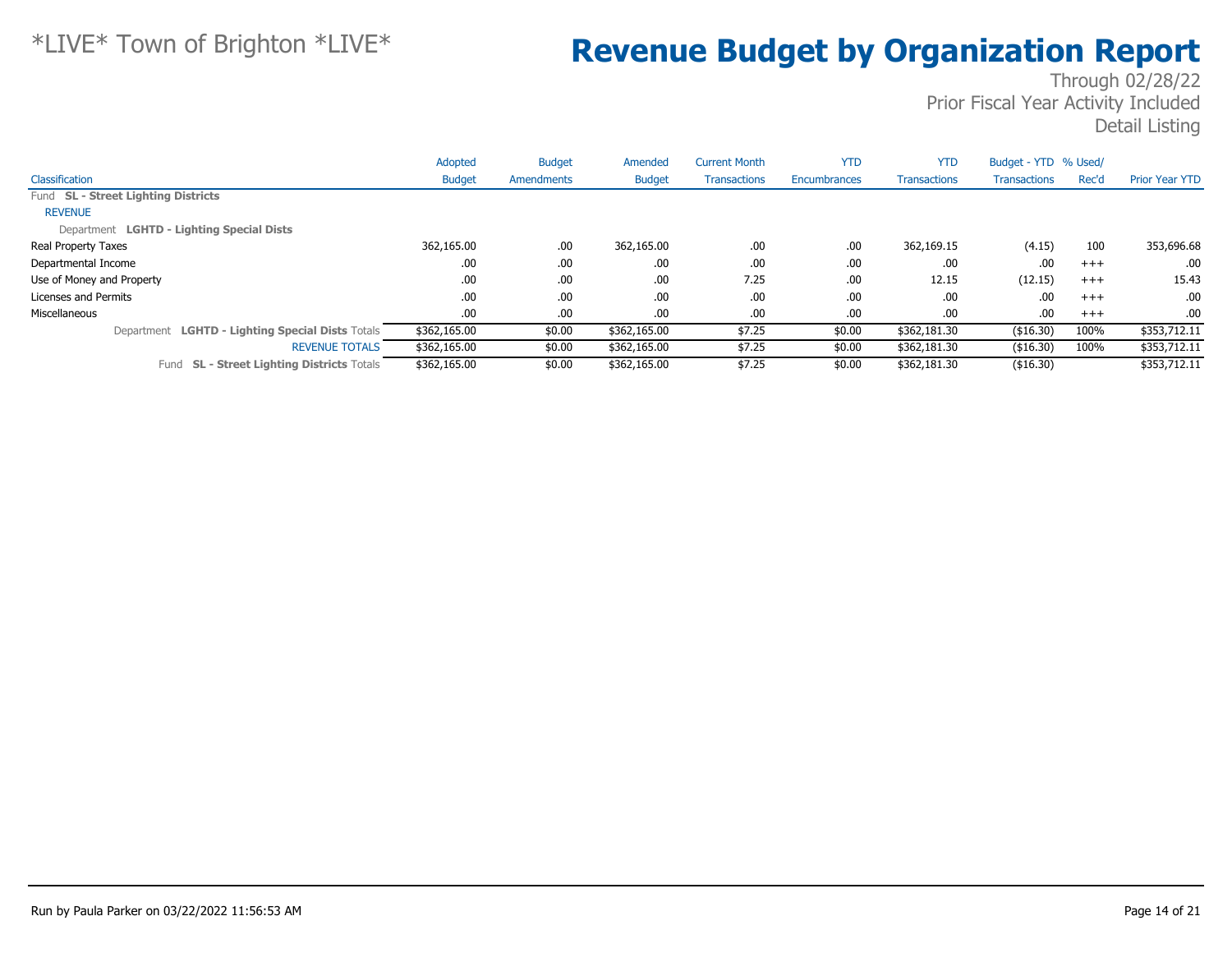|                                                      | Adopted       | <b>Budget</b> | Amended       | <b>Current Month</b> | <b>YTD</b>   | <b>YTD</b>          | Budget - YTD % Used/ |          |                          |
|------------------------------------------------------|---------------|---------------|---------------|----------------------|--------------|---------------------|----------------------|----------|--------------------------|
| Classification                                       | <b>Budget</b> | Amendments    | <b>Budget</b> | <b>Transactions</b>  | Encumbrances | <b>Transactions</b> | Transactions         | Rec'd    | <b>Prior Year YTD</b>    |
| Fund SL - Street Lighting Districts                  |               |               |               |                      |              |                     |                      |          |                          |
| <b>REVENUE</b>                                       |               |               |               |                      |              |                     |                      |          |                          |
| Department LGHTD - Lighting Special Dists            |               |               |               |                      |              |                     |                      |          |                          |
| <b>Real Property Taxes</b>                           | 362,165.00    | .00           | 362,165.00    | .00                  | .00          | 362,169.15          | (4.15)               | 100      | 353,696.68               |
| Departmental Income                                  | .00.          | .00           | .00           | .00                  | .00          | .00                 | .00                  | $+++$    | .00.                     |
| Use of Money and Property                            | .00           | .00           | .00           | 7.25                 | .00          | 12.15               | (12.15)              | $^{+++}$ | 15.43                    |
| Licenses and Permits                                 | .00           | .00           | .00           | .00                  | .00          | .00                 | .00                  | $^{+++}$ | .00.                     |
| Miscellaneous                                        | .00.          | .00           | .00           | .00                  | .00          | .00                 | .00                  | $+++$    | .00.                     |
| Department LGHTD - Lighting Special Dists Totals     | \$362,165.00  | \$0.00        | \$362,165.00  | \$7.25               | \$0.00       | \$362,181.30        | ( \$16.30)           | 100%     | \$353,712.11             |
| <b>REVENUE TOTALS</b>                                | \$362,165.00  | \$0.00        | \$362,165.00  | \$7.25               | \$0.00       | \$362,181.30        | ( \$16.30)           | 100%     | $\overline{$353,712.11}$ |
| <b>SL - Street Lighting Districts Totals</b><br>Fund | \$362,165.00  | \$0.00        | \$362,165.00  | \$7.25               | \$0.00       | \$362,181.30        | ( \$16.30)           |          | \$353,712.11             |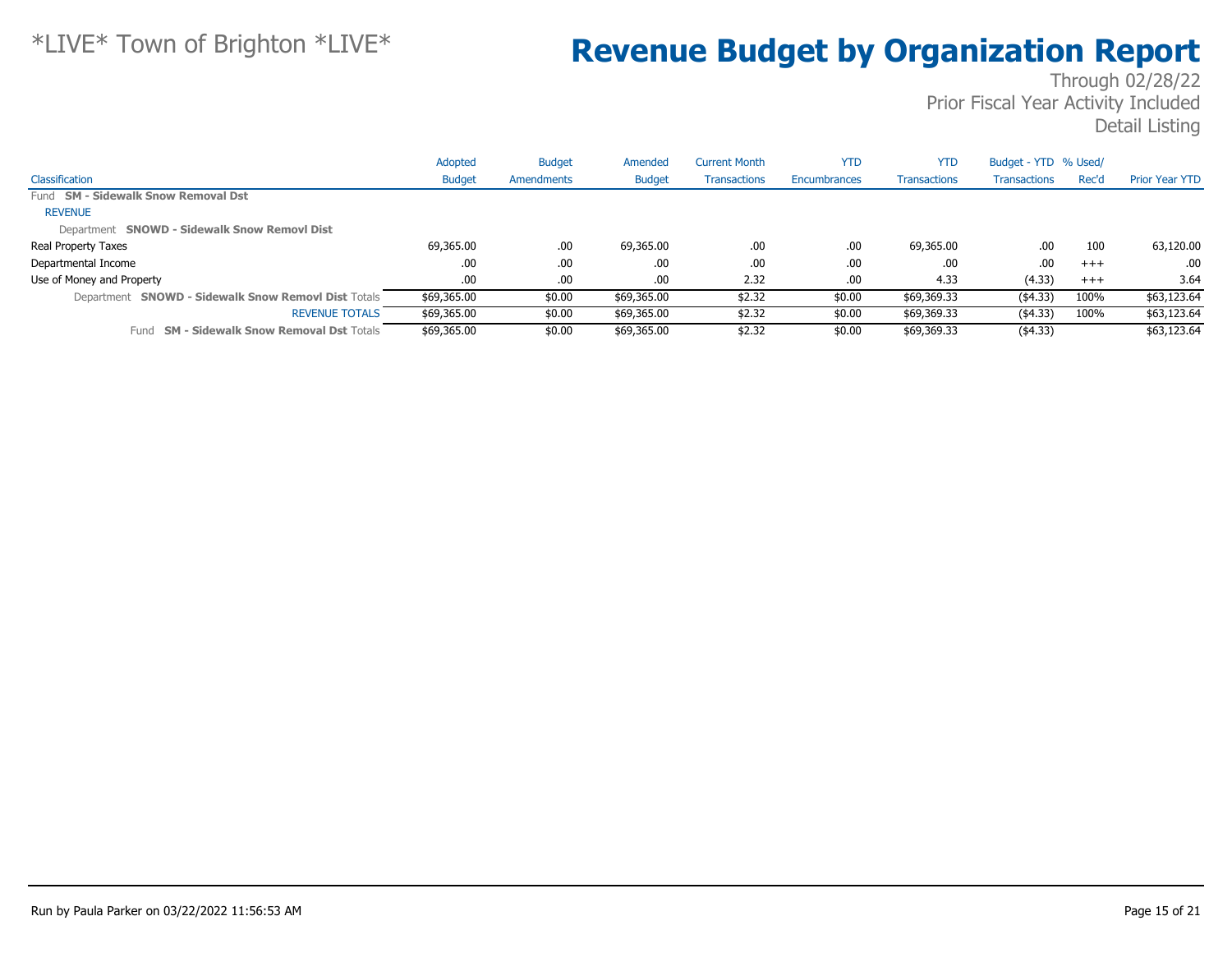|                                                      | Adopted       | <b>Budget</b> | Amended       | <b>Current Month</b> | <b>YTD</b>   | <b>YTD</b>          | Budget - YTD % Used/ |       |                       |
|------------------------------------------------------|---------------|---------------|---------------|----------------------|--------------|---------------------|----------------------|-------|-----------------------|
| Classification                                       | <b>Budget</b> | Amendments    | <b>Budget</b> | <b>Transactions</b>  | Encumbrances | <b>Transactions</b> | <b>Transactions</b>  | Rec'd | <b>Prior Year YTD</b> |
| Fund SM - Sidewalk Snow Removal Dst                  |               |               |               |                      |              |                     |                      |       |                       |
| <b>REVENUE</b>                                       |               |               |               |                      |              |                     |                      |       |                       |
| Department SNOWD - Sidewalk Snow Removl Dist         |               |               |               |                      |              |                     |                      |       |                       |
| Real Property Taxes                                  | 69,365.00     | .00.          | 69,365.00     | .00                  | .00          | 69,365.00           | .00                  | 100   | 63,120.00             |
| Departmental Income                                  | .00.          | .00.          | .00.          | .00                  | .00          | .00                 | .00                  | $+++$ | .00                   |
| Use of Money and Property                            | .00.          | .00           | .00.          | 2.32                 | .00          | 4.33                | (4.33)               | $+++$ | 3.64                  |
| Department SNOWD - Sidewalk Snow Removl Dist Totals  | \$69,365.00   | \$0.00        | \$69,365.00   | \$2.32               | \$0.00       | \$69,369.33         | (4.33)               | 100%  | \$63,123.64           |
| <b>REVENUE TOTALS</b>                                | \$69,365.00   | \$0.00        | \$69,365.00   | \$2.32               | \$0.00       | \$69,369.33         | (4.33)               | 100%  | \$63,123.64           |
| <b>SM - Sidewalk Snow Removal Dst Totals</b><br>Fund | \$69,365.00   | \$0.00        | \$69,365.00   | \$2.32               | \$0.00       | \$69,369.33         | (4.33)               |       | \$63,123.64           |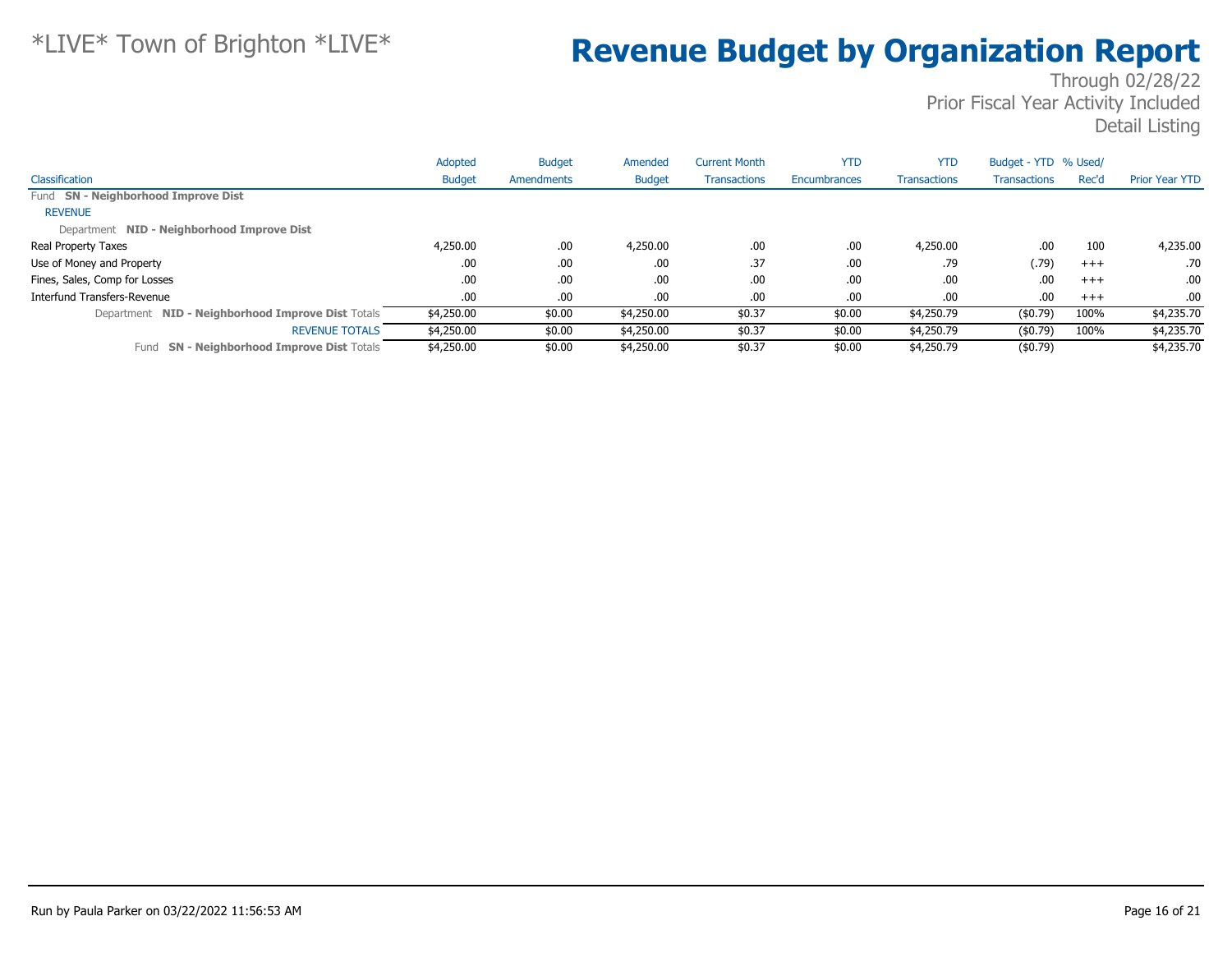|                                                      | Adopted       | <b>Budget</b> | Amended       | <b>Current Month</b> | <b>YTD</b>          | <b>YTD</b>          | Budget - YTD % Used/ |       |                       |
|------------------------------------------------------|---------------|---------------|---------------|----------------------|---------------------|---------------------|----------------------|-------|-----------------------|
| Classification                                       | <b>Budget</b> | Amendments    | <b>Budget</b> | <b>Transactions</b>  | <b>Encumbrances</b> | <b>Transactions</b> | <b>Transactions</b>  | Rec'd | <b>Prior Year YTD</b> |
| Fund SN - Neighborhood Improve Dist                  |               |               |               |                      |                     |                     |                      |       |                       |
| <b>REVENUE</b>                                       |               |               |               |                      |                     |                     |                      |       |                       |
| Department NID - Neighborhood Improve Dist           |               |               |               |                      |                     |                     |                      |       |                       |
| Real Property Taxes                                  | 4,250.00      | .00           | 4,250.00      | .00                  | .00                 | 4,250,00            | .00                  | 100   | 4,235.00              |
| Use of Money and Property                            | .00           | .00           | .00           | .37                  | .00                 | .79                 | (.79)                | $+++$ | .70                   |
| Fines, Sales, Comp for Losses                        | .00.          | .00           | .00           | .00                  | .00                 | .00                 | .00                  | $+++$ | .00.                  |
| Interfund Transfers-Revenue                          | .00.          | .00           | .00           | .00                  | .00                 | .00                 | .00                  | $+++$ | .00.                  |
| Department NID - Neighborhood Improve Dist Totals    | \$4,250.00    | \$0.00        | \$4,250.00    | \$0.37               | \$0.00              | \$4,250.79          | (\$0.79)             | 100%  | \$4,235.70            |
| <b>REVENUE TOTALS</b>                                | \$4,250.00    | \$0.00        | \$4,250.00    | \$0.37               | \$0.00              | \$4,250.79          | (\$0.79)             | 100%  | \$4,235.70            |
| <b>SN - Neighborhood Improve Dist Totals</b><br>Fund | \$4,250.00    | \$0.00        | \$4,250.00    | \$0.37               | \$0.00              | \$4,250.79          | $($ \$0.79)          |       | \$4,235.70            |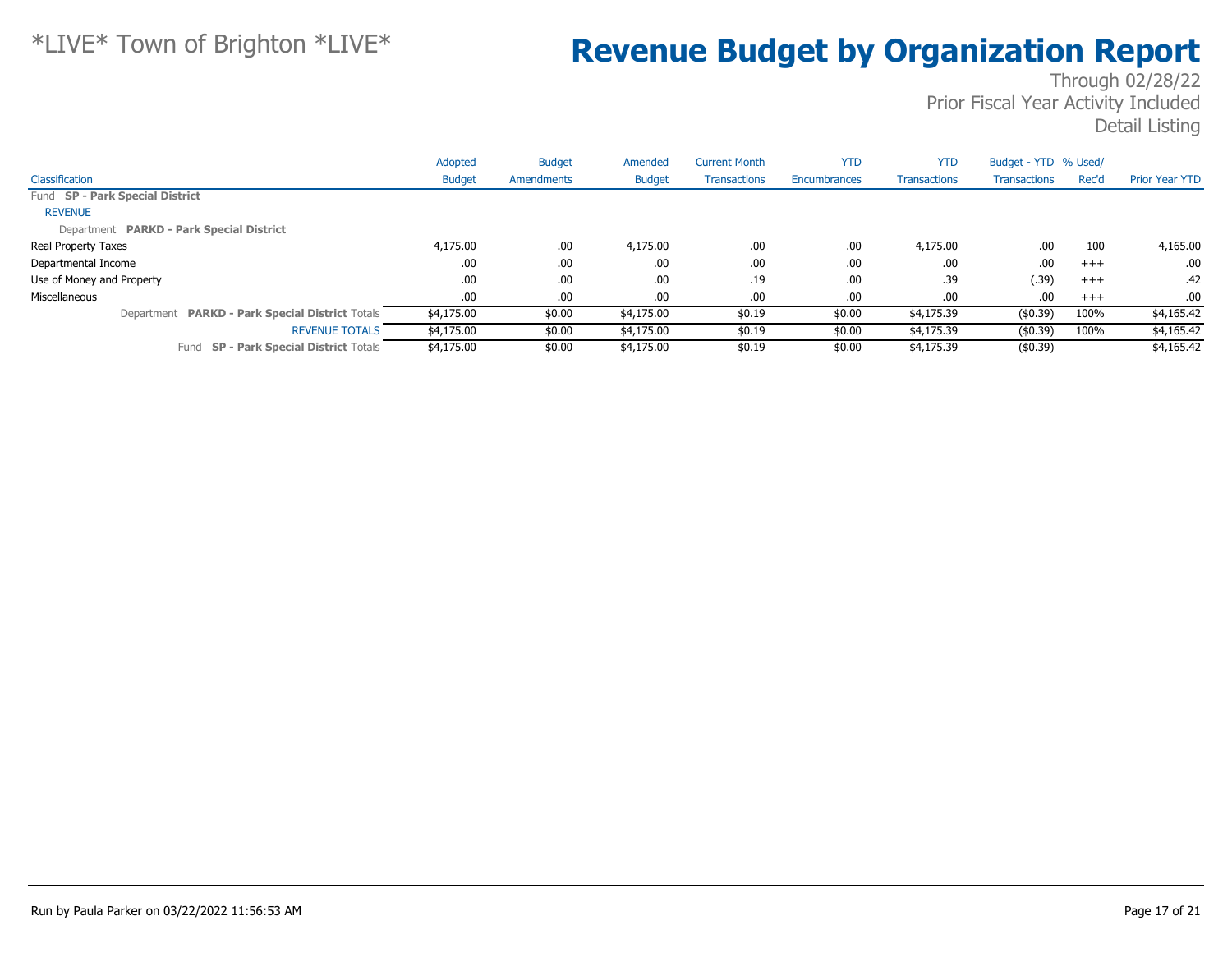|                                                 | Adopted       | <b>Budget</b>     | Amended       | <b>Current Month</b> | <b>YTD</b>   | <b>YTD</b>          | Budget - YTD % Used/ |       |                       |
|-------------------------------------------------|---------------|-------------------|---------------|----------------------|--------------|---------------------|----------------------|-------|-----------------------|
| Classification                                  | <b>Budget</b> | <b>Amendments</b> | <b>Budget</b> | <b>Transactions</b>  | Encumbrances | <b>Transactions</b> | <b>Transactions</b>  | Rec'd | <b>Prior Year YTD</b> |
| Fund SP - Park Special District                 |               |                   |               |                      |              |                     |                      |       |                       |
| <b>REVENUE</b>                                  |               |                   |               |                      |              |                     |                      |       |                       |
| Department PARKD - Park Special District        |               |                   |               |                      |              |                     |                      |       |                       |
| Real Property Taxes                             | 4,175.00      | .00.              | 4,175.00      | .00                  | .00          | 4,175.00            | .00                  | 100   | 4,165.00              |
| Departmental Income                             | .00           | .00               | .00.          | .00                  | .00.         | .00                 | .00                  | $+++$ | .00.                  |
| Use of Money and Property                       | .00           | .00               | .00.          | .19                  | .00.         | .39                 | (.39)                | $+++$ | .42                   |
| Miscellaneous                                   | .00.          | .00               | .00.          | .00                  | .00          | .00.                | .00                  | $+++$ | $.00 \cdot$           |
| Department PARKD - Park Special District Totals | \$4,175.00    | \$0.00            | \$4,175.00    | \$0.19               | \$0.00       | \$4,175.39          | (\$0.39)             | 100%  | \$4,165.42            |
| <b>REVENUE TOTALS</b>                           | \$4,175.00    | \$0.00            | \$4,175.00    | \$0.19               | \$0.00       | \$4,175.39          | (\$0.39)             | 100%  | \$4,165.42            |
| Fund SP - Park Special District Totals          | \$4,175.00    | \$0.00            | \$4,175.00    | \$0.19               | \$0.00       | \$4,175.39          | $($ \$0.39)          |       | \$4,165.42            |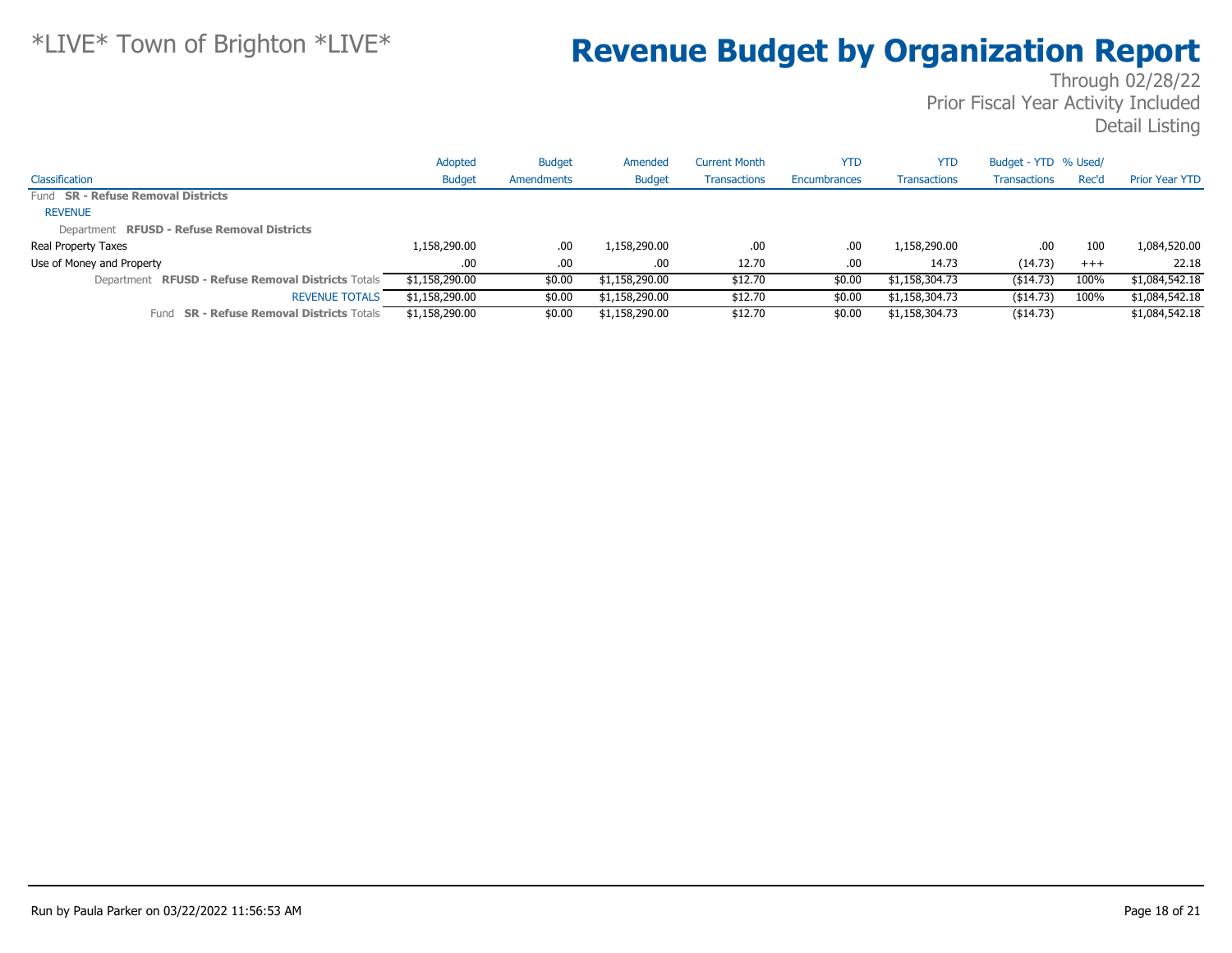|                                                     | Adopted        | <b>Budget</b> | Amended        | Current Month       | <b>YTD</b>   | YTD                 | Budget - YTD % Used/ |       |                       |
|-----------------------------------------------------|----------------|---------------|----------------|---------------------|--------------|---------------------|----------------------|-------|-----------------------|
| Classification                                      | <b>Budget</b>  | Amendments    | <b>Budget</b>  | <b>Transactions</b> | Encumbrances | <b>Transactions</b> | <b>Transactions</b>  | Rec'd | <b>Prior Year YTD</b> |
| Fund <b>SR - Refuse Removal Districts</b>           |                |               |                |                     |              |                     |                      |       |                       |
| <b>REVENUE</b>                                      |                |               |                |                     |              |                     |                      |       |                       |
| Department RFUSD - Refuse Removal Districts         |                |               |                |                     |              |                     |                      |       |                       |
| Real Property Taxes                                 | 1,158,290.00   | .00           | 1,158,290.00   | .00                 | .00.         | 1,158,290.00        | .00                  | 100   | 1,084,520.00          |
| Use of Money and Property                           | .00            | .00           | .00            | 12.70               | .00.         | 14.73               | (14.73)              | $+++$ | 22.18                 |
| Department RFUSD - Refuse Removal Districts Totals  | \$1,158,290.00 | \$0.00        | \$1,158,290.00 | \$12.70             | \$0.00       | \$1,158,304.73      | ( \$14.73)           | 100%  | \$1,084,542.18        |
| <b>REVENUE TOTALS</b>                               | \$1,158,290.00 | \$0.00        | \$1,158,290.00 | \$12.70             | \$0.00       | \$1,158,304.73      | ( \$14.73)           | 100%  | \$1,084,542.18        |
| <b>SR - Refuse Removal Districts Totals</b><br>Fund | \$1,158,290.00 | \$0.00        | \$1,158,290.00 | \$12.70             | \$0.00       | \$1,158,304.73      | $($ \$14.73)         |       | \$1,084,542.18        |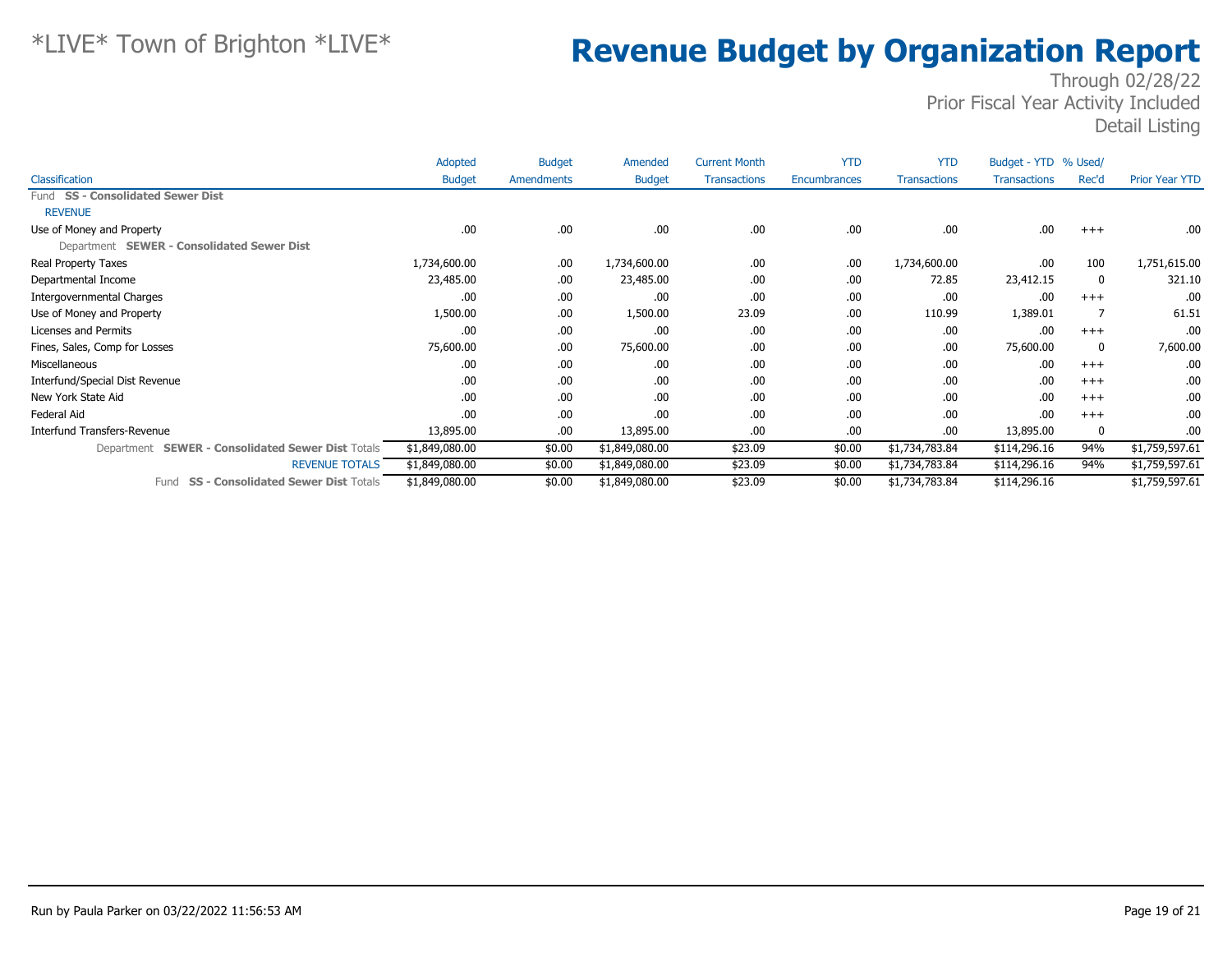|                                                             | Adopted        | <b>Budget</b> | Amended        | <b>Current Month</b> | <b>YTD</b>   | <b>YTD</b>          | Budget - YTD % Used/ |          |                       |
|-------------------------------------------------------------|----------------|---------------|----------------|----------------------|--------------|---------------------|----------------------|----------|-----------------------|
| Classification                                              | <b>Budget</b>  | Amendments    | <b>Budget</b>  | <b>Transactions</b>  | Encumbrances | <b>Transactions</b> | <b>Transactions</b>  | Rec'd    | <b>Prior Year YTD</b> |
| Fund SS - Consolidated Sewer Dist                           |                |               |                |                      |              |                     |                      |          |                       |
| <b>REVENUE</b>                                              |                |               |                |                      |              |                     |                      |          |                       |
| Use of Money and Property                                   | .00            | .00.          | .00.           | .00                  | .00          | .00                 | .00                  | $^{+++}$ | .00.                  |
| Department SEWER - Consolidated Sewer Dist                  |                |               |                |                      |              |                     |                      |          |                       |
| Real Property Taxes                                         | 1,734,600.00   | .00.          | 1,734,600.00   | .00                  | .00          | 1,734,600.00        | .00                  | 100      | 1,751,615.00          |
| Departmental Income                                         | 23,485.00      | .00.          | 23,485.00      | .00                  | .00          | 72.85               | 23,412.15            | 0        | 321.10                |
| Intergovernmental Charges                                   | .00            | .00.          | .00            | .00                  | .00          | .00                 | .00                  | $+++$    | .00                   |
| Use of Money and Property                                   | 1,500.00       | .00.          | 1,500.00       | 23.09                | .00          | 110.99              | 1,389.01             |          | 61.51                 |
| Licenses and Permits                                        | .00            | .00.          | .00.           | .00                  | .00          | .00                 | .00                  | $+++$    | .00                   |
| Fines, Sales, Comp for Losses                               | 75,600.00      | .00.          | 75,600.00      | .00                  | .00          | .00                 | 75,600.00            | 0        | 7,600.00              |
| Miscellaneous                                               | .00.           | .00.          | .00.           | .00                  | .00          | .00                 | .00                  | $+++$    | .00.                  |
| Interfund/Special Dist Revenue                              | .00            | .00.          | .00.           | .00                  | .00          | .00                 | .00                  | $+++$    | .00.                  |
| New York State Aid                                          | .00            | .00.          | .00.           | .00                  | .00          | .00                 | .00                  | $+++$    | .00.                  |
| Federal Aid                                                 | .00            | .00           | .00.           | .00                  | .00          | .00                 | .00                  | $+++$    | .00.                  |
| <b>Interfund Transfers-Revenue</b>                          | 13,895.00      | .00.          | 13,895.00      | .00                  | .00          | .00                 | 13,895.00            | 0        | .00                   |
| <b>SEWER - Consolidated Sewer Dist Totals</b><br>Department | \$1,849,080.00 | \$0.00        | \$1,849,080.00 | \$23.09              | \$0.00       | \$1,734,783.84      | \$114,296.16         | 94%      | \$1,759,597.61        |
| <b>REVENUE TOTALS</b>                                       | \$1,849,080.00 | \$0.00        | \$1,849,080.00 | \$23.09              | \$0.00       | \$1,734,783.84      | \$114,296.16         | 94%      | \$1,759,597.61        |
| <b>SS - Consolidated Sewer Dist Totals</b><br>Fund          | \$1,849,080.00 | \$0.00        | \$1,849,080.00 | \$23.09              | \$0.00       | \$1,734,783.84      | \$114,296.16         |          | \$1,759,597.61        |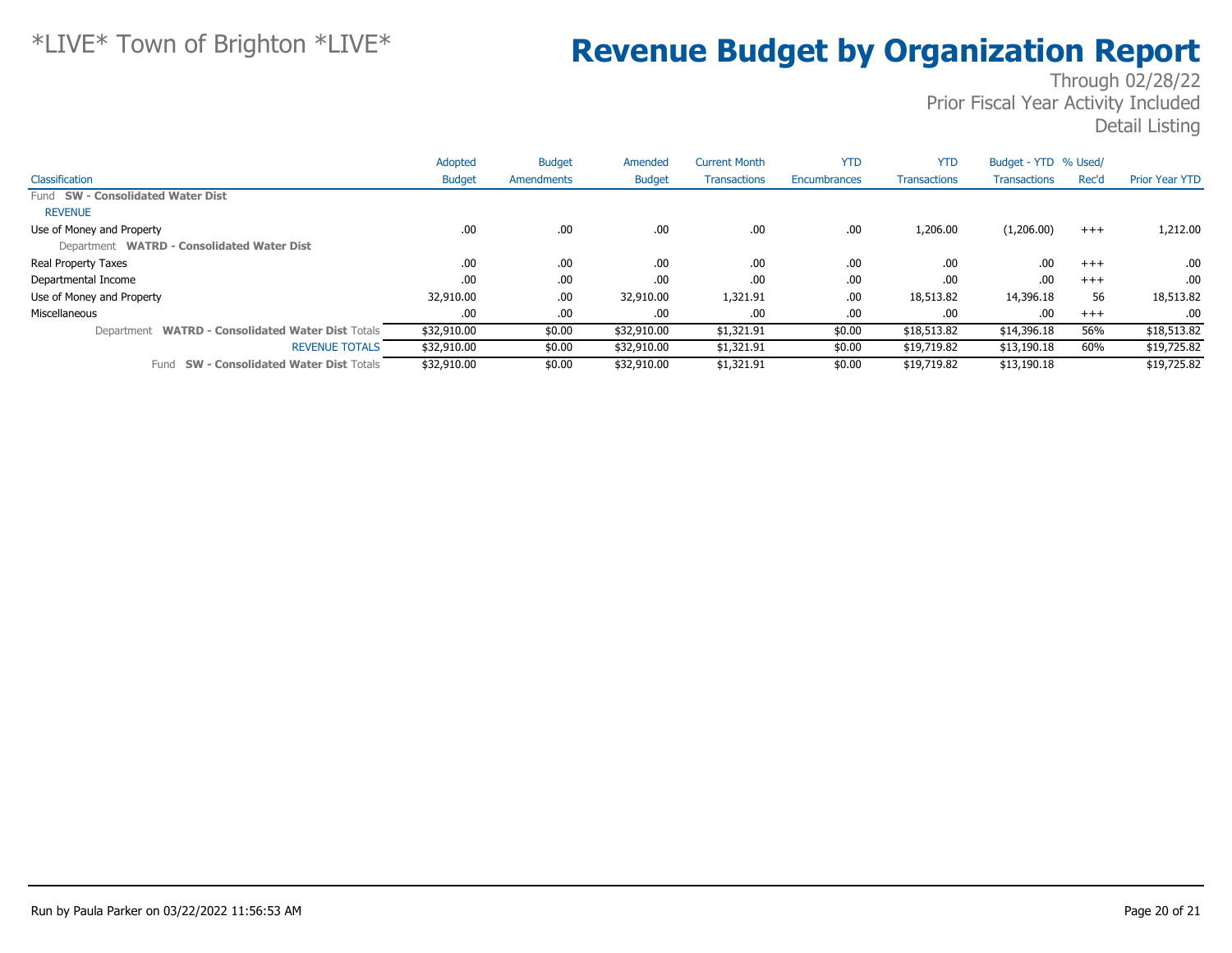|                                                             | Adopted       | <b>Budget</b> | Amended       | <b>Current Month</b> | <b>YTD</b>   | <b>YTD</b>          | Budget - YTD % Used/ |          |                       |
|-------------------------------------------------------------|---------------|---------------|---------------|----------------------|--------------|---------------------|----------------------|----------|-----------------------|
| Classification                                              | <b>Budget</b> | Amendments    | <b>Budget</b> | <b>Transactions</b>  | Encumbrances | <b>Transactions</b> | <b>Transactions</b>  | Rec'd    | <b>Prior Year YTD</b> |
| Fund SW - Consolidated Water Dist                           |               |               |               |                      |              |                     |                      |          |                       |
| <b>REVENUE</b>                                              |               |               |               |                      |              |                     |                      |          |                       |
| Use of Money and Property                                   | .00.          | .00           | .00           | .00                  | .00          | 1,206.00            | (1,206.00)           | $^{+++}$ | 1,212.00              |
| Department WATRD - Consolidated Water Dist                  |               |               |               |                      |              |                     |                      |          |                       |
| Real Property Taxes                                         | .00           | .00.          | .00.          | .00                  | .00          | .00.                | .00                  | $+++$    | .00                   |
| Departmental Income                                         | .00           | .00           | .00.          | .00                  | .00          | .00.                | .00                  | $+++$    | .00                   |
| Use of Money and Property                                   | 32,910.00     | .00           | 32,910.00     | 1,321.91             | .00          | 18,513.82           | 14,396.18            | 56       | 18,513.82             |
| Miscellaneous                                               | .00           | .00           | .00.          | .00                  | .00          | .00                 | .00                  | $+++$    | .00                   |
| <b>WATRD - Consolidated Water Dist Totals</b><br>Department | \$32,910.00   | \$0.00        | \$32,910.00   | \$1,321.91           | \$0.00       | \$18,513.82         | \$14,396.18          | 56%      | \$18,513.82           |
| <b>REVENUE TOTALS</b>                                       | \$32,910.00   | \$0.00        | \$32,910.00   | \$1,321.91           | \$0.00       | \$19,719.82         | \$13,190.18          | 60%      | \$19,725.82           |
| <b>SW - Consolidated Water Dist Totals</b><br>Fund          | \$32,910.00   | \$0.00        | \$32,910.00   | \$1,321.91           | \$0.00       | \$19,719.82         | \$13,190.18          |          | \$19,725.82           |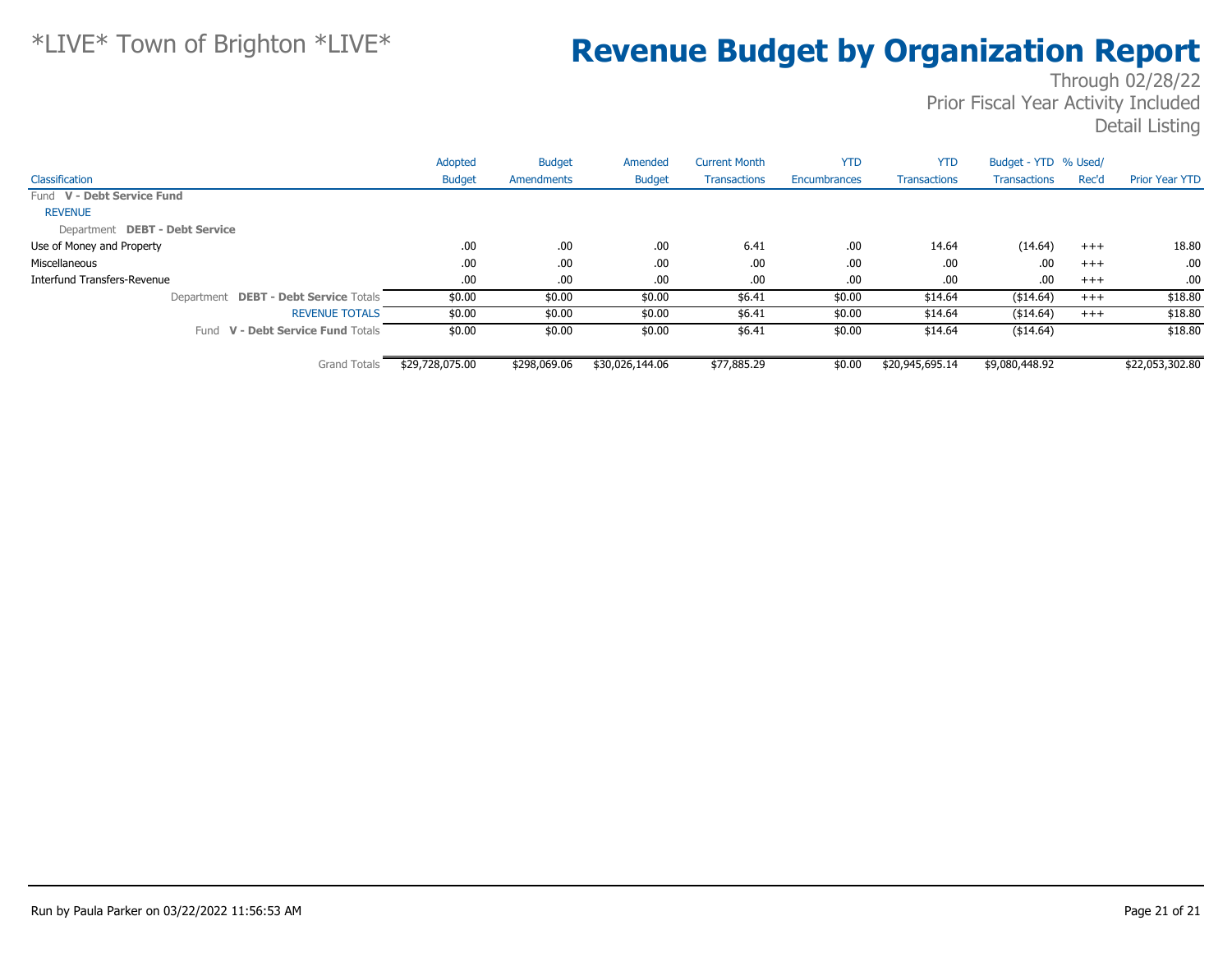|                                       | Adopted         | <b>Budget</b> | Amended         | <b>Current Month</b> | <b>YTD</b>   | <b>YTD</b>          | Budget - YTD % Used/ |       |                       |
|---------------------------------------|-----------------|---------------|-----------------|----------------------|--------------|---------------------|----------------------|-------|-----------------------|
| Classification                        | <b>Budget</b>   | Amendments    | <b>Budget</b>   | <b>Transactions</b>  | Encumbrances | <b>Transactions</b> | <b>Transactions</b>  | Rec'd | <b>Prior Year YTD</b> |
| Fund V - Debt Service Fund            |                 |               |                 |                      |              |                     |                      |       |                       |
| <b>REVENUE</b>                        |                 |               |                 |                      |              |                     |                      |       |                       |
| Department DEBT - Debt Service        |                 |               |                 |                      |              |                     |                      |       |                       |
| Use of Money and Property             | .00.            | .00           | .00             | 6.41                 | .00          | 14.64               | (14.64)              | $+++$ | 18.80                 |
| Miscellaneous                         | .00.            | .00.          | .00             | .00                  | .00          | .00                 | .00                  | $+++$ | .00.                  |
| Interfund Transfers-Revenue           | .00.            | .00.          | .00.            | .00                  | .00          | .00                 | .00.                 | $+++$ | .00.                  |
| Department DEBT - Debt Service Totals | \$0.00          | \$0.00        | \$0.00          | \$6.41               | \$0.00       | \$14.64             | (\$14.64)            | $+++$ | \$18.80               |
| <b>REVENUE TOTALS</b>                 | \$0.00          | \$0.00        | \$0.00          | \$6.41               | \$0.00       | \$14.64             | ( \$14.64)           | $+++$ | \$18.80               |
| Fund V - Debt Service Fund Totals     | \$0.00          | \$0.00        | \$0.00          | \$6.41               | \$0.00       | \$14.64             | ( \$14.64)           |       | \$18.80               |
| <b>Grand Totals</b>                   | \$29,728,075.00 | \$298,069.06  | \$30,026,144.06 | \$77,885.29          | \$0.00       | \$20,945,695.14     | \$9,080,448.92       |       | \$22,053,302.80       |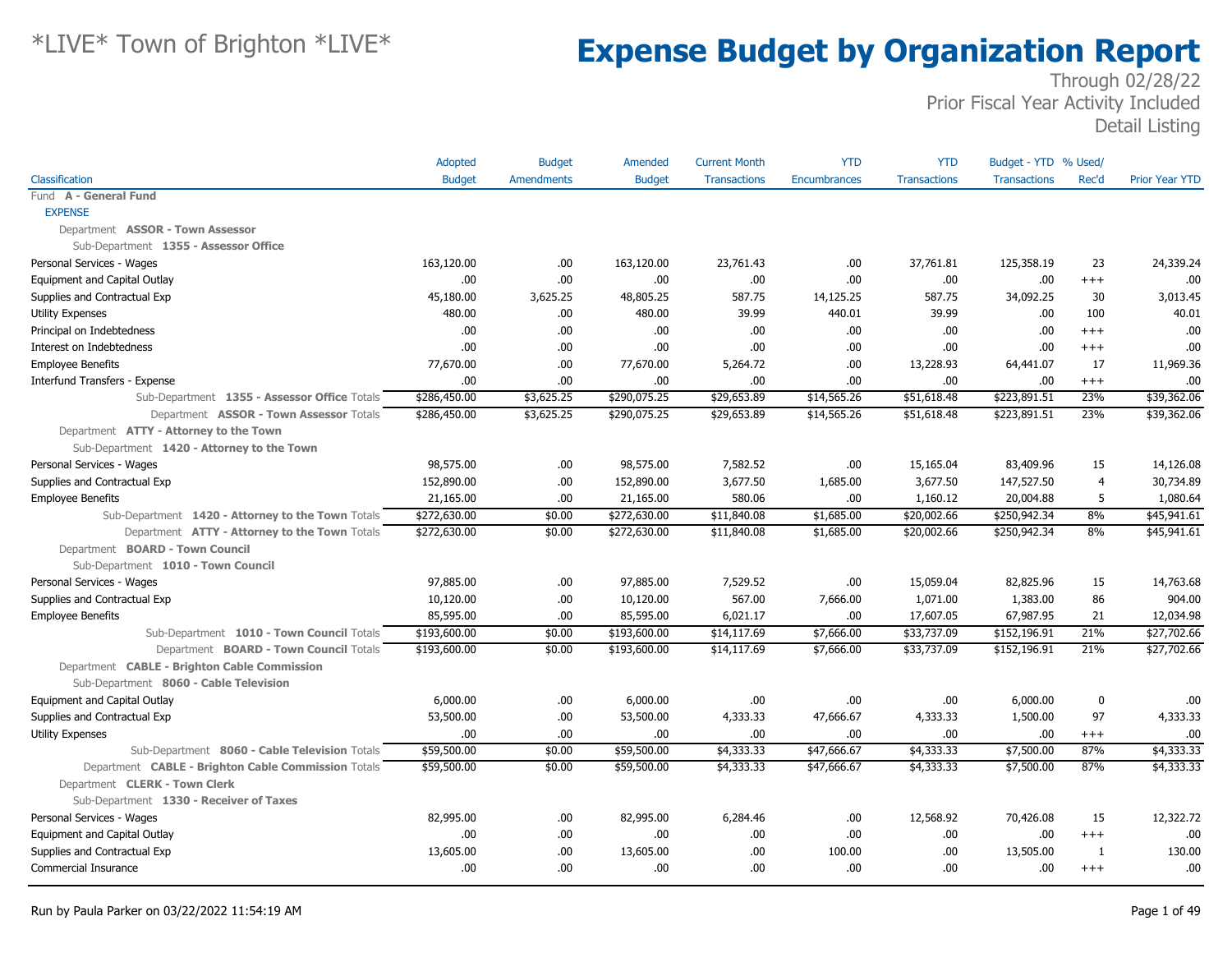|                                                     | Adopted       | <b>Budget</b>     | Amended       | <b>Current Month</b> | <b>YTD</b>          | <b>YTD</b>          | Budget - YTD % Used/ |                |                       |
|-----------------------------------------------------|---------------|-------------------|---------------|----------------------|---------------------|---------------------|----------------------|----------------|-----------------------|
| Classification                                      | <b>Budget</b> | <b>Amendments</b> | <b>Budget</b> | <b>Transactions</b>  | <b>Encumbrances</b> | <b>Transactions</b> | <b>Transactions</b>  | Rec'd          | <b>Prior Year YTD</b> |
| Fund A - General Fund                               |               |                   |               |                      |                     |                     |                      |                |                       |
| <b>EXPENSE</b>                                      |               |                   |               |                      |                     |                     |                      |                |                       |
| Department ASSOR - Town Assessor                    |               |                   |               |                      |                     |                     |                      |                |                       |
| Sub-Department 1355 - Assessor Office               |               |                   |               |                      |                     |                     |                      |                |                       |
| Personal Services - Wages                           | 163,120.00    | .00.              | 163,120.00    | 23,761.43            | .00                 | 37,761.81           | 125,358.19           | 23             | 24,339.24             |
| Equipment and Capital Outlay                        | .00           | .00.              | .00           | .00                  | .00                 | .00                 | .00                  | $+++$          | .00                   |
| Supplies and Contractual Exp                        | 45,180.00     | 3,625.25          | 48,805.25     | 587.75               | 14,125.25           | 587.75              | 34,092.25            | 30             | 3,013.45              |
| <b>Utility Expenses</b>                             | 480.00        | .00.              | 480.00        | 39.99                | 440.01              | 39.99               | .00                  | 100            | 40.01                 |
| Principal on Indebtedness                           | .00.          | .00.              | .00           | .00                  | .00                 | .00                 | .00                  | $^{++}$        | .00                   |
| Interest on Indebtedness                            | .00           | .00.              | .00           | .00                  | .00                 | .00                 | .00                  | $+++$          | .00                   |
| <b>Employee Benefits</b>                            | 77,670.00     | .00               | 77,670.00     | 5,264.72             | .00                 | 13,228.93           | 64,441.07            | 17             | 11,969.36             |
| Interfund Transfers - Expense                       | .00.          | .00               | .00           | .00.                 | .00                 | .00                 | .00.                 | $^{++}$        | .00                   |
| Sub-Department 1355 - Assessor Office Totals        | \$286,450.00  | \$3,625.25        | \$290,075.25  | \$29,653.89          | \$14,565.26         | \$51,618.48         | \$223,891.51         | 23%            | \$39,362.06           |
| Department ASSOR - Town Assessor Totals             | \$286,450.00  | \$3,625.25        | \$290,075.25  | \$29,653.89          | \$14,565.26         | \$51,618.48         | \$223,891.51         | 23%            | \$39,362.06           |
| Department ATTY - Attorney to the Town              |               |                   |               |                      |                     |                     |                      |                |                       |
| Sub-Department 1420 - Attorney to the Town          |               |                   |               |                      |                     |                     |                      |                |                       |
| Personal Services - Wages                           | 98,575.00     | .00.              | 98,575.00     | 7,582.52             | .00                 | 15,165.04           | 83,409.96            | 15             | 14,126.08             |
| Supplies and Contractual Exp                        | 152,890.00    | .00.              | 152,890.00    | 3,677.50             | 1,685.00            | 3,677.50            | 147,527.50           | $\overline{4}$ | 30,734.89             |
| <b>Employee Benefits</b>                            | 21,165.00     | .00               | 21,165.00     | 580.06               | .00                 | 1,160.12            | 20,004.88            | 5              | 1,080.64              |
| Sub-Department 1420 - Attorney to the Town Totals   | \$272,630.00  | \$0.00            | \$272,630.00  | \$11,840.08          | \$1,685.00          | \$20,002.66         | \$250,942.34         | 8%             | \$45,941.61           |
| Department ATTY - Attorney to the Town Totals       | \$272,630.00  | \$0.00            | \$272,630.00  | \$11,840.08          | \$1,685.00          | \$20,002.66         | \$250,942.34         | 8%             | \$45,941.61           |
| Department BOARD - Town Council                     |               |                   |               |                      |                     |                     |                      |                |                       |
| Sub-Department 1010 - Town Council                  |               |                   |               |                      |                     |                     |                      |                |                       |
| Personal Services - Wages                           | 97,885.00     | .00.              | 97,885.00     | 7,529.52             | .00                 | 15,059.04           | 82,825.96            | 15             | 14,763.68             |
| Supplies and Contractual Exp                        | 10,120.00     | .00               | 10,120.00     | 567.00               | 7,666.00            | 1,071.00            | 1,383.00             | 86             | 904.00                |
| <b>Employee Benefits</b>                            | 85,595.00     | .00.              | 85,595.00     | 6,021.17             | .00                 | 17,607.05           | 67,987.95            | 21             | 12,034.98             |
| Sub-Department 1010 - Town Council Totals           | \$193,600.00  | \$0.00            | \$193,600.00  | \$14,117.69          | \$7,666.00          | \$33,737.09         | \$152,196.91         | 21%            | \$27,702.66           |
| Department BOARD - Town Council Totals              | \$193,600.00  | \$0.00            | \$193,600.00  | \$14,117.69          | \$7,666.00          | \$33,737.09         | \$152,196.91         | 21%            | \$27,702.66           |
| Department CABLE - Brighton Cable Commission        |               |                   |               |                      |                     |                     |                      |                |                       |
| Sub-Department 8060 - Cable Television              |               |                   |               |                      |                     |                     |                      |                |                       |
| Equipment and Capital Outlay                        | 6,000.00      | .00.              | 6,000.00      | .00                  | .00                 | .00                 | 6,000.00             | $\mathbf 0$    | .00                   |
| Supplies and Contractual Exp                        | 53,500.00     | .00.              | 53,500.00     | 4,333.33             | 47,666.67           | 4,333.33            | 1,500.00             | 97             | 4,333.33              |
| <b>Utility Expenses</b>                             | .00.          | .00               | .00.          | .00                  | .00                 | .00                 | .00                  | $^{+++}$       | .00.                  |
| Sub-Department 8060 - Cable Television Totals       | \$59,500.00   | \$0.00            | \$59,500.00   | \$4,333.33           | \$47,666.67         | \$4,333.33          | \$7,500.00           | 87%            | \$4,333.33            |
| Department CABLE - Brighton Cable Commission Totals | \$59,500.00   | \$0.00            | \$59,500.00   | \$4,333.33           | \$47,666.67         | \$4,333.33          | \$7,500.00           | 87%            | \$4,333.33            |
| Department CLERK - Town Clerk                       |               |                   |               |                      |                     |                     |                      |                |                       |
| Sub-Department 1330 - Receiver of Taxes             |               |                   |               |                      |                     |                     |                      |                |                       |
| Personal Services - Wages                           | 82,995.00     | .00.              | 82,995.00     | 6,284.46             | .00                 | 12,568.92           | 70,426.08            | 15             | 12,322.72             |
| Equipment and Capital Outlay                        | .00           | .00.              | .00.          | .00                  | .00                 | .00                 | .00.                 | $+++$          | .00                   |
| Supplies and Contractual Exp                        | 13,605.00     | .00.              | 13,605.00     | .00                  | 100.00              | .00                 | 13,505.00            | 1              | 130.00                |
| Commercial Insurance                                | .00.          | .00.              | .00.          | .00                  | .00                 | .00                 | .00                  | $^{+++}$       | .00.                  |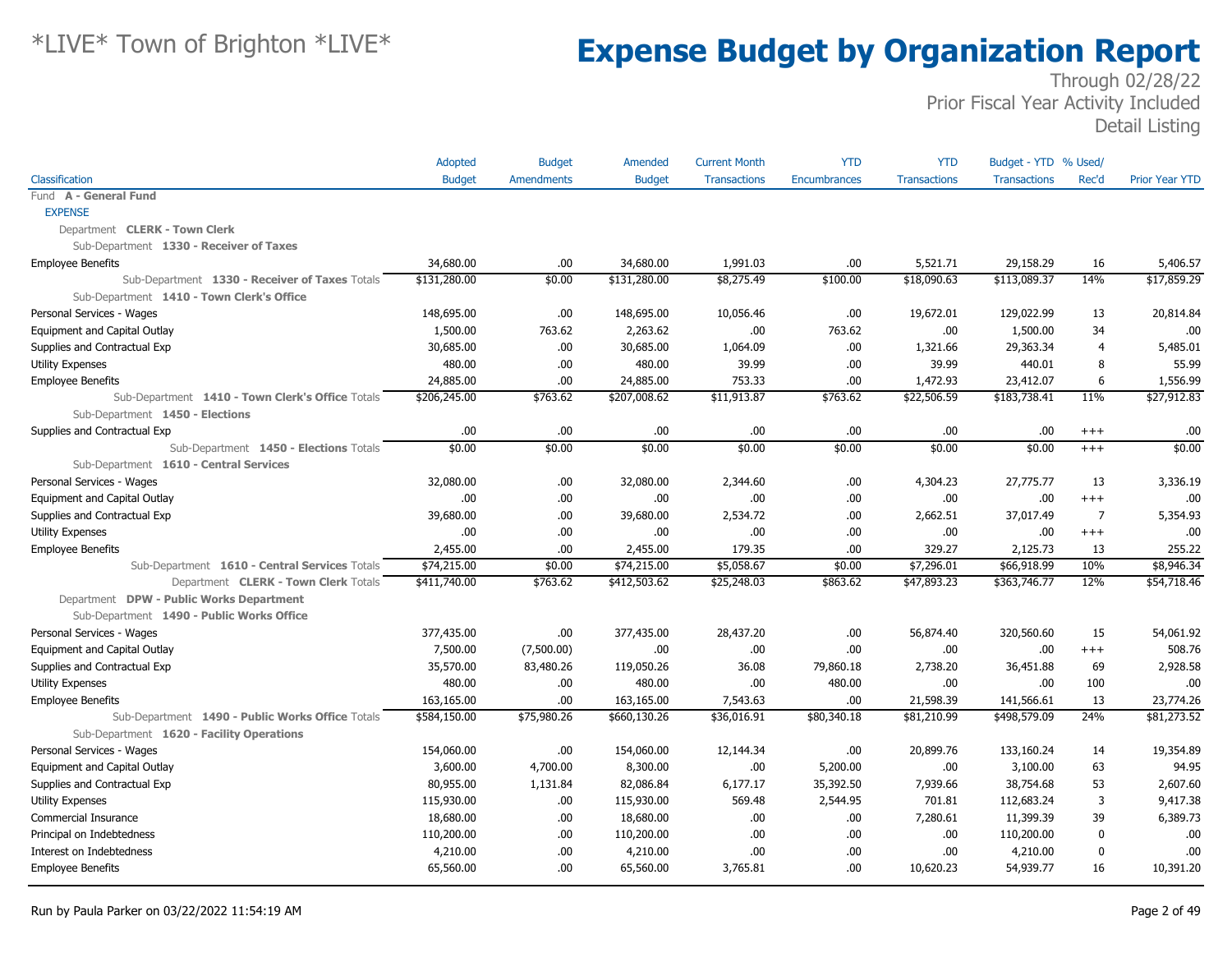|                                                  | Adopted       | <b>Budget</b> | Amended       | <b>Current Month</b> | <b>YTD</b>   | <b>YTD</b>          | Budget - YTD % Used/ |                |                       |
|--------------------------------------------------|---------------|---------------|---------------|----------------------|--------------|---------------------|----------------------|----------------|-----------------------|
| Classification                                   | <b>Budget</b> | Amendments    | <b>Budget</b> | <b>Transactions</b>  | Encumbrances | <b>Transactions</b> | <b>Transactions</b>  | Rec'd          | <b>Prior Year YTD</b> |
| Fund A - General Fund                            |               |               |               |                      |              |                     |                      |                |                       |
| <b>EXPENSE</b>                                   |               |               |               |                      |              |                     |                      |                |                       |
| Department CLERK - Town Clerk                    |               |               |               |                      |              |                     |                      |                |                       |
| Sub-Department 1330 - Receiver of Taxes          |               |               |               |                      |              |                     |                      |                |                       |
| <b>Employee Benefits</b>                         | 34,680.00     | .00           | 34,680.00     | 1,991.03             | .00          | 5,521.71            | 29,158.29            | 16             | 5,406.57              |
| Sub-Department 1330 - Receiver of Taxes Totals   | \$131,280.00  | \$0.00        | \$131,280.00  | \$8,275.49           | \$100.00     | \$18,090.63         | \$113,089.37         | 14%            | \$17,859.29           |
| Sub-Department 1410 - Town Clerk's Office        |               |               |               |                      |              |                     |                      |                |                       |
| Personal Services - Wages                        | 148,695.00    | .00           | 148,695.00    | 10,056.46            | .00.         | 19,672.01           | 129,022.99           | 13             | 20,814.84             |
| Equipment and Capital Outlay                     | 1,500.00      | 763.62        | 2,263.62      | .00                  | 763.62       | .00                 | 1,500.00             | 34             | .00                   |
| Supplies and Contractual Exp                     | 30,685.00     | .00.          | 30,685.00     | 1,064.09             | .00.         | 1,321.66            | 29,363.34            | $\overline{4}$ | 5,485.01              |
| Utility Expenses                                 | 480.00        | .00           | 480.00        | 39.99                | .00          | 39.99               | 440.01               | 8              | 55.99                 |
| <b>Employee Benefits</b>                         | 24,885.00     | .00           | 24,885.00     | 753.33               | .00          | 1,472.93            | 23,412.07            | 6              | 1,556.99              |
| Sub-Department 1410 - Town Clerk's Office Totals | \$206,245.00  | \$763.62      | \$207,008.62  | \$11,913.87          | \$763.62     | \$22,506.59         | \$183,738.41         | 11%            | \$27,912.83           |
| Sub-Department 1450 - Elections                  |               |               |               |                      |              |                     |                      |                |                       |
| Supplies and Contractual Exp                     | .00           | .00           | .00.          | .00                  | .00          | .00                 | .00                  | $^{+++}$       | .00                   |
| Sub-Department 1450 - Elections Totals           | \$0.00        | \$0.00        | \$0.00        | \$0.00               | \$0.00       | \$0.00              | \$0.00               | $+++$          | \$0.00                |
| Sub-Department 1610 - Central Services           |               |               |               |                      |              |                     |                      |                |                       |
| Personal Services - Wages                        | 32,080.00     | .00           | 32,080.00     | 2,344.60             | .00.         | 4,304.23            | 27,775.77            | 13             | 3,336.19              |
| Equipment and Capital Outlay                     | .00           | .00           | .00.          | .00                  | .00          | .00                 | .00                  | $+++$          | .00                   |
| Supplies and Contractual Exp                     | 39,680.00     | .00           | 39,680.00     | 2,534.72             | .00          | 2,662.51            | 37,017.49            | 7              | 5,354.93              |
| <b>Utility Expenses</b>                          | .00           | .00           | .00.          | .00                  | .00          | .00                 | .00                  | $+++$          | .00                   |
| <b>Employee Benefits</b>                         | 2,455.00      | .00           | 2,455.00      | 179.35               | .00          | 329.27              | 2,125,73             | 13             | 255.22                |
| Sub-Department 1610 - Central Services Totals    | \$74,215.00   | \$0.00        | \$74,215.00   | \$5,058.67           | \$0.00       | \$7,296.01          | \$66,918.99          | 10%            | \$8,946.34            |
| Department CLERK - Town Clerk Totals             | \$411,740.00  | \$763.62      | \$412,503.62  | \$25,248.03          | \$863.62     | \$47,893.23         | \$363,746.77         | 12%            | \$54,718.46           |
| Department DPW - Public Works Department         |               |               |               |                      |              |                     |                      |                |                       |
| Sub-Department 1490 - Public Works Office        |               |               |               |                      |              |                     |                      |                |                       |
| Personal Services - Wages                        | 377,435.00    | .00           | 377,435.00    | 28,437.20            | .00          | 56,874.40           | 320,560.60           | 15             | 54,061.92             |
| Equipment and Capital Outlay                     | 7,500.00      | (7,500.00)    | .00.          | .00                  | .00          | .00                 | .00                  | $+++$          | 508.76                |
| Supplies and Contractual Exp                     | 35,570.00     | 83,480.26     | 119,050.26    | 36.08                | 79,860.18    | 2,738.20            | 36,451.88            | 69             | 2,928.58              |
| <b>Utility Expenses</b>                          | 480.00        | .00           | 480.00        | .00                  | 480.00       | .00                 | .00                  | 100            | .00                   |
| <b>Employee Benefits</b>                         | 163,165.00    | .00           | 163,165.00    | 7,543.63             | .00          | 21,598.39           | 141,566.61           | 13             | 23,774.26             |
| Sub-Department 1490 - Public Works Office Totals | \$584,150.00  | \$75,980.26   | \$660,130.26  | \$36,016.91          | \$80,340.18  | \$81,210.99         | \$498,579.09         | 24%            | \$81,273.52           |
| Sub-Department 1620 - Facility Operations        |               |               |               |                      |              |                     |                      |                |                       |
| Personal Services - Wages                        | 154,060.00    | .00           | 154,060.00    | 12,144.34            | .00          | 20,899.76           | 133,160.24           | 14             | 19,354.89             |
| Equipment and Capital Outlay                     | 3,600.00      | 4,700.00      | 8,300.00      | .00                  | 5,200.00     | .00.                | 3,100.00             | 63             | 94.95                 |
| Supplies and Contractual Exp                     | 80,955.00     | 1,131.84      | 82,086.84     | 6,177.17             | 35,392.50    | 7,939.66            | 38,754.68            | 53             | 2,607.60              |
| <b>Utility Expenses</b>                          | 115,930.00    | .00.          | 115,930.00    | 569.48               | 2,544.95     | 701.81              | 112,683.24           | 3              | 9,417.38              |
| Commercial Insurance                             | 18,680.00     | .00           | 18,680.00     | .00                  | .00.         | 7,280.61            | 11,399.39            | 39             | 6,389.73              |
| Principal on Indebtedness                        | 110,200.00    | .00           | 110,200.00    | .00                  | .00          | .00.                | 110,200.00           | $\mathbf 0$    | .00                   |
| Interest on Indebtedness                         | 4,210.00      | .00           | 4,210.00      | .00                  | .00          | .00                 | 4,210.00             | $\mathbf 0$    | .00                   |
| <b>Employee Benefits</b>                         | 65,560.00     | .00           | 65,560.00     | 3,765.81             | .00          | 10,620.23           | 54,939.77            | 16             | 10,391.20             |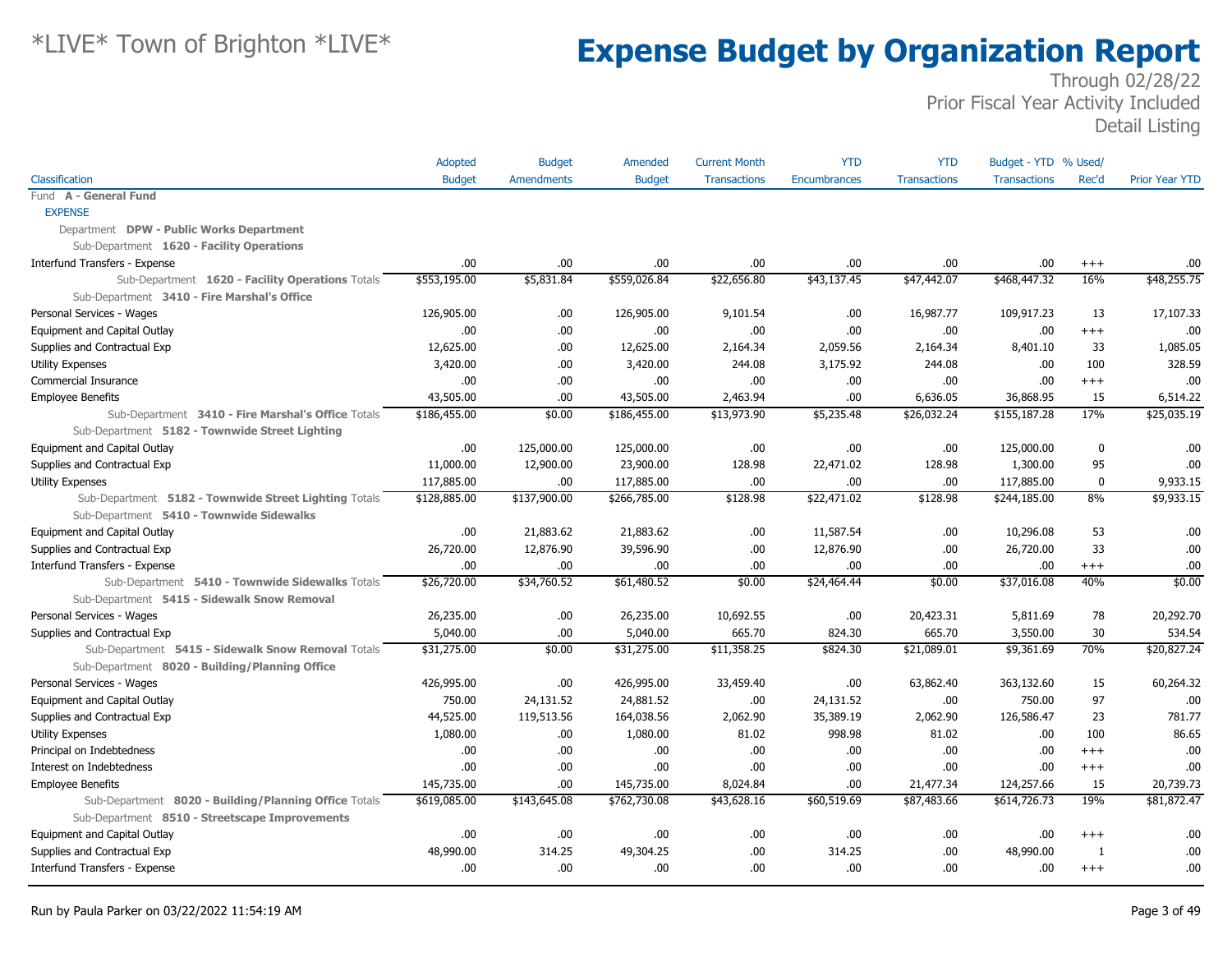|                                                       | Adopted       | <b>Budget</b>     | Amended       | <b>Current Month</b> | <b>YTD</b>          | <b>YTD</b>          | Budget - YTD % Used/ |          |                       |
|-------------------------------------------------------|---------------|-------------------|---------------|----------------------|---------------------|---------------------|----------------------|----------|-----------------------|
| Classification                                        | <b>Budget</b> | <b>Amendments</b> | <b>Budget</b> | <b>Transactions</b>  | <b>Encumbrances</b> | <b>Transactions</b> | <b>Transactions</b>  | Rec'd    | <b>Prior Year YTD</b> |
| Fund A - General Fund                                 |               |                   |               |                      |                     |                     |                      |          |                       |
| <b>EXPENSE</b>                                        |               |                   |               |                      |                     |                     |                      |          |                       |
| Department DPW - Public Works Department              |               |                   |               |                      |                     |                     |                      |          |                       |
| Sub-Department 1620 - Facility Operations             |               |                   |               |                      |                     |                     |                      |          |                       |
| Interfund Transfers - Expense                         | .00           | .00               | .00.          | .00                  | .00                 | .00                 | .00                  | $^{+++}$ | .00                   |
| Sub-Department 1620 - Facility Operations Totals      | \$553,195.00  | \$5,831.84        | \$559,026.84  | \$22,656.80          | \$43,137.45         | \$47,442.07         | \$468,447.32         | 16%      | $\frac{1}{48,255.75}$ |
| Sub-Department 3410 - Fire Marshal's Office           |               |                   |               |                      |                     |                     |                      |          |                       |
| Personal Services - Wages                             | 126,905.00    | .00.              | 126,905.00    | 9,101.54             | .00.                | 16,987.77           | 109,917.23           | 13       | 17,107.33             |
| Equipment and Capital Outlay                          | .00           | .00               | .00.          | .00.                 | .00                 | .00                 | .00.                 | $+++$    | .00                   |
| Supplies and Contractual Exp                          | 12,625.00     | .00               | 12,625.00     | 2,164.34             | 2,059.56            | 2,164.34            | 8,401.10             | 33       | 1,085.05              |
| Utility Expenses                                      | 3,420.00      | .00               | 3,420.00      | 244.08               | 3,175.92            | 244.08              | .00.                 | 100      | 328.59                |
| Commercial Insurance                                  | .00           | .00               | .00.          | .00                  | .00.                | .00                 | .00                  | $^{+++}$ | .00                   |
| <b>Employee Benefits</b>                              | 43,505.00     | .00               | 43,505.00     | 2,463.94             | .00                 | 6,636.05            | 36,868.95            | 15       | 6,514.22              |
| Sub-Department 3410 - Fire Marshal's Office Totals    | \$186,455.00  | \$0.00            | \$186,455.00  | \$13,973.90          | \$5,235.48          | \$26,032.24         | \$155,187.28         | 17%      | \$25,035.19           |
| Sub-Department 5182 - Townwide Street Lighting        |               |                   |               |                      |                     |                     |                      |          |                       |
| Equipment and Capital Outlay                          | .00           | 125,000.00        | 125,000.00    | .00                  | .00                 | .00                 | 125,000.00           | 0        | .00                   |
| Supplies and Contractual Exp                          | 11,000.00     | 12,900.00         | 23,900.00     | 128.98               | 22,471.02           | 128.98              | 1,300.00             | 95       | .00                   |
| <b>Utility Expenses</b>                               | 117,885.00    | .00               | 117,885.00    | .00                  | .00.                | .00                 | 117,885.00           | $\bf{0}$ | 9,933.15              |
| Sub-Department 5182 - Townwide Street Lighting Totals | \$128,885.00  | \$137,900.00      | \$266,785.00  | \$128.98             | \$22,471.02         | \$128.98            | \$244,185.00         | 8%       | \$9,933.15            |
| Sub-Department 5410 - Townwide Sidewalks              |               |                   |               |                      |                     |                     |                      |          |                       |
| Equipment and Capital Outlay                          | .00           | 21,883.62         | 21,883.62     | .00                  | 11,587.54           | .00                 | 10,296.08            | 53       | .00                   |
| Supplies and Contractual Exp                          | 26,720.00     | 12,876.90         | 39,596.90     | .00                  | 12,876.90           | .00                 | 26,720.00            | 33       | .00                   |
| Interfund Transfers - Expense                         | .00           | .00               | .00.          | .00                  | 00.                 | .00                 | .00.                 | $^{+++}$ | .00                   |
| Sub-Department 5410 - Townwide Sidewalks Totals       | \$26,720.00   | \$34,760.52       | \$61,480.52   | \$0.00               | \$24,464.44         | \$0.00              | \$37,016.08          | 40%      | \$0.00                |
| Sub-Department 5415 - Sidewalk Snow Removal           |               |                   |               |                      |                     |                     |                      |          |                       |
| Personal Services - Wages                             | 26,235.00     | .00               | 26,235.00     | 10,692.55            | .00.                | 20,423.31           | 5,811.69             | 78       | 20,292.70             |
| Supplies and Contractual Exp                          | 5,040.00      | .00               | 5,040.00      | 665.70               | 824.30              | 665.70              | 3,550.00             | 30       | 534.54                |
| Sub-Department 5415 - Sidewalk Snow Removal Totals    | \$31,275.00   | \$0.00            | \$31,275.00   | \$11,358.25          | \$824.30            | \$21,089.01         | \$9,361.69           | 70%      | \$20,827.24           |
| Sub-Department 8020 - Building/Planning Office        |               |                   |               |                      |                     |                     |                      |          |                       |
| Personal Services - Wages                             | 426,995.00    | .00               | 426,995.00    | 33,459.40            | .00.                | 63,862.40           | 363,132.60           | 15       | 60,264.32             |
| Equipment and Capital Outlay                          | 750.00        | 24,131.52         | 24,881.52     | .00                  | 24,131.52           | .00                 | 750.00               | 97       | .00                   |
| Supplies and Contractual Exp                          | 44,525.00     | 119,513.56        | 164,038.56    | 2,062.90             | 35,389.19           | 2,062.90            | 126,586.47           | 23       | 781.77                |
| <b>Utility Expenses</b>                               | 1,080.00      | .00               | 1,080.00      | 81.02                | 998.98              | 81.02               | .00.                 | 100      | 86.65                 |
| Principal on Indebtedness                             | .00           | .00               | .00.          | .00                  | .00                 | .00                 | .00.                 | $+++$    | .00                   |
| Interest on Indebtedness                              | .00           | .00               | .00.          | .00                  | .00                 | .00                 | .00                  | $^{+++}$ | .00                   |
| <b>Employee Benefits</b>                              | 145,735.00    | .00               | 145,735.00    | 8,024.84             | 00.                 | 21,477.34           | 124,257.66           | 15       | 20,739.73             |
| Sub-Department 8020 - Building/Planning Office Totals | \$619,085.00  | \$143,645.08      | \$762,730.08  | \$43,628.16          | \$60,519.69         | \$87,483.66         | \$614,726.73         | 19%      | \$81,872.47           |
| Sub-Department 8510 - Streetscape Improvements        |               |                   |               |                      |                     |                     |                      |          |                       |
| Equipment and Capital Outlay                          | .00           | .00               | .00.          | .00                  | .00.                | .00                 | .00.                 | $+++$    | .00                   |
| Supplies and Contractual Exp                          | 48,990.00     | 314.25            | 49,304.25     | .00                  | 314.25              | .00                 | 48,990.00            | -1       | .00                   |
| Interfund Transfers - Expense                         | .00.          | .00               | .00.          | .00                  | 00.                 | .00                 | .00.                 | $+++$    | .00                   |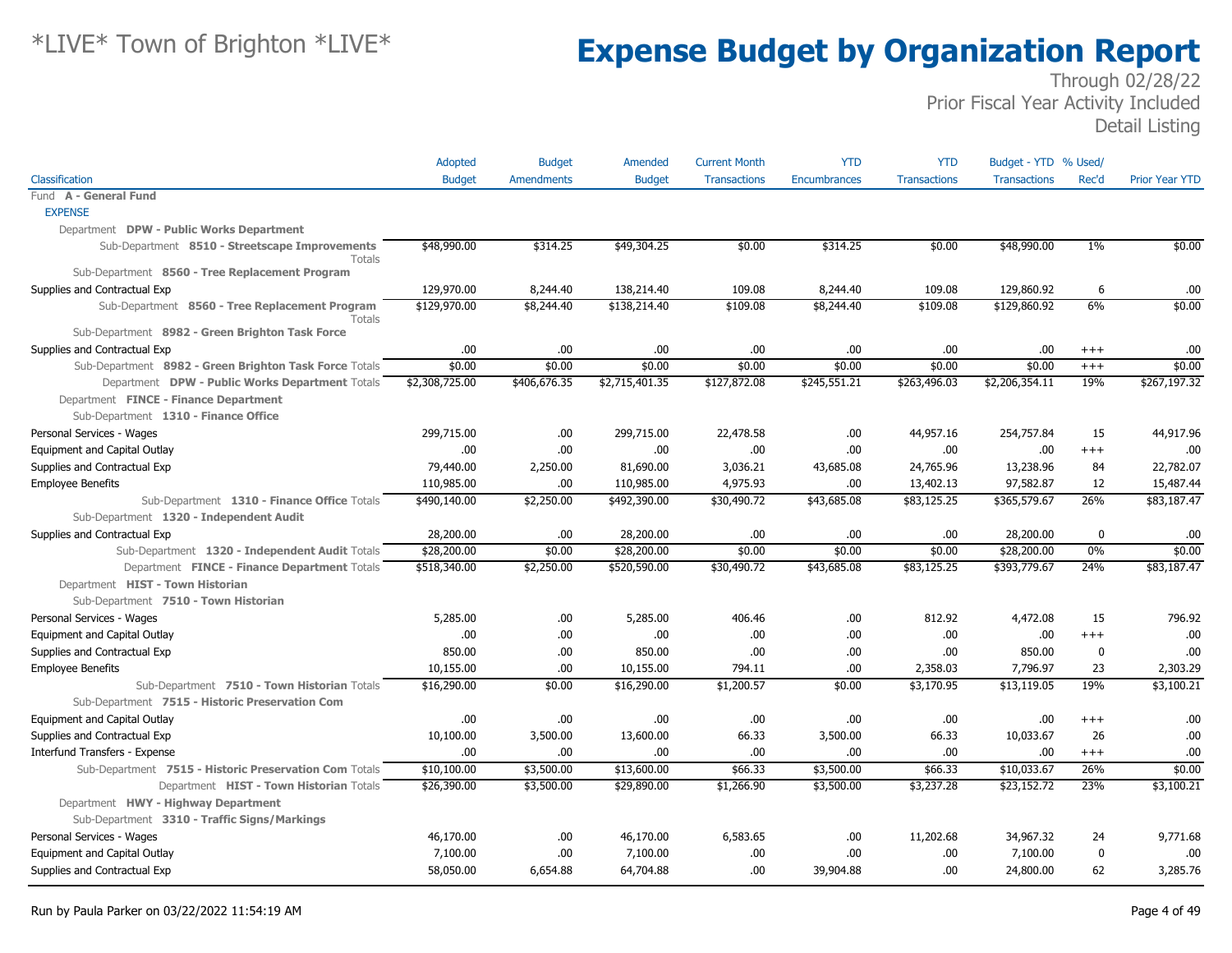|                                                          | Adopted        | <b>Budget</b>     | Amended        | <b>Current Month</b> | <b>YTD</b>          | <b>YTD</b>          | Budget - YTD % Used/ |          |                       |
|----------------------------------------------------------|----------------|-------------------|----------------|----------------------|---------------------|---------------------|----------------------|----------|-----------------------|
| Classification                                           | <b>Budget</b>  | <b>Amendments</b> | <b>Budget</b>  | <b>Transactions</b>  | <b>Encumbrances</b> | <b>Transactions</b> | <b>Transactions</b>  | Rec'd    | <b>Prior Year YTD</b> |
| Fund A - General Fund                                    |                |                   |                |                      |                     |                     |                      |          |                       |
| <b>EXPENSE</b>                                           |                |                   |                |                      |                     |                     |                      |          |                       |
| Department DPW - Public Works Department                 |                |                   |                |                      |                     |                     |                      |          |                       |
| Sub-Department 8510 - Streetscape Improvements<br>Totals | \$48,990.00    | \$314.25          | \$49,304.25    | \$0.00               | \$314.25            | \$0.00              | \$48,990.00          | $1\%$    | \$0.00                |
| Sub-Department 8560 - Tree Replacement Program           |                |                   |                |                      |                     |                     |                      |          |                       |
| Supplies and Contractual Exp                             | 129,970.00     | 8,244.40          | 138,214.40     | 109.08               | 8,244.40            | 109.08              | 129,860.92           | 6        | .00                   |
| Sub-Department 8560 - Tree Replacement Program<br>Totals | \$129,970.00   | \$8,244.40        | \$138,214.40   | \$109.08             | \$8,244.40          | \$109.08            | \$129,860.92         | 6%       | \$0.00                |
| Sub-Department 8982 - Green Brighton Task Force          |                |                   |                |                      |                     |                     |                      |          |                       |
| Supplies and Contractual Exp                             | .00.           | .00.              | .00            | .00                  | .00.                | .00.                | .00.                 | $^{++}$  | .00                   |
| Sub-Department 8982 - Green Brighton Task Force Totals   | \$0.00         | \$0.00            | \$0.00         | \$0.00               | \$0.00              | \$0.00              | \$0.00               | $+++$    | \$0.00                |
| Department DPW - Public Works Department Totals          | \$2,308,725.00 | \$406,676.35      | \$2,715,401.35 | \$127,872.08         | \$245,551.21        | \$263,496.03        | \$2,206,354.11       | 19%      | \$267,197.32          |
| Department FINCE - Finance Department                    |                |                   |                |                      |                     |                     |                      |          |                       |
| Sub-Department 1310 - Finance Office                     |                |                   |                |                      |                     |                     |                      |          |                       |
| Personal Services - Wages                                | 299,715.00     | .00.              | 299,715.00     | 22,478.58            | .00.                | 44,957.16           | 254,757.84           | 15       | 44,917.96             |
| Equipment and Capital Outlay                             | .00.           | .00               | .00            | .00                  | .00.                | .00                 | .00                  | $++++$   | .00                   |
| Supplies and Contractual Exp                             | 79,440.00      | 2,250.00          | 81,690.00      | 3,036.21             | 43,685.08           | 24,765.96           | 13,238.96            | 84       | 22,782.07             |
| <b>Employee Benefits</b>                                 | 110,985.00     | .00               | 110,985.00     | 4,975.93             | .00.                | 13,402.13           | 97,582.87            | 12       | 15,487.44             |
| Sub-Department 1310 - Finance Office Totals              | \$490,140.00   | \$2,250.00        | \$492,390.00   | \$30,490.72          | \$43,685.08         | \$83,125.25         | \$365,579.67         | 26%      | \$83,187.47           |
| Sub-Department 1320 - Independent Audit                  |                |                   |                |                      |                     |                     |                      |          |                       |
| Supplies and Contractual Exp                             | 28,200.00      | .00.              | 28,200.00      | .00                  | .00.                | .00                 | 28,200.00            | 0        | .00                   |
| Sub-Department 1320 - Independent Audit Totals           | \$28,200.00    | \$0.00            | \$28,200.00    | \$0.00               | \$0.00              | \$0.00              | \$28,200.00          | 0%       | \$0.00                |
| Department FINCE - Finance Department Totals             | \$518,340.00   | \$2,250.00        | \$520,590.00   | \$30,490.72          | \$43,685.08         | \$83,125.25         | \$393,779.67         | 24%      | \$83,187.47           |
| Department HIST - Town Historian                         |                |                   |                |                      |                     |                     |                      |          |                       |
| Sub-Department 7510 - Town Historian                     |                |                   |                |                      |                     |                     |                      |          |                       |
| Personal Services - Wages                                | 5,285.00       | .00.              | 5,285.00       | 406.46               | .00.                | 812.92              | 4,472.08             | 15       | 796.92                |
| Equipment and Capital Outlay                             | .00            | .00               | .00            | .00                  | .00.                | .00                 | .00.                 | $^{+++}$ | .00                   |
| Supplies and Contractual Exp                             | 850.00         | .00.              | 850.00         | .00                  | .00.                | .00                 | 850.00               | 0        | .00                   |
| <b>Employee Benefits</b>                                 | 10,155.00      | .00               | 10,155.00      | 794.11               | .00.                | 2,358.03            | 7,796.97             | 23       | 2,303.29              |
| Sub-Department 7510 - Town Historian Totals              | \$16,290.00    | \$0.00            | \$16,290.00    | \$1,200.57           | \$0.00              | \$3,170.95          | \$13,119.05          | 19%      | \$3,100.21            |
| Sub-Department 7515 - Historic Preservation Com          |                |                   |                |                      |                     |                     |                      |          |                       |
| Equipment and Capital Outlay                             | .00.           | .00               | .00            | .00.                 | .00.                | .00                 | .00                  | $^{++}$  | .00                   |
| Supplies and Contractual Exp                             | 10,100.00      | 3,500.00          | 13,600.00      | 66.33                | 3,500.00            | 66.33               | 10,033.67            | 26       | .00                   |
| Interfund Transfers - Expense                            | .00.           | .00               | .00            | .00                  | .00.                | .00.                | .00.                 | $^{+++}$ | .00                   |
| Sub-Department 7515 - Historic Preservation Com Totals   | \$10,100.00    | \$3,500.00        | \$13,600.00    | \$66.33              | \$3,500.00          | \$66.33             | \$10,033.67          | 26%      | \$0.00                |
| Department HIST - Town Historian Totals                  | \$26,390.00    | \$3,500.00        | \$29,890.00    | \$1,266.90           | \$3,500.00          | \$3,237.28          | \$23,152.72          | 23%      | \$3,100.21            |
| Department HWY - Highway Department                      |                |                   |                |                      |                     |                     |                      |          |                       |
| Sub-Department 3310 - Traffic Signs/Markings             |                |                   |                |                      |                     |                     |                      |          |                       |
| Personal Services - Wages                                | 46,170.00      | .00               | 46,170.00      | 6,583.65             | .00.                | 11,202.68           | 34,967.32            | 24       | 9,771.68              |
| Equipment and Capital Outlay                             | 7,100.00       | .00.              | 7,100.00       | .00                  | .00.                | .00                 | 7,100.00             | 0        | .00                   |
| Supplies and Contractual Exp                             | 58,050.00      | 6,654.88          | 64,704.88      | .00.                 | 39,904.88           | .00.                | 24,800.00            | 62       | 3,285,76              |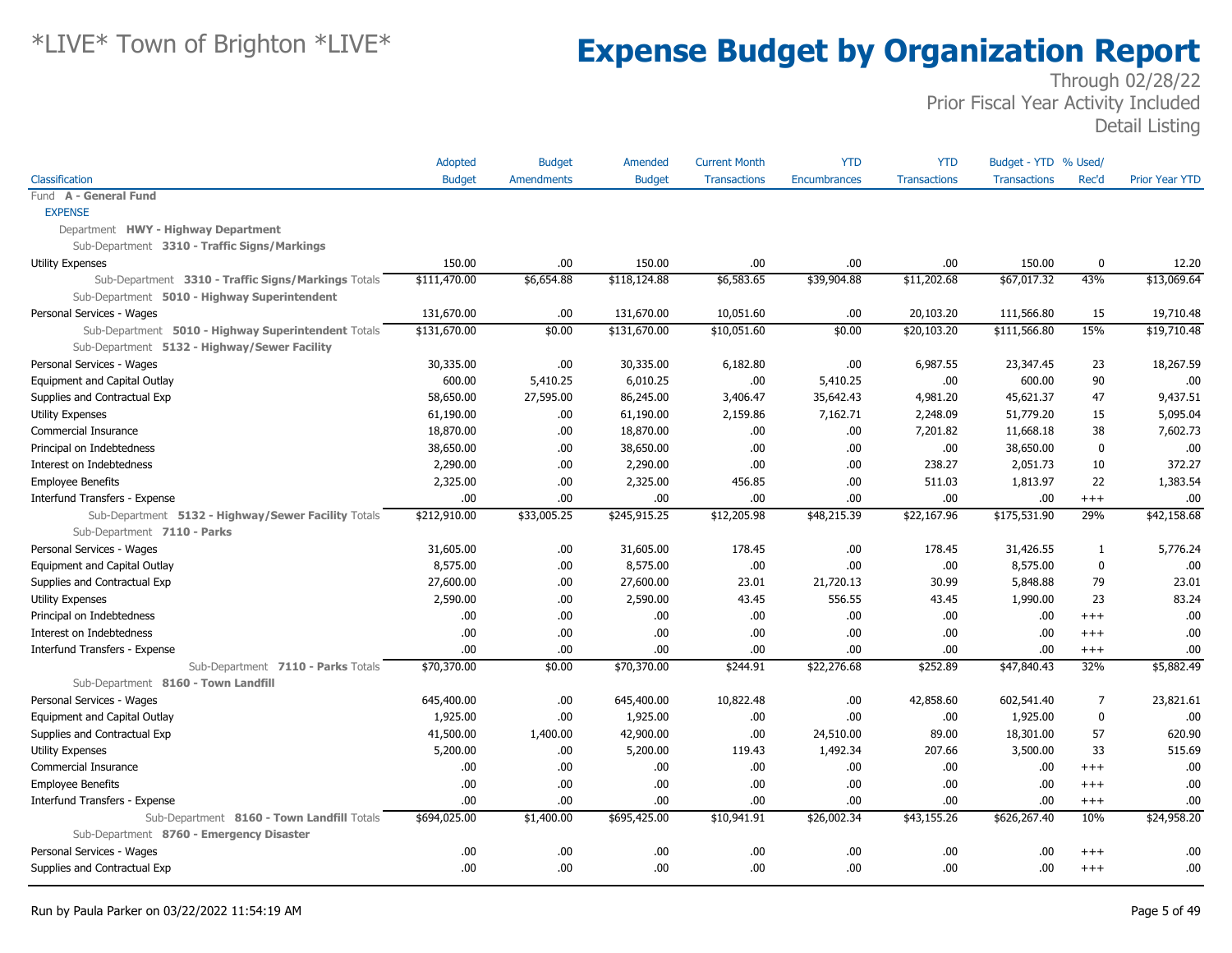|                                                     | Adopted       | <b>Budget</b>     | Amended       | <b>Current Month</b> | <b>YTD</b>          | <b>YTD</b>          | Budget - YTD % Used/ |             |                       |
|-----------------------------------------------------|---------------|-------------------|---------------|----------------------|---------------------|---------------------|----------------------|-------------|-----------------------|
| Classification                                      | <b>Budget</b> | <b>Amendments</b> | <b>Budget</b> | <b>Transactions</b>  | <b>Encumbrances</b> | <b>Transactions</b> | <b>Transactions</b>  | Rec'd       | <b>Prior Year YTD</b> |
| Fund A - General Fund                               |               |                   |               |                      |                     |                     |                      |             |                       |
| <b>EXPENSE</b>                                      |               |                   |               |                      |                     |                     |                      |             |                       |
| Department HWY - Highway Department                 |               |                   |               |                      |                     |                     |                      |             |                       |
| Sub-Department 3310 - Traffic Signs/Markings        |               |                   |               |                      |                     |                     |                      |             |                       |
| <b>Utility Expenses</b>                             | 150.00        | .00               | 150.00        | .00                  | .00                 | .00.                | 150.00               | 0           | 12.20                 |
| Sub-Department 3310 - Traffic Signs/Markings Totals | \$111,470.00  | \$6,654.88        | \$118,124.88  | \$6,583.65           | \$39,904.88         | \$11,202.68         | \$67,017.32          | 43%         | \$13,069.64           |
| Sub-Department 5010 - Highway Superintendent        |               |                   |               |                      |                     |                     |                      |             |                       |
| Personal Services - Wages                           | 131,670.00    | .00               | 131,670.00    | 10,051.60            | .00.                | 20,103.20           | 111,566.80           | 15          | 19,710.48             |
| Sub-Department 5010 - Highway Superintendent Totals | \$131,670.00  | \$0.00            | \$131,670.00  | \$10,051.60          | \$0.00              | \$20,103.20         | \$111,566.80         | 15%         | \$19,710.48           |
| Sub-Department 5132 - Highway/Sewer Facility        |               |                   |               |                      |                     |                     |                      |             |                       |
| Personal Services - Wages                           | 30,335.00     | .00               | 30,335.00     | 6,182.80             | .00.                | 6,987.55            | 23,347.45            | 23          | 18,267.59             |
| Equipment and Capital Outlay                        | 600.00        | 5,410.25          | 6,010.25      | .00                  | 5,410.25            | .00                 | 600.00               | 90          | .00                   |
| Supplies and Contractual Exp                        | 58,650.00     | 27,595.00         | 86,245.00     | 3,406.47             | 35,642.43           | 4,981.20            | 45,621.37            | 47          | 9,437.51              |
| <b>Utility Expenses</b>                             | 61,190.00     | .00               | 61,190.00     | 2,159.86             | 7,162.71            | 2,248.09            | 51,779.20            | 15          | 5,095.04              |
| Commercial Insurance                                | 18,870.00     | .00               | 18,870.00     | .00                  | .00.                | 7,201.82            | 11,668.18            | 38          | 7,602.73              |
| Principal on Indebtedness                           | 38,650.00     | .00.              | 38,650.00     | .00                  | .00.                | .00                 | 38,650.00            | $\mathbf 0$ | .00                   |
| Interest on Indebtedness                            | 2,290.00      | .00               | 2,290.00      | .00                  | .00.                | 238.27              | 2,051.73             | 10          | 372.27                |
| <b>Employee Benefits</b>                            | 2,325.00      | .00               | 2,325.00      | 456.85               | .00.                | 511.03              | 1,813.97             | 22          | 1,383.54              |
| Interfund Transfers - Expense                       | .00.          | .00               | .00           | .00.                 | .00.                | .00                 | .00                  | $+++$       | .00.                  |
| Sub-Department 5132 - Highway/Sewer Facility Totals | \$212,910.00  | \$33,005.25       | \$245,915.25  | \$12,205.98          | \$48,215.39         | \$22,167.96         | \$175,531.90         | 29%         | \$42,158.68           |
| Sub-Department 7110 - Parks                         |               |                   |               |                      |                     |                     |                      |             |                       |
| Personal Services - Wages                           | 31,605.00     | .00.              | 31,605.00     | 178.45               | .00.                | 178.45              | 31,426.55            | 1           | 5,776.24              |
| Equipment and Capital Outlay                        | 8,575.00      | .00               | 8,575.00      | .00                  | .00.                | .00                 | 8,575.00             | $\mathbf 0$ | .00                   |
| Supplies and Contractual Exp                        | 27,600.00     | .00               | 27,600.00     | 23.01                | 21,720.13           | 30.99               | 5,848.88             | 79          | 23.01                 |
| <b>Utility Expenses</b>                             | 2,590.00      | .00.              | 2,590.00      | 43.45                | 556.55              | 43.45               | 1,990.00             | 23          | 83.24                 |
| Principal on Indebtedness                           | .00.          | .00               | .00.          | .00                  | .00.                | .00                 | .00                  | $+++$       | .00.                  |
| Interest on Indebtedness                            | .00           | .00               | .00.          | .00                  | .00.                | .00                 | .00                  | $+++$       | .00                   |
| Interfund Transfers - Expense                       | .00           | .00               | .00.          | .00                  | .00.                | .00.                | .00                  | $^{+++}$    | .00                   |
| Sub-Department 7110 - Parks Totals                  | \$70,370.00   | \$0.00            | \$70,370.00   | \$244.91             | \$22,276.68         | \$252.89            | \$47,840.43          | 32%         | \$5,882.49            |
| Sub-Department 8160 - Town Landfill                 |               |                   |               |                      |                     |                     |                      |             |                       |
| Personal Services - Wages                           | 645,400.00    | .00               | 645,400.00    | 10,822.48            | .00.                | 42,858.60           | 602,541.40           | 7           | 23,821.61             |
| <b>Equipment and Capital Outlay</b>                 | 1,925.00      | .00               | 1,925.00      | .00                  | .00.                | .00                 | 1,925.00             | $\mathbf 0$ | .00                   |
| Supplies and Contractual Exp                        | 41,500.00     | 1,400.00          | 42,900.00     | .00                  | 24,510.00           | 89.00               | 18,301.00            | 57          | 620.90                |
| <b>Utility Expenses</b>                             | 5,200.00      | .00.              | 5,200.00      | 119.43               | 1,492.34            | 207.66              | 3,500.00             | 33          | 515.69                |
| Commercial Insurance                                | .00           | .00               | .00.          | .00                  | .00.                | .00                 | .00                  | $+++$       | .00                   |
| <b>Employee Benefits</b>                            | .00           | .00               | .00.          | .00                  | .00.                | .00.                | .00                  | $+++$       | .00                   |
| Interfund Transfers - Expense                       | .00           | .00               | .00.          | .00                  | .00.                | .00                 | .00                  | $^{+++}$    | .00                   |
| Sub-Department 8160 - Town Landfill Totals          | \$694,025.00  | \$1,400.00        | \$695,425.00  | \$10,941.91          | \$26,002.34         | \$43,155.26         | \$626,267.40         | 10%         | \$24,958.20           |
| Sub-Department 8760 - Emergency Disaster            |               |                   |               |                      |                     |                     |                      |             |                       |
| Personal Services - Wages                           | .00           | .00               | .00.          | .00                  | .00.                | .00                 | .00                  | $+++$       | .00.                  |
| Supplies and Contractual Exp                        | .00           | .00               | .00.          | .00                  | .00.                | .00                 | .00                  | $+++$       | .00.                  |
|                                                     |               |                   |               |                      |                     |                     |                      |             |                       |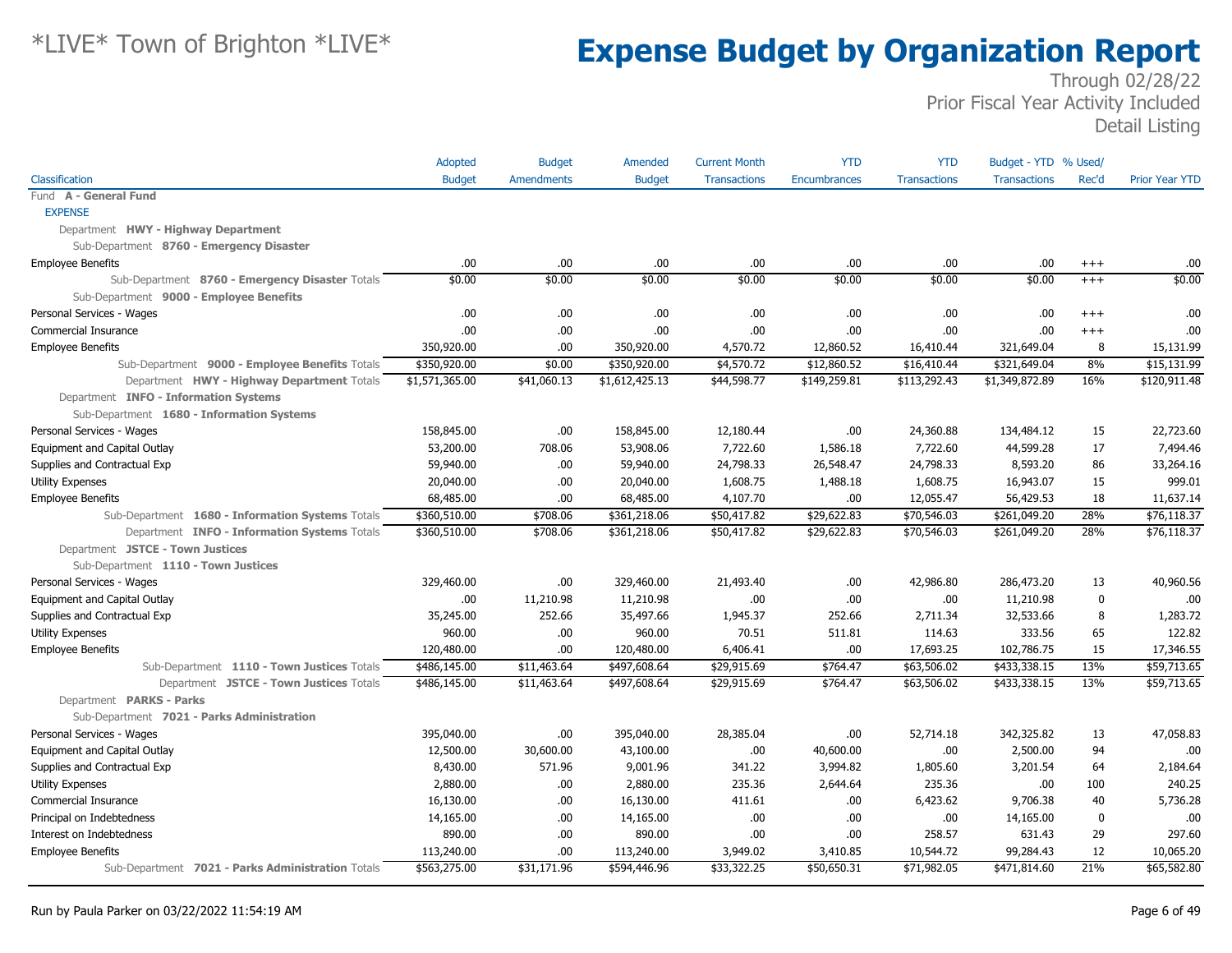|                                                   | Adopted        | <b>Budget</b>     | Amended        | <b>Current Month</b> | <b>YTD</b>          | <b>YTD</b>          | Budget - YTD % Used/ |             |                       |
|---------------------------------------------------|----------------|-------------------|----------------|----------------------|---------------------|---------------------|----------------------|-------------|-----------------------|
| Classification                                    | <b>Budget</b>  | <b>Amendments</b> | <b>Budget</b>  | <b>Transactions</b>  | <b>Encumbrances</b> | <b>Transactions</b> | <b>Transactions</b>  | Rec'd       | <b>Prior Year YTD</b> |
| Fund A - General Fund                             |                |                   |                |                      |                     |                     |                      |             |                       |
| <b>EXPENSE</b>                                    |                |                   |                |                      |                     |                     |                      |             |                       |
| Department HWY - Highway Department               |                |                   |                |                      |                     |                     |                      |             |                       |
| Sub-Department 8760 - Emergency Disaster          |                |                   |                |                      |                     |                     |                      |             |                       |
| <b>Employee Benefits</b>                          | .00            | .00               | .00            | .00                  | .00.                | .00                 | .00.                 | $^{+++}$    | .00                   |
| Sub-Department 8760 - Emergency Disaster Totals   | \$0.00         | \$0.00            | \$0.00         | \$0.00               | \$0.00              | \$0.00              | \$0.00               | $+++$       | \$0.00                |
| Sub-Department 9000 - Employee Benefits           |                |                   |                |                      |                     |                     |                      |             |                       |
| Personal Services - Wages                         | .00            | .00               | .00.           | .00                  | .00.                | .00                 | .00.                 | $^{++}$     | .00                   |
| Commercial Insurance                              | .00            | .00               | .00.           | .00                  | .00.                | .00                 | .00                  | $+++$       | .00                   |
| <b>Employee Benefits</b>                          | 350,920.00     | .00               | 350,920.00     | 4,570.72             | 12,860.52           | 16,410.44           | 321,649.04           | 8           | 15,131.99             |
| Sub-Department 9000 - Employee Benefits Totals    | \$350,920.00   | \$0.00            | \$350,920.00   | \$4,570.72           | \$12,860.52         | \$16,410.44         | \$321,649.04         | 8%          | \$15,131.99           |
| Department HWY - Highway Department Totals        | \$1,571,365.00 | \$41,060.13       | \$1,612,425.13 | \$44,598.77          | \$149,259.81        | \$113,292.43        | \$1,349,872.89       | 16%         | \$120,911.48          |
| Department INFO - Information Systems             |                |                   |                |                      |                     |                     |                      |             |                       |
| Sub-Department 1680 - Information Systems         |                |                   |                |                      |                     |                     |                      |             |                       |
| Personal Services - Wages                         | 158,845.00     | .00               | 158,845.00     | 12,180.44            | .00.                | 24,360.88           | 134,484.12           | 15          | 22,723.60             |
| Equipment and Capital Outlay                      | 53,200.00      | 708.06            | 53,908.06      | 7,722.60             | 1,586.18            | 7,722.60            | 44,599.28            | 17          | 7,494.46              |
| Supplies and Contractual Exp                      | 59,940.00      | .00               | 59,940.00      | 24,798.33            | 26,548.47           | 24,798.33           | 8,593.20             | 86          | 33,264.16             |
| Utility Expenses                                  | 20,040.00      | .00               | 20,040.00      | 1,608.75             | 1,488.18            | 1,608.75            | 16,943.07            | 15          | 999.01                |
| <b>Employee Benefits</b>                          | 68,485.00      | .00               | 68,485.00      | 4,107.70             | .00.                | 12,055.47           | 56,429.53            | 18          | 11,637.14             |
| Sub-Department 1680 - Information Systems Totals  | \$360,510.00   | \$708.06          | \$361,218.06   | \$50,417.82          | \$29,622.83         | \$70,546.03         | \$261,049.20         | 28%         | \$76,118.37           |
| Department INFO - Information Systems Totals      | \$360,510.00   | \$708.06          | \$361,218.06   | \$50,417.82          | \$29,622.83         | \$70,546.03         | \$261,049.20         | 28%         | \$76,118.37           |
| Department JSTCE - Town Justices                  |                |                   |                |                      |                     |                     |                      |             |                       |
| Sub-Department 1110 - Town Justices               |                |                   |                |                      |                     |                     |                      |             |                       |
| Personal Services - Wages                         | 329,460.00     | .00               | 329,460.00     | 21,493.40            | .00.                | 42,986.80           | 286,473.20           | 13          | 40,960.56             |
| Equipment and Capital Outlay                      | .00            | 11,210.98         | 11,210.98      | .00                  | .00.                | .00                 | 11,210.98            | $\mathbf 0$ | .00                   |
| Supplies and Contractual Exp                      | 35,245.00      | 252.66            | 35,497.66      | 1,945.37             | 252.66              | 2,711.34            | 32,533.66            | 8           | 1,283.72              |
| <b>Utility Expenses</b>                           | 960.00         | .00               | 960.00         | 70.51                | 511.81              | 114.63              | 333.56               | 65          | 122.82                |
| <b>Employee Benefits</b>                          | 120,480.00     | .00               | 120,480.00     | 6,406.41             | .00.                | 17,693.25           | 102,786.75           | 15          | 17,346.55             |
| Sub-Department 1110 - Town Justices Totals        | \$486,145.00   | \$11,463.64       | \$497,608.64   | \$29,915.69          | \$764.47            | \$63,506.02         | \$433,338.15         | 13%         | \$59,713.65           |
| Department JSTCE - Town Justices Totals           | \$486,145.00   | \$11,463.64       | \$497,608.64   | \$29,915.69          | \$764.47            | \$63,506.02         | \$433,338.15         | 13%         | \$59,713.65           |
| Department PARKS - Parks                          |                |                   |                |                      |                     |                     |                      |             |                       |
| Sub-Department 7021 - Parks Administration        |                |                   |                |                      |                     |                     |                      |             |                       |
| Personal Services - Wages                         | 395,040.00     | .00               | 395,040.00     | 28,385.04            | .00.                | 52,714.18           | 342,325.82           | 13          | 47,058.83             |
| Equipment and Capital Outlay                      | 12,500.00      | 30,600.00         | 43,100.00      | .00                  | 40,600.00           | .00                 | 2,500.00             | 94          | .00                   |
| Supplies and Contractual Exp                      | 8,430.00       | 571.96            | 9,001.96       | 341.22               | 3,994.82            | 1,805.60            | 3,201.54             | 64          | 2,184.64              |
| <b>Utility Expenses</b>                           | 2,880.00       | .00.              | 2,880.00       | 235.36               | 2,644.64            | 235.36              | .00.                 | 100         | 240.25                |
| Commercial Insurance                              | 16,130.00      | .00               | 16,130.00      | 411.61               | .00.                | 6,423.62            | 9,706.38             | 40          | 5,736.28              |
| Principal on Indebtedness                         | 14,165.00      | .00               | 14,165.00      | .00                  | .00.                | .00.                | 14,165.00            | 0           | .00                   |
| Interest on Indebtedness                          | 890.00         | .00.              | 890.00         | .00                  | .00.                | 258.57              | 631.43               | 29          | 297.60                |
| <b>Employee Benefits</b>                          | 113,240.00     | .00               | 113,240.00     | 3,949.02             | 3,410.85            | 10,544.72           | 99,284.43            | 12          | 10,065.20             |
| Sub-Department 7021 - Parks Administration Totals | \$563,275.00   | \$31,171.96       | \$594,446.96   | \$33,322.25          | \$50,650.31         | \$71,982.05         | \$471,814.60         | 21%         | \$65,582.80           |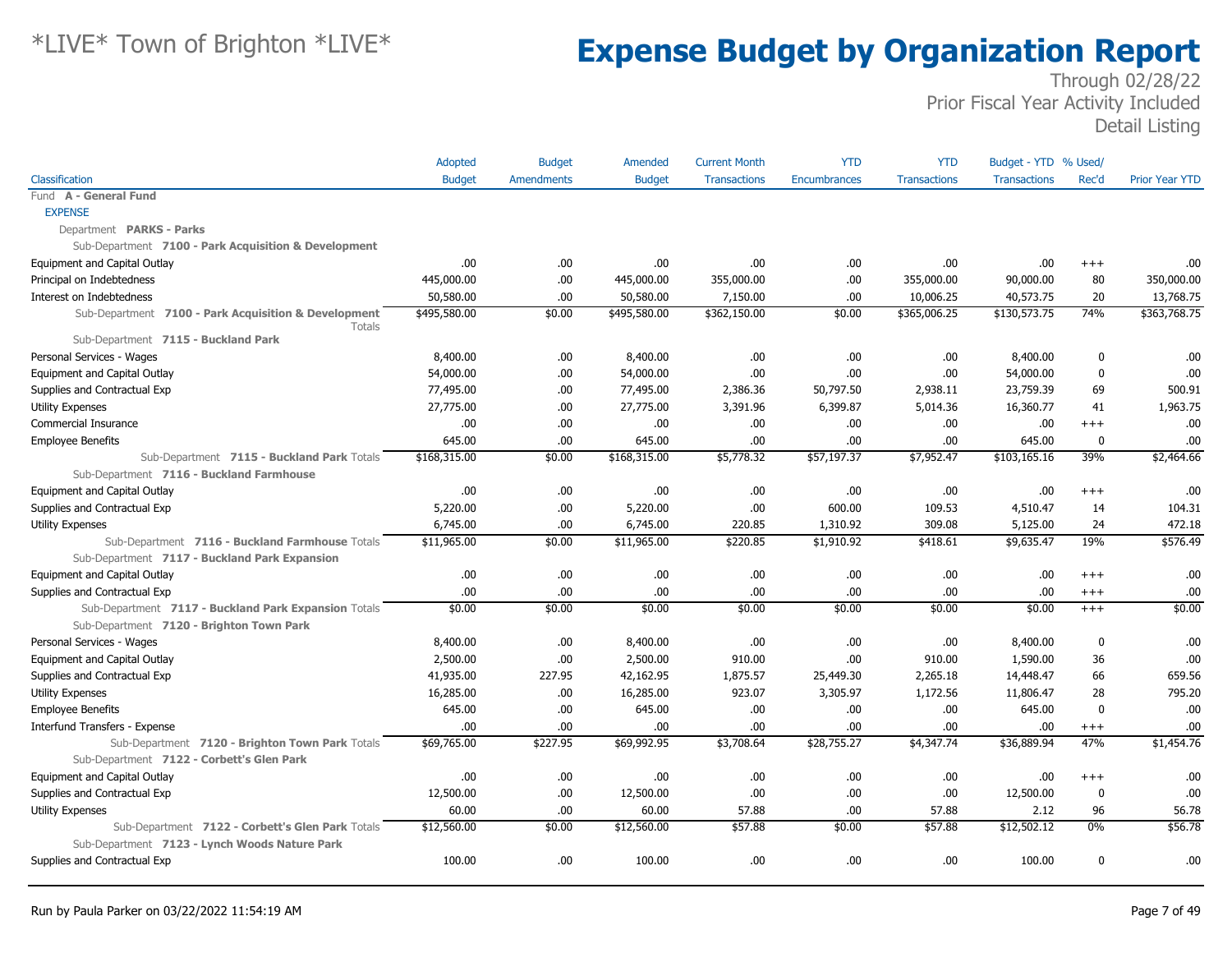|                                                                | Adopted       | <b>Budget</b>     | Amended       | <b>Current Month</b> | <b>YTD</b>          | <b>YTD</b>          | Budget - YTD % Used/ |             |                       |
|----------------------------------------------------------------|---------------|-------------------|---------------|----------------------|---------------------|---------------------|----------------------|-------------|-----------------------|
| Classification                                                 | <b>Budget</b> | <b>Amendments</b> | <b>Budget</b> | <b>Transactions</b>  | <b>Encumbrances</b> | <b>Transactions</b> | <b>Transactions</b>  | Rec'd       | <b>Prior Year YTD</b> |
| Fund A - General Fund                                          |               |                   |               |                      |                     |                     |                      |             |                       |
| <b>EXPENSE</b>                                                 |               |                   |               |                      |                     |                     |                      |             |                       |
| Department PARKS - Parks                                       |               |                   |               |                      |                     |                     |                      |             |                       |
| Sub-Department 7100 - Park Acquisition & Development           |               |                   |               |                      |                     |                     |                      |             |                       |
| Equipment and Capital Outlay                                   | .00           | .00               | .00.          | .00                  | .00.                | .00                 | .00.                 | $^{+++}$    | .00                   |
| Principal on Indebtedness                                      | 445,000.00    | .00               | 445,000.00    | 355,000.00           | .00.                | 355,000.00          | 90,000.00            | 80          | 350,000.00            |
| Interest on Indebtedness                                       | 50,580.00     | .00               | 50,580.00     | 7,150.00             | .00.                | 10,006.25           | 40,573.75            | 20          | 13,768.75             |
| Sub-Department 7100 - Park Acquisition & Development<br>Totals | \$495,580.00  | \$0.00            | \$495,580.00  | \$362,150.00         | \$0.00              | \$365,006.25        | \$130,573.75         | 74%         | \$363,768.75          |
| Sub-Department 7115 - Buckland Park                            |               |                   |               |                      |                     |                     |                      |             |                       |
| Personal Services - Wages                                      | 8,400.00      | .00               | 8,400.00      | .00                  | .00.                | .00.                | 8,400.00             | 0           | .00                   |
| Equipment and Capital Outlay                                   | 54,000.00     | .00               | 54,000.00     | .00                  | .00                 | .00                 | 54,000.00            | 0           | .00                   |
| Supplies and Contractual Exp                                   | 77,495.00     | .00               | 77,495.00     | 2,386.36             | 50,797.50           | 2,938.11            | 23,759.39            | 69          | 500.91                |
| <b>Utility Expenses</b>                                        | 27,775.00     | .00               | 27,775.00     | 3,391.96             | 6,399.87            | 5,014.36            | 16,360.77            | 41          | 1,963.75              |
| Commercial Insurance                                           | .00           | .00               | .00           | .00                  | .00.                | .00                 | .00                  | $^{+++}$    | .00                   |
| <b>Employee Benefits</b>                                       | 645.00        | .00               | 645.00        | .00                  | .00                 | .00                 | 645.00               | 0           | .00                   |
| Sub-Department 7115 - Buckland Park Totals                     | \$168,315.00  | \$0.00            | \$168,315.00  | \$5,778.32           | \$57,197.37         | \$7,952.47          | \$103,165.16         | 39%         | \$2,464.66            |
| Sub-Department 7116 - Buckland Farmhouse                       |               |                   |               |                      |                     |                     |                      |             |                       |
| Equipment and Capital Outlay                                   | .00.          | .00               | .00.          | .00                  | .00                 | .00                 | .00                  | $^{+++}$    | .00                   |
| Supplies and Contractual Exp                                   | 5,220.00      | .00               | 5,220.00      | .00                  | 600.00              | 109.53              | 4,510.47             | 14          | 104.31                |
| <b>Utility Expenses</b>                                        | 6,745.00      | .00               | 6,745.00      | 220.85               | 1,310.92            | 309.08              | 5,125.00             | 24          | 472.18                |
| Sub-Department 7116 - Buckland Farmhouse Totals                | \$11,965.00   | \$0.00            | \$11,965.00   | \$220.85             | \$1,910.92          | \$418.61            | \$9,635.47           | 19%         | \$576.49              |
| Sub-Department 7117 - Buckland Park Expansion                  |               |                   |               |                      |                     |                     |                      |             |                       |
| Equipment and Capital Outlay                                   | .00           | .00               | .00.          | .00                  | .00.                | .00                 | .00.                 | $^{++}$     | .00                   |
| Supplies and Contractual Exp                                   | .00           | .00               | .00.          | .00                  | .00                 | .00                 | .00.                 | $^{+++}$    | .00                   |
| Sub-Department 7117 - Buckland Park Expansion Totals           | \$0.00        | \$0.00            | \$0.00        | \$0.00               | \$0.00              | \$0.00              | \$0.00               | $+++$       | \$0.00                |
| Sub-Department 7120 - Brighton Town Park                       |               |                   |               |                      |                     |                     |                      |             |                       |
| Personal Services - Wages                                      | 8,400.00      | .00               | 8,400.00      | .00                  | .00                 | .00                 | 8,400.00             | 0           | .00                   |
| Equipment and Capital Outlay                                   | 2,500.00      | .00               | 2,500.00      | 910.00               | .00                 | 910.00              | 1,590.00             | 36          | .00                   |
| Supplies and Contractual Exp                                   | 41,935.00     | 227.95            | 42,162.95     | 1,875.57             | 25,449.30           | 2,265.18            | 14,448.47            | 66          | 659.56                |
| <b>Utility Expenses</b>                                        | 16,285.00     | .00               | 16,285.00     | 923.07               | 3,305.97            | 1,172.56            | 11,806.47            | 28          | 795.20                |
| <b>Employee Benefits</b>                                       | 645.00        | .00               | 645.00        | .00                  | .00                 | .00.                | 645.00               | 0           | .00                   |
| Interfund Transfers - Expense                                  | .00           | .00               | .00.          | .00                  | .00.                | .00.                | .00.                 | $^{+++}$    | .00                   |
| Sub-Department 7120 - Brighton Town Park Totals                | \$69,765.00   | \$227.95          | \$69,992.95   | \$3,708.64           | \$28,755.27         | \$4,347.74          | \$36,889.94          | 47%         | \$1,454.76            |
| Sub-Department 7122 - Corbett's Glen Park                      |               |                   |               |                      |                     |                     |                      |             |                       |
| Equipment and Capital Outlay                                   | .00           | .00               | .00.          | .00                  | .00.                | .00.                | .00.                 | $^{++}$     | .00                   |
| Supplies and Contractual Exp                                   | 12,500.00     | .00               | 12,500.00     | .00                  | .00.                | .00                 | 12,500.00            | $\mathbf 0$ | .00                   |
| <b>Utility Expenses</b>                                        | 60.00         | .00               | 60.00         | 57.88                | .00                 | 57.88               | 2.12                 | 96          | 56.78                 |
| Sub-Department 7122 - Corbett's Glen Park Totals               | \$12,560.00   | \$0.00            | \$12,560.00   | \$57.88              | \$0.00              | \$57.88             | \$12,502.12          | 0%          | \$56.78               |
| Sub-Department 7123 - Lynch Woods Nature Park                  |               |                   |               |                      |                     |                     |                      |             |                       |
| Supplies and Contractual Exp                                   | 100.00        | .00               | 100.00        | .00.                 | .00.                | .00.                | 100.00               | 0           | .00                   |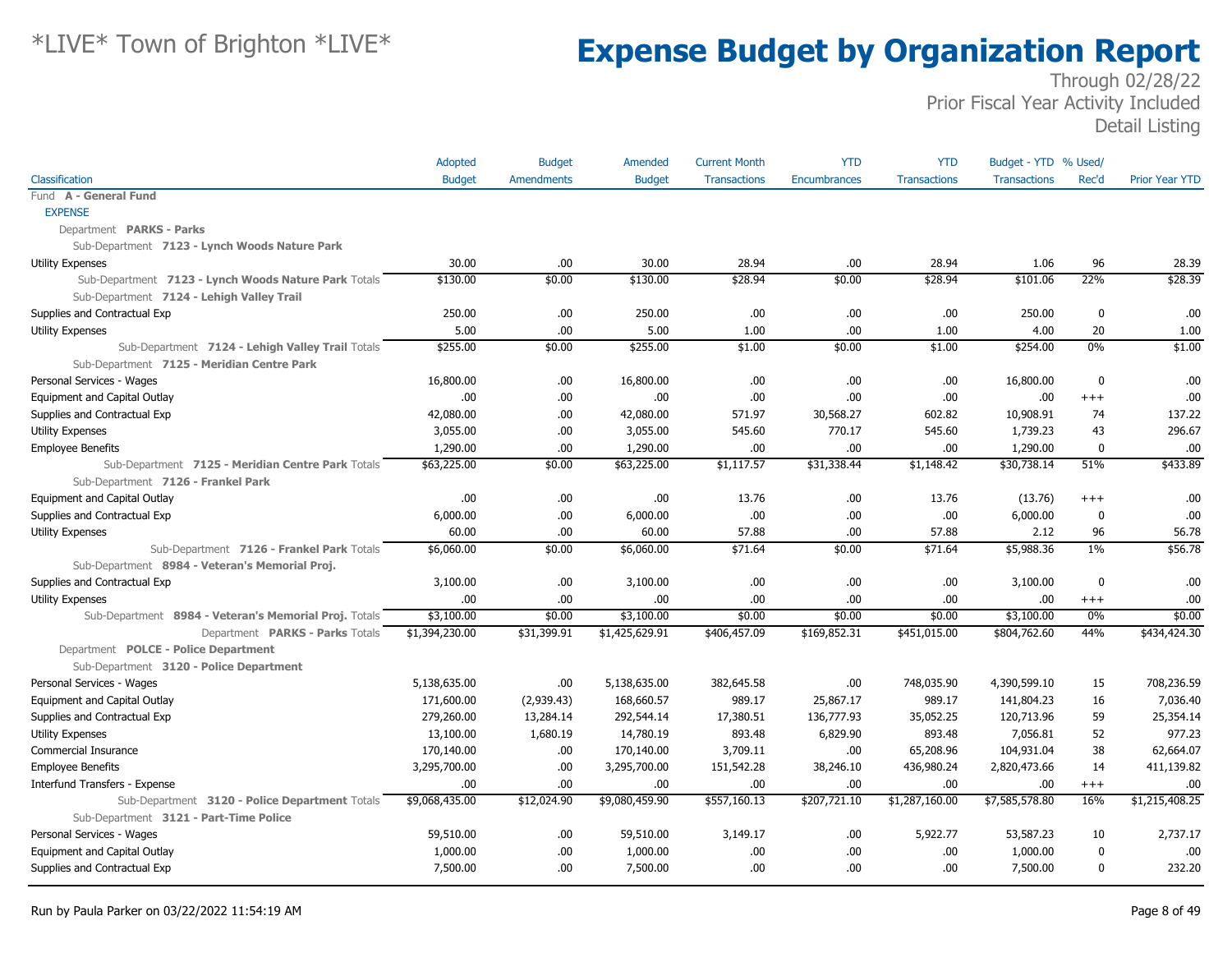|                                                       | Adopted        | <b>Budget</b>     | Amended        | <b>Current Month</b> | <b>YTD</b>          | <b>YTD</b>          | Budget - YTD % Used/ |             |                       |
|-------------------------------------------------------|----------------|-------------------|----------------|----------------------|---------------------|---------------------|----------------------|-------------|-----------------------|
| Classification                                        | <b>Budget</b>  | <b>Amendments</b> | <b>Budget</b>  | <b>Transactions</b>  | <b>Encumbrances</b> | <b>Transactions</b> | <b>Transactions</b>  | Rec'd       | <b>Prior Year YTD</b> |
| Fund A - General Fund                                 |                |                   |                |                      |                     |                     |                      |             |                       |
| <b>EXPENSE</b>                                        |                |                   |                |                      |                     |                     |                      |             |                       |
| Department PARKS - Parks                              |                |                   |                |                      |                     |                     |                      |             |                       |
| Sub-Department 7123 - Lynch Woods Nature Park         |                |                   |                |                      |                     |                     |                      |             |                       |
| <b>Utility Expenses</b>                               | 30.00          | .00               | 30.00          | 28.94                | .00                 | 28.94               | 1.06                 | 96          | 28.39                 |
| Sub-Department 7123 - Lynch Woods Nature Park Totals  | \$130.00       | \$0.00            | \$130.00       | \$28.94              | \$0.00              | \$28.94             | \$101.06             | 22%         | \$28.39               |
| Sub-Department 7124 - Lehigh Valley Trail             |                |                   |                |                      |                     |                     |                      |             |                       |
| Supplies and Contractual Exp                          | 250.00         | .00               | 250.00         | .00                  | .00                 | .00                 | 250.00               | $\mathbf 0$ | .00                   |
| <b>Utility Expenses</b>                               | 5.00           | .00.              | 5.00           | 1.00                 | .00                 | 1.00                | 4.00                 | 20          | 1.00                  |
| Sub-Department 7124 - Lehigh Valley Trail Totals      | \$255.00       | \$0.00            | \$255.00       | \$1.00               | \$0.00              | \$1.00              | \$254.00             | 0%          | \$1.00                |
| Sub-Department 7125 - Meridian Centre Park            |                |                   |                |                      |                     |                     |                      |             |                       |
| Personal Services - Wages                             | 16,800.00      | .00.              | 16,800.00      | .00                  | .00                 | .00                 | 16,800.00            | $\mathbf 0$ | .00                   |
| Equipment and Capital Outlay                          | .00            | .00.              | .00            | .00                  | .00                 | .00                 | .00                  | $+++$       | .00.                  |
| Supplies and Contractual Exp                          | 42,080.00      | .00               | 42,080.00      | 571.97               | 30,568.27           | 602.82              | 10,908.91            | 74          | 137.22                |
| <b>Utility Expenses</b>                               | 3,055.00       | .00.              | 3,055.00       | 545.60               | 770.17              | 545.60              | 1,739.23             | 43          | 296.67                |
| <b>Employee Benefits</b>                              | 1,290.00       | .00               | 1,290.00       | .00                  | .00                 | .00                 | 1,290.00             | $\mathbf 0$ | .00.                  |
| Sub-Department 7125 - Meridian Centre Park Totals     | \$63,225.00    | \$0.00            | \$63,225.00    | \$1,117.57           | \$31,338.44         | \$1,148.42          | \$30,738.14          | 51%         | \$433.89              |
| Sub-Department 7126 - Frankel Park                    |                |                   |                |                      |                     |                     |                      |             |                       |
| Equipment and Capital Outlay                          | .00            | .00.              | .00            | 13.76                | .00                 | 13.76               | (13.76)              | $+++$       | .00.                  |
| Supplies and Contractual Exp                          | 6,000.00       | .00.              | 6,000.00       | .00                  | .00                 | .00                 | 6,000.00             | 0           | .00                   |
| <b>Utility Expenses</b>                               | 60.00          | .00.              | 60.00          | 57.88                | .00                 | 57.88               | 2.12                 | 96          | 56.78                 |
| Sub-Department 7126 - Frankel Park Totals             | \$6,060.00     | \$0.00            | \$6,060.00     | \$71.64              | \$0.00              | \$71.64             | \$5,988.36           | $1\%$       | \$56.78               |
| Sub-Department 8984 - Veteran's Memorial Proj.        |                |                   |                |                      |                     |                     |                      |             |                       |
| Supplies and Contractual Exp                          | 3,100.00       | .00               | 3,100.00       | .00                  | .00                 | .00                 | 3,100.00             | $\mathbf 0$ | .00                   |
| <b>Utility Expenses</b>                               | .00.           | .00.              | .00.           | .00                  | .00                 | .00                 | .00                  | $^{+++}$    | .00                   |
| Sub-Department 8984 - Veteran's Memorial Proj. Totals | \$3,100.00     | \$0.00            | \$3,100.00     | \$0.00               | \$0.00              | \$0.00              | \$3,100.00           | 0%          | \$0.00                |
| Department PARKS - Parks Totals                       | \$1,394,230.00 | \$31,399.91       | \$1,425,629.91 | \$406,457.09         | \$169,852.31        | \$451,015.00        | \$804,762.60         | 44%         | \$434,424.30          |
| Department POLCE - Police Department                  |                |                   |                |                      |                     |                     |                      |             |                       |
| Sub-Department 3120 - Police Department               |                |                   |                |                      |                     |                     |                      |             |                       |
| Personal Services - Wages                             | 5,138,635.00   | .00.              | 5,138,635.00   | 382,645.58           | .00                 | 748,035.90          | 4,390,599.10         | 15          | 708,236.59            |
| Equipment and Capital Outlay                          | 171,600.00     | (2,939.43)        | 168,660.57     | 989.17               | 25,867.17           | 989.17              | 141,804.23           | 16          | 7,036.40              |
| Supplies and Contractual Exp                          | 279,260.00     | 13,284.14         | 292,544.14     | 17,380.51            | 136,777.93          | 35,052.25           | 120,713.96           | 59          | 25,354.14             |
| <b>Utility Expenses</b>                               | 13,100.00      | 1,680.19          | 14,780.19      | 893.48               | 6,829.90            | 893.48              | 7,056.81             | 52          | 977.23                |
| Commercial Insurance                                  | 170,140.00     | .00.              | 170,140.00     | 3,709.11             | .00                 | 65,208.96           | 104,931.04           | 38          | 62,664.07             |
| <b>Employee Benefits</b>                              | 3,295,700.00   | .00               | 3,295,700.00   | 151,542.28           | 38,246.10           | 436,980.24          | 2,820,473.66         | 14          | 411,139.82            |
| Interfund Transfers - Expense                         | .00.           | .00.              | .00.           | .00                  | .00                 | .00                 | .00                  | $^{+++}$    | .00                   |
| Sub-Department 3120 - Police Department Totals        | \$9,068,435.00 | \$12,024.90       | \$9,080,459.90 | \$557,160.13         | \$207,721.10        | \$1,287,160.00      | \$7,585,578.80       | 16%         | \$1,215,408.25        |
| Sub-Department 3121 - Part-Time Police                |                |                   |                |                      |                     |                     |                      |             |                       |
| Personal Services - Wages                             | 59,510.00      | .00.              | 59,510.00      | 3,149.17             | .00                 | 5,922.77            | 53,587.23            | 10          | 2,737.17              |
| Equipment and Capital Outlay                          | 1,000.00       | .00               | 1,000.00       | .00                  | .00                 | .00                 | 1,000.00             | $\mathbf 0$ | .00.                  |
| Supplies and Contractual Exp                          | 7,500.00       | .00.              | 7,500.00       | .00                  | .00                 | .00                 | 7,500.00             | $\mathbf 0$ | 232.20                |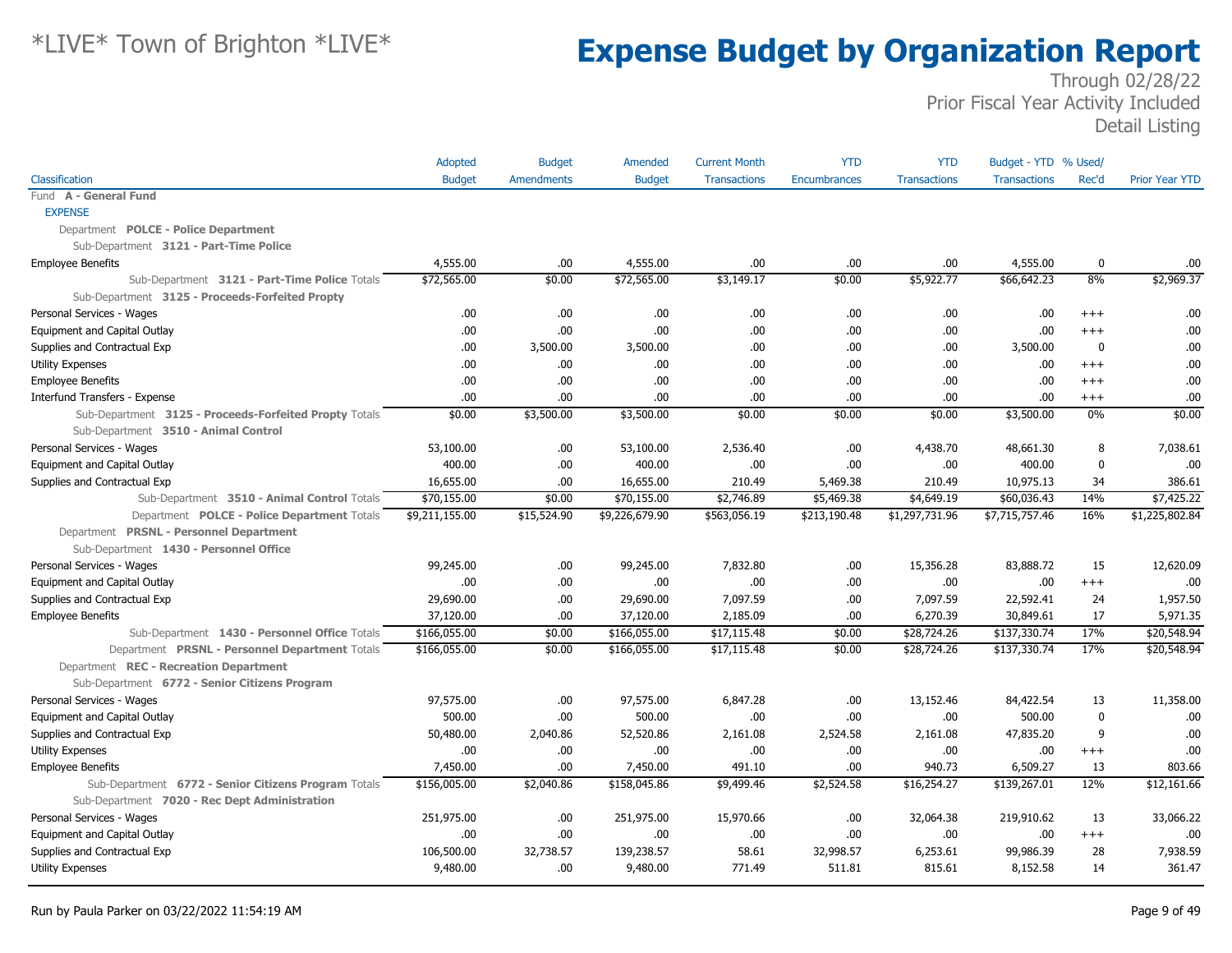|                                                        | Adopted        | <b>Budget</b> | Amended        | <b>Current Month</b> | <b>YTD</b>   | <b>YTD</b>          | Budget - YTD % Used/ |             |                       |
|--------------------------------------------------------|----------------|---------------|----------------|----------------------|--------------|---------------------|----------------------|-------------|-----------------------|
| Classification                                         | <b>Budget</b>  | Amendments    | <b>Budget</b>  | <b>Transactions</b>  | Encumbrances | <b>Transactions</b> | <b>Transactions</b>  | Rec'd       | <b>Prior Year YTD</b> |
| Fund A - General Fund                                  |                |               |                |                      |              |                     |                      |             |                       |
| <b>EXPENSE</b>                                         |                |               |                |                      |              |                     |                      |             |                       |
| Department POLCE - Police Department                   |                |               |                |                      |              |                     |                      |             |                       |
| Sub-Department 3121 - Part-Time Police                 |                |               |                |                      |              |                     |                      |             |                       |
| <b>Employee Benefits</b>                               | 4,555.00       | .00           | 4,555.00       | .00                  | .00          | .00                 | 4,555.00             | 0           | .00                   |
| Sub-Department 3121 - Part-Time Police Totals          | \$72,565.00    | \$0.00        | \$72,565.00    | \$3,149.17           | \$0.00       | \$5,922.77          | \$66,642.23          | 8%          | \$2,969.37            |
| Sub-Department 3125 - Proceeds-Forfeited Propty        |                |               |                |                      |              |                     |                      |             |                       |
| Personal Services - Wages                              | .00            | .00           | .00            | .00                  | .00          | .00                 | .00                  | $+++$       | .00                   |
| Equipment and Capital Outlay                           | .00.           | .00.          | .00.           | .00                  | .00          | .00                 | .00                  | $^{+++}$    | .00                   |
| Supplies and Contractual Exp                           | .00            | 3,500.00      | 3,500.00       | .00                  | .00          | .00                 | 3,500.00             | 0           | .00                   |
| <b>Utility Expenses</b>                                | .00            | .00.          | .00.           | .00                  | .00          | .00                 | .00                  | $++++$      | .00                   |
| <b>Employee Benefits</b>                               | .00            | .00.          | .00            | .00                  | .00          | .00                 | .00                  | $^{++}$     | .00                   |
| Interfund Transfers - Expense                          | .00            | .00           | .00            | .00                  | .00          | .00                 | .00                  | $^{+++}$    | .00                   |
| Sub-Department 3125 - Proceeds-Forfeited Propty Totals | \$0.00         | \$3,500.00    | \$3,500.00     | \$0.00               | \$0.00       | \$0.00              | \$3,500.00           | $0\%$       | \$0.00                |
| Sub-Department 3510 - Animal Control                   |                |               |                |                      |              |                     |                      |             |                       |
| Personal Services - Wages                              | 53,100.00      | .00.          | 53,100.00      | 2,536.40             | .00          | 4,438.70            | 48,661.30            | 8           | 7,038.61              |
| Equipment and Capital Outlay                           | 400.00         | .00           | 400.00         | .00                  | .00          | .00                 | 400.00               | $\mathbf 0$ | .00                   |
| Supplies and Contractual Exp                           | 16,655.00      | .00           | 16,655.00      | 210.49               | 5,469.38     | 210.49              | 10,975.13            | 34          | 386.61                |
| Sub-Department 3510 - Animal Control Totals            | \$70,155.00    | \$0.00        | \$70,155.00    | \$2,746.89           | \$5,469.38   | \$4,649.19          | \$60,036.43          | 14%         | \$7,425.22            |
| Department POLCE - Police Department Totals            | \$9,211,155.00 | \$15,524.90   | \$9,226,679.90 | \$563,056.19         | \$213,190.48 | \$1,297,731.96      | \$7,715,757.46       | 16%         | \$1,225,802.84        |
| Department PRSNL - Personnel Department                |                |               |                |                      |              |                     |                      |             |                       |
| Sub-Department 1430 - Personnel Office                 |                |               |                |                      |              |                     |                      |             |                       |
| Personal Services - Wages                              | 99,245.00      | .00.          | 99,245.00      | 7,832.80             | .00          | 15,356.28           | 83,888.72            | 15          | 12,620.09             |
| Equipment and Capital Outlay                           | .00            | .00           | .00.           | .00                  | .00          | .00                 | .00                  | $^{+++}$    | .00                   |
| Supplies and Contractual Exp                           | 29,690.00      | .00           | 29,690.00      | 7,097.59             | .00          | 7,097.59            | 22,592.41            | 24          | 1,957.50              |
| <b>Employee Benefits</b>                               | 37,120.00      | .00           | 37,120.00      | 2,185.09             | .00          | 6,270.39            | 30,849.61            | 17          | 5,971.35              |
| Sub-Department 1430 - Personnel Office Totals          | \$166,055.00   | \$0.00        | \$166,055.00   | \$17,115.48          | \$0.00       | \$28,724.26         | \$137,330.74         | 17%         | \$20,548.94           |
| Department PRSNL - Personnel Department Totals         | \$166,055.00   | \$0.00        | \$166,055.00   | \$17,115.48          | \$0.00       | \$28,724.26         | \$137,330.74         | 17%         | \$20,548.94           |
| Department REC - Recreation Department                 |                |               |                |                      |              |                     |                      |             |                       |
| Sub-Department 6772 - Senior Citizens Program          |                |               |                |                      |              |                     |                      |             |                       |
| Personal Services - Wages                              | 97,575.00      | .00           | 97,575.00      | 6,847.28             | .00          | 13,152.46           | 84,422.54            | 13          | 11,358.00             |
| Equipment and Capital Outlay                           | 500.00         | .00           | 500.00         | .00                  | .00          | .00                 | 500.00               | $\mathbf 0$ | .00                   |
| Supplies and Contractual Exp                           | 50,480.00      | 2,040.86      | 52,520.86      | 2,161.08             | 2,524.58     | 2,161.08            | 47,835.20            | 9           | .00                   |
| <b>Utility Expenses</b>                                | .00            | .00.          | .00            | .00                  | .00          | .00                 | .00                  | $+++$       | .00                   |
| <b>Employee Benefits</b>                               | 7,450.00       | .00.          | 7,450.00       | 491.10               | .00          | 940.73              | 6,509.27             | 13          | 803.66                |
| Sub-Department 6772 - Senior Citizens Program Totals   | \$156,005.00   | \$2,040.86    | \$158,045.86   | \$9,499.46           | \$2,524.58   | \$16,254.27         | \$139,267.01         | 12%         | \$12,161.66           |
| Sub-Department 7020 - Rec Dept Administration          |                |               |                |                      |              |                     |                      |             |                       |
| Personal Services - Wages                              | 251,975.00     | .00           | 251,975.00     | 15,970.66            | .00          | 32,064.38           | 219,910.62           | 13          | 33,066.22             |
| Equipment and Capital Outlay                           | .00            | .00           | .00            | .00                  | .00          | .00                 | .00                  | $+++$       | .00                   |
| Supplies and Contractual Exp                           | 106,500.00     | 32,738.57     | 139,238.57     | 58.61                | 32,998.57    | 6,253.61            | 99,986.39            | 28          | 7,938.59              |
| <b>Utility Expenses</b>                                | 9,480.00       | .00           | 9,480.00       | 771.49               | 511.81       | 815.61              | 8,152.58             | 14          | 361.47                |
|                                                        |                |               |                |                      |              |                     |                      |             |                       |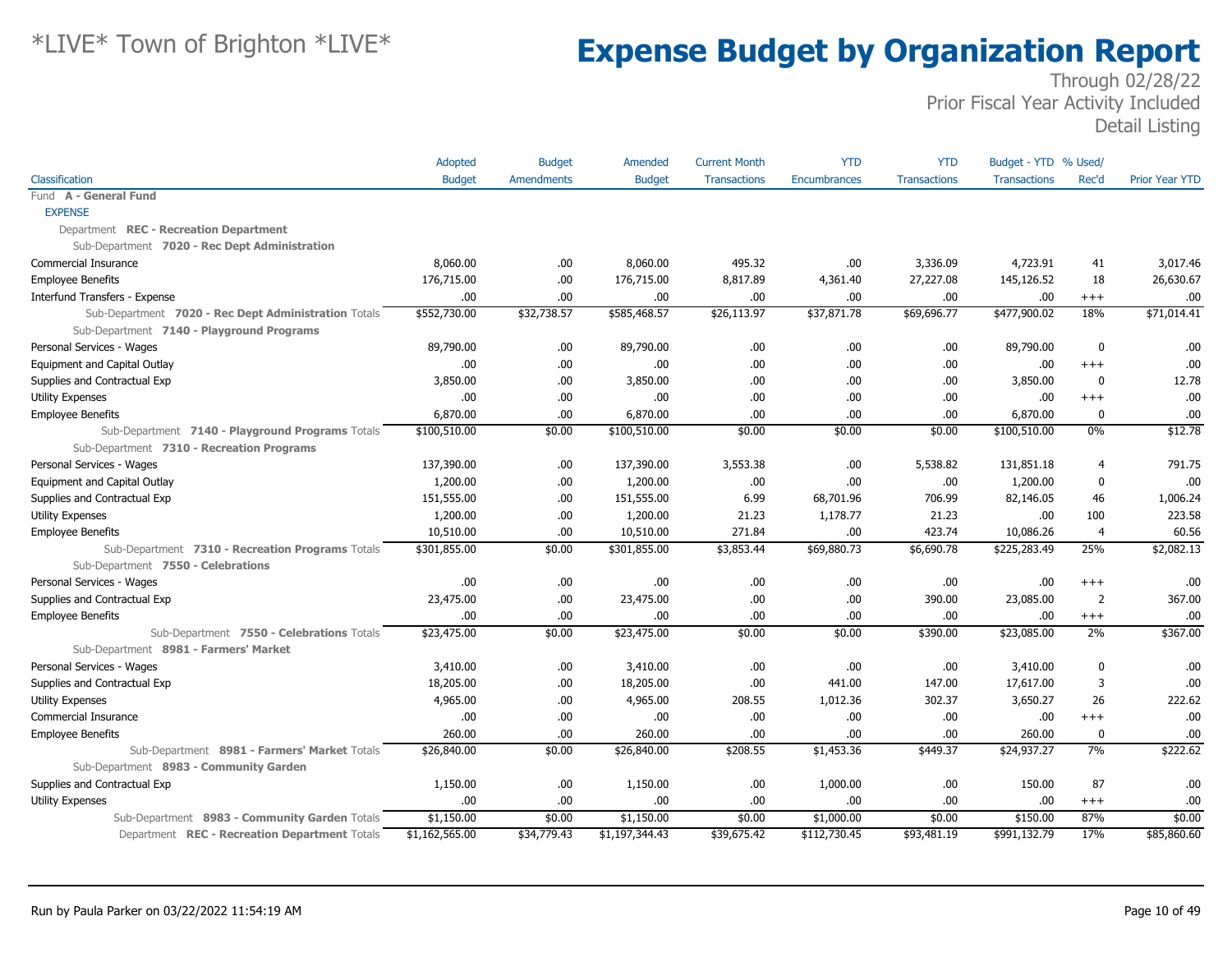|                                                      | Adopted        | <b>Budget</b>     | Amended        | <b>Current Month</b> | <b>YTD</b>          | <b>YTD</b>          | Budget - YTD % Used/ |                |                       |
|------------------------------------------------------|----------------|-------------------|----------------|----------------------|---------------------|---------------------|----------------------|----------------|-----------------------|
| Classification                                       | <b>Budget</b>  | <b>Amendments</b> | <b>Budget</b>  | <b>Transactions</b>  | <b>Encumbrances</b> | <b>Transactions</b> | <b>Transactions</b>  | Rec'd          | <b>Prior Year YTD</b> |
| Fund A - General Fund                                |                |                   |                |                      |                     |                     |                      |                |                       |
| <b>EXPENSE</b>                                       |                |                   |                |                      |                     |                     |                      |                |                       |
| Department REC - Recreation Department               |                |                   |                |                      |                     |                     |                      |                |                       |
| Sub-Department 7020 - Rec Dept Administration        |                |                   |                |                      |                     |                     |                      |                |                       |
| Commercial Insurance                                 | 8,060.00       | .00               | 8,060.00       | 495.32               | .00                 | 3,336.09            | 4,723.91             | 41             | 3,017.46              |
| <b>Employee Benefits</b>                             | 176,715.00     | .00.              | 176,715.00     | 8,817.89             | 4,361.40            | 27,227.08           | 145,126.52           | 18             | 26,630.67             |
| Interfund Transfers - Expense                        | .00.           | .00.              | .00            | .00                  | .00                 | .00                 | .00                  | $+++$          | .00                   |
| Sub-Department 7020 - Rec Dept Administration Totals | \$552,730.00   | \$32,738.57       | \$585,468.57   | \$26,113.97          | \$37,871.78         | \$69,696.77         | \$477,900.02         | 18%            | \$71,014.41           |
| Sub-Department 7140 - Playground Programs            |                |                   |                |                      |                     |                     |                      |                |                       |
| Personal Services - Wages                            | 89,790.00      | .00               | 89,790.00      | .00                  | .00                 | .00.                | 89,790.00            | $\mathbf{0}$   | .00                   |
| Equipment and Capital Outlay                         | 00.            | .00.              | .00.           | .00                  | .00                 | .00.                | .00                  | $+++$          | .00                   |
| Supplies and Contractual Exp                         | 3,850,00       | .00.              | 3,850,00       | .00                  | .00                 | .00.                | 3,850.00             | $\Omega$       | 12.78                 |
| <b>Utility Expenses</b>                              | 00.            | .00               | .00            | .00                  | .00                 | .00.                | .00                  | $+++$          | .00                   |
| <b>Employee Benefits</b>                             | 6,870.00       | .00               | 6,870.00       | .00                  | .00                 | .00.                | 6,870.00             | $\mathbf 0$    | .00                   |
| Sub-Department 7140 - Playground Programs Totals     | \$100,510.00   | \$0.00            | \$100,510.00   | \$0.00               | \$0.00              | \$0.00              | \$100,510.00         | 0%             | \$12.78               |
| Sub-Department 7310 - Recreation Programs            |                |                   |                |                      |                     |                     |                      |                |                       |
| Personal Services - Wages                            | 137,390.00     | .00.              | 137,390.00     | 3,553.38             | .00                 | 5,538.82            | 131,851.18           | $\overline{4}$ | 791.75                |
| Equipment and Capital Outlay                         | 1,200.00       | .00.              | 1,200.00       | .00                  | .00                 | .00.                | 1,200.00             | $\bf{0}$       | .00                   |
| Supplies and Contractual Exp                         | 151,555.00     | .00.              | 151,555.00     | 6.99                 | 68,701.96           | 706.99              | 82,146.05            | 46             | 1,006.24              |
| <b>Utility Expenses</b>                              | 1,200.00       | .00               | 1,200.00       | 21.23                | 1,178.77            | 21.23               | .00                  | 100            | 223.58                |
| <b>Employee Benefits</b>                             | 10,510.00      | .00               | 10,510.00      | 271.84               | .00                 | 423.74              | 10,086.26            | $\overline{4}$ | 60.56                 |
| Sub-Department 7310 - Recreation Programs Totals     | \$301,855.00   | \$0.00            | \$301,855.00   | \$3,853.44           | \$69,880.73         | \$6,690.78          | \$225,283.49         | 25%            | \$2,082.13            |
| Sub-Department 7550 - Celebrations                   |                |                   |                |                      |                     |                     |                      |                |                       |
| Personal Services - Wages                            | .00            | .00               | .00            | .00.                 | .00                 | .00.                | .00                  | $+++$          | .00                   |
| Supplies and Contractual Exp                         | 23,475.00      | .00.              | 23,475.00      | .00                  | .00                 | 390.00              | 23,085.00            | $\overline{2}$ | 367.00                |
| <b>Employee Benefits</b>                             | .00.           | .00               | .00            | .00                  | .00                 | .00                 | .00                  | $^{+++}$       | .00                   |
| Sub-Department 7550 - Celebrations Totals            | \$23,475.00    | \$0.00            | \$23,475.00    | \$0.00               | \$0.00              | \$390.00            | \$23,085.00          | 2%             | \$367.00              |
| Sub-Department 8981 - Farmers' Market                |                |                   |                |                      |                     |                     |                      |                |                       |
| Personal Services - Wages                            | 3,410.00       | .00.              | 3,410.00       | .00                  | .00                 | .00.                | 3,410.00             | $\mathbf 0$    | .00                   |
| Supplies and Contractual Exp                         | 18,205.00      | .00.              | 18,205.00      | .00                  | 441.00              | 147.00              | 17,617.00            | 3              | .00                   |
| <b>Utility Expenses</b>                              | 4,965.00       | .00.              | 4,965.00       | 208.55               | 1,012.36            | 302.37              | 3,650.27             | 26             | 222.62                |
| Commercial Insurance                                 | .00            | .00               | .00.           | .00                  | .00                 | .00.                | .00                  | $+++$          | .00                   |
| <b>Employee Benefits</b>                             | 260.00         | .00.              | 260.00         | .00                  | .00                 | .00.                | 260.00               | 0              | .00                   |
| Sub-Department 8981 - Farmers' Market Totals         | \$26,840.00    | \$0.00            | \$26,840.00    | \$208.55             | \$1,453.36          | \$449.37            | \$24,937.27          | 7%             | \$222.62              |
| Sub-Department 8983 - Community Garden               |                |                   |                |                      |                     |                     |                      |                |                       |
| Supplies and Contractual Exp                         | 1,150.00       | .00.              | 1,150.00       | .00                  | 1,000.00            | .00.                | 150.00               | 87             | .00                   |
| <b>Utility Expenses</b>                              | .00.           | .00.              | .00            | .00                  | .00                 | .00.                | .00                  | $+++$          | .00                   |
| Sub-Department 8983 - Community Garden Totals        | \$1,150.00     | \$0.00            | \$1,150.00     | \$0.00               | \$1,000.00          | \$0.00              | \$150.00             | 87%            | \$0.00                |
| Department REC - Recreation Department Totals        | \$1,162,565.00 | \$34,779.43       | \$1,197,344.43 | \$39,675.42          | \$112,730.45        | \$93,481.19         | \$991,132.79         | 17%            | \$85,860.60           |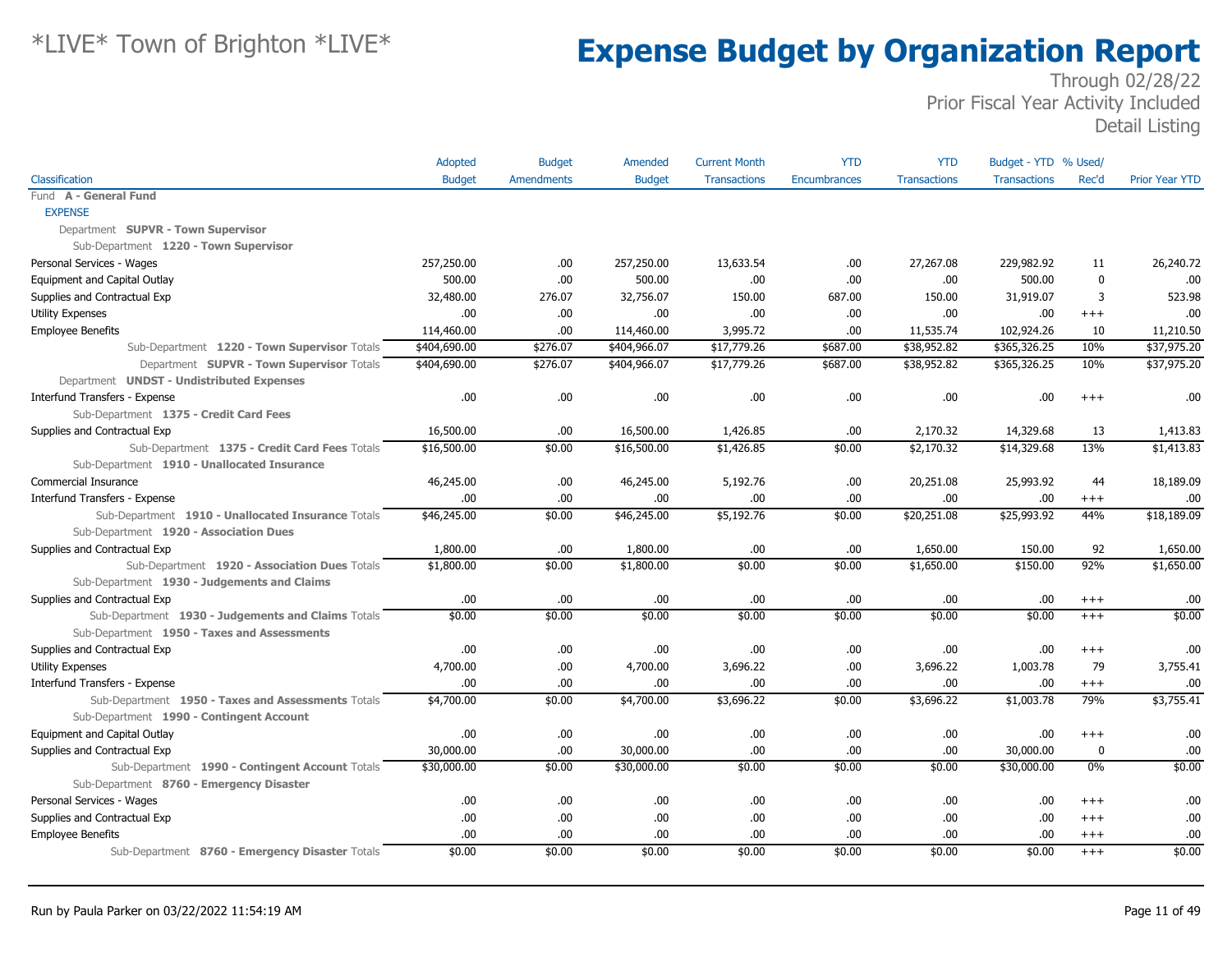|                                                    | Adopted       | <b>Budget</b>      | Amended       | <b>Current Month</b> | <b>YTD</b>   | <b>YTD</b>          | Budget - YTD % Used/ |             |                       |
|----------------------------------------------------|---------------|--------------------|---------------|----------------------|--------------|---------------------|----------------------|-------------|-----------------------|
| Classification                                     | <b>Budget</b> | Amendments         | <b>Budget</b> | <b>Transactions</b>  | Encumbrances | <b>Transactions</b> | <b>Transactions</b>  | Rec'd       | <b>Prior Year YTD</b> |
| Fund A - General Fund                              |               |                    |               |                      |              |                     |                      |             |                       |
| <b>EXPENSE</b>                                     |               |                    |               |                      |              |                     |                      |             |                       |
| Department SUPVR - Town Supervisor                 |               |                    |               |                      |              |                     |                      |             |                       |
| Sub-Department 1220 - Town Supervisor              |               |                    |               |                      |              |                     |                      |             |                       |
| Personal Services - Wages                          | 257,250.00    | .00.               | 257,250.00    | 13,633.54            | .00.         | 27,267.08           | 229,982.92           | 11          | 26,240.72             |
| Equipment and Capital Outlay                       | 500.00        | .00                | 500.00        | .00                  | .00.         | .00.                | 500.00               | $\mathbf 0$ | .00                   |
| Supplies and Contractual Exp                       | 32,480.00     | 276.07             | 32,756.07     | 150.00               | 687.00       | 150.00              | 31,919.07            | 3           | 523.98                |
| <b>Utility Expenses</b>                            | .00.          | .00.               | .00.          | .00                  | .00.         | .00.                | .00                  | $+++$       | .00                   |
| Employee Benefits                                  | 114,460.00    | .00                | 114,460.00    | 3,995.72             | .00.         | 11,535.74           | 102,924.26           | 10          | 11,210.50             |
| Sub-Department 1220 - Town Supervisor Totals       | \$404,690.00  | \$276.07           | \$404,966.07  | \$17,779.26          | \$687.00     | \$38,952.82         | \$365,326.25         | 10%         | \$37,975.20           |
| Department SUPVR - Town Supervisor Totals          | \$404,690.00  | \$276.07           | \$404,966.07  | \$17,779.26          | \$687.00     | \$38,952.82         | \$365,326.25         | 10%         | \$37,975.20           |
| Department UNDST - Undistributed Expenses          |               |                    |               |                      |              |                     |                      |             |                       |
| Interfund Transfers - Expense                      | .00           | .00.               | .00.          | .00                  | .00.         | .00                 | .00.                 | $^{++}$     | .00                   |
| Sub-Department 1375 - Credit Card Fees             |               |                    |               |                      |              |                     |                      |             |                       |
| Supplies and Contractual Exp                       | 16,500.00     | .00                | 16,500.00     | 1,426.85             | .00.         | 2,170.32            | 14,329.68            | 13          | 1,413.83              |
| Sub-Department 1375 - Credit Card Fees Totals      | \$16,500.00   | \$0.00             | \$16,500.00   | \$1,426.85           | \$0.00       | \$2,170.32          | \$14,329.68          | 13%         | \$1,413.83            |
| Sub-Department 1910 - Unallocated Insurance        |               |                    |               |                      |              |                     |                      |             |                       |
| Commercial Insurance                               | 46,245.00     | .00.               | 46,245.00     | 5,192.76             | .00.         | 20,251.08           | 25,993.92            | 44          | 18,189.09             |
| Interfund Transfers - Expense                      | .00.          | .00                | .00           | .00                  | .00.         | .00.                | .00.                 | $^{+++}$    | .00                   |
| Sub-Department 1910 - Unallocated Insurance Totals | \$46,245.00   | \$0.00             | \$46,245.00   | \$5,192.76           | \$0.00       | \$20,251.08         | \$25,993.92          | 44%         | \$18,189.09           |
| Sub-Department 1920 - Association Dues             |               |                    |               |                      |              |                     |                      |             |                       |
| Supplies and Contractual Exp                       | 1,800.00      | .00                | 1,800.00      | .00                  | .00.         | 1,650.00            | 150.00               | 92          | 1,650.00              |
| Sub-Department 1920 - Association Dues Totals      | \$1,800.00    | \$0.00             | \$1,800.00    | \$0.00               | \$0.00       | \$1,650.00          | \$150.00             | 92%         | \$1,650.00            |
| Sub-Department 1930 - Judgements and Claims        |               |                    |               |                      |              |                     |                      |             |                       |
| Supplies and Contractual Exp                       | .00.          | .00                | .00           | .00.                 | .00.         | .00.                | .00                  | $^{+++}$    | .00                   |
| Sub-Department 1930 - Judgements and Claims Totals | \$0.00        | $\overline{$}0.00$ | \$0.00        | $\overline{$}0.00$   | \$0.00       | \$0.00              | \$0.00               | $+++$       | \$0.00                |
| Sub-Department 1950 - Taxes and Assessments        |               |                    |               |                      |              |                     |                      |             |                       |
| Supplies and Contractual Exp                       | .00.          | .00.               | .00           | .00                  | .00.         | .00.                | .00                  | $+++$       | .00                   |
| <b>Utility Expenses</b>                            | 4,700.00      | .00                | 4,700.00      | 3,696.22             | .00.         | 3,696.22            | 1,003.78             | 79          | 3,755.41              |
| Interfund Transfers - Expense                      | .00.          | .00                | .00           | .00                  | .00.         | .00.                | .00.                 | $^{+++}$    | .00                   |
| Sub-Department 1950 - Taxes and Assessments Totals | \$4,700.00    | \$0.00             | \$4,700.00    | \$3,696.22           | \$0.00       | \$3,696.22          | \$1,003.78           | 79%         | \$3,755.41            |
| Sub-Department 1990 - Contingent Account           |               |                    |               |                      |              |                     |                      |             |                       |
| Equipment and Capital Outlay                       | .00.          | .00.               | .00           | .00                  | .00.         | .00.                | .00                  | $^{++}$     | .00                   |
| Supplies and Contractual Exp                       | 30,000.00     | .00                | 30,000.00     | .00                  | .00.         | .00.                | 30,000.00            | 0           | .00                   |
| Sub-Department 1990 - Contingent Account Totals    | \$30,000.00   | \$0.00             | \$30,000.00   | \$0.00               | \$0.00       | \$0.00              | \$30,000.00          | $0\%$       | \$0.00                |
| Sub-Department 8760 - Emergency Disaster           |               |                    |               |                      |              |                     |                      |             |                       |
| Personal Services - Wages                          | .00.          | .00                | .00           | .00                  | .00.         | .00.                | .00                  | $^{++}$     | .00                   |
| Supplies and Contractual Exp                       | .00.          | .00.               | .00.          | .00                  | .00.         | .00                 | .00.                 | $+++$       | .00                   |
| <b>Employee Benefits</b>                           | .00.          | .00.               | .00.          | .00                  | .00.         | .00.                | .00.                 | $^{+++}$    | .00                   |
| Sub-Department 8760 - Emergency Disaster Totals    | \$0.00        | \$0.00             | \$0.00        | \$0.00               | \$0.00       | \$0.00              | \$0.00               | $+++$       | \$0.00                |
|                                                    |               |                    |               |                      |              |                     |                      |             |                       |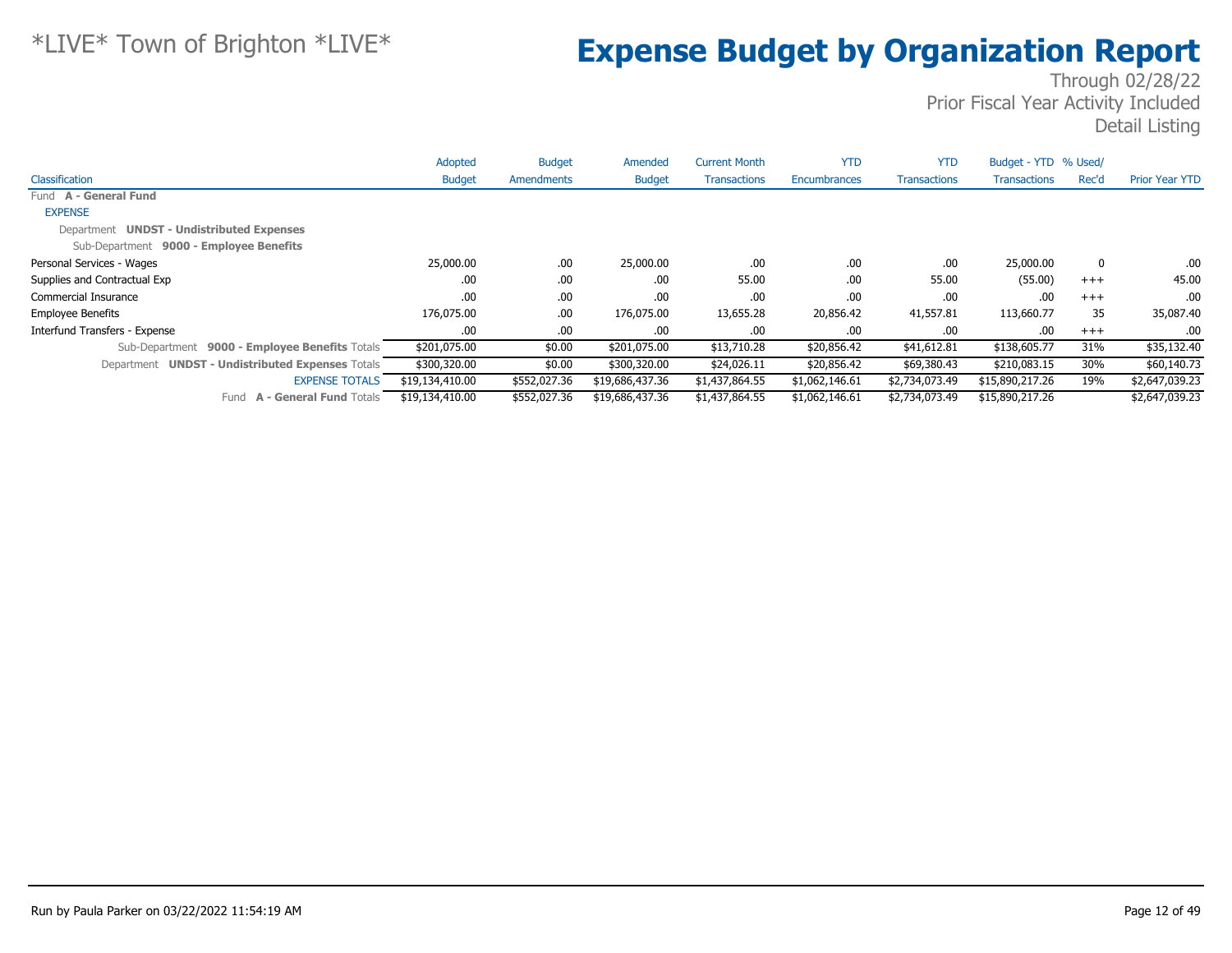|                                                  | Adopted         | <b>Budget</b> | Amended         | <b>Current Month</b> | <b>YTD</b>     | <b>YTD</b>          | Budget - YTD % Used/ |       |                       |
|--------------------------------------------------|-----------------|---------------|-----------------|----------------------|----------------|---------------------|----------------------|-------|-----------------------|
| Classification                                   | <b>Budget</b>   | Amendments    | <b>Budget</b>   | <b>Transactions</b>  | Encumbrances   | <b>Transactions</b> | <b>Transactions</b>  | Rec'd | <b>Prior Year YTD</b> |
| Fund A - General Fund                            |                 |               |                 |                      |                |                     |                      |       |                       |
| <b>EXPENSE</b>                                   |                 |               |                 |                      |                |                     |                      |       |                       |
| Department UNDST - Undistributed Expenses        |                 |               |                 |                      |                |                     |                      |       |                       |
| Sub-Department 9000 - Employee Benefits          |                 |               |                 |                      |                |                     |                      |       |                       |
| Personal Services - Wages                        | 25,000.00       | .00.          | 25,000.00       | .00.                 | .00            | .00                 | 25,000.00            | 0     | .00.                  |
| Supplies and Contractual Exp                     | .00             | .00.          | .00.            | 55.00                | .00            | 55.00               | (55.00)              | $+++$ | 45.00                 |
| Commercial Insurance                             | .00             | .00.          | .00.            | .00.                 | .00            | .00                 | .00                  | $+++$ | .00                   |
| <b>Employee Benefits</b>                         | 176,075.00      | .00.          | 176,075.00      | 13,655.28            | 20,856.42      | 41,557.81           | 113,660.77           | 35    | 35,087.40             |
| Interfund Transfers - Expense                    | .00.            | .00.          | .00.            | .00.                 | .00            | .00.                | .00                  | $+++$ | .00.                  |
| Sub-Department 9000 - Employee Benefits Totals   | \$201,075.00    | \$0.00        | \$201,075.00    | \$13,710.28          | \$20,856.42    | \$41,612.81         | \$138,605.77         | 31%   | \$35,132.40           |
| Department UNDST - Undistributed Expenses Totals | \$300,320.00    | \$0.00        | \$300,320.00    | \$24,026.11          | \$20,856.42    | \$69,380.43         | \$210,083.15         | 30%   | \$60,140.73           |
| <b>EXPENSE TOTALS</b>                            | \$19,134,410.00 | \$552,027.36  | \$19,686,437.36 | \$1,437,864.55       | \$1,062,146.61 | \$2,734,073.49      | \$15,890,217.26      | 19%   | \$2,647,039.23        |
| Fund A - General Fund Totals                     | \$19,134,410.00 | \$552,027.36  | \$19,686,437.36 | \$1,437,864.55       | \$1,062,146.61 | \$2,734,073.49      | \$15,890,217.26      |       | \$2,647,039.23        |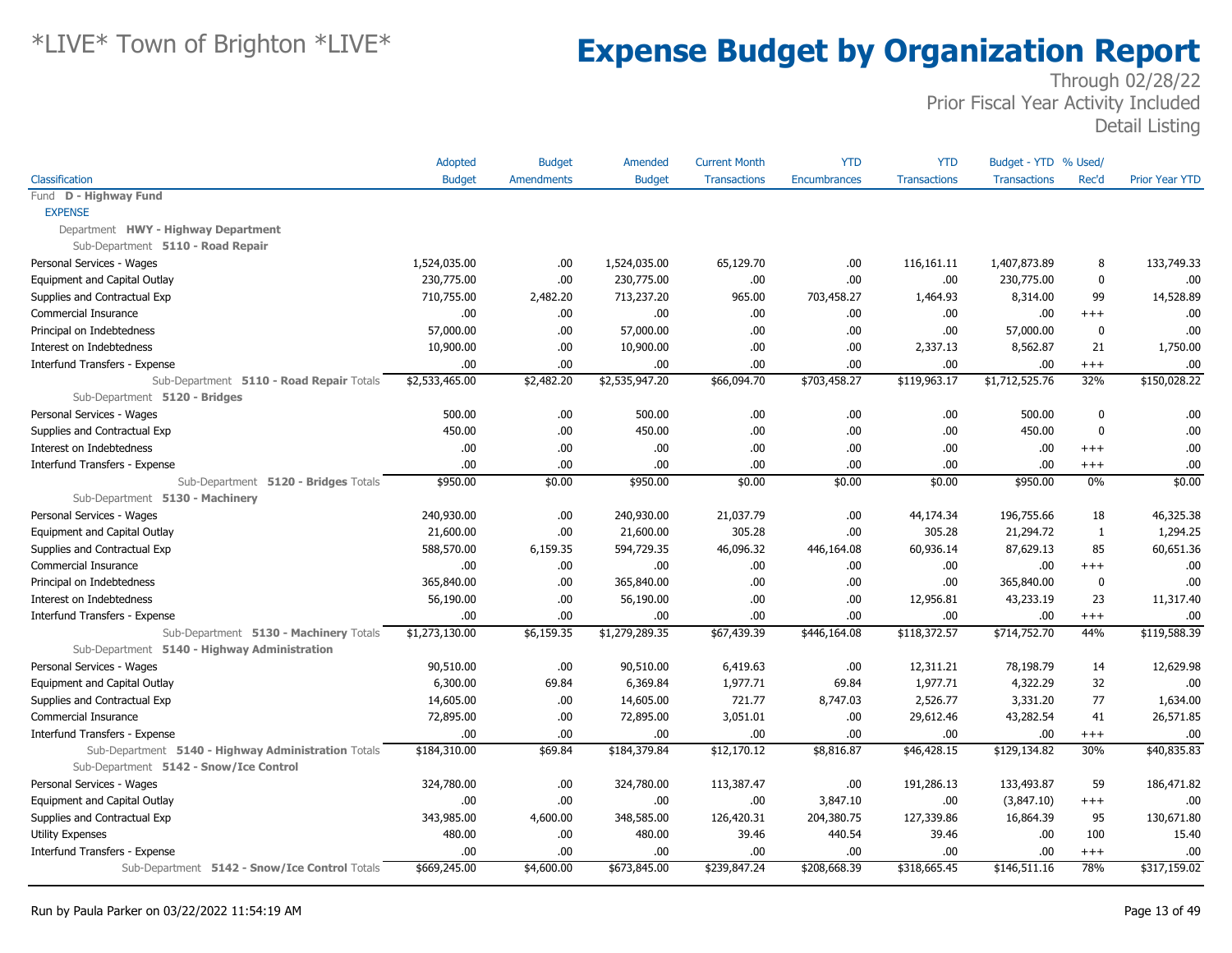|                                                                           | Adopted        | <b>Budget</b>     | Amended        | <b>Current Month</b> | <b>YTD</b>          | <b>YTD</b>          | Budget - YTD % Used/ |              |                       |
|---------------------------------------------------------------------------|----------------|-------------------|----------------|----------------------|---------------------|---------------------|----------------------|--------------|-----------------------|
| Classification                                                            | <b>Budget</b>  | <b>Amendments</b> | <b>Budget</b>  | <b>Transactions</b>  | <b>Encumbrances</b> | <b>Transactions</b> | <b>Transactions</b>  | Rec'd        | <b>Prior Year YTD</b> |
| Fund D - Highway Fund                                                     |                |                   |                |                      |                     |                     |                      |              |                       |
| <b>EXPENSE</b>                                                            |                |                   |                |                      |                     |                     |                      |              |                       |
| Department HWY - Highway Department                                       |                |                   |                |                      |                     |                     |                      |              |                       |
| Sub-Department 5110 - Road Repair                                         |                |                   |                |                      |                     |                     |                      |              |                       |
| Personal Services - Wages                                                 | 1,524,035.00   | .00               | 1,524,035.00   | 65,129.70            | .00.                | 116,161.11          | 1,407,873.89         | 8            | 133,749.33            |
| Equipment and Capital Outlay                                              | 230,775.00     | .00.              | 230,775.00     | .00                  | .00.                | .00                 | 230,775.00           | $\mathbf 0$  | .00                   |
| Supplies and Contractual Exp                                              | 710,755.00     | 2,482.20          | 713,237.20     | 965.00               | 703,458.27          | 1,464.93            | 8,314.00             | 99           | 14,528.89             |
| Commercial Insurance                                                      | .00            | .00.              | .00.           | .00.                 | .00.                | .00.                | .00                  | $+++$        | .00                   |
| Principal on Indebtedness                                                 | 57,000.00      | .00               | 57,000.00      | .00                  | .00.                | .00                 | 57,000.00            | 0            | .00                   |
| Interest on Indebtedness                                                  | 10,900.00      | .00               | 10,900.00      | .00                  | .00                 | 2,337.13            | 8,562.87             | 21           | 1,750.00              |
| Interfund Transfers - Expense                                             | .00            | .00               | .00.           | .00.                 | .00.                | .00                 | .00                  | $^{+++}$     | .00                   |
| Sub-Department 5110 - Road Repair Totals<br>Sub-Department 5120 - Bridges | \$2,533,465.00 | \$2,482.20        | \$2,535,947.20 | \$66,094.70          | \$703,458.27        | \$119,963.17        | \$1,712,525.76       | 32%          | \$150,028.22          |
| Personal Services - Wages                                                 | 500.00         | .00.              | 500.00         | .00.                 | .00.                | .00                 | 500.00               | $\mathbf 0$  | .00                   |
| Supplies and Contractual Exp                                              | 450.00         | .00.              | 450.00         | .00                  | .00.                | .00                 | 450.00               | $\mathbf 0$  | .00                   |
| Interest on Indebtedness                                                  | .00.           | .00               | .00.           | .00                  | .00                 | .00                 | .00.                 | $^{++}$      | .00                   |
| Interfund Transfers - Expense                                             | .00.           | .00               | .00            | .00                  | .00.                | .00                 | .00                  | $^{+++}$     | .00                   |
| Sub-Department 5120 - Bridges Totals                                      | \$950.00       | \$0.00            | \$950.00       | \$0.00               | \$0.00              | \$0.00              | \$950.00             | 0%           | \$0.00                |
| Sub-Department 5130 - Machinery                                           |                |                   |                |                      |                     |                     |                      |              |                       |
| Personal Services - Wages                                                 | 240,930.00     | .00               | 240,930.00     | 21,037.79            | .00.                | 44,174.34           | 196,755.66           | 18           | 46,325.38             |
| Equipment and Capital Outlay                                              | 21,600.00      | .00               | 21,600.00      | 305.28               | .00                 | 305.28              | 21,294.72            | $\mathbf{1}$ | 1,294.25              |
| Supplies and Contractual Exp                                              | 588,570.00     | 6,159.35          | 594,729.35     | 46,096.32            | 446,164.08          | 60,936.14           | 87,629.13            | 85           | 60,651.36             |
| Commercial Insurance                                                      | .00.           | .00.              | .00.           | .00.                 | .00.                | .00                 | .00                  | $^{+++}$     | .00                   |
| Principal on Indebtedness                                                 | 365,840.00     | .00               | 365,840.00     | .00                  | .00                 | .00                 | 365,840.00           | $\mathbf 0$  | .00                   |
| Interest on Indebtedness                                                  | 56,190.00      | .00.              | 56,190.00      | .00.                 | .00.                | 12,956.81           | 43,233.19            | 23           | 11,317.40             |
| Interfund Transfers - Expense                                             | .00.           | .00               | .00.           | .00                  | .00.                | .00                 | .00.                 | $^{+++}$     | .00                   |
| Sub-Department 5130 - Machinery Totals                                    | \$1,273,130.00 | \$6,159.35        | \$1,279,289.35 | \$67,439.39          | \$446,164.08        | \$118,372.57        | \$714,752.70         | 44%          | \$119,588.39          |
| Sub-Department 5140 - Highway Administration                              |                |                   |                |                      |                     |                     |                      |              |                       |
| Personal Services - Wages                                                 | 90,510.00      | .00.              | 90,510.00      | 6,419.63             | .00.                | 12,311.21           | 78,198.79            | 14           | 12,629.98             |
| Equipment and Capital Outlay                                              | 6,300.00       | 69.84             | 6,369.84       | 1,977.71             | 69.84               | 1,977.71            | 4,322.29             | 32           | .00                   |
| Supplies and Contractual Exp                                              | 14,605.00      | .00               | 14,605.00      | 721.77               | 8,747.03            | 2,526.77            | 3,331.20             | 77           | 1,634.00              |
| Commercial Insurance                                                      | 72,895.00      | .00.              | 72,895.00      | 3,051.01             | .00.                | 29,612.46           | 43,282.54            | 41           | 26,571.85             |
| Interfund Transfers - Expense                                             | .00.           | .00               | .00.           | .00.                 | .00.                | .00                 | .00                  | $^{+++}$     | .00                   |
| Sub-Department 5140 - Highway Administration Totals                       | \$184,310.00   | \$69.84           | \$184,379.84   | \$12,170.12          | \$8,816.87          | \$46,428.15         | \$129,134.82         | 30%          | \$40,835.83           |
| Sub-Department 5142 - Snow/Ice Control                                    |                |                   |                |                      |                     |                     |                      |              |                       |
| Personal Services - Wages                                                 | 324,780.00     | .00               | 324,780.00     | 113,387.47           | .00.                | 191,286.13          | 133,493.87           | 59           | 186,471.82            |
| Equipment and Capital Outlay                                              | .00.           | .00               | .00.           | .00.                 | 3,847.10            | .00                 | (3,847.10)           | $^{+++}$     | .00                   |
| Supplies and Contractual Exp                                              | 343,985.00     | 4,600.00          | 348,585.00     | 126,420.31           | 204,380.75          | 127,339.86          | 16,864.39            | 95           | 130,671.80            |
| Utility Expenses                                                          | 480.00         | .00.              | 480.00         | 39.46                | 440.54              | 39.46               | .00.                 | 100          | 15.40                 |
| Interfund Transfers - Expense                                             | .00.           | .00               | .00            | .00                  | .00.                | .00                 | .00                  | $^{+++}$     | .00                   |
| Sub-Department 5142 - Snow/Ice Control Totals                             | \$669,245.00   | \$4,600.00        | \$673,845.00   | \$239,847.24         | \$208,668.39        | \$318,665.45        | \$146,511.16         | 78%          | \$317,159.02          |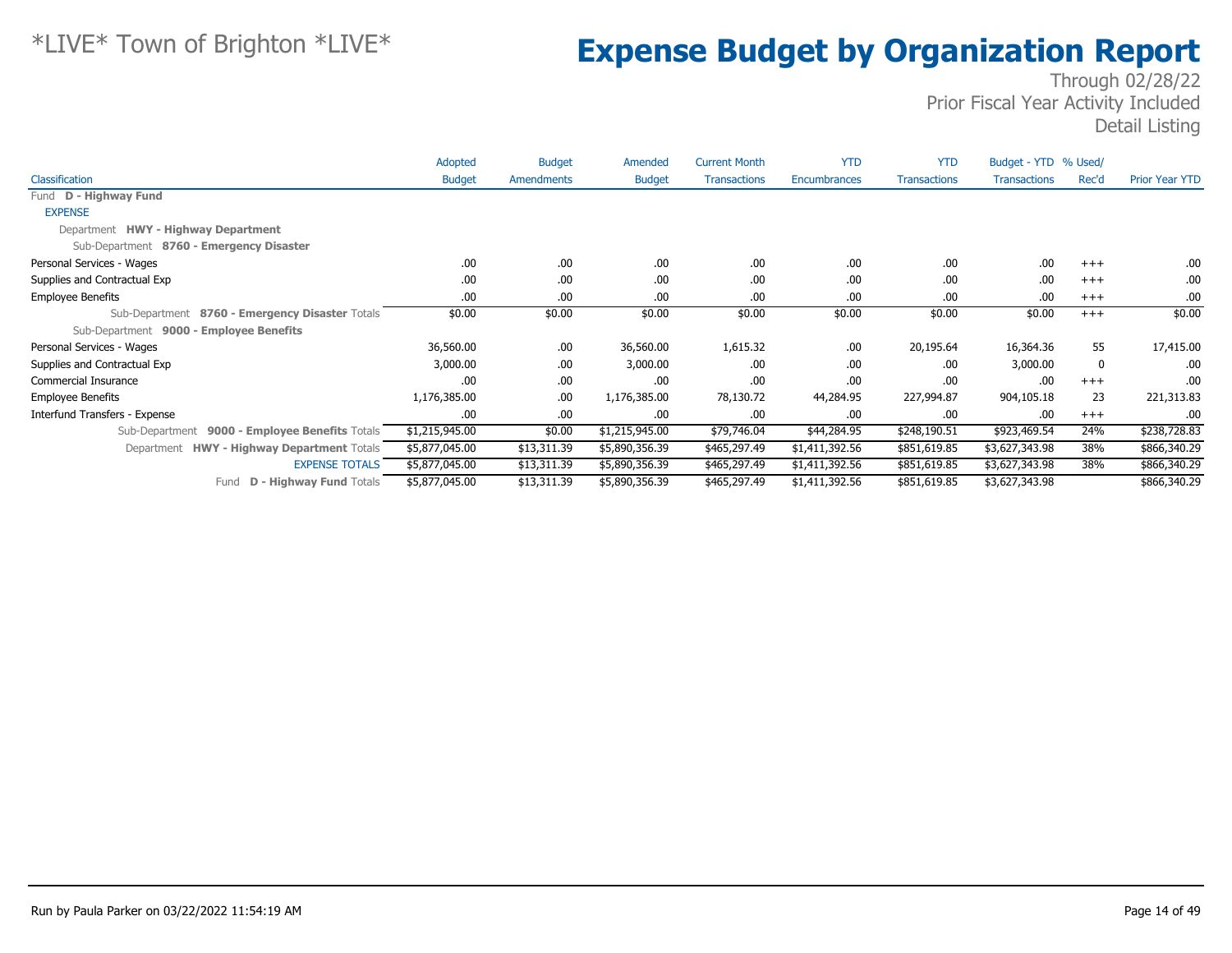|                                                      | Adopted        | <b>Budget</b> | Amended        | <b>Current Month</b> | <b>YTD</b>     | <b>YTD</b>          | Budget - YTD % Used/ |       |                       |
|------------------------------------------------------|----------------|---------------|----------------|----------------------|----------------|---------------------|----------------------|-------|-----------------------|
| <b>Classification</b>                                | <b>Budget</b>  | Amendments    | <b>Budget</b>  | <b>Transactions</b>  | Encumbrances   | <b>Transactions</b> | <b>Transactions</b>  | Rec'd | <b>Prior Year YTD</b> |
| Fund D - Highway Fund                                |                |               |                |                      |                |                     |                      |       |                       |
| <b>EXPENSE</b>                                       |                |               |                |                      |                |                     |                      |       |                       |
| Department HWY - Highway Department                  |                |               |                |                      |                |                     |                      |       |                       |
| Sub-Department 8760 - Emergency Disaster             |                |               |                |                      |                |                     |                      |       |                       |
| Personal Services - Wages                            | .00            | .00.          | .00.           | .00                  | .00            | .00                 | .00                  | $+++$ | .00.                  |
| Supplies and Contractual Exp                         | .00            | .00.          | .00.           | .00                  | .00            | .00                 | .00                  | $+++$ | .00                   |
| <b>Employee Benefits</b>                             | .00            | .00           | .00.           | .00                  | .00            | .00                 | .00                  | $+++$ | .00                   |
| Sub-Department 8760 - Emergency Disaster Totals      | \$0.00         | \$0.00        | \$0.00         | \$0.00               | \$0.00         | \$0.00              | \$0.00               | $+++$ | \$0.00                |
| Sub-Department 9000 - Employee Benefits              |                |               |                |                      |                |                     |                      |       |                       |
| Personal Services - Wages                            | 36,560.00      | .00.          | 36,560.00      | 1,615.32             | .00            | 20,195.64           | 16,364.36            | 55    | 17,415.00             |
| Supplies and Contractual Exp                         | 3,000.00       | .00.          | 3,000.00       | .00.                 | .00            | .00                 | 3,000.00             | 0     | .00.                  |
| Commercial Insurance                                 | .00            | .00.          | .00            | .00                  | .00            | .00                 | .00                  | $+++$ | .00.                  |
| <b>Employee Benefits</b>                             | 1,176,385.00   | .00.          | 1,176,385.00   | 78,130.72            | 44,284.95      | 227,994.87          | 904,105.18           | 23    | 221,313.83            |
| Interfund Transfers - Expense                        | .00.           | .00.          | .00.           | .00.                 | .00            | .00                 | .00                  | $+++$ | .00.                  |
| 9000 - Employee Benefits Totals<br>Sub-Department    | \$1,215,945.00 | \$0.00        | \$1,215,945.00 | \$79,746.04          | \$44,284.95    | \$248,190.51        | \$923,469.54         | 24%   | \$238,728.83          |
| <b>HWY - Highway Department Totals</b><br>Department | \$5,877,045.00 | \$13,311.39   | \$5,890,356.39 | \$465,297.49         | \$1,411,392.56 | \$851,619.85        | \$3,627,343.98       | 38%   | \$866,340.29          |
| <b>EXPENSE TOTALS</b>                                | \$5,877,045.00 | \$13,311.39   | \$5,890,356.39 | \$465,297.49         | \$1,411,392.56 | \$851,619.85        | \$3,627,343.98       | 38%   | \$866,340.29          |
| <b>D - Highway Fund Totals</b><br>Fund               | \$5,877,045.00 | \$13,311.39   | \$5,890,356.39 | \$465,297.49         | \$1,411,392.56 | \$851,619.85        | \$3,627,343.98       |       | \$866,340.29          |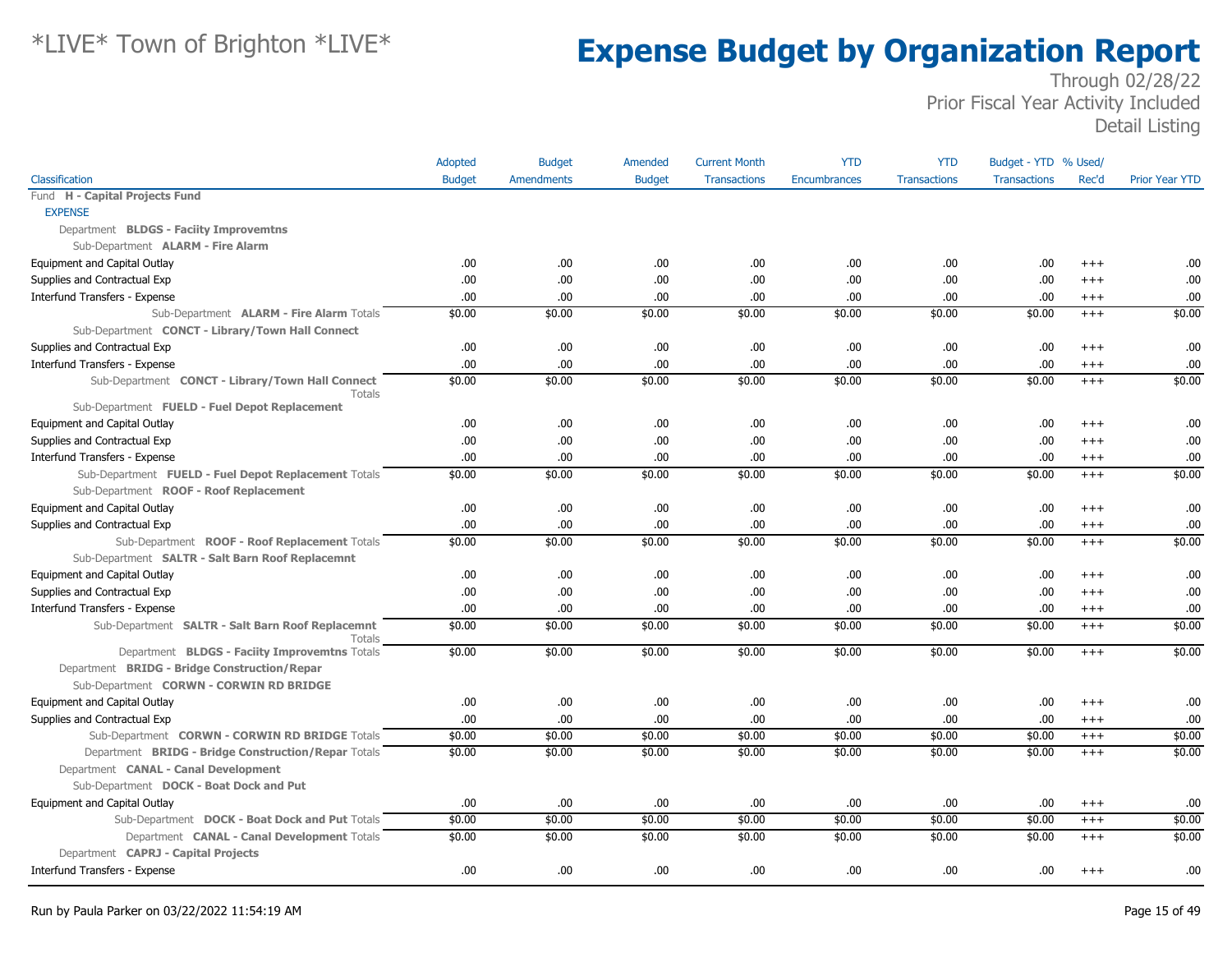|                                                                   | Adopted       | <b>Budget</b>     | Amended       | <b>Current Month</b> | <b>YTD</b>          | <b>YTD</b>          | Budget - YTD % Used/ |          |                       |
|-------------------------------------------------------------------|---------------|-------------------|---------------|----------------------|---------------------|---------------------|----------------------|----------|-----------------------|
| Classification                                                    | <b>Budget</b> | <b>Amendments</b> | <b>Budget</b> | <b>Transactions</b>  | <b>Encumbrances</b> | <b>Transactions</b> | <b>Transactions</b>  | Rec'd    | <b>Prior Year YTD</b> |
| Fund H - Capital Projects Fund                                    |               |                   |               |                      |                     |                     |                      |          |                       |
| <b>EXPENSE</b>                                                    |               |                   |               |                      |                     |                     |                      |          |                       |
| Department BLDGS - Faciity Improvemtns                            |               |                   |               |                      |                     |                     |                      |          |                       |
| Sub-Department ALARM - Fire Alarm                                 |               |                   |               |                      |                     |                     |                      |          |                       |
| Equipment and Capital Outlay                                      | .00           | .00.              | .00           | .00                  | .00                 | .00                 | .00                  | $^{++}$  | .00.                  |
| Supplies and Contractual Exp                                      | .00           | .00.              | .00           | .00                  | .00                 | .00                 | .00                  | $^{+++}$ | .00                   |
| Interfund Transfers - Expense                                     | .00           | .00               | .00           | .00                  | .00                 | .00                 | .00                  | $^{++}$  | .00                   |
| Sub-Department ALARM - Fire Alarm Totals                          | \$0.00        | \$0.00            | \$0.00        | \$0.00               | \$0.00              | \$0.00              | \$0.00               | $+++$    | \$0.00                |
| Sub-Department CONCT - Library/Town Hall Connect                  |               |                   |               |                      |                     |                     |                      |          |                       |
| Supplies and Contractual Exp                                      | .00.          | .00.              | .00.          | .00                  | .00                 | .00                 | .00                  | $^{+++}$ | .00                   |
| Interfund Transfers - Expense                                     | .00.          | .00.              | .00.          | .00.                 | .00                 | .00                 | .00                  | $^{+++}$ | .00                   |
| Sub-Department CONCT - Library/Town Hall Connect<br><b>Totals</b> | \$0.00        | \$0.00            | \$0.00        | \$0.00               | \$0.00              | \$0.00              | \$0.00               | $^{+++}$ | \$0.00                |
| Sub-Department FUELD - Fuel Depot Replacement                     |               |                   |               |                      |                     |                     |                      |          |                       |
| Equipment and Capital Outlay                                      | .00           | .00.              | .00.          | .00                  | .00                 | .00                 | .00                  | $^{+++}$ | .00                   |
| Supplies and Contractual Exp                                      | .00           | .00.              | .00.          | .00                  | .00                 | .00                 | .00                  | $^{+++}$ | .00                   |
| Interfund Transfers - Expense                                     | .00           | .00               | .00.          | .00                  | .00                 | .00                 | .00                  | $^{+++}$ | .00                   |
| Sub-Department FUELD - Fuel Depot Replacement Totals              | \$0.00        | \$0.00            | \$0.00        | \$0.00               | \$0.00              | \$0.00              | \$0.00               | $+++$    | \$0.00                |
| Sub-Department ROOF - Roof Replacement                            |               |                   |               |                      |                     |                     |                      |          |                       |
| Equipment and Capital Outlay                                      | .00.          | .00.              | .00.          | .00                  | .00                 | .00                 | .00                  | $^{+++}$ | .00                   |
| Supplies and Contractual Exp                                      | .00.          | .00.              | .00.          | .00                  | .00                 | .00                 | .00                  | $^{+++}$ | .00                   |
| Sub-Department ROOF - Roof Replacement Totals                     | \$0.00        | \$0.00            | \$0.00        | \$0.00               | \$0.00              | \$0.00              | \$0.00               | $+++$    | \$0.00                |
| Sub-Department SALTR - Salt Barn Roof Replacemnt                  |               |                   |               |                      |                     |                     |                      |          |                       |
| Equipment and Capital Outlay                                      | .00.          | .00.              | .00.          | .00.                 | .00                 | .00                 | .00                  | $^{++}$  | .00                   |
| Supplies and Contractual Exp                                      | .00.          | .00               | .00           | .00                  | .00                 | .00                 | .00                  | $^{++}$  | .00                   |
| Interfund Transfers - Expense                                     | .00.          | .00.              | .00.          | .00.                 | .00                 | .00                 | .00                  | $^{+++}$ | .00.                  |
| Sub-Department SALTR - Salt Barn Roof Replacemnt<br>Totals        | \$0.00        | \$0.00            | \$0.00        | \$0.00               | \$0.00              | \$0.00              | \$0.00               | $+++$    | \$0.00                |
| Department BLDGS - Faciity Improvemtns Totals                     | \$0.00        | \$0.00            | \$0.00        | \$0.00               | \$0.00              | \$0.00              | \$0.00               | $+++$    | \$0.00                |
| Department BRIDG - Bridge Construction/Repar                      |               |                   |               |                      |                     |                     |                      |          |                       |
| Sub-Department CORWN - CORWIN RD BRIDGE                           |               |                   |               |                      |                     |                     |                      |          |                       |
| Equipment and Capital Outlay                                      | .00.          | .00.              | .00.          | .00                  | .00                 | .00                 | .00                  | $^{+++}$ | .00                   |
| Supplies and Contractual Exp                                      | .00.          | .00.              | .00.          | .00                  | .00                 | .00.                | .00                  | $^{++}$  | .00                   |
| Sub-Department CORWN - CORWIN RD BRIDGE Totals                    | \$0.00        | \$0.00            | \$0.00        | \$0.00               | \$0.00              | \$0.00              | \$0.00               | $+++$    | \$0.00                |
| Department BRIDG - Bridge Construction/Repar Totals               | \$0.00        | \$0.00            | \$0.00        | \$0.00               | \$0.00              | \$0.00              | \$0.00               | $+++$    | \$0.00                |
| Department CANAL - Canal Development                              |               |                   |               |                      |                     |                     |                      |          |                       |
| Sub-Department DOCK - Boat Dock and Put                           |               |                   |               |                      |                     |                     |                      |          |                       |
| Equipment and Capital Outlay                                      | .00           | .00               | .00           | .00                  | .00                 | .00                 | .00                  | $^{+++}$ | .00                   |
| Sub-Department DOCK - Boat Dock and Put Totals                    | \$0.00        | \$0.00            | \$0.00        | \$0.00               | \$0.00              | \$0.00              | \$0.00               | $+++$    | \$0.00                |
| Department CANAL - Canal Development Totals                       | \$0.00        | \$0.00            | \$0.00        | \$0.00               | \$0.00              | \$0.00              | \$0.00               | $+++$    | \$0.00                |
| Department CAPRJ - Capital Projects                               |               |                   |               |                      |                     |                     |                      |          |                       |
| Interfund Transfers - Expense                                     | .00           | .00               | .00.          | .00.                 | .00                 | .00                 | .00                  | $^{++}$  | .00.                  |
|                                                                   |               |                   |               |                      |                     |                     |                      |          |                       |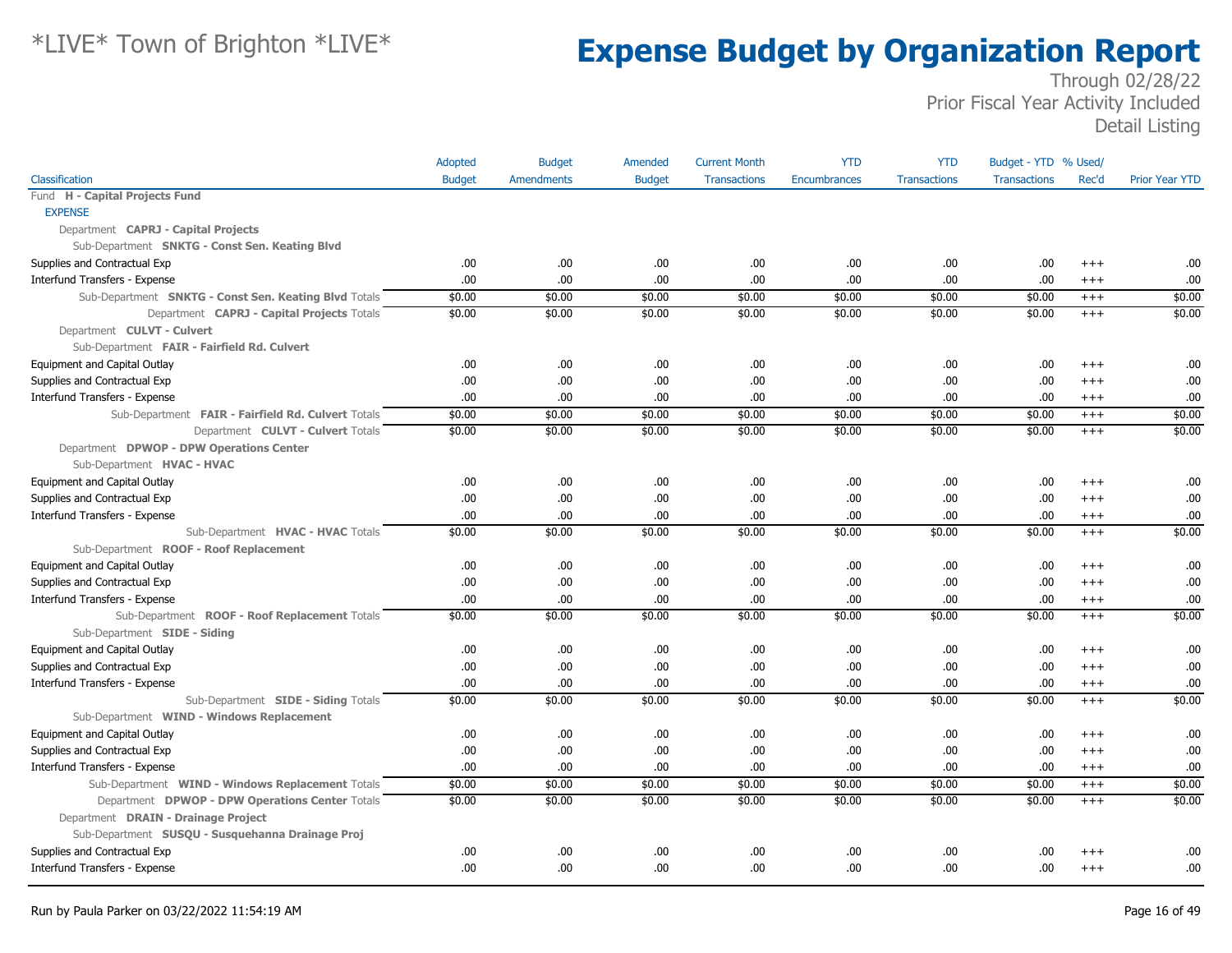|                                                       | Adopted       | <b>Budget</b>     | Amended       | <b>Current Month</b> | <b>YTD</b>          | <b>YTD</b>          | Budget - YTD % Used/ |          |                       |
|-------------------------------------------------------|---------------|-------------------|---------------|----------------------|---------------------|---------------------|----------------------|----------|-----------------------|
| Classification                                        | <b>Budget</b> | <b>Amendments</b> | <b>Budget</b> | <b>Transactions</b>  | <b>Encumbrances</b> | <b>Transactions</b> | <b>Transactions</b>  | Rec'd    | <b>Prior Year YTD</b> |
| Fund H - Capital Projects Fund                        |               |                   |               |                      |                     |                     |                      |          |                       |
| <b>EXPENSE</b>                                        |               |                   |               |                      |                     |                     |                      |          |                       |
| Department CAPRJ - Capital Projects                   |               |                   |               |                      |                     |                     |                      |          |                       |
| Sub-Department SNKTG - Const Sen. Keating Blvd        |               |                   |               |                      |                     |                     |                      |          |                       |
| Supplies and Contractual Exp                          | .00.          | .00.              | .00.          | .00                  | .00                 | .00.                | .00.                 | $+++$    | .00                   |
| Interfund Transfers - Expense                         | .00.          | .00               | .00.          | .00                  | .00                 | .00                 | .00.                 | $+++$    | .00                   |
| Sub-Department SNKTG - Const Sen. Keating Blvd Totals | \$0.00        | \$0.00            | \$0.00        | \$0.00               | \$0.00              | \$0.00              | \$0.00               | $+++$    | \$0.00                |
| Department CAPRJ - Capital Projects Totals            | \$0.00        | \$0.00            | \$0.00        | \$0.00               | \$0.00              | \$0.00              | \$0.00               | $^{+++}$ | \$0.00                |
| Department CULVT - Culvert                            |               |                   |               |                      |                     |                     |                      |          |                       |
| Sub-Department FAIR - Fairfield Rd. Culvert           |               |                   |               |                      |                     |                     |                      |          |                       |
| Equipment and Capital Outlay                          | .00.          | .00.              | .00.          | .00                  | .00                 | .00.                | .00.                 | $^{+++}$ | .00                   |
| Supplies and Contractual Exp                          | .00           | .00               | .00.          | .00                  | .00                 | .00                 | .00.                 | $^{+++}$ | .00                   |
| Interfund Transfers - Expense                         | .00.          | .00               | .00           | .00                  | .00                 | .00                 | .00.                 | $^{+++}$ | .00                   |
| Sub-Department FAIR - Fairfield Rd. Culvert Totals    | \$0.00        | \$0.00            | \$0.00        | \$0.00               | \$0.00              | \$0.00              | \$0.00               | $+++$    | \$0.00                |
| Department CULVT - Culvert Totals                     | \$0.00        | \$0.00            | \$0.00        | \$0.00               | \$0.00              | \$0.00              | \$0.00               | $^{+++}$ | \$0.00                |
| Department DPWOP - DPW Operations Center              |               |                   |               |                      |                     |                     |                      |          |                       |
| Sub-Department HVAC - HVAC                            |               |                   |               |                      |                     |                     |                      |          |                       |
| Equipment and Capital Outlay                          | .00.          | .00.              | .00.          | .00                  | .00                 | .00                 | .00.                 | $^{+++}$ | .00                   |
| Supplies and Contractual Exp                          | .00           | .00               | .00.          | .00                  | .00                 | .00                 | .00.                 | $+++$    | .00                   |
| Interfund Transfers - Expense                         | .00.          | .00               | .00           | .00                  | .00                 | .00                 | .00.                 | $^{+++}$ | .00                   |
| Sub-Department HVAC - HVAC Totals                     | \$0.00        | \$0.00            | \$0.00        | \$0.00               | \$0.00              | \$0.00              | \$0.00               | $^{+++}$ | \$0.00                |
| Sub-Department ROOF - Roof Replacement                |               |                   |               |                      |                     |                     |                      |          |                       |
| Equipment and Capital Outlay                          | .00.          | .00.              | .00.          | .00                  | .00                 | .00.                | .00.                 | $+++$    | .00                   |
| Supplies and Contractual Exp                          | .00.          | .00               | .00.          | .00                  | .00                 | .00                 | .00.                 | $++++$   | .00                   |
| Interfund Transfers - Expense                         | .00.          | .00.              | .00.          | .00                  | .00                 | .00.                | .00.                 | $^{+++}$ | .00                   |
| Sub-Department ROOF - Roof Replacement Totals         | \$0.00        | \$0.00            | \$0.00        | \$0.00               | \$0.00              | \$0.00              | \$0.00               | $+++$    | \$0.00                |
| Sub-Department SIDE - Siding                          |               |                   |               |                      |                     |                     |                      |          |                       |
| Equipment and Capital Outlay                          | .00           | .00               | .00.          | .00                  | .00                 | .00                 | .00.                 | $+++$    | .00                   |
| Supplies and Contractual Exp                          | .00           | .00.              | .00           | .00                  | .00                 | .00                 | .00.                 | $^{+++}$ | .00                   |
| Interfund Transfers - Expense                         | .00           | .00.              | .00           | .00                  | .00                 | .00.                | .00.                 | $+++$    | .00                   |
| Sub-Department SIDE - Siding Totals                   | \$0.00        | \$0.00            | \$0.00        | \$0.00               | \$0.00              | \$0.00              | \$0.00               | $^{+++}$ | \$0.00                |
| Sub-Department WIND - Windows Replacement             |               |                   |               |                      |                     |                     |                      |          |                       |
| Equipment and Capital Outlay                          | .00.          | .00               | .00.          | .00                  | .00                 | .00.                | .00                  | $^{++}$  | .00                   |
| Supplies and Contractual Exp                          | .00.          | .00               | .00.          | .00                  | .00                 | .00                 | .00.                 | $^{+++}$ | .00                   |
| Interfund Transfers - Expense                         | .00.          | .00               | .00.          | .00                  | .00                 | .00                 | .00.                 | $^{+++}$ | .00                   |
| Sub-Department WIND - Windows Replacement Totals      | \$0.00        | \$0.00            | \$0.00        | \$0.00               | \$0.00              | \$0.00              | \$0.00               | $^{+++}$ | \$0.00                |
| Department DPWOP - DPW Operations Center Totals       | \$0.00        | \$0.00            | \$0.00        | \$0.00               | \$0.00              | \$0.00              | \$0.00               | $^{+++}$ | \$0.00                |
| Department DRAIN - Drainage Project                   |               |                   |               |                      |                     |                     |                      |          |                       |
| Sub-Department SUSQU - Susquehanna Drainage Proj      |               |                   |               |                      |                     |                     |                      |          |                       |
| Supplies and Contractual Exp                          | .00.          | .00               | .00.          | .00                  | .00                 | .00                 | .00                  | $+++$    | .00                   |
| Interfund Transfers - Expense                         | .00.          | .00               | .00           | .00                  | .00                 | .00.                | .00.                 | $^{+++}$ | .00                   |
|                                                       |               |                   |               |                      |                     |                     |                      |          |                       |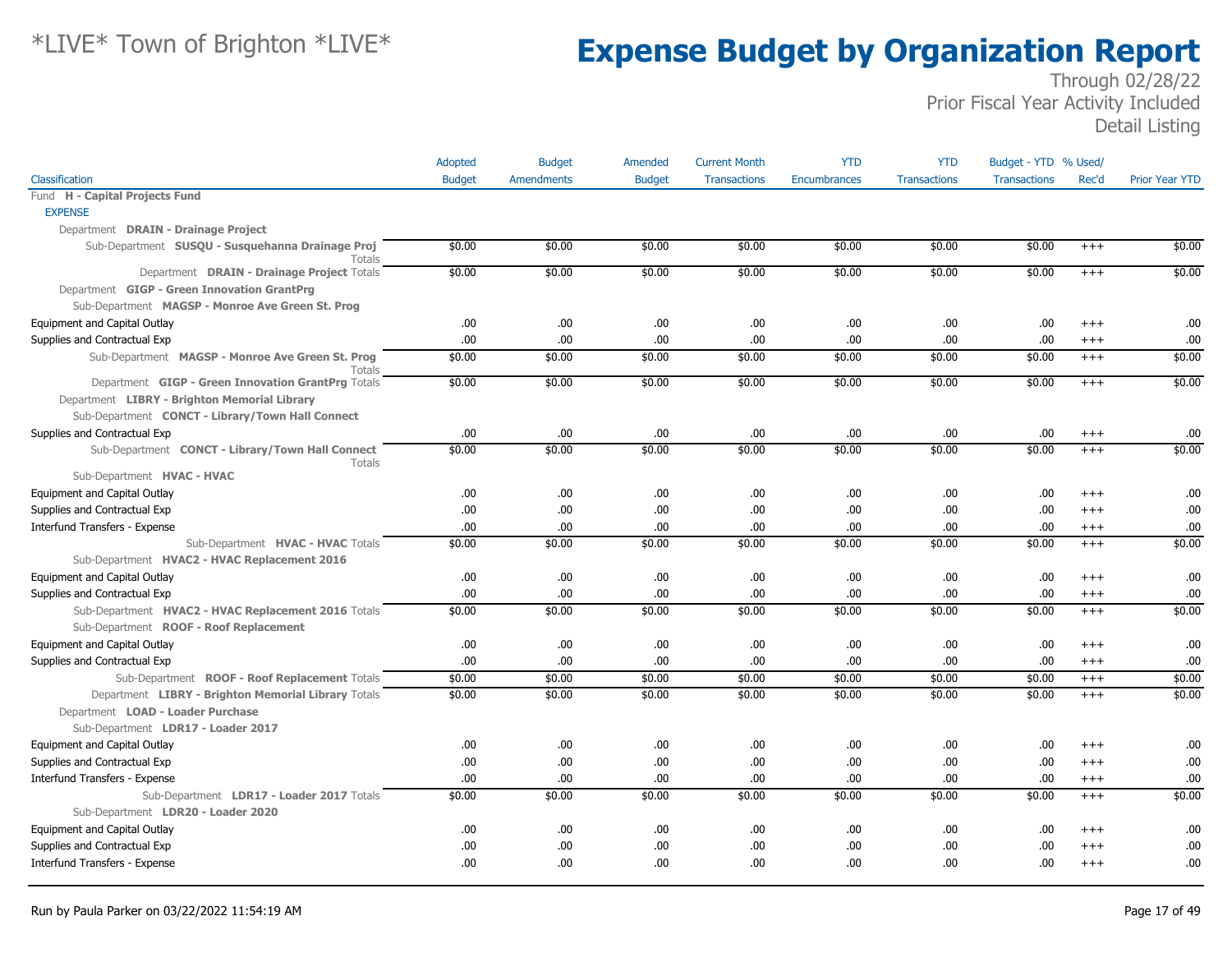|                                                                   | Adopted       | <b>Budget</b>     | Amended       | <b>Current Month</b> | <b>YTD</b>   | <b>YTD</b>          | Budget - YTD % Used/ |          |                       |
|-------------------------------------------------------------------|---------------|-------------------|---------------|----------------------|--------------|---------------------|----------------------|----------|-----------------------|
| Classification                                                    | <b>Budget</b> | <b>Amendments</b> | <b>Budget</b> | <b>Transactions</b>  | Encumbrances | <b>Transactions</b> | <b>Transactions</b>  | Rec'd    | <b>Prior Year YTD</b> |
| Fund H - Capital Projects Fund                                    |               |                   |               |                      |              |                     |                      |          |                       |
| <b>EXPENSE</b>                                                    |               |                   |               |                      |              |                     |                      |          |                       |
| Department DRAIN - Drainage Project                               |               |                   |               |                      |              |                     |                      |          |                       |
| Sub-Department SUSQU - Susquehanna Drainage Proj<br>Totals        | \$0.00        | \$0.00            | \$0.00        | \$0.00               | \$0.00       | \$0.00              | \$0.00               | $^{+++}$ | \$0.00                |
| Department DRAIN - Drainage Project Totals                        | \$0.00        | \$0.00            | \$0.00        | \$0.00               | \$0.00       | \$0.00              | \$0.00               | $^{+++}$ | \$0.00                |
| Department GIGP - Green Innovation GrantPrg                       |               |                   |               |                      |              |                     |                      |          |                       |
| Sub-Department MAGSP - Monroe Ave Green St. Prog                  |               |                   |               |                      |              |                     |                      |          |                       |
| Equipment and Capital Outlay                                      | .00           | .00.              | .00           | .00.                 | .00.         | .00                 | .00                  | $^{+++}$ | .00                   |
| Supplies and Contractual Exp                                      | .00           | .00.              | .00           | .00.                 | .00          | .00                 | .00                  | $^{+++}$ | .00                   |
| Sub-Department MAGSP - Monroe Ave Green St. Prog<br>Totals        | \$0.00        | \$0.00            | \$0.00        | \$0.00               | \$0.00       | \$0.00              | \$0.00               | $+++$    | \$0.00                |
| Department GIGP - Green Innovation GrantPrg Totals                | \$0.00        | \$0.00            | \$0.00        | \$0.00               | \$0.00       | \$0.00              | \$0.00               | $+++$    | \$0.00                |
| Department LIBRY - Brighton Memorial Library                      |               |                   |               |                      |              |                     |                      |          |                       |
| Sub-Department CONCT - Library/Town Hall Connect                  |               |                   |               |                      |              |                     |                      |          |                       |
| Supplies and Contractual Exp                                      | .00           | .00.              | .00           | .00.                 | .00          | .00                 | .00                  | $^{+++}$ | .00                   |
| Sub-Department CONCT - Library/Town Hall Connect<br><b>Totals</b> | \$0.00        | \$0.00            | \$0.00        | \$0.00               | \$0.00       | \$0.00              | \$0.00               | $^{+++}$ | \$0.00                |
| Sub-Department HVAC - HVAC                                        |               |                   |               |                      |              |                     |                      |          |                       |
| Equipment and Capital Outlay                                      | .00.          | .00.              | .00           | .00.                 | .00          | .00                 | .00                  | $+++$    | .00                   |
| Supplies and Contractual Exp                                      | .00           | .00.              | .00           | .00.                 | .00          | .00                 | .00                  | $+++$    | .00                   |
| Interfund Transfers - Expense                                     | .00           | .00.              | .00           | .00                  | .00          | .00                 | .00                  | $^{+++}$ | .00                   |
| Sub-Department HVAC - HVAC Totals                                 | \$0.00        | \$0.00            | \$0.00        | \$0.00               | \$0.00       | \$0.00              | \$0.00               | $^{+++}$ | \$0.00                |
| Sub-Department HVAC2 - HVAC Replacement 2016                      |               |                   |               |                      |              |                     |                      |          |                       |
| Equipment and Capital Outlay                                      | .00           | .00.              | .00           | .00.                 | .00          | .00                 | .00                  | $^{+++}$ | .00                   |
| Supplies and Contractual Exp                                      | .00           | .00.              | .00           | .00.                 | .00          | .00                 | .00                  | $^{+++}$ | .00                   |
| Sub-Department HVAC2 - HVAC Replacement 2016 Totals               | \$0.00        | \$0.00            | \$0.00        | \$0.00               | \$0.00       | \$0.00              | \$0.00               | $+++$    | \$0.00                |
| Sub-Department ROOF - Roof Replacement                            |               |                   |               |                      |              |                     |                      |          |                       |
| Equipment and Capital Outlay                                      | .00           | .00.              | .00           | .00.                 | .00          | .00                 | .00                  | $^{+++}$ | .00                   |
| Supplies and Contractual Exp                                      | .00           | .00.              | .00           | .00                  | .00          | .00                 | .00                  | $^{+++}$ | .00                   |
| Sub-Department ROOF - Roof Replacement Totals                     | \$0.00        | \$0.00            | \$0.00        | \$0.00               | \$0.00       | \$0.00              | \$0.00               | $^{+++}$ | \$0.00                |
| Department LIBRY - Brighton Memorial Library Totals               | \$0.00        | \$0.00            | \$0.00        | \$0.00               | \$0.00       | \$0.00              | \$0.00               | $+++$    | \$0.00                |
| Department LOAD - Loader Purchase                                 |               |                   |               |                      |              |                     |                      |          |                       |
| Sub-Department LDR17 - Loader 2017                                |               |                   |               |                      |              |                     |                      |          |                       |
| Equipment and Capital Outlay                                      | .00.          | .00.              | .00           | .00.                 | .00          | .00                 | .00                  | $+++$    | .00                   |
| Supplies and Contractual Exp                                      | .00           | .00.              | .00           | .00.                 | .00          | .00                 | .00                  | $+++$    | .00                   |
| Interfund Transfers - Expense                                     | .00           | .00.              | .00           | .00.                 | .00          | .00                 | .00                  | $^{+++}$ | .00                   |
| Sub-Department LDR17 - Loader 2017 Totals                         | \$0.00        | \$0.00            | \$0.00        | \$0.00               | \$0.00       | \$0.00              | \$0.00               | $^{+++}$ | \$0.00                |
| Sub-Department LDR20 - Loader 2020                                |               |                   |               |                      |              |                     |                      |          |                       |
| Equipment and Capital Outlay                                      | .00.          | .00.              | .00           | .00.                 | .00          | .00                 | .00                  | $+++$    | .00                   |
| Supplies and Contractual Exp                                      | .00           | .00.              | .00           | .00                  | .00          | .00                 | .00                  | $^{++}$  | .00                   |
| Interfund Transfers - Expense                                     | .00.          | .00.              | .00           | .00.                 | .00.         | .00.                | .00.                 | $+++$    | .00                   |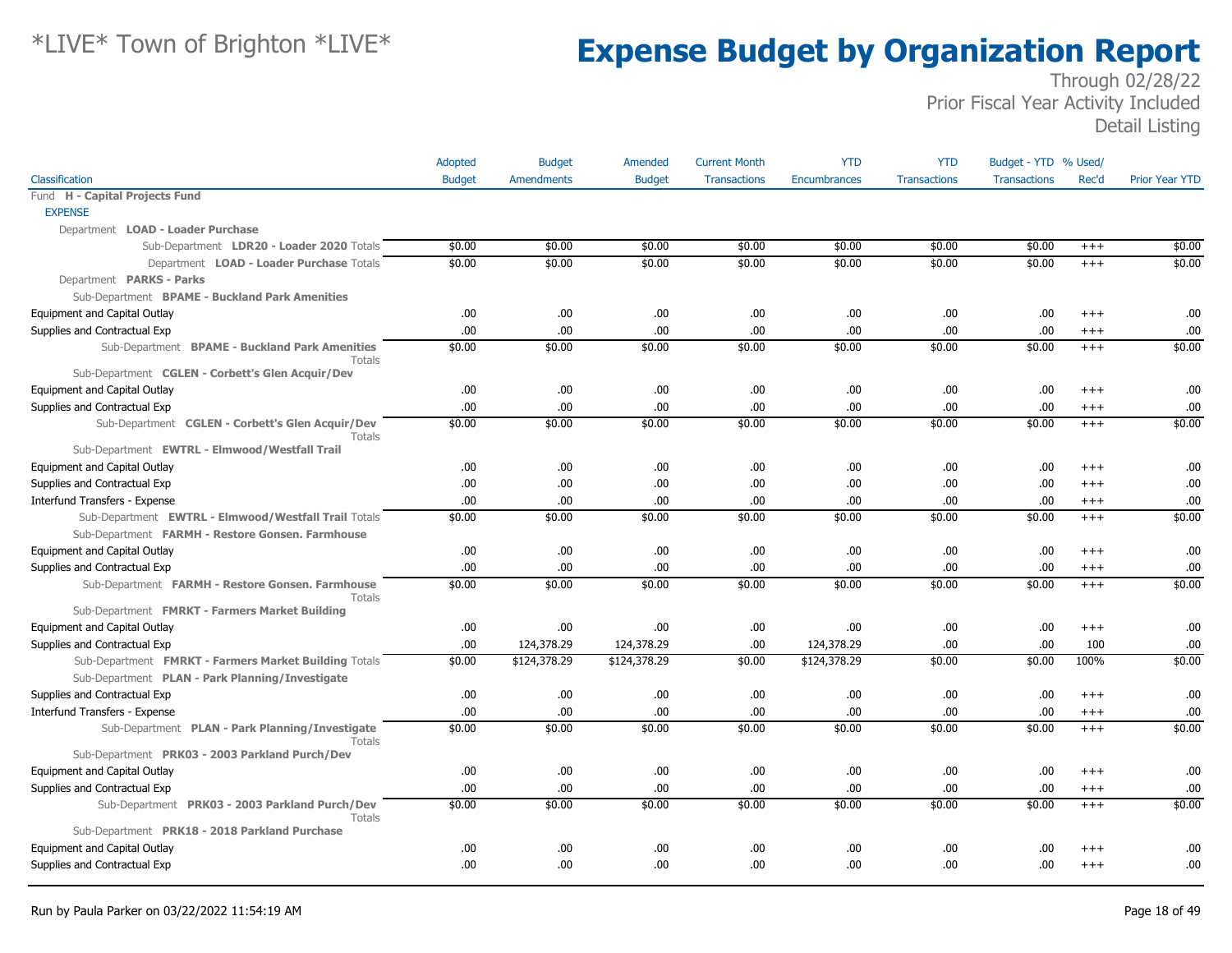|                                                                   | Adopted       | <b>Budget</b>     | Amended       | <b>Current Month</b> | <b>YTD</b>          | <b>YTD</b>          | Budget - YTD % Used/ |          |                       |
|-------------------------------------------------------------------|---------------|-------------------|---------------|----------------------|---------------------|---------------------|----------------------|----------|-----------------------|
| Classification                                                    | <b>Budget</b> | <b>Amendments</b> | <b>Budget</b> | <b>Transactions</b>  | <b>Encumbrances</b> | <b>Transactions</b> | <b>Transactions</b>  | Rec'd    | <b>Prior Year YTD</b> |
| Fund H - Capital Projects Fund                                    |               |                   |               |                      |                     |                     |                      |          |                       |
| <b>EXPENSE</b>                                                    |               |                   |               |                      |                     |                     |                      |          |                       |
| Department LOAD - Loader Purchase                                 |               |                   |               |                      |                     |                     |                      |          |                       |
| Sub-Department LDR20 - Loader 2020 Totals                         | \$0.00        | \$0.00            | \$0.00        | \$0.00               | \$0.00              | \$0.00              | \$0.00               | $+++$    | \$0.00                |
| Department LOAD - Loader Purchase Totals                          | \$0.00        | \$0.00            | \$0.00        | \$0.00               | \$0.00              | \$0.00              | \$0.00               | $+++$    | \$0.00                |
| Department PARKS - Parks                                          |               |                   |               |                      |                     |                     |                      |          |                       |
| Sub-Department BPAME - Buckland Park Amenities                    |               |                   |               |                      |                     |                     |                      |          |                       |
| Equipment and Capital Outlay                                      | .00.          | .00.              | .00.          | .00                  | .00.                | .00                 | .00.                 | $^{++}$  | .00                   |
| Supplies and Contractual Exp                                      | .00.          | .00.              | .00.          | .00                  | .00.                | .00                 | .00.                 | $^{+++}$ | .00                   |
| Sub-Department BPAME - Buckland Park Amenities<br><b>Totals</b>   | \$0.00        | \$0.00            | \$0.00        | \$0.00               | \$0.00              | \$0.00              | \$0.00               | $+++$    | \$0.00                |
| Sub-Department CGLEN - Corbett's Glen Acquir/Dev                  |               |                   |               |                      |                     |                     |                      |          |                       |
| Equipment and Capital Outlay                                      | .00.          | .00.              | .00.          | .00                  | .00                 | .00                 | .00.                 | $+++$    | .00                   |
| Supplies and Contractual Exp                                      | .00           | .00               | .00           | .00                  | .00                 | .00                 | .00.                 | $+++$    | .00                   |
| Sub-Department CGLEN - Corbett's Glen Acquir/Dev<br><b>Totals</b> | \$0.00        | \$0.00            | \$0.00        | \$0.00               | \$0.00              | \$0.00              | \$0.00               | $+++$    | \$0.00                |
| Sub-Department EWTRL - Elmwood/Westfall Trail                     |               |                   |               |                      |                     |                     |                      |          |                       |
| Equipment and Capital Outlay                                      | .00.          | .00.              | .00           | .00                  | .00.                | .00                 | .00.                 | $+++$    | .00                   |
| Supplies and Contractual Exp                                      | .00.          | .00               | .00           | .00                  | .00.                | .00                 | .00.                 | $+++$    | .00                   |
| Interfund Transfers - Expense                                     | .00           | .00.              | .00           | .00                  | .00.                | .00                 | .00                  | $+++$    | .00                   |
| Sub-Department EWTRL - Elmwood/Westfall Trail Totals              | \$0.00        | \$0.00            | \$0.00        | \$0.00               | \$0.00              | \$0.00              | \$0.00               | $+++$    | \$0.00                |
| Sub-Department FARMH - Restore Gonsen. Farmhouse                  |               |                   |               |                      |                     |                     |                      |          |                       |
| Equipment and Capital Outlay                                      | .00.          | .00.              | .00.          | .00                  | .00                 | .00                 | .00.                 | $^{++}$  | .00                   |
| Supplies and Contractual Exp                                      | .00           | .00               | .00.          | .00                  | .00                 | .00                 | .00                  | $+++$    | .00                   |
| Sub-Department FARMH - Restore Gonsen. Farmhouse<br>Totals        | \$0.00        | \$0.00            | \$0.00        | \$0.00               | \$0.00              | \$0.00              | \$0.00               | $+++$    | \$0.00                |
| Sub-Department FMRKT - Farmers Market Building                    |               |                   |               |                      |                     |                     |                      |          |                       |
| Equipment and Capital Outlay                                      | .00.          | .00.              | .00           | .00                  | .00.                | .00                 | .00.                 | $^{+++}$ | .00                   |
| Supplies and Contractual Exp                                      | .00           | 124,378.29        | 124,378.29    | .00                  | 124,378.29          | .00                 | .00.                 | 100      | .00                   |
| Sub-Department FMRKT - Farmers Market Building Totals             | \$0.00        | \$124,378.29      | \$124,378.29  | \$0.00               | \$124,378.29        | \$0.00              | \$0.00               | 100%     | \$0.00                |
| Sub-Department PLAN - Park Planning/Investigate                   |               |                   |               |                      |                     |                     |                      |          |                       |
| Supplies and Contractual Exp                                      | .00.          | .00.              | .00           | .00                  | .00.                | .00                 | .00.                 | $+++$    | .00.                  |
| Interfund Transfers - Expense                                     | .00.          | .00.              | .00           | .00                  | .00                 | .00                 | .00.                 | $+++$    | .00                   |
| Sub-Department PLAN - Park Planning/Investigate<br>Totals         | \$0.00        | \$0.00            | \$0.00        | \$0.00               | \$0.00              | \$0.00              | \$0.00               | $^{+++}$ | \$0.00                |
| Sub-Department PRK03 - 2003 Parkland Purch/Dev                    |               |                   |               |                      |                     |                     |                      |          |                       |
| Equipment and Capital Outlay                                      | .00           | .00.              | .00           | .00                  | .00.                | .00                 | .00.                 | $+++$    | .00                   |
| Supplies and Contractual Exp                                      | .00           | .00               | .00.          | .00                  | .00                 | .00                 | .00.                 | $^{+++}$ | .00                   |
| Sub-Department PRK03 - 2003 Parkland Purch/Dev<br><b>Totals</b>   | \$0.00        | \$0.00            | \$0.00        | \$0.00               | \$0.00              | \$0.00              | \$0.00               | $+++$    | \$0.00                |
| Sub-Department PRK18 - 2018 Parkland Purchase                     |               |                   |               |                      |                     |                     |                      |          |                       |
| Equipment and Capital Outlay                                      | .00           | .00.              | .00.          | .00                  | .00                 | .00                 | .00                  | $^{++}$  | .00                   |
| Supplies and Contractual Exp                                      | .00           | .00               | .00           | .00                  | .00                 | .00                 | .00.                 | $^{++}$  | .00                   |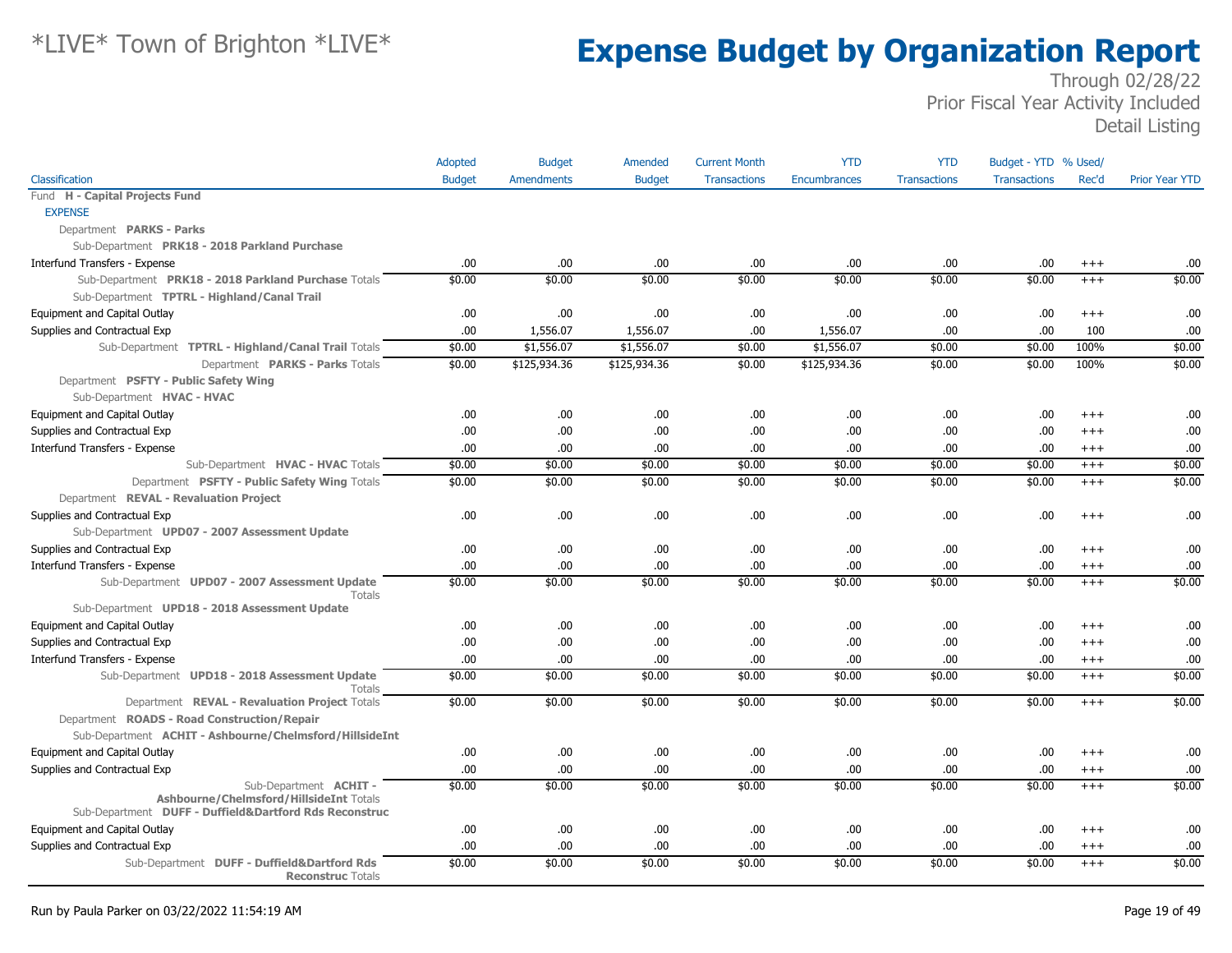|                                                                                                   | Adopted       | <b>Budget</b>     | Amended       | <b>Current Month</b> | <b>YTD</b>          | <b>YTD</b>          | Budget - YTD % Used/ |          |                       |
|---------------------------------------------------------------------------------------------------|---------------|-------------------|---------------|----------------------|---------------------|---------------------|----------------------|----------|-----------------------|
| Classification                                                                                    | <b>Budget</b> | <b>Amendments</b> | <b>Budget</b> | <b>Transactions</b>  | <b>Encumbrances</b> | <b>Transactions</b> | <b>Transactions</b>  | Rec'd    | <b>Prior Year YTD</b> |
| Fund H - Capital Projects Fund                                                                    |               |                   |               |                      |                     |                     |                      |          |                       |
| <b>EXPENSE</b>                                                                                    |               |                   |               |                      |                     |                     |                      |          |                       |
| Department PARKS - Parks                                                                          |               |                   |               |                      |                     |                     |                      |          |                       |
| Sub-Department PRK18 - 2018 Parkland Purchase                                                     |               |                   |               |                      |                     |                     |                      |          |                       |
| Interfund Transfers - Expense                                                                     | .00.          | .00               | .00.          | .00                  | .00                 | .00                 | .00.                 | $^{+++}$ | .00                   |
| Sub-Department PRK18 - 2018 Parkland Purchase Totals                                              | \$0.00        | \$0.00            | \$0.00        | \$0.00               | \$0.00              | \$0.00              | \$0.00               | $+++$    | \$0.00                |
| Sub-Department TPTRL - Highland/Canal Trail                                                       |               |                   |               |                      |                     |                     |                      |          |                       |
| Equipment and Capital Outlay                                                                      | .00.          | .00               | .00           | .00                  | .00                 | .00                 | .00.                 | $^{+++}$ | .00                   |
| Supplies and Contractual Exp                                                                      | .00.          | 1,556.07          | 1,556.07      | .00                  | 1,556.07            | .00                 | .00.                 | 100      | .00                   |
| Sub-Department TPTRL - Highland/Canal Trail Totals                                                | \$0.00        | \$1,556.07        | \$1,556.07    | \$0.00               | \$1,556.07          | \$0.00              | \$0.00               | 100%     | \$0.00                |
| Department PARKS - Parks Totals                                                                   | \$0.00        | \$125,934.36      | \$125,934.36  | \$0.00               | \$125,934.36        | \$0.00              | \$0.00               | 100%     | \$0.00                |
| Department PSFTY - Public Safety Wing                                                             |               |                   |               |                      |                     |                     |                      |          |                       |
| Sub-Department HVAC - HVAC                                                                        |               |                   |               |                      |                     |                     |                      |          |                       |
| Equipment and Capital Outlay                                                                      | .00.          | .00.              | .00.          | .00                  | .00.                | .00                 | .00.                 | $+++$    | .00                   |
| Supplies and Contractual Exp                                                                      | .00           | .00               | .00.          | .00                  | .00                 | .00                 | .00.                 | $+++$    | .00                   |
| Interfund Transfers - Expense                                                                     | .00.          | .00.              | .00.          | .00                  | .00.                | .00                 | .00.                 | $+++$    | .00                   |
| Sub-Department HVAC - HVAC Totals                                                                 | \$0.00        | \$0.00            | \$0.00        | \$0.00               | \$0.00              | \$0.00              | \$0.00               | $+++$    | \$0.00                |
| Department PSFTY - Public Safety Wing Totals                                                      | \$0.00        | \$0.00            | \$0.00        | \$0.00               | \$0.00              | \$0.00              | \$0.00               | $+++$    | \$0.00                |
| Department REVAL - Revaluation Project                                                            |               |                   |               |                      |                     |                     |                      |          |                       |
| Supplies and Contractual Exp                                                                      | .00.          | .00               | .00.          | .00                  | .00                 | .00                 | .00.                 | $^{++}$  | .00                   |
| Sub-Department UPD07 - 2007 Assessment Update                                                     |               |                   |               |                      |                     |                     |                      |          |                       |
| Supplies and Contractual Exp                                                                      | .00.          | .00               | .00.          | .00                  | .00                 | .00                 | .00.                 | $^{++}$  | .00                   |
| Interfund Transfers - Expense                                                                     | .00.          | .00               | .00           | .00                  | .00                 | .00                 | .00.                 | $+++$    | .00.                  |
| Sub-Department UPD07 - 2007 Assessment Update                                                     | \$0.00        | \$0.00            | \$0.00        | \$0.00               | \$0.00              | \$0.00              | \$0.00               | $^{+++}$ | \$0.00                |
| <b>Totals</b><br>Sub-Department UPD18 - 2018 Assessment Update                                    |               |                   |               |                      |                     |                     |                      |          |                       |
| Equipment and Capital Outlay                                                                      | .00.          | .00.              | .00.          | .00                  | .00.                | .00                 | .00.                 | $^{++}$  | .00.                  |
| Supplies and Contractual Exp                                                                      | .00.          | .00               | .00.          | .00                  | .00                 | .00                 | .00                  | $+++$    | .00                   |
|                                                                                                   |               |                   |               |                      |                     |                     |                      |          |                       |
| Interfund Transfers - Expense                                                                     | .00<br>\$0.00 | .00               | .00.          | .00                  | .00                 | .00                 | .00.                 | $^{+++}$ | .00<br>\$0.00         |
| Sub-Department UPD18 - 2018 Assessment Update<br>Totals                                           |               | \$0.00            | \$0.00        | \$0.00               | \$0.00              | \$0.00              | \$0.00               | $^{+++}$ |                       |
| Department REVAL - Revaluation Project Totals                                                     | \$0.00        | \$0.00            | \$0.00        | \$0.00               | \$0.00              | \$0.00              | \$0.00               | $+++$    | \$0.00                |
| Department ROADS - Road Construction/Repair                                                       |               |                   |               |                      |                     |                     |                      |          |                       |
| Sub-Department ACHIT - Ashbourne/Chelmsford/HillsideInt                                           |               |                   |               |                      |                     |                     |                      |          |                       |
| Equipment and Capital Outlay                                                                      | .00.          | .00               | .00.          | .00                  | .00.                | .00                 | .00.                 | $+++$    | .00                   |
| Supplies and Contractual Exp                                                                      | .00           | .00               | .00.          | .00                  | .00                 | .00                 | .00                  | $^{+++}$ | .00                   |
| Sub-Department <b>ACHIT -</b>                                                                     | \$0.00        | \$0.00            | \$0.00        | \$0.00               | \$0.00              | \$0.00              | \$0.00               | $+++$    | \$0.00                |
| Ashbourne/Chelmsford/HillsideInt Totals<br>Sub-Department DUFF - Duffield&Dartford Rds Reconstruc |               |                   |               |                      |                     |                     |                      |          |                       |
| Equipment and Capital Outlay                                                                      | .00.          | .00               | .00.          | .00                  | .00.                | .00                 | .00.                 | $^{+++}$ | .00.                  |
| Supplies and Contractual Exp                                                                      | .00           | .00               | .00.          | .00                  | .00                 | .00                 | .00.                 | $+++$    | .00                   |
| Sub-Department DUFF - Duffield&Dartford Rds<br><b>Reconstruc Totals</b>                           | \$0.00        | \$0.00            | \$0.00        | \$0.00               | \$0.00              | \$0.00              | \$0.00               | $+++$    | \$0.00                |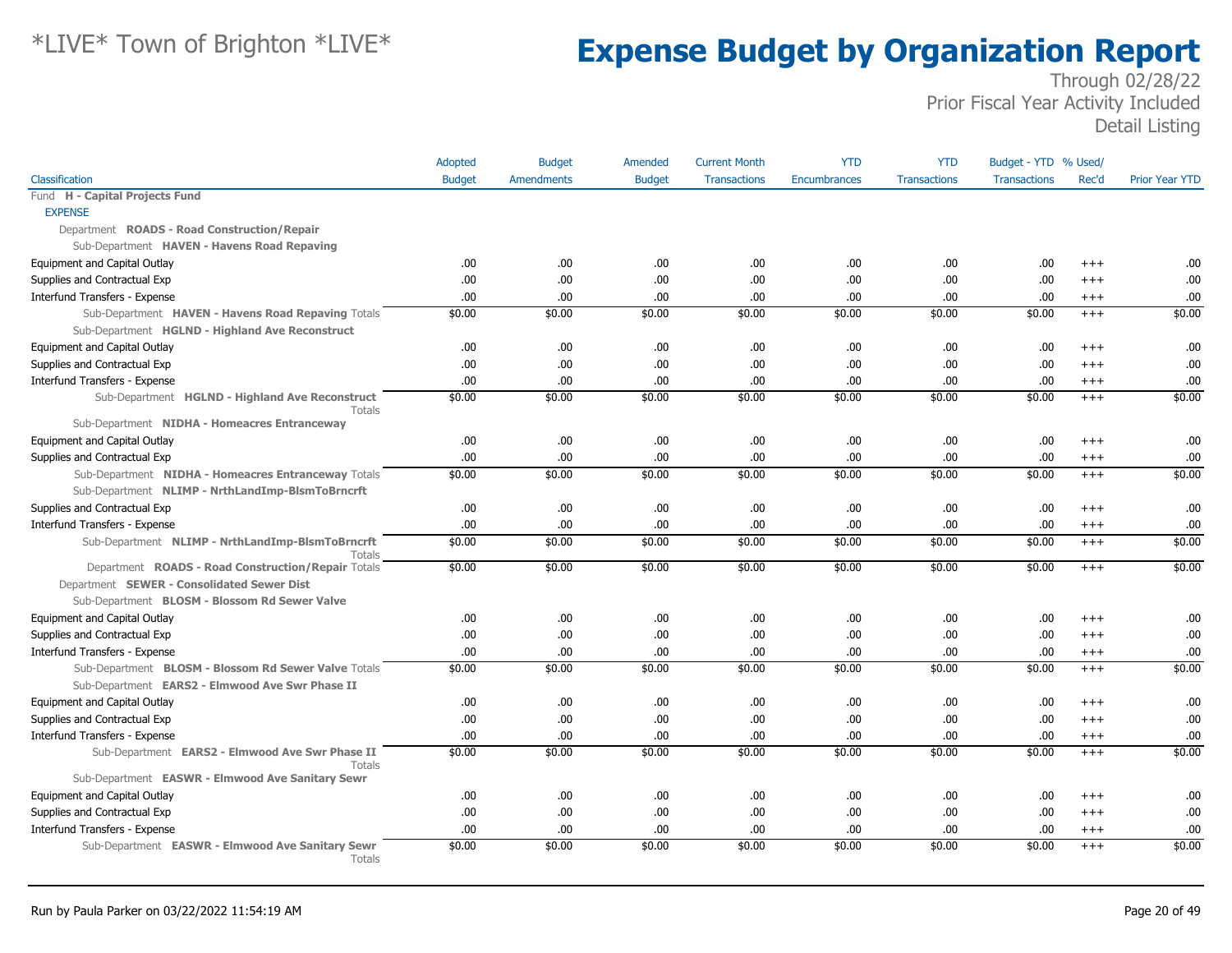|                                                                   | Adopted       | <b>Budget</b>     | Amended       | <b>Current Month</b> | <b>YTD</b>          | <b>YTD</b>          | Budget - YTD % Used/ |          |                       |
|-------------------------------------------------------------------|---------------|-------------------|---------------|----------------------|---------------------|---------------------|----------------------|----------|-----------------------|
| Classification                                                    | <b>Budget</b> | <b>Amendments</b> | <b>Budget</b> | <b>Transactions</b>  | <b>Encumbrances</b> | <b>Transactions</b> | <b>Transactions</b>  | Rec'd    | <b>Prior Year YTD</b> |
| Fund H - Capital Projects Fund                                    |               |                   |               |                      |                     |                     |                      |          |                       |
| <b>EXPENSE</b>                                                    |               |                   |               |                      |                     |                     |                      |          |                       |
| Department ROADS - Road Construction/Repair                       |               |                   |               |                      |                     |                     |                      |          |                       |
| Sub-Department HAVEN - Havens Road Repaving                       |               |                   |               |                      |                     |                     |                      |          |                       |
| Equipment and Capital Outlay                                      | .00           | .00.              | .00           | .00                  | .00                 | .00.                | .00                  | $^{+++}$ | .00                   |
| Supplies and Contractual Exp                                      | .00           | .00.              | .00           | .00                  | .00                 | .00.                | .00                  | $+++$    | .00                   |
| Interfund Transfers - Expense                                     | .00.          | .00.              | .00           | .00                  | .00                 | .00.                | .00                  | $^{+++}$ | .00                   |
| Sub-Department HAVEN - Havens Road Repaving Totals                | \$0.00        | \$0.00            | \$0.00        | \$0.00               | $\sqrt{$0.00}$      | \$0.00              | \$0.00               | $+++$    | \$0.00                |
| Sub-Department HGLND - Highland Ave Reconstruct                   |               |                   |               |                      |                     |                     |                      |          |                       |
| Equipment and Capital Outlay                                      | .00           | .00.              | .00.          | .00                  | .00                 | .00.                | .00                  | $+++$    | .00                   |
| Supplies and Contractual Exp                                      | .00.          | .00.              | .00           | .00                  | .00                 | .00.                | .00                  | $^{+++}$ | .00                   |
| Interfund Transfers - Expense                                     | 00.           | .00.              | .00           | .00                  | .00                 | .00.                | .00                  | $^{+++}$ | .00                   |
| Sub-Department HGLND - Highland Ave Reconstruct                   | \$0.00        | \$0.00            | \$0.00        | \$0.00               | \$0.00              | \$0.00              | \$0.00               | $+++$    | \$0.00                |
| Totals                                                            |               |                   |               |                      |                     |                     |                      |          |                       |
| Sub-Department NIDHA - Homeacres Entranceway                      |               |                   |               |                      |                     |                     |                      |          |                       |
| Equipment and Capital Outlay                                      | .00           | .00               | .00           | .00                  | .00                 | .00.                | .00                  | $^{+++}$ | .00                   |
| Supplies and Contractual Exp                                      | 00.           | .00.              | .00           | .00                  | .00                 | .00.                | .00                  | $^{+++}$ | .00                   |
| Sub-Department NIDHA - Homeacres Entranceway Totals               | \$0.00        | \$0.00            | \$0.00        | \$0.00               | \$0.00              | \$0.00              | \$0.00               | $+++$    | \$0.00                |
| Sub-Department NLIMP - NrthLandImp-BlsmToBrncrft                  |               |                   |               |                      |                     |                     |                      |          |                       |
| Supplies and Contractual Exp                                      | .00.          | .00.              | .00           | .00                  | .00                 | .00.                | .00                  | $+++$    | .00                   |
| Interfund Transfers - Expense                                     | .00           | .00               | .00           | .00                  | .00                 | .00.                | .00                  | $^{+++}$ | .00                   |
| Sub-Department NLIMP - NrthLandImp-BlsmToBrncrft<br><b>Totals</b> | \$0.00        | \$0.00            | \$0.00        | \$0.00               | \$0.00              | \$0.00              | \$0.00               | $^{+++}$ | \$0.00                |
| Department ROADS - Road Construction/Repair Totals                | \$0.00        | \$0.00            | \$0.00        | \$0.00               | \$0.00              | \$0.00              | \$0.00               | $+++$    | \$0.00                |
| Department SEWER - Consolidated Sewer Dist                        |               |                   |               |                      |                     |                     |                      |          |                       |
| Sub-Department BLOSM - Blossom Rd Sewer Valve                     |               |                   |               |                      |                     |                     |                      |          |                       |
| Equipment and Capital Outlay                                      | .00.          | .00.              | .00.          | .00                  | .00                 | .00.                | .00                  | $+++$    | .00                   |
| Supplies and Contractual Exp                                      | .00.          | .00               | .00           | .00                  | .00                 | .00.                | .00                  | $+++$    | .00                   |
| Interfund Transfers - Expense                                     | .00.          | .00.              | .00.          | .00                  | .00                 | .00.                | .00                  | $^{+++}$ | .00                   |
| Sub-Department BLOSM - Blossom Rd Sewer Valve Totals              | \$0.00        | \$0.00            | \$0.00        | \$0.00               | \$0.00              | \$0.00              | \$0.00               | $+++$    | \$0.00                |
| Sub-Department EARS2 - Elmwood Ave Swr Phase II                   |               |                   |               |                      |                     |                     |                      |          |                       |
| Equipment and Capital Outlay                                      | .00           | .00.              | .00.          | .00                  | .00                 | .00.                | .00                  | $+++$    | .00                   |
| Supplies and Contractual Exp                                      | .00           | .00.              | .00           | .00                  | .00                 | .00.                | .00                  | $+++$    | .00                   |
| Interfund Transfers - Expense                                     | .00           | .00.              | .00.          | .00                  | .00                 | .00.                | .00                  | $^{+++}$ | .00                   |
| Sub-Department EARS2 - Elmwood Ave Swr Phase II<br>Totals         | \$0.00        | \$0.00            | \$0.00        | \$0.00               | \$0.00              | \$0.00              | \$0.00               | $^{+++}$ | \$0.00                |
| Sub-Department EASWR - Elmwood Ave Sanitary Sewr                  |               |                   |               |                      |                     |                     |                      |          |                       |
| Equipment and Capital Outlay                                      | .00           | .00.              | .00.          | .00                  | .00                 | .00.                | .00                  | $+++$    | .00                   |
| Supplies and Contractual Exp                                      | .00.          | .00.              | .00           | .00                  | .00                 | .00.                | .00                  | $^{+++}$ | .00                   |
| Interfund Transfers - Expense                                     | .00.          | .00.              | .00           | .00                  | .00                 | .00.                | .00                  | $+++$    | .00                   |
| Sub-Department EASWR - Elmwood Ave Sanitary Sewr<br><b>Totals</b> | \$0.00        | \$0.00            | \$0.00        | \$0.00               | \$0.00              | \$0.00              | \$0.00               | $^{+++}$ | \$0.00                |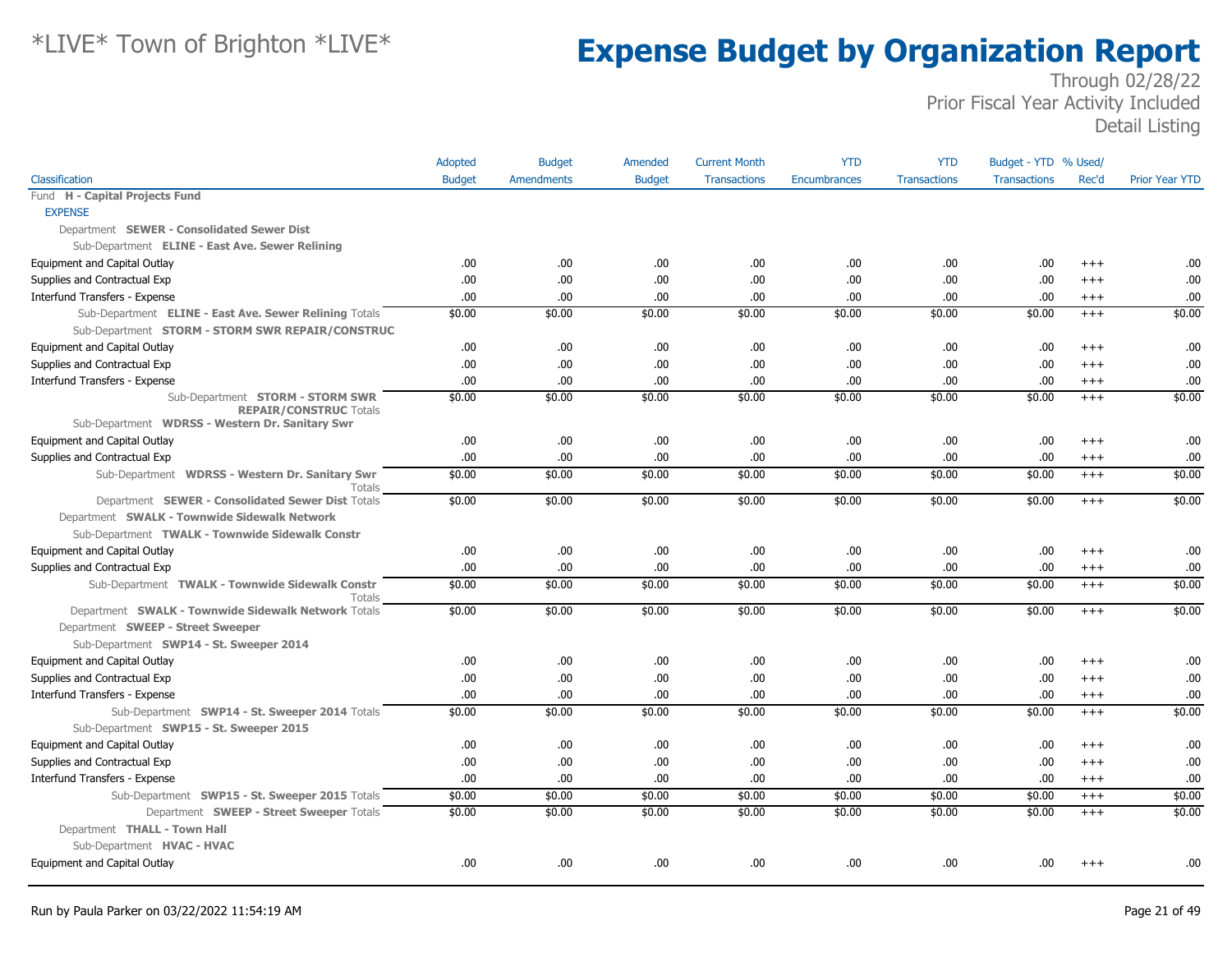|                                                                                  | Adopted       | <b>Budget</b>     | Amended       | <b>Current Month</b> | <b>YTD</b>          | <b>YTD</b>          | Budget - YTD % Used/ |          |                       |
|----------------------------------------------------------------------------------|---------------|-------------------|---------------|----------------------|---------------------|---------------------|----------------------|----------|-----------------------|
| Classification                                                                   | <b>Budget</b> | <b>Amendments</b> | <b>Budget</b> | <b>Transactions</b>  | <b>Encumbrances</b> | <b>Transactions</b> | <b>Transactions</b>  | Rec'd    | <b>Prior Year YTD</b> |
| Fund H - Capital Projects Fund                                                   |               |                   |               |                      |                     |                     |                      |          |                       |
| <b>EXPENSE</b>                                                                   |               |                   |               |                      |                     |                     |                      |          |                       |
| Department SEWER - Consolidated Sewer Dist                                       |               |                   |               |                      |                     |                     |                      |          |                       |
| Sub-Department ELINE - East Ave. Sewer Relining                                  |               |                   |               |                      |                     |                     |                      |          |                       |
| Equipment and Capital Outlay                                                     | .00.          | .00               | .00.          | .00                  | .00.                | .00                 | .00.                 | $^{+++}$ | .00                   |
| Supplies and Contractual Exp                                                     | .00           | .00               | .00.          | .00                  | .00.                | .00                 | .00.                 | $^{++}$  | .00                   |
| Interfund Transfers - Expense                                                    | .00           | .00               | .00.          | .00                  | .00.                | .00                 | .00.                 | $^{+++}$ | .00                   |
| Sub-Department ELINE - East Ave. Sewer Relining Totals                           | \$0.00        | \$0.00            | \$0.00        | \$0.00               | \$0.00              | \$0.00              | \$0.00               | $+++$    | \$0.00                |
| Sub-Department STORM - STORM SWR REPAIR/CONSTRUC                                 |               |                   |               |                      |                     |                     |                      |          |                       |
| Equipment and Capital Outlay                                                     | .00           | .00.              | .00           | .00                  | .00.                | .00                 | .00.                 | $^{++}$  | .00                   |
| Supplies and Contractual Exp                                                     | .00           | .00               | .00           | .00                  | .00.                | .00                 | .00.                 | $^{++}$  | .00                   |
| Interfund Transfers - Expense                                                    | .00.          | .00               | .00.          | .00                  | .00.                | .00                 | .00                  | $+++$    | .00                   |
| Sub-Department STORM - STORM SWR                                                 | \$0.00        | \$0.00            | \$0.00        | \$0.00               | \$0.00              | \$0.00              | \$0.00               | $^{+++}$ | \$0.00                |
| <b>REPAIR/CONSTRUC Totals</b><br>Sub-Department WDRSS - Western Dr. Sanitary Swr |               |                   |               |                      |                     |                     |                      |          |                       |
| Equipment and Capital Outlay                                                     | .00           | .00               | .00.          | .00                  | .00.                | .00                 | .00                  | $+++$    | .00                   |
| Supplies and Contractual Exp                                                     | .00           | .00               | .00.          | .00                  | .00.                | .00                 | .00.                 | $^{+++}$ | .00                   |
| Sub-Department WDRSS - Western Dr. Sanitary Swr<br>Totals                        | \$0.00        | \$0.00            | \$0.00        | \$0.00               | \$0.00              | \$0.00              | \$0.00               | $^{+++}$ | \$0.00                |
| Department SEWER - Consolidated Sewer Dist Totals                                | \$0.00        | \$0.00            | \$0.00        | \$0.00               | \$0.00              | \$0.00              | \$0.00               | $+++$    | \$0.00                |
| Department SWALK - Townwide Sidewalk Network                                     |               |                   |               |                      |                     |                     |                      |          |                       |
| Sub-Department TWALK - Townwide Sidewalk Constr                                  |               |                   |               |                      |                     |                     |                      |          |                       |
| Equipment and Capital Outlay                                                     | .00           | .00               | .00.          | .00                  | .00.                | .00                 | .00.                 | $^{+++}$ | .00                   |
| Supplies and Contractual Exp                                                     | .00           | .00               | .00.          | .00                  | .00.                | .00                 | .00.                 | $^{+++}$ | .00                   |
| Sub-Department TWALK - Townwide Sidewalk Constr<br><b>Totals</b>                 | \$0.00        | \$0.00            | \$0.00        | \$0.00               | \$0.00              | \$0.00              | \$0.00               | $+++$    | \$0.00                |
| Department SWALK - Townwide Sidewalk Network Totals                              | \$0.00        | \$0.00            | \$0.00        | \$0.00               | \$0.00              | \$0.00              | \$0.00               | $+++$    | \$0.00                |
| Department SWEEP - Street Sweeper                                                |               |                   |               |                      |                     |                     |                      |          |                       |
| Sub-Department SWP14 - St. Sweeper 2014                                          |               |                   |               |                      |                     |                     |                      |          |                       |
| Equipment and Capital Outlay                                                     | .00           | .00.              | .00.          | .00                  | .00.                | .00                 | .00.                 | $^{++}$  | .00                   |
| Supplies and Contractual Exp                                                     | .00           | .00               | .00.          | .00                  | .00.                | .00                 | .00.                 | $+++$    | .00                   |
| Interfund Transfers - Expense                                                    | .00           | .00               | .00.          | .00                  | .00.                | .00.                | .00.                 | $^{+++}$ | .00                   |
| Sub-Department SWP14 - St. Sweeper 2014 Totals                                   | \$0.00        | \$0.00            | \$0.00        | \$0.00               | \$0.00              | \$0.00              | \$0.00               | $^{+++}$ | \$0.00                |
| Sub-Department SWP15 - St. Sweeper 2015                                          |               |                   |               |                      |                     |                     |                      |          |                       |
| Equipment and Capital Outlay                                                     | .00           | .00.              | .00.          | .00                  | .00.                | .00                 | .00.                 | $^{++}$  | .00                   |
| Supplies and Contractual Exp                                                     | .00           | .00               | .00.          | .00                  | .00.                | .00                 | .00.                 | $^{++}$  | .00                   |
| Interfund Transfers - Expense                                                    | .00           | .00               | .00           | .00                  | .00.                | .00.                | .00                  | $+++$    | .00                   |
| Sub-Department SWP15 - St. Sweeper 2015 Totals                                   | \$0.00        | \$0.00            | \$0.00        | \$0.00               | \$0.00              | \$0.00              | \$0.00               | $+++$    | \$0.00                |
| Department SWEEP - Street Sweeper Totals                                         | \$0.00        | \$0.00            | \$0.00        | \$0.00               | \$0.00              | \$0.00              | \$0.00               | $+++$    | \$0.00                |
| Department THALL - Town Hall                                                     |               |                   |               |                      |                     |                     |                      |          |                       |
| Sub-Department HVAC - HVAC                                                       |               |                   |               |                      |                     |                     |                      |          |                       |
| <b>Equipment and Capital Outlay</b>                                              | .00           | .00               | .00.          | .00                  | .00.                | .00                 | .00.                 | $^{++}$  | .00                   |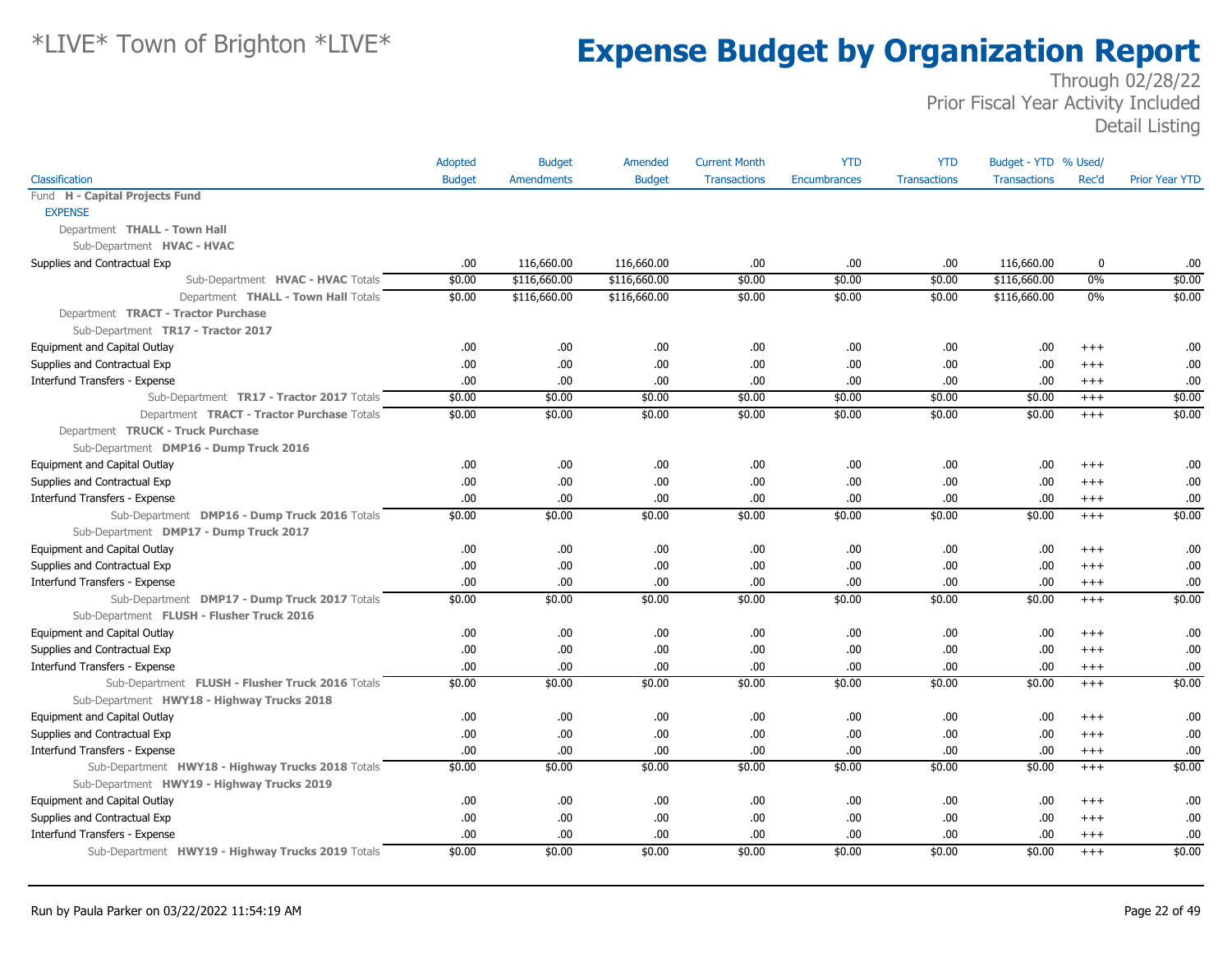|                                                   | Adopted       | <b>Budget</b>     | Amended       | <b>Current Month</b> | <b>YTD</b>   | <b>YTD</b>          | Budget - YTD % Used/ |          |                       |
|---------------------------------------------------|---------------|-------------------|---------------|----------------------|--------------|---------------------|----------------------|----------|-----------------------|
| Classification                                    | <b>Budget</b> | <b>Amendments</b> | <b>Budget</b> | <b>Transactions</b>  | Encumbrances | <b>Transactions</b> | <b>Transactions</b>  | Rec'd    | <b>Prior Year YTD</b> |
| Fund H - Capital Projects Fund                    |               |                   |               |                      |              |                     |                      |          |                       |
| <b>EXPENSE</b>                                    |               |                   |               |                      |              |                     |                      |          |                       |
| Department THALL - Town Hall                      |               |                   |               |                      |              |                     |                      |          |                       |
| Sub-Department HVAC - HVAC                        |               |                   |               |                      |              |                     |                      |          |                       |
| Supplies and Contractual Exp                      | .00           | 116,660.00        | 116,660.00    | .00.                 | .00          | .00                 | 116,660.00           | 0        | .00                   |
| Sub-Department HVAC - HVAC Totals                 | \$0.00        | \$116,660.00      | \$116,660.00  | \$0.00               | \$0.00       | \$0.00              | \$116,660.00         | 0%       | \$0.00                |
| Department THALL - Town Hall Totals               | \$0.00        | \$116,660.00      | \$116,660.00  | \$0.00               | \$0.00       | \$0.00              | \$116,660.00         | $0\%$    | \$0.00                |
| Department TRACT - Tractor Purchase               |               |                   |               |                      |              |                     |                      |          |                       |
| Sub-Department TR17 - Tractor 2017                |               |                   |               |                      |              |                     |                      |          |                       |
| Equipment and Capital Outlay                      | .00           | .00.              | .00           | .00.                 | .00          | .00                 | .00.                 | $+++$    | .00                   |
| Supplies and Contractual Exp                      | .00           | .00.              | .00           | .00.                 | .00          | .00                 | .00.                 | $^{++}$  | .00                   |
| Interfund Transfers - Expense                     | .00           | .00.              | .00           | .00.                 | .00          | .00                 | .00.                 | $^{+++}$ | .00                   |
| Sub-Department TR17 - Tractor 2017 Totals         | \$0.00        | \$0.00            | \$0.00        | \$0.00               | \$0.00       | \$0.00              | \$0.00               | $+++$    | \$0.00                |
| Department TRACT - Tractor Purchase Totals        | \$0.00        | \$0.00            | \$0.00        | \$0.00               | \$0.00       | \$0.00              | \$0.00               | $+++$    | \$0.00                |
| Department TRUCK - Truck Purchase                 |               |                   |               |                      |              |                     |                      |          |                       |
| Sub-Department DMP16 - Dump Truck 2016            |               |                   |               |                      |              |                     |                      |          |                       |
| Equipment and Capital Outlay                      | .00.          | .00.              | .00           | .00                  | .00          | .00                 | .00.                 | $^{++}$  | .00                   |
| Supplies and Contractual Exp                      | .00.          | .00.              | .00           | .00.                 | .00          | .00                 | .00.                 | $+++$    | .00                   |
| Interfund Transfers - Expense                     | .00           | .00.              | .00           | .00.                 | .00          | .00                 | .00.                 | $+++$    | .00                   |
| Sub-Department DMP16 - Dump Truck 2016 Totals     | \$0.00        | \$0.00            | \$0.00        | \$0.00               | \$0.00       | \$0.00              | \$0.00               | $+++$    | \$0.00                |
| Sub-Department DMP17 - Dump Truck 2017            |               |                   |               |                      |              |                     |                      |          |                       |
| Equipment and Capital Outlay                      | .00           | .00.              | .00           | .00.                 | .00          | .00                 | .00                  | $^{+++}$ | .00                   |
| Supplies and Contractual Exp                      | .00.          | .00.              | .00           | .00.                 | .00          | .00                 | .00.                 | $^{++}$  | .00                   |
| Interfund Transfers - Expense                     | .00           | .00.              | .00           | .00                  | .00          | .00                 | .00.                 | $^{+++}$ | .00                   |
| Sub-Department DMP17 - Dump Truck 2017 Totals     | \$0.00        | \$0.00            | \$0.00        | \$0.00               | \$0.00       | \$0.00              | \$0.00               | $+++$    | \$0.00                |
| Sub-Department FLUSH - Flusher Truck 2016         |               |                   |               |                      |              |                     |                      |          |                       |
| Equipment and Capital Outlay                      | .00.          | .00.              | .00           | .00.                 | .00          | .00                 | .00.                 | $^{+++}$ | .00                   |
| Supplies and Contractual Exp                      | .00           | .00.              | .00           | .00.                 | .00          | .00                 | .00                  | $^{++}$  | .00                   |
| Interfund Transfers - Expense                     | .00           | .00.              | .00.          | .00.                 | .00.         | .00                 | .00                  | $+++$    | .00                   |
| Sub-Department FLUSH - Flusher Truck 2016 Totals  | \$0.00        | \$0.00            | \$0.00        | \$0.00               | \$0.00       | \$0.00              | \$0.00               | $+++$    | \$0.00                |
| Sub-Department HWY18 - Highway Trucks 2018        |               |                   |               |                      |              |                     |                      |          |                       |
| Equipment and Capital Outlay                      | .00           | .00.              | .00           | .00.                 | .00          | .00                 | .00.                 | $+++$    | .00                   |
| Supplies and Contractual Exp                      | .00           | .00.              | .00           | .00.                 | .00          | .00                 | .00.                 | $^{+++}$ | .00                   |
| Interfund Transfers - Expense                     | .00           | .00.              | .00           | .00.                 | .00          | .00                 | .00.                 | $^{+++}$ | .00                   |
| Sub-Department HWY18 - Highway Trucks 2018 Totals | \$0.00        | \$0.00            | \$0.00        | \$0.00               | \$0.00       | \$0.00              | \$0.00               | $+++$    | \$0.00                |
| Sub-Department HWY19 - Highway Trucks 2019        |               |                   |               |                      |              |                     |                      |          |                       |
| Equipment and Capital Outlay                      | .00.          | .00.              | .00.          | .00.                 | .00.         | .00                 | .00.                 | $^{++}$  | .00                   |
| Supplies and Contractual Exp                      | .00           | .00.              | .00           | .00.                 | .00          | .00                 | .00.                 | $+++$    | .00                   |
| Interfund Transfers - Expense                     | .00           | .00.              | .00           | .00.                 | .00          | .00                 | .00.                 | $^{+++}$ | .00                   |
| Sub-Department HWY19 - Highway Trucks 2019 Totals | \$0.00        | \$0.00            | \$0.00        | \$0.00               | \$0.00       | \$0.00              | \$0.00               | $+++$    | \$0.00                |
|                                                   |               |                   |               |                      |              |                     |                      |          |                       |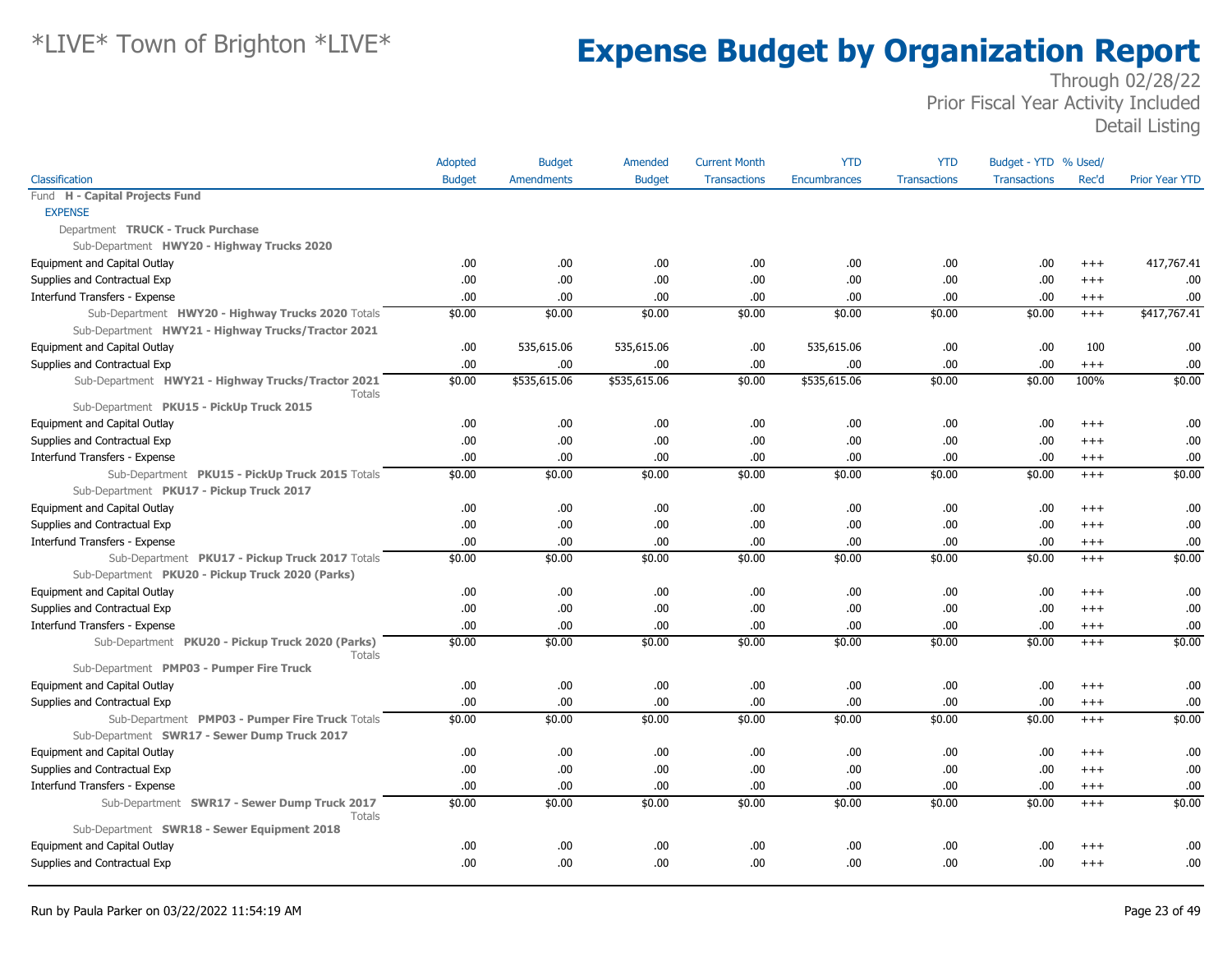|                                                               | Adopted       | <b>Budget</b>     | Amended       | <b>Current Month</b> | <b>YTD</b>          | <b>YTD</b>          | Budget - YTD % Used/ |          |                       |
|---------------------------------------------------------------|---------------|-------------------|---------------|----------------------|---------------------|---------------------|----------------------|----------|-----------------------|
| Classification                                                | <b>Budget</b> | <b>Amendments</b> | <b>Budget</b> | <b>Transactions</b>  | <b>Encumbrances</b> | <b>Transactions</b> | <b>Transactions</b>  | Rec'd    | <b>Prior Year YTD</b> |
| Fund H - Capital Projects Fund                                |               |                   |               |                      |                     |                     |                      |          |                       |
| <b>EXPENSE</b>                                                |               |                   |               |                      |                     |                     |                      |          |                       |
| Department TRUCK - Truck Purchase                             |               |                   |               |                      |                     |                     |                      |          |                       |
| Sub-Department HWY20 - Highway Trucks 2020                    |               |                   |               |                      |                     |                     |                      |          |                       |
| Equipment and Capital Outlay                                  | .00           | .00.              | .00.          | .00                  | .00.                | .00                 | .00                  | $+++$    | 417,767.41            |
| Supplies and Contractual Exp                                  | .00.          | .00.              | .00.          | .00                  | .00.                | .00                 | .00.                 | $^{+++}$ | .00                   |
| Interfund Transfers - Expense                                 | .00.          | .00               | .00           | .00                  | .00.                | .00                 | .00.                 | $^{+++}$ | .00                   |
| Sub-Department HWY20 - Highway Trucks 2020 Totals             | \$0.00        | \$0.00            | \$0.00        | \$0.00               | \$0.00              | \$0.00              | \$0.00               | $^{+++}$ | \$417,767.41          |
| Sub-Department HWY21 - Highway Trucks/Tractor 2021            |               |                   |               |                      |                     |                     |                      |          |                       |
| Equipment and Capital Outlay                                  | .00           | 535,615.06        | 535,615.06    | .00                  | 535,615.06          | .00                 | .00.                 | 100      | .00                   |
| Supplies and Contractual Exp                                  | .00           | .00.              | .00.          | .00                  | .00.                | .00.                | .00                  | $+++$    | .00                   |
| Sub-Department HWY21 - Highway Trucks/Tractor 2021<br>Totals  | \$0.00        | \$535,615.06      | \$535,615.06  | \$0.00               | \$535,615.06        | \$0.00              | \$0.00               | 100%     | \$0.00                |
| Sub-Department PKU15 - PickUp Truck 2015                      |               |                   |               |                      |                     |                     |                      |          |                       |
| Equipment and Capital Outlay                                  | .00           | .00               | .00           | .00                  | .00.                | .00                 | .00                  | $^{+++}$ | .00                   |
| Supplies and Contractual Exp                                  | .00           | .00.              | .00           | .00                  | .00.                | .00.                | .00                  | $+++$    | .00                   |
| Interfund Transfers - Expense                                 | .00           | .00               | .00           | .00                  | .00.                | .00                 | .00                  | $^{+++}$ | .00                   |
| Sub-Department PKU15 - PickUp Truck 2015 Totals               | \$0.00        | \$0.00            | \$0.00        | \$0.00               | \$0.00              | \$0.00              | \$0.00               | $+++$    | \$0.00                |
| Sub-Department PKU17 - Pickup Truck 2017                      |               |                   |               |                      |                     |                     |                      |          |                       |
| Equipment and Capital Outlay                                  | .00.          | .00.              | .00           | .00                  | .00.                | .00                 | .00.                 | $^{+++}$ | .00                   |
| Supplies and Contractual Exp                                  | .00.          | .00               | .00           | .00                  | .00.                | .00                 | .00.                 | $+++$    | .00                   |
| Interfund Transfers - Expense                                 | .00           | .00.              | .00.          | .00                  | .00.                | .00                 | .00                  | $^{+++}$ | .00                   |
| Sub-Department PKU17 - Pickup Truck 2017 Totals               | \$0.00        | \$0.00            | \$0.00        | \$0.00               | \$0.00              | \$0.00              | \$0.00               | $+++$    | \$0.00                |
| Sub-Department PKU20 - Pickup Truck 2020 (Parks)              |               |                   |               |                      |                     |                     |                      |          |                       |
| Equipment and Capital Outlay                                  | .00           | .00.              | .00.          | .00                  | .00.                | .00                 | .00                  | $^{+++}$ | .00                   |
| Supplies and Contractual Exp                                  | .00.          | .00               | .00.          | .00                  | .00.                | .00                 | .00.                 | $^{+++}$ | .00                   |
| Interfund Transfers - Expense                                 | .00.          | .00.              | .00           | .00                  | .00                 | .00                 | .00.                 | $+++$    | .00                   |
| Sub-Department PKU20 - Pickup Truck 2020 (Parks)<br>Totals    | \$0.00        | \$0.00            | \$0.00        | \$0.00               | \$0.00              | \$0.00              | \$0.00               | $+++$    | \$0.00                |
| Sub-Department PMP03 - Pumper Fire Truck                      |               |                   |               |                      |                     |                     |                      |          |                       |
| Equipment and Capital Outlay                                  | .00           | .00               | .00.          | .00                  | .00.                | .00                 | .00.                 | $+++$    | .00                   |
| Supplies and Contractual Exp                                  | .00.          | .00               | .00           | .00                  | .00.                | .00                 | .00.                 | $^{+++}$ | .00                   |
| Sub-Department PMP03 - Pumper Fire Truck Totals               | \$0.00        | \$0.00            | \$0.00        | \$0.00               | \$0.00              | \$0.00              | \$0.00               | $^{+++}$ | \$0.00                |
| Sub-Department SWR17 - Sewer Dump Truck 2017                  |               |                   |               |                      |                     |                     |                      |          |                       |
| Equipment and Capital Outlay                                  | .00           | .00.              | .00.          | .00                  | .00.                | .00                 | .00.                 | $+++$    | .00                   |
| Supplies and Contractual Exp                                  | .00.          | .00               | .00.          | .00                  | .00.                | .00                 | .00.                 | $^{+++}$ | .00                   |
| Interfund Transfers - Expense                                 | .00           | .00               | .00.          | .00                  | .00.                | .00                 | .00                  | $^{+++}$ | .00                   |
| Sub-Department SWR17 - Sewer Dump Truck 2017<br><b>Totals</b> | \$0.00        | \$0.00            | \$0.00        | \$0.00               | \$0.00              | \$0.00              | \$0.00               | $+++$    | \$0.00                |
| Sub-Department SWR18 - Sewer Equipment 2018                   |               |                   |               |                      |                     |                     |                      |          |                       |
| Equipment and Capital Outlay                                  | .00           | .00               | .00.          | .00                  | .00.                | .00                 | .00                  | $^{++}$  | .00                   |
| Supplies and Contractual Exp                                  | .00           | .00               | .00           | .00                  | .00                 | .00                 | .00.                 | $^{+++}$ | .00                   |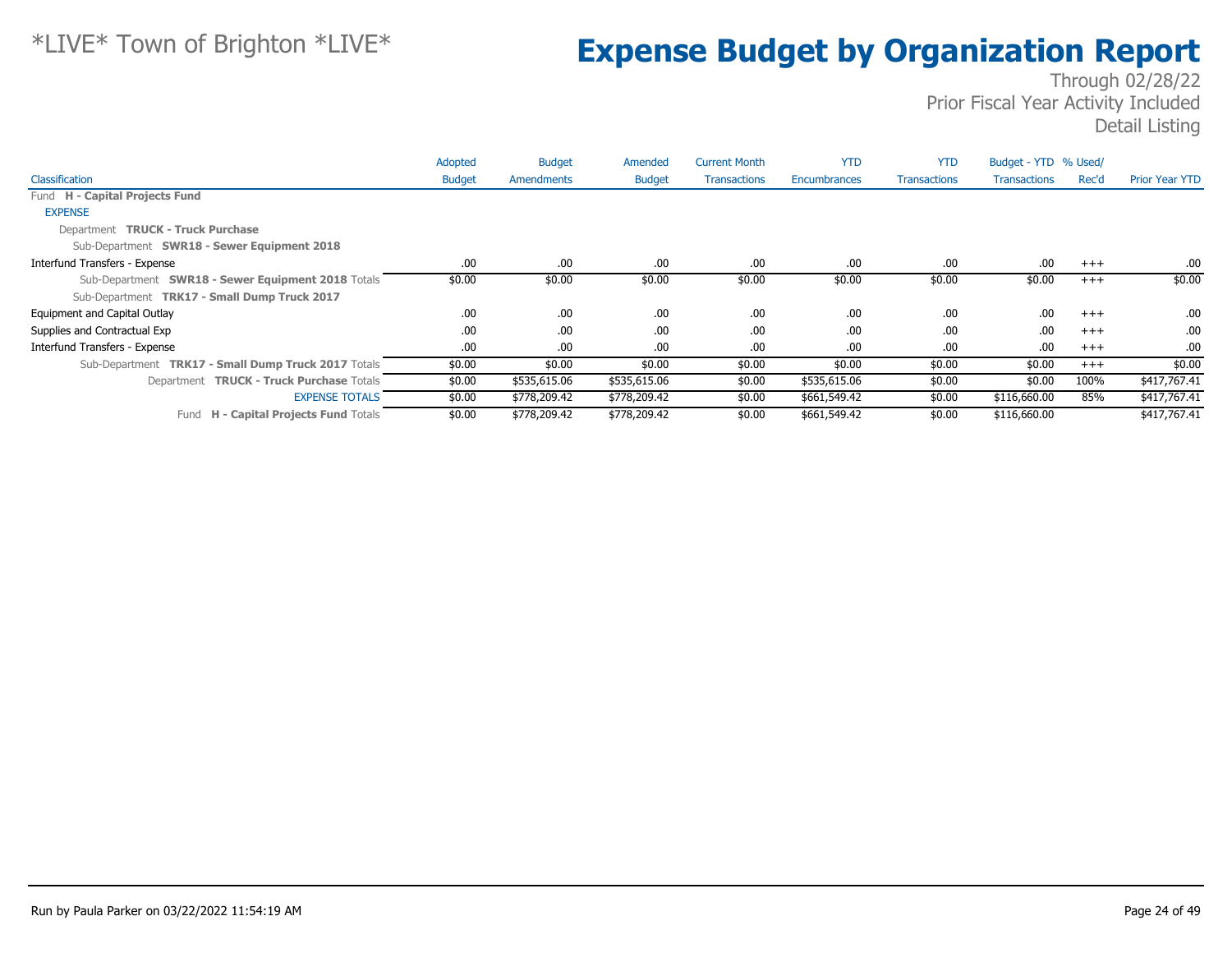|                                                     | Adopted       | <b>Budget</b> | Amended       | <b>Current Month</b> | <b>YTD</b>   | <b>YTD</b>          | Budget - YTD % Used/ |          |                       |
|-----------------------------------------------------|---------------|---------------|---------------|----------------------|--------------|---------------------|----------------------|----------|-----------------------|
| Classification                                      | <b>Budget</b> | Amendments    | <b>Budget</b> | <b>Transactions</b>  | Encumbrances | <b>Transactions</b> | <b>Transactions</b>  | Rec'd    | <b>Prior Year YTD</b> |
| Fund H - Capital Projects Fund                      |               |               |               |                      |              |                     |                      |          |                       |
| <b>EXPENSE</b>                                      |               |               |               |                      |              |                     |                      |          |                       |
| Department TRUCK - Truck Purchase                   |               |               |               |                      |              |                     |                      |          |                       |
| Sub-Department SWR18 - Sewer Equipment 2018         |               |               |               |                      |              |                     |                      |          |                       |
| Interfund Transfers - Expense                       | .00.          | .00           | .00.          | .00                  | .00.         | .00                 | .00                  | $+++$    | .00.                  |
| Sub-Department SWR18 - Sewer Equipment 2018 Totals  | \$0.00        | \$0.00        | \$0.00        | \$0.00               | \$0.00       | \$0.00              | \$0.00               | $^{+++}$ | \$0.00                |
| Sub-Department TRK17 - Small Dump Truck 2017        |               |               |               |                      |              |                     |                      |          |                       |
| Equipment and Capital Outlay                        | .00.          | .00           | .00           | .00                  | .00.         | .00                 | .00                  | $+++$    | .00.                  |
| Supplies and Contractual Exp                        | .00           | .00           | .00           | .00                  | .00.         | .00                 | .00                  | $+++$    | .00.                  |
| Interfund Transfers - Expense                       | .00.          | .00           | .00.          | .00                  | .00.         | .00                 | .00                  | $+++$    | .00.                  |
| Sub-Department TRK17 - Small Dump Truck 2017 Totals | \$0.00        | \$0.00        | \$0.00        | \$0.00               | \$0.00       | \$0.00              | \$0.00               | $+++$    | \$0.00                |
| Department TRUCK - Truck Purchase Totals            | \$0.00        | \$535,615.06  | \$535,615.06  | \$0.00               | \$535,615.06 | \$0.00              | \$0.00               | 100%     | \$417,767.41          |
| <b>EXPENSE TOTALS</b>                               | \$0.00        | \$778,209.42  | \$778,209.42  | \$0.00               | \$661,549.42 | \$0.00              | \$116,660.00         | 85%      | \$417,767.41          |
| H - Capital Projects Fund Totals<br>Fund            | \$0.00        | \$778,209.42  | \$778,209.42  | \$0.00               | \$661,549.42 | \$0.00              | \$116,660.00         |          | \$417,767.41          |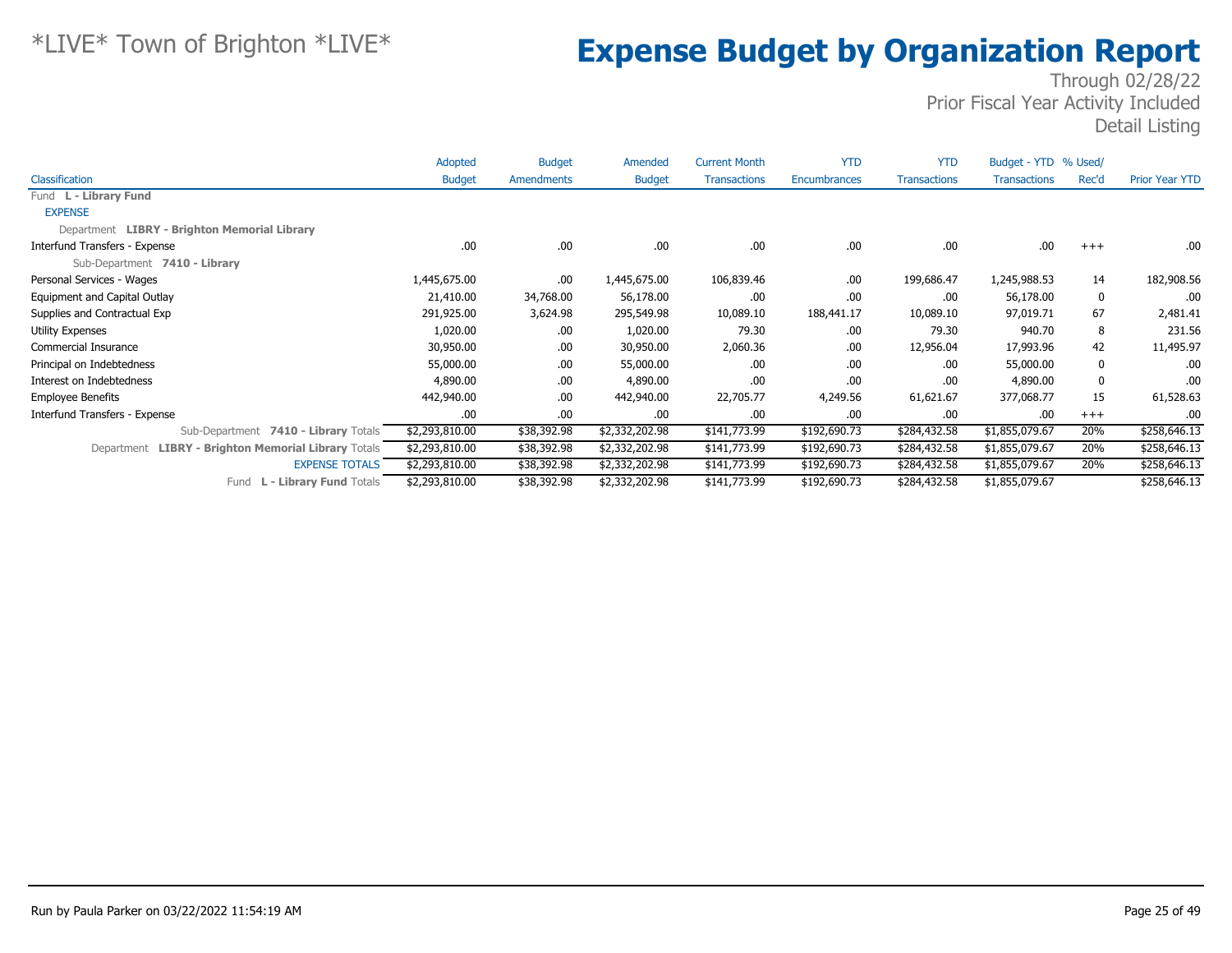|                                                     | Adopted        | <b>Budget</b> | Amended        | <b>Current Month</b> | <b>YTD</b>   | <b>YTD</b>          | Budget - YTD % Used/ |          |                       |
|-----------------------------------------------------|----------------|---------------|----------------|----------------------|--------------|---------------------|----------------------|----------|-----------------------|
| Classification                                      | <b>Budget</b>  | Amendments    | <b>Budget</b>  | <b>Transactions</b>  | Encumbrances | <b>Transactions</b> | <b>Transactions</b>  | Rec'd    | <b>Prior Year YTD</b> |
| Fund L - Library Fund                               |                |               |                |                      |              |                     |                      |          |                       |
| <b>EXPENSE</b>                                      |                |               |                |                      |              |                     |                      |          |                       |
| Department LIBRY - Brighton Memorial Library        |                |               |                |                      |              |                     |                      |          |                       |
| Interfund Transfers - Expense                       | .00            | .00.          | .00.           | .00                  | .00          | .00                 | .00                  | $+++$    | .00.                  |
| Sub-Department 7410 - Library                       |                |               |                |                      |              |                     |                      |          |                       |
| Personal Services - Wages                           | 1,445,675.00   | .00.          | 1,445,675.00   | 106,839.46           | .00          | 199,686.47          | 1,245,988.53         | 14       | 182,908.56            |
| Equipment and Capital Outlay                        | 21,410.00      | 34,768.00     | 56,178.00      | .00                  | .00          | .00                 | 56,178.00            | 0        | .00                   |
| Supplies and Contractual Exp                        | 291,925.00     | 3,624.98      | 295,549.98     | 10,089.10            | 188,441.17   | 10,089.10           | 97,019.71            | 67       | 2,481.41              |
| <b>Utility Expenses</b>                             | 1,020.00       | .00.          | 1,020.00       | 79.30                | .00          | 79.30               | 940.70               | 8        | 231.56                |
| <b>Commercial Insurance</b>                         | 30,950.00      | .00.          | 30,950.00      | 2,060.36             | .00          | 12,956.04           | 17,993.96            | 42       | 11,495.97             |
| Principal on Indebtedness                           | 55,000.00      | .00.          | 55,000.00      | .00                  | .00          | .00                 | 55,000.00            | 0        | .00.                  |
| Interest on Indebtedness                            | 4,890.00       | .00.          | 4,890.00       | .00                  | .00          | .00                 | 4,890.00             | $\bf{0}$ | .00                   |
| <b>Employee Benefits</b>                            | 442,940.00     | .00.          | 442,940.00     | 22,705.77            | 4,249.56     | 61,621.67           | 377,068.77           | 15       | 61,528.63             |
| Interfund Transfers - Expense                       | .00            | .00.          | .00.           | .00                  | .00          | .00                 | .00                  | $^{+++}$ | .00.                  |
| Sub-Department 7410 - Library Totals                | \$2,293,810.00 | \$38,392.98   | \$2,332,202.98 | \$141,773.99         | \$192,690.73 | \$284,432.58        | \$1,855,079.67       | 20%      | \$258,646.13          |
| Department LIBRY - Brighton Memorial Library Totals | \$2,293,810.00 | \$38,392.98   | \$2,332,202.98 | \$141,773.99         | \$192,690.73 | \$284,432.58        | \$1,855,079.67       | 20%      | \$258,646.13          |
| <b>EXPENSE TOTALS</b>                               | \$2,293,810.00 | \$38,392.98   | \$2,332,202.98 | \$141,773.99         | \$192,690.73 | \$284,432.58        | \$1,855,079.67       | 20%      | \$258,646.13          |
| L - Library Fund Totals<br>Fund                     | \$2,293,810.00 | \$38,392.98   | \$2,332,202.98 | \$141,773.99         | \$192,690.73 | \$284,432.58        | \$1,855,079.67       |          | \$258,646.13          |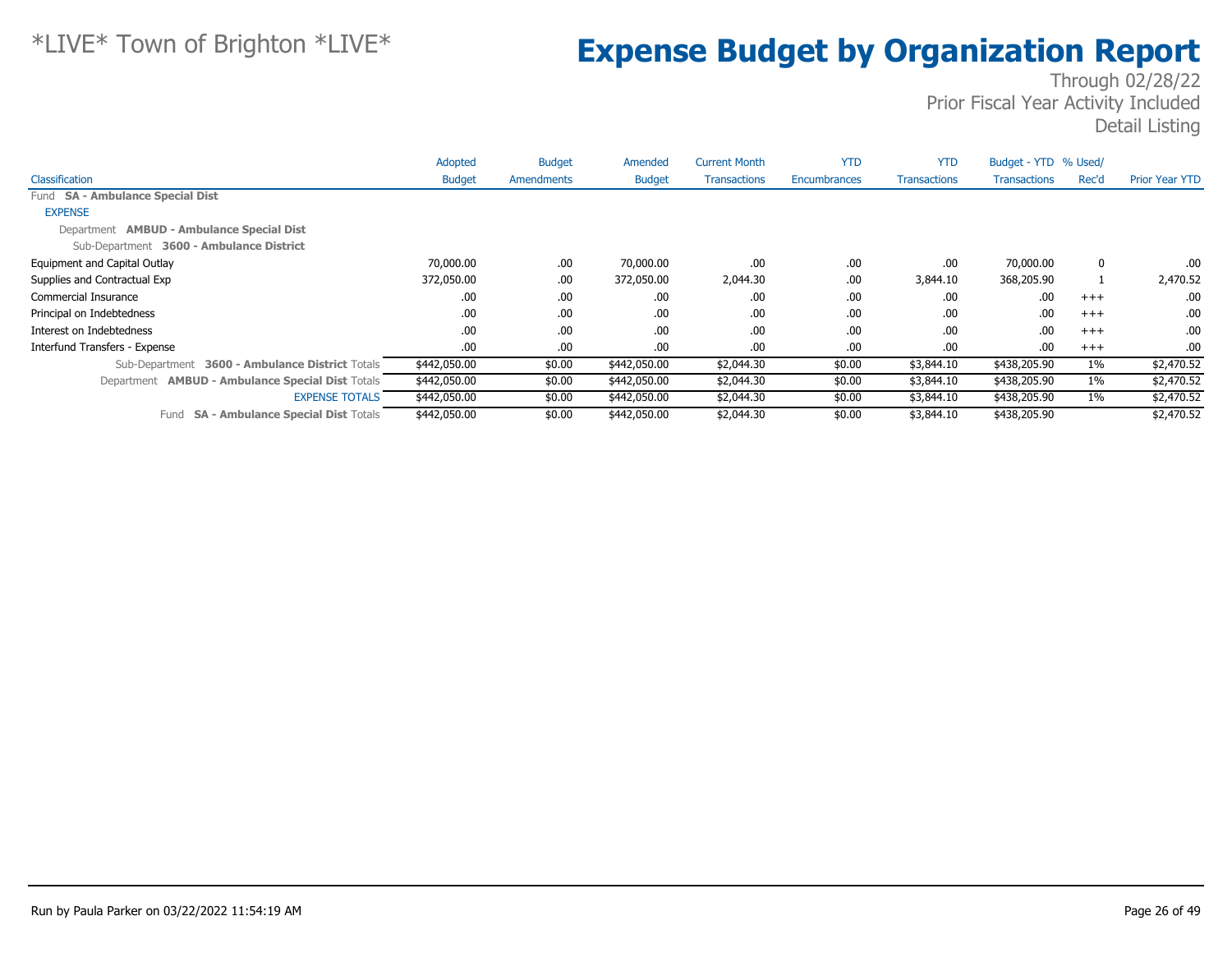|                                                         | Adopted       | <b>Budget</b>     | Amended       | <b>Current Month</b> | <b>YTD</b>   | <b>YTD</b>          | Budget - YTD % Used/ |       |                       |
|---------------------------------------------------------|---------------|-------------------|---------------|----------------------|--------------|---------------------|----------------------|-------|-----------------------|
| Classification                                          | <b>Budget</b> | <b>Amendments</b> | <b>Budget</b> | <b>Transactions</b>  | Encumbrances | <b>Transactions</b> | <b>Transactions</b>  | Rec'd | <b>Prior Year YTD</b> |
| Fund SA - Ambulance Special Dist                        |               |                   |               |                      |              |                     |                      |       |                       |
| <b>EXPENSE</b>                                          |               |                   |               |                      |              |                     |                      |       |                       |
| Department <b>AMBUD - Ambulance Special Dist</b>        |               |                   |               |                      |              |                     |                      |       |                       |
| Sub-Department 3600 - Ambulance District                |               |                   |               |                      |              |                     |                      |       |                       |
| Equipment and Capital Outlay                            | 70,000.00     | .00.              | 70,000.00     | .00                  | .00          | .00                 | 70,000.00            | 0     | .00.                  |
| Supplies and Contractual Exp                            | 372,050.00    | .00.              | 372,050.00    | 2,044.30             | .00          | 3,844.10            | 368,205.90           |       | 2,470.52              |
| Commercial Insurance                                    | .00.          | .00.              | .00.          | .00                  | .00          | .00                 | .00                  | $+++$ | .00.                  |
| Principal on Indebtedness                               | .00.          | .00.              | .00.          | .00                  | .00          | .00                 | .00                  | $+++$ | .00.                  |
| Interest on Indebtedness                                | .00.          | .00.              | .00.          | .00                  | .00          | .00                 | .00                  | $+++$ | .00.                  |
| Interfund Transfers - Expense                           | .00.          | .00.              | .00.          | .00                  | .00.         | .00                 | .00.                 | $+++$ | .00.                  |
| 3600 - Ambulance District Totals<br>Sub-Department      | \$442,050.00  | \$0.00            | \$442,050.00  | \$2,044.30           | \$0.00       | \$3,844.10          | \$438,205.90         | $1\%$ | \$2,470.52            |
| Department <b>AMBUD - Ambulance Special Dist Totals</b> | \$442,050.00  | \$0.00            | \$442,050.00  | \$2,044.30           | \$0.00       | \$3,844.10          | \$438,205.90         | $1\%$ | \$2,470.52            |
| <b>EXPENSE TOTALS</b>                                   | \$442,050.00  | \$0.00            | \$442,050.00  | \$2,044.30           | \$0.00       | \$3,844.10          | \$438,205.90         | $1\%$ | \$2,470.52            |
| <b>SA - Ambulance Special Dist Totals</b><br>Fund       | \$442,050.00  | \$0.00            | \$442,050.00  | \$2,044.30           | \$0.00       | \$3,844.10          | \$438,205.90         |       | \$2,470.52            |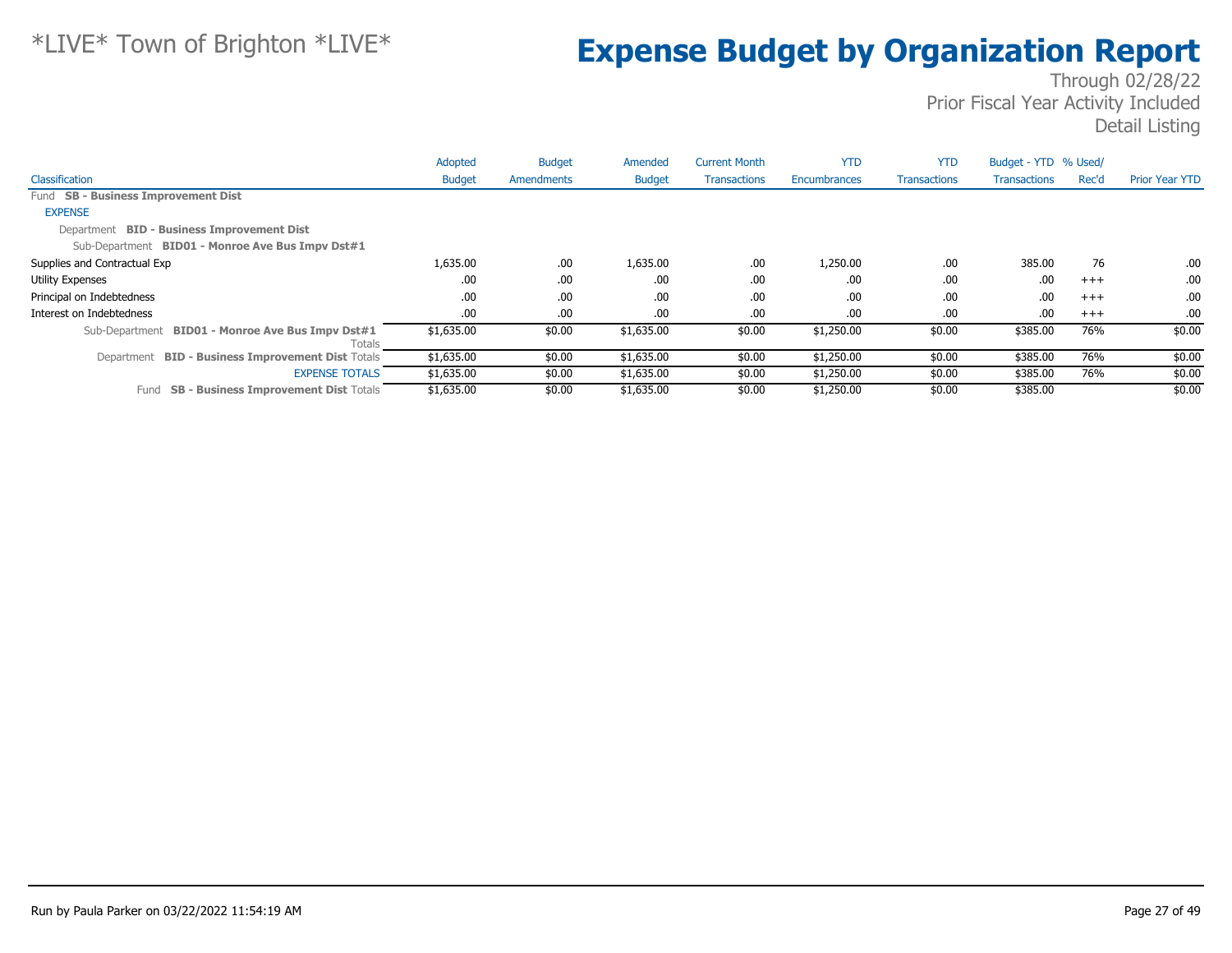|                                                            | Adopted       | <b>Budget</b>     | Amended       | <b>Current Month</b> | <b>YTD</b>          | <b>YTD</b>          | Budget - YTD % Used/ |          |                       |
|------------------------------------------------------------|---------------|-------------------|---------------|----------------------|---------------------|---------------------|----------------------|----------|-----------------------|
| Classification                                             | <b>Budget</b> | <b>Amendments</b> | <b>Budget</b> | <b>Transactions</b>  | <b>Encumbrances</b> | <b>Transactions</b> | <b>Transactions</b>  | Rec'd    | <b>Prior Year YTD</b> |
| Fund SB - Business Improvement Dist                        |               |                   |               |                      |                     |                     |                      |          |                       |
| <b>EXPENSE</b>                                             |               |                   |               |                      |                     |                     |                      |          |                       |
| Department BID - Business Improvement Dist                 |               |                   |               |                      |                     |                     |                      |          |                       |
| Sub-Department BID01 - Monroe Ave Bus Impv Dst#1           |               |                   |               |                      |                     |                     |                      |          |                       |
| Supplies and Contractual Exp                               | 1,635.00      | .00.              | 1,635.00      | .00                  | 1,250.00            | .00                 | 385.00               | 76       | .00.                  |
| <b>Utility Expenses</b>                                    | .00.          | .00.              | .00.          | .00                  | .00                 | .00                 | .00                  | $^{+++}$ | .00.                  |
| Principal on Indebtedness                                  | .00           | .00.              | .00.          | .00                  | .00                 | .00                 | .00                  | $+++$    | .00.                  |
| Interest on Indebtedness                                   | .00           | .00.              | .00.          | .00                  | .00                 | .00                 | .00                  | $+++$    | .00.                  |
| Sub-Department BID01 - Monroe Ave Bus Impv Dst#1<br>Totals | \$1,635.00    | \$0.00            | \$1,635.00    | \$0.00               | \$1,250.00          | \$0.00              | \$385.00             | 76%      | \$0.00                |
| Department BID - Business Improvement Dist Totals          | \$1,635.00    | \$0.00            | \$1,635.00    | \$0.00               | \$1,250.00          | \$0.00              | \$385.00             | 76%      | \$0.00                |
| <b>EXPENSE TOTALS</b>                                      | \$1,635.00    | \$0.00            | \$1,635.00    | \$0.00               | \$1,250.00          | \$0.00              | \$385.00             | 76%      | \$0.00                |
| <b>SB - Business Improvement Dist Totals</b><br>Fund       | \$1,635.00    | \$0.00            | \$1,635.00    | \$0.00               | \$1,250.00          | \$0.00              | \$385.00             |          | \$0.00                |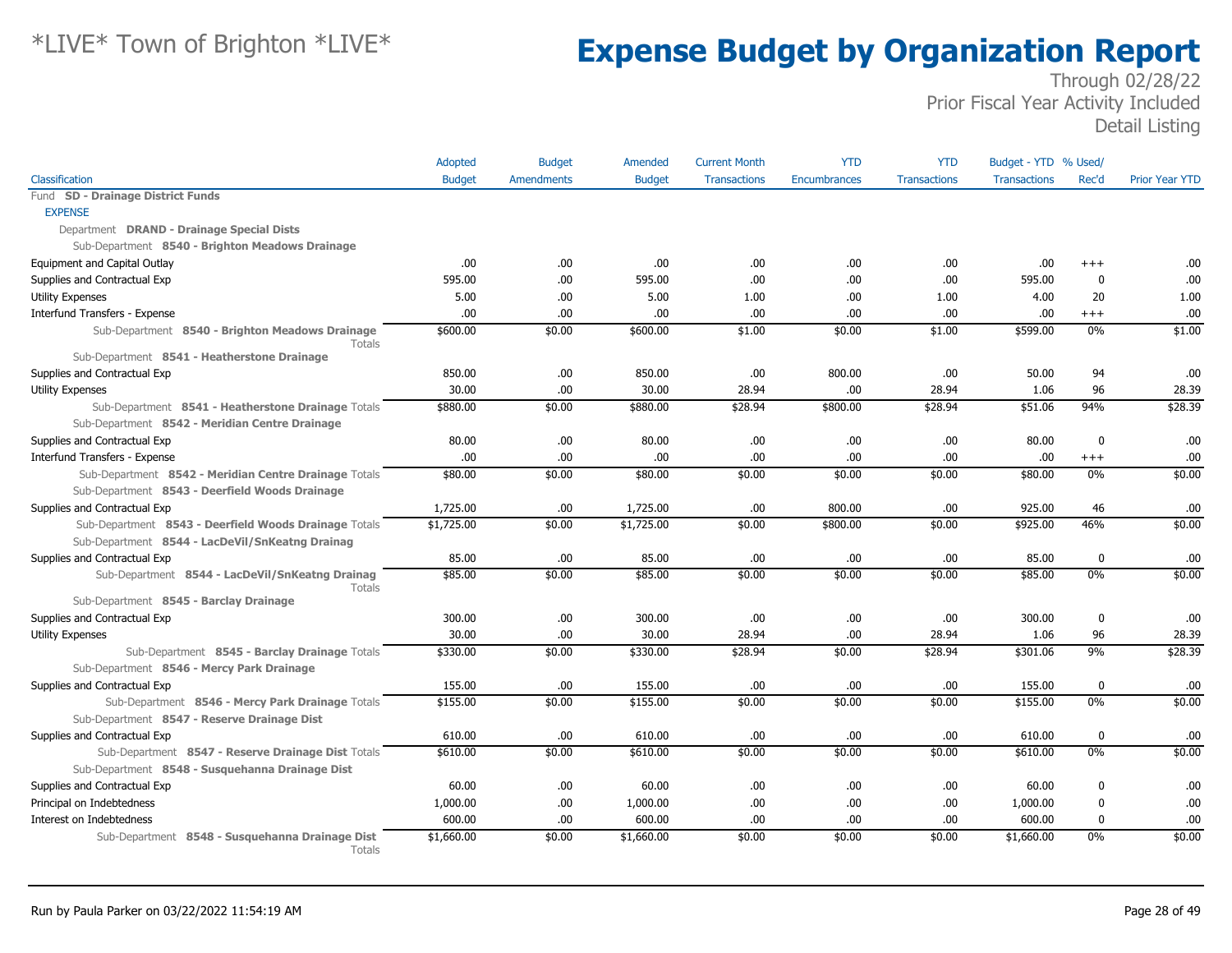|                                                                                                 | Adopted       | <b>Budget</b>     | Amended       | <b>Current Month</b> | <b>YTD</b>          | <b>YTD</b>          | Budget - YTD % Used/ |                  |                       |
|-------------------------------------------------------------------------------------------------|---------------|-------------------|---------------|----------------------|---------------------|---------------------|----------------------|------------------|-----------------------|
| Classification                                                                                  | <b>Budget</b> | <b>Amendments</b> | <b>Budget</b> | <b>Transactions</b>  | <b>Encumbrances</b> | <b>Transactions</b> | <b>Transactions</b>  | Rec'd            | <b>Prior Year YTD</b> |
| Fund SD - Drainage District Funds                                                               |               |                   |               |                      |                     |                     |                      |                  |                       |
| <b>EXPENSE</b>                                                                                  |               |                   |               |                      |                     |                     |                      |                  |                       |
| Department DRAND - Drainage Special Dists                                                       |               |                   |               |                      |                     |                     |                      |                  |                       |
| Sub-Department 8540 - Brighton Meadows Drainage                                                 |               |                   |               |                      |                     |                     |                      |                  |                       |
| Equipment and Capital Outlay                                                                    | .00.          | .00.              | .00.          | .00                  | .00                 | .00                 | .00                  | $^{++}$          | .00                   |
| Supplies and Contractual Exp                                                                    | 595.00        | .00.              | 595.00        | .00                  | .00                 | .00                 | 595.00               | $\mathbf 0$      | .00                   |
| <b>Utility Expenses</b>                                                                         | 5.00          | .00.              | 5.00          | 1.00                 | .00                 | 1.00                | 4.00                 | 20               | 1.00                  |
| Interfund Transfers - Expense                                                                   | .00.          | .00               | .00           | .00                  | .00                 | .00                 | .00                  | $+++$            | .00                   |
| Sub-Department 8540 - Brighton Meadows Drainage<br><b>Totals</b>                                | \$600.00      | \$0.00            | \$600.00      | \$1.00               | \$0.00              | \$1.00              | \$599.00             | 0%               | \$1.00                |
| Sub-Department 8541 - Heatherstone Drainage                                                     |               |                   |               |                      |                     |                     |                      |                  |                       |
| Supplies and Contractual Exp                                                                    | 850.00        | .00.              | 850.00        | .00                  | 800.00              | .00                 | 50.00                | 94               | .00                   |
| Utility Expenses                                                                                | 30.00         | .00               | 30.00         | 28.94                | .00                 | 28.94               | 1.06                 | 96               | 28.39                 |
| Sub-Department 8541 - Heatherstone Drainage Totals                                              | \$880.00      | \$0.00            | \$880.00      | \$28.94              | \$800.00            | \$28.94             | \$51.06              | 94%              | \$28.39               |
| Sub-Department 8542 - Meridian Centre Drainage                                                  |               |                   |               |                      |                     |                     |                      |                  |                       |
| Supplies and Contractual Exp                                                                    | 80.00         | .00.              | 80.00         | .00                  | .00                 | .00                 | 80.00                | $\mathbf 0$      | .00                   |
| Interfund Transfers - Expense                                                                   | .00           | .00               | .00           | .00                  | .00                 | .00                 | .00                  | $^{+++}$         | .00                   |
| Sub-Department 8542 - Meridian Centre Drainage Totals                                           | \$80.00       | \$0.00            | \$80.00       | \$0.00               | \$0.00              | \$0.00              | \$80.00              | 0%               | \$0.00                |
| Sub-Department 8543 - Deerfield Woods Drainage                                                  |               |                   |               |                      |                     |                     |                      |                  |                       |
| Supplies and Contractual Exp                                                                    | 1,725.00      | .00.              | 1,725.00      | .00                  | 800.00              | .00                 | 925.00               | 46               | .00                   |
| Sub-Department 8543 - Deerfield Woods Drainage Totals                                           | \$1,725.00    | \$0.00            | \$1,725.00    | \$0.00               | \$800.00            | \$0.00              | \$925.00             | 46%              | \$0.00                |
| Sub-Department 8544 - LacDeVil/SnKeatng Drainag                                                 |               |                   |               |                      |                     |                     |                      |                  |                       |
| Supplies and Contractual Exp                                                                    | 85.00         | .00               | 85.00         | .00                  | .00                 | .00                 | 85.00                | $\mathbf 0$      | .00                   |
| Sub-Department 8544 - LacDeVil/SnKeatng Drainag<br>Totals                                       | \$85.00       | \$0.00            | \$85.00       | \$0.00               | \$0.00              | \$0.00              | \$85.00              | 0%               | \$0.00                |
| Sub-Department 8545 - Barclay Drainage                                                          |               |                   |               |                      |                     |                     |                      |                  |                       |
| Supplies and Contractual Exp                                                                    | 300.00        | .00               | 300.00        | .00                  | .00                 | .00                 | 300.00               | $\mathbf 0$      | .00                   |
| Utility Expenses                                                                                | 30.00         | .00               | 30.00         | 28.94                | .00                 | 28.94               | 1.06                 | 96               | 28.39                 |
| Sub-Department 8545 - Barclay Drainage Totals                                                   | \$330.00      | \$0.00            | \$330.00      | \$28.94              | \$0.00              | \$28.94             | \$301.06             | 9%               | \$28.39               |
| Sub-Department 8546 - Mercy Park Drainage                                                       |               |                   |               |                      |                     |                     |                      |                  |                       |
| Supplies and Contractual Exp                                                                    | 155.00        | .00               | 155.00        | .00                  | .00                 | .00                 | 155.00               | $\mathbf 0$      | .00                   |
| Sub-Department 8546 - Mercy Park Drainage Totals<br>Sub-Department 8547 - Reserve Drainage Dist | \$155.00      | \$0.00            | \$155.00      | \$0.00               | \$0.00              | \$0.00              | \$155.00             | 0%               | \$0.00                |
| Supplies and Contractual Exp                                                                    | 610.00        | .00.              | 610.00        | .00                  | .00                 | .00                 | 610.00               | $\mathbf 0$      | .00.                  |
| Sub-Department 8547 - Reserve Drainage Dist Totals                                              | \$610.00      | \$0.00            | \$610.00      | \$0.00               | \$0.00              | \$0.00              | \$610.00             | 0%               | \$0.00                |
| Sub-Department 8548 - Susquehanna Drainage Dist                                                 |               |                   |               |                      |                     |                     |                      |                  |                       |
| Supplies and Contractual Exp                                                                    | 60.00         | .00.              | 60.00         | .00                  | .00                 | .00                 | 60.00                | $\boldsymbol{0}$ | .00                   |
| Principal on Indebtedness                                                                       | 1,000.00      | .00.              | 1,000.00      | .00                  | .00                 | .00                 | 1,000.00             | 0                | .00                   |
| Interest on Indebtedness                                                                        | 600.00        | .00               | 600.00        | .00.                 | .00                 | .00                 | 600.00               | $\mathbf 0$      | .00                   |
| Sub-Department 8548 - Susquehanna Drainage Dist<br>Totals                                       | \$1,660.00    | \$0.00            | \$1,660.00    | \$0.00               | \$0.00              | \$0.00              | \$1,660.00           | 0%               | \$0.00                |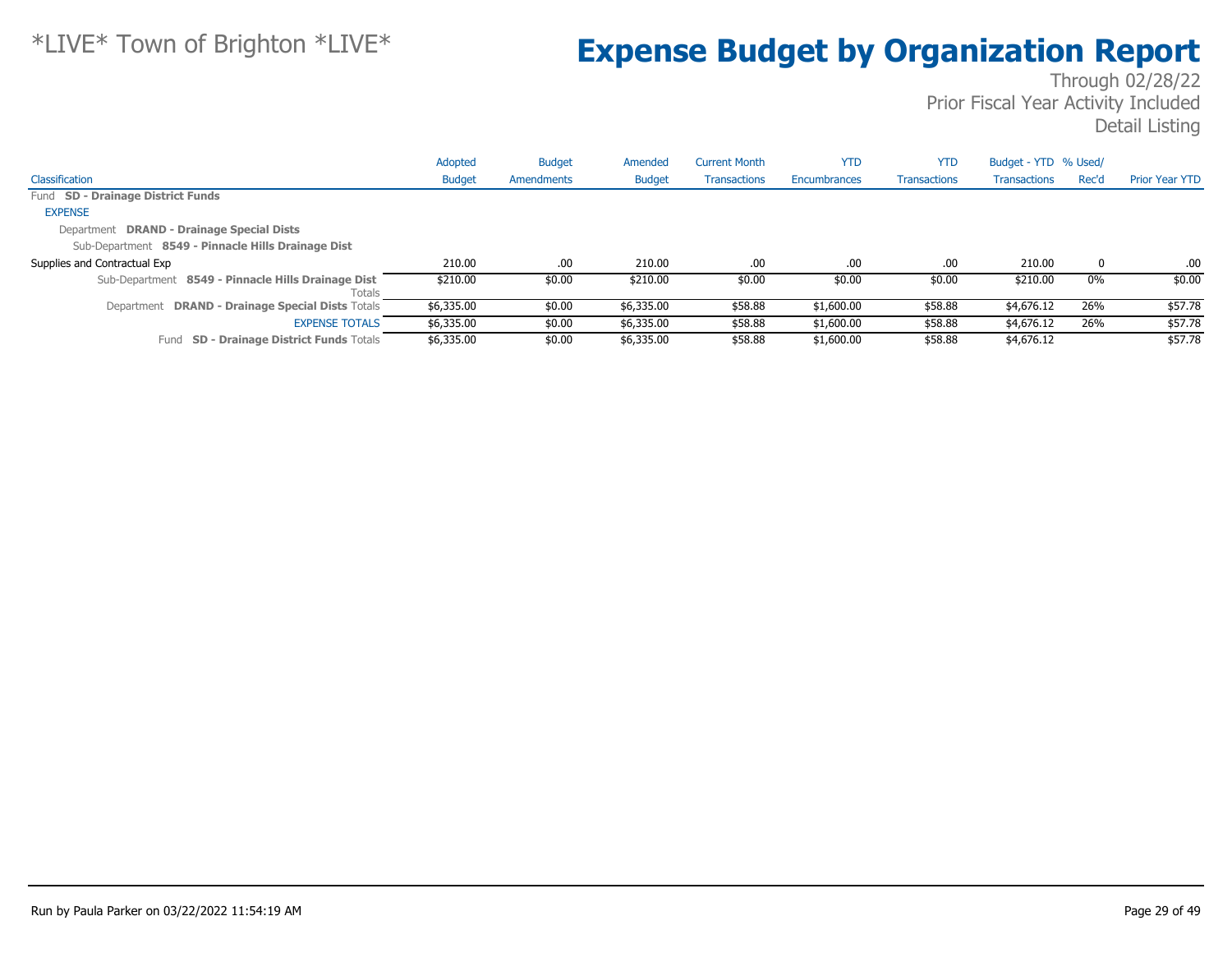|                                                              | Adopted       | <b>Budget</b> | Amended       | <b>Current Month</b> | <b>YTD</b>   | <b>YTD</b>          | Budget - YTD % Used/ |       |                       |
|--------------------------------------------------------------|---------------|---------------|---------------|----------------------|--------------|---------------------|----------------------|-------|-----------------------|
| Classification                                               | <b>Budget</b> | Amendments    | <b>Budget</b> | <b>Transactions</b>  | Encumbrances | <b>Transactions</b> | <b>Transactions</b>  | Rec'd | <b>Prior Year YTD</b> |
| Fund SD - Drainage District Funds                            |               |               |               |                      |              |                     |                      |       |                       |
| <b>EXPENSE</b>                                               |               |               |               |                      |              |                     |                      |       |                       |
| Department DRAND - Drainage Special Dists                    |               |               |               |                      |              |                     |                      |       |                       |
| Sub-Department 8549 - Pinnacle Hills Drainage Dist           |               |               |               |                      |              |                     |                      |       |                       |
| Supplies and Contractual Exp                                 | 210.00        | .00           | 210.00        | .00                  | .00          | .00.                | 210.00               | 0     | .00                   |
| Sub-Department 8549 - Pinnacle Hills Drainage Dist<br>Totals | \$210.00      | \$0.00        | \$210.00      | \$0.00               | \$0.00       | \$0.00              | \$210.00             | $0\%$ | \$0.00                |
| Department DRAND - Drainage Special Dists Totals             | \$6,335.00    | \$0.00        | \$6,335.00    | \$58.88              | \$1,600.00   | \$58.88             | \$4,676.12           | 26%   | \$57.78               |
| <b>EXPENSE TOTALS</b>                                        | \$6,335.00    | \$0.00        | \$6,335.00    | \$58.88              | \$1,600.00   | \$58.88             | \$4,676.12           | 26%   | \$57.78               |
| <b>SD - Drainage District Funds Totals</b><br>Fund           | \$6,335.00    | \$0.00        | \$6,335.00    | \$58.88              | \$1,600.00   | \$58.88             | \$4,676.12           |       | \$57.78               |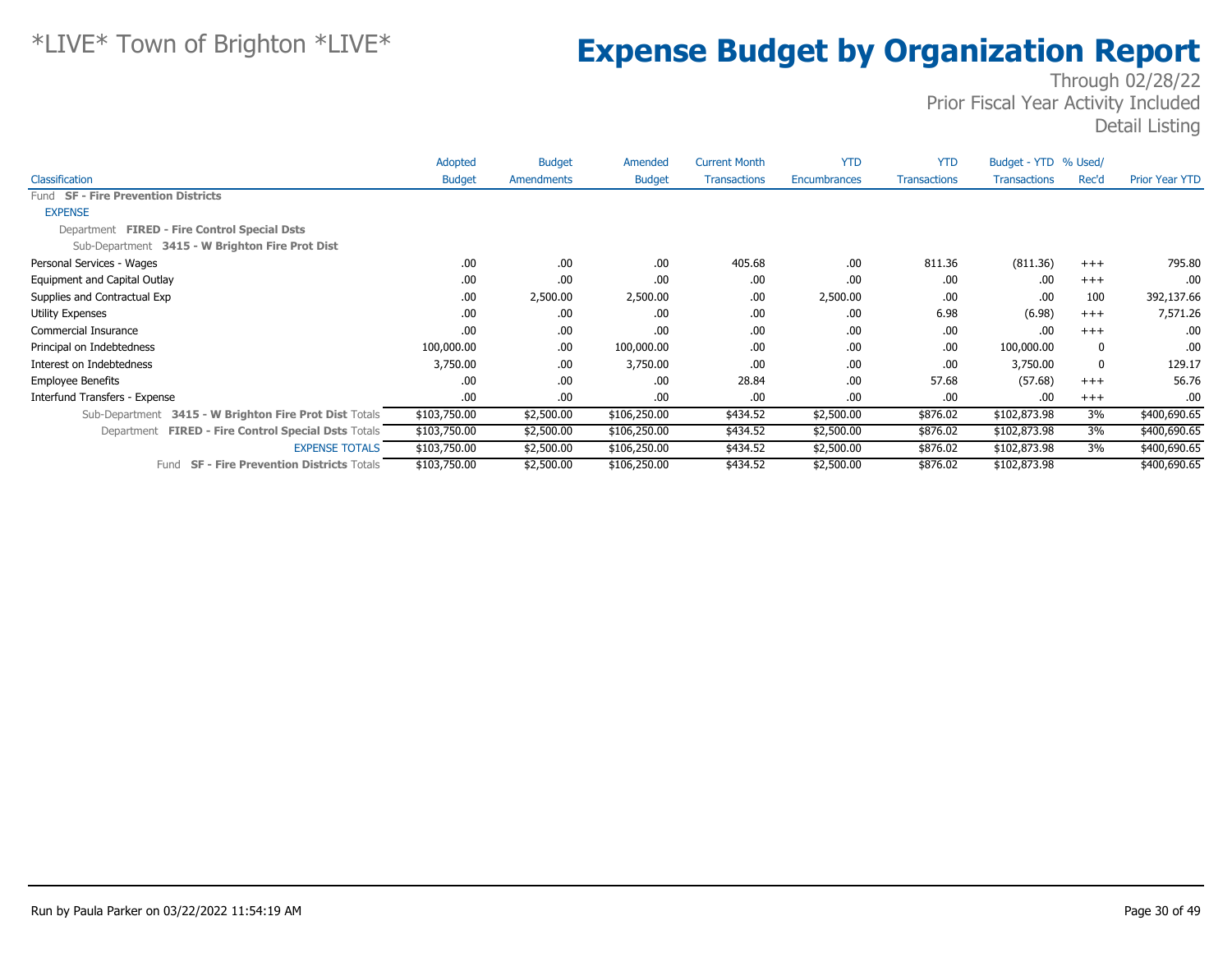|                                                        | Adopted       | <b>Budget</b> | Amended       | <b>Current Month</b> | <b>YTD</b>   | <b>YTD</b>          | Budget - YTD % Used/ |             |                |
|--------------------------------------------------------|---------------|---------------|---------------|----------------------|--------------|---------------------|----------------------|-------------|----------------|
| Classification                                         | <b>Budget</b> | Amendments    | <b>Budget</b> | <b>Transactions</b>  | Encumbrances | <b>Transactions</b> | <b>Transactions</b>  | Rec'd       | Prior Year YTD |
| Fund SF - Fire Prevention Districts                    |               |               |               |                      |              |                     |                      |             |                |
| <b>EXPENSE</b>                                         |               |               |               |                      |              |                     |                      |             |                |
| Department FIRED - Fire Control Special Dsts           |               |               |               |                      |              |                     |                      |             |                |
| Sub-Department 3415 - W Brighton Fire Prot Dist        |               |               |               |                      |              |                     |                      |             |                |
| Personal Services - Wages                              | .00           | .00.          | .00.          | 405.68               | .00          | 811.36              | (811.36)             | $+++$       | 795.80         |
| Equipment and Capital Outlay                           | .00           | .00.          | .00           | .00                  | .00          | .00.                | .00.                 | $+++$       | .00.           |
| Supplies and Contractual Exp                           | .00           | 2,500.00      | 2,500.00      | .00                  | 2,500.00     | .00.                | .00.                 | 100         | 392,137.66     |
| Utility Expenses                                       | .00           | .00.          | .00.          | .00                  | .00          | 6.98                | (6.98)               | $^{+++}$    | 7,571.26       |
| Commercial Insurance                                   | .00           | .00.          | .00           | .00                  | .00          | .00.                | .00                  | $+++$       | .00.           |
| Principal on Indebtedness                              | 100,000.00    | .00.          | 100,000.00    | .00                  | .00          | .00.                | 100,000.00           | 0           | .00.           |
| Interest on Indebtedness                               | 3,750.00      | .00.          | 3,750.00      | .00                  | .00          | .00.                | 3,750.00             | $\mathbf 0$ | 129.17         |
| <b>Employee Benefits</b>                               | .00           | .00           | .00.          | 28.84                | .00          | 57.68               | (57.68)              | $+++$       | 56.76          |
| Interfund Transfers - Expense                          | .00           | .00.          | .00.          | .00                  | .00          | .00.                | .00.                 | $^{+++}$    | .00.           |
| Sub-Department 3415 - W Brighton Fire Prot Dist Totals | \$103,750.00  | \$2,500.00    | \$106,250.00  | \$434.52             | \$2,500.00   | \$876.02            | \$102,873.98         | 3%          | \$400,690.65   |
| Department FIRED - Fire Control Special Dsts Totals    | \$103,750.00  | \$2,500.00    | \$106,250.00  | \$434.52             | \$2,500.00   | \$876.02            | \$102,873.98         | 3%          | \$400,690.65   |
| <b>EXPENSE TOTALS</b>                                  | \$103,750.00  | \$2,500.00    | \$106,250.00  | \$434.52             | \$2,500.00   | \$876.02            | \$102,873.98         | 3%          | \$400,690.65   |
| <b>SF - Fire Prevention Districts Totals</b><br>Fund   | \$103,750.00  | \$2,500.00    | \$106,250.00  | \$434.52             | \$2,500.00   | \$876.02            | \$102,873.98         |             | \$400,690.65   |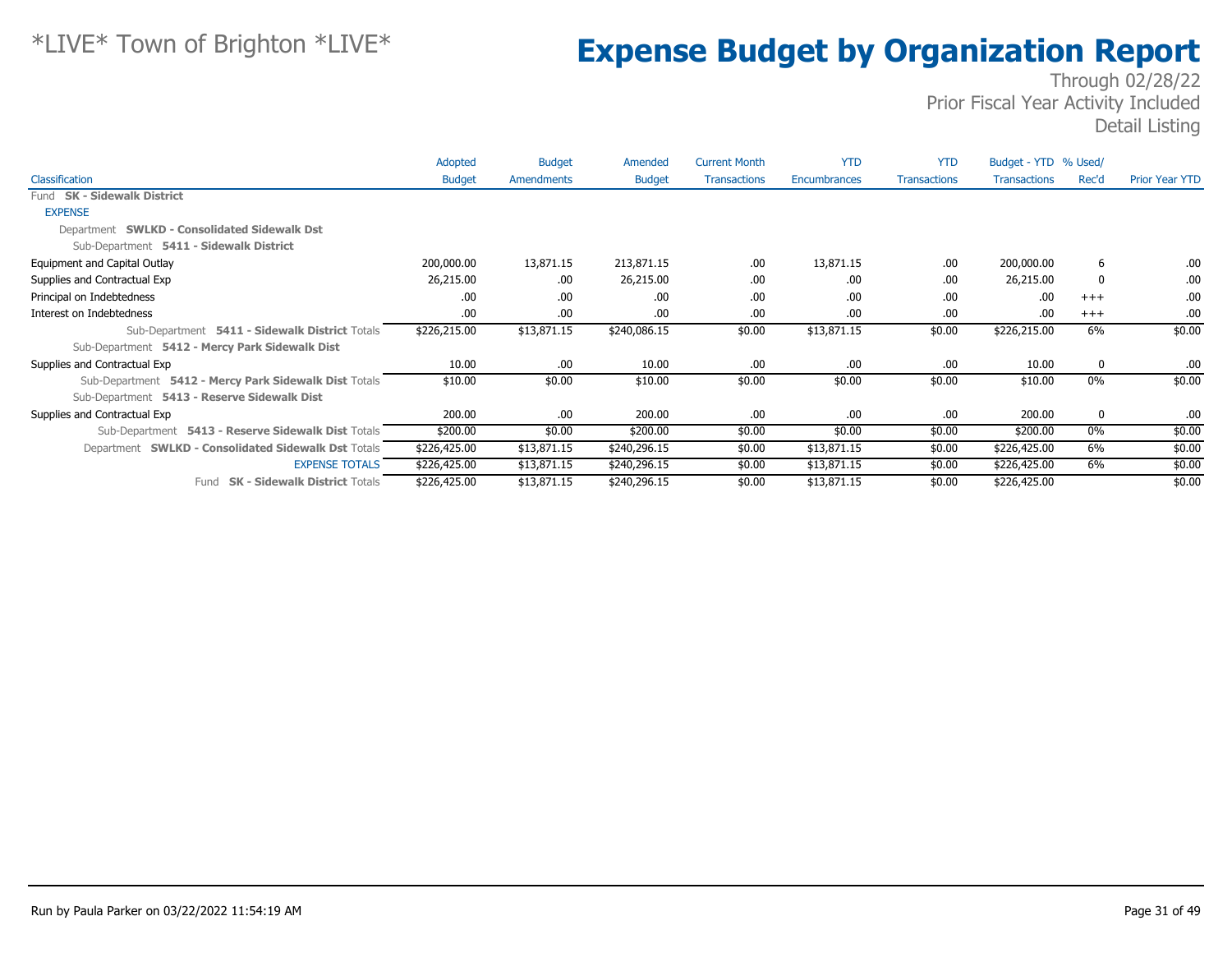|                                                       | Adopted       | <b>Budget</b> | Amended       | <b>Current Month</b> | <b>YTD</b>   | <b>YTD</b>          | Budget - YTD % Used/ |          |                |
|-------------------------------------------------------|---------------|---------------|---------------|----------------------|--------------|---------------------|----------------------|----------|----------------|
| Classification                                        | <b>Budget</b> | Amendments    | <b>Budget</b> | <b>Transactions</b>  | Encumbrances | <b>Transactions</b> | <b>Transactions</b>  | Rec'd    | Prior Year YTD |
| Fund SK - Sidewalk District                           |               |               |               |                      |              |                     |                      |          |                |
| <b>EXPENSE</b>                                        |               |               |               |                      |              |                     |                      |          |                |
| Department SWLKD - Consolidated Sidewalk Dst          |               |               |               |                      |              |                     |                      |          |                |
| Sub-Department 5411 - Sidewalk District               |               |               |               |                      |              |                     |                      |          |                |
| Equipment and Capital Outlay                          | 200,000.00    | 13,871.15     | 213,871.15    | .00                  | 13,871.15    | .00                 | 200,000.00           | 6        | .00            |
| Supplies and Contractual Exp                          | 26,215.00     | .00           | 26,215.00     | .00                  | .00          | .00                 | 26,215.00            | 0        | .00            |
| Principal on Indebtedness                             | .00           | .00.          | .00           | .00                  | .00          | .00                 | .00                  | $+++$    | .00            |
| Interest on Indebtedness                              | .00.          | .00           | .00           | .00                  | .00          | .00                 | .00                  | $^{+++}$ | .00            |
| Sub-Department 5411 - Sidewalk District Totals        | \$226,215.00  | \$13,871.15   | \$240,086.15  | \$0.00               | \$13,871.15  | \$0.00              | \$226,215.00         | 6%       | \$0.00         |
| Sub-Department 5412 - Mercy Park Sidewalk Dist        |               |               |               |                      |              |                     |                      |          |                |
| Supplies and Contractual Exp                          | 10.00         | .00           | 10.00         | .00                  | .00          | .00                 | 10.00                | 0        | .00            |
| Sub-Department 5412 - Mercy Park Sidewalk Dist Totals | \$10.00       | \$0.00        | \$10.00       | \$0.00               | \$0.00       | \$0.00              | \$10.00              | $0\%$    | \$0.00         |
| Sub-Department 5413 - Reserve Sidewalk Dist           |               |               |               |                      |              |                     |                      |          |                |
| Supplies and Contractual Exp                          | 200.00        | .00           | 200.00        | .00                  | .00          | .00                 | 200.00               | 0        | .00            |
| Sub-Department 5413 - Reserve Sidewalk Dist Totals    | \$200.00      | \$0.00        | \$200.00      | \$0.00               | \$0.00       | \$0.00              | \$200.00             | $0\%$    | \$0.00         |
| Department SWLKD - Consolidated Sidewalk Dst Totals   | \$226,425.00  | \$13,871.15   | \$240,296.15  | \$0.00               | \$13,871.15  | \$0.00              | \$226,425.00         | 6%       | \$0.00         |
| <b>EXPENSE TOTALS</b>                                 | \$226,425.00  | \$13,871.15   | \$240,296.15  | \$0.00               | \$13,871.15  | \$0.00              | \$226,425.00         | 6%       | \$0.00         |
| Fund SK - Sidewalk District Totals                    | \$226,425.00  | \$13,871.15   | \$240,296.15  | \$0.00               | \$13,871.15  | \$0.00              | \$226,425.00         |          | \$0.00         |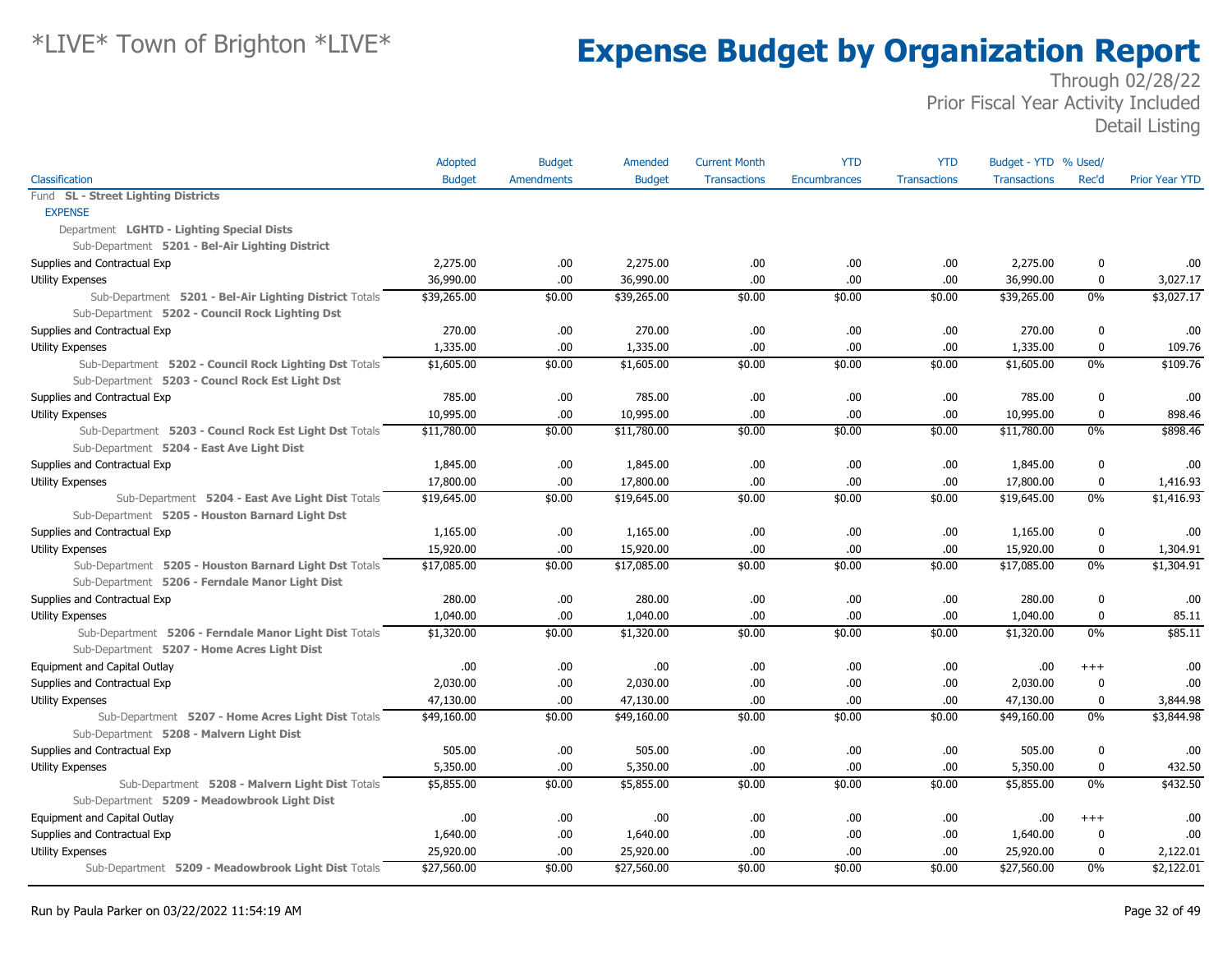|                                                        | Adopted       | <b>Budget</b>     | Amended       | <b>Current Month</b> | <b>YTD</b>          | <b>YTD</b>          | Budget - YTD % Used/ |             |                       |
|--------------------------------------------------------|---------------|-------------------|---------------|----------------------|---------------------|---------------------|----------------------|-------------|-----------------------|
| Classification                                         | <b>Budget</b> | <b>Amendments</b> | <b>Budget</b> | <b>Transactions</b>  | <b>Encumbrances</b> | <b>Transactions</b> | <b>Transactions</b>  | Rec'd       | <b>Prior Year YTD</b> |
| Fund SL - Street Lighting Districts                    |               |                   |               |                      |                     |                     |                      |             |                       |
| <b>EXPENSE</b>                                         |               |                   |               |                      |                     |                     |                      |             |                       |
| Department LGHTD - Lighting Special Dists              |               |                   |               |                      |                     |                     |                      |             |                       |
| Sub-Department 5201 - Bel-Air Lighting District        |               |                   |               |                      |                     |                     |                      |             |                       |
| Supplies and Contractual Exp                           | 2,275.00      | .00               | 2,275.00      | .00                  | .00.                | .00                 | 2,275.00             | 0           | .00                   |
| <b>Utility Expenses</b>                                | 36,990.00     | .00               | 36,990.00     | .00                  | .00                 | .00                 | 36,990.00            | 0           | 3,027.17              |
| Sub-Department 5201 - Bel-Air Lighting District Totals | \$39,265.00   | \$0.00            | \$39,265.00   | \$0.00               | \$0.00              | \$0.00              | \$39,265.00          | $0\%$       | \$3,027.17            |
| Sub-Department 5202 - Council Rock Lighting Dst        |               |                   |               |                      |                     |                     |                      |             |                       |
| Supplies and Contractual Exp                           | 270.00        | .00               | 270.00        | .00                  | .00.                | .00                 | 270.00               | 0           | .00                   |
| <b>Utility Expenses</b>                                | 1,335.00      | .00               | 1,335.00      | .00                  | .00.                | .00                 | 1,335.00             | 0           | 109.76                |
| Sub-Department 5202 - Council Rock Lighting Dst Totals | \$1,605.00    | \$0.00            | \$1,605.00    | \$0.00               | \$0.00              | \$0.00              | \$1,605.00           | $0\%$       | \$109.76              |
| Sub-Department 5203 - Councl Rock Est Light Dst        |               |                   |               |                      |                     |                     |                      |             |                       |
| Supplies and Contractual Exp                           | 785.00        | .00               | 785.00        | .00                  | .00.                | .00                 | 785.00               | 0           | .00                   |
| Utility Expenses                                       | 10,995.00     | .00               | 10,995.00     | .00                  | .00.                | .00                 | 10,995.00            | 0           | 898.46                |
| Sub-Department 5203 - Councl Rock Est Light Dst Totals | \$11,780.00   | \$0.00            | \$11,780.00   | \$0.00               | \$0.00              | \$0.00              | \$11,780.00          | $0\%$       | \$898.46              |
| Sub-Department 5204 - East Ave Light Dist              |               |                   |               |                      |                     |                     |                      |             |                       |
| Supplies and Contractual Exp                           | 1,845.00      | .00               | 1,845.00      | .00                  | .00.                | .00                 | 1,845.00             | 0           | .00                   |
| Utility Expenses                                       | 17,800.00     | .00               | 17,800.00     | .00                  | .00.                | .00                 | 17,800.00            | 0           | 1,416.93              |
| Sub-Department 5204 - East Ave Light Dist Totals       | \$19,645.00   | \$0.00            | \$19,645.00   | \$0.00               | \$0.00              | \$0.00              | \$19,645.00          | $0\%$       | \$1,416.93            |
| Sub-Department 5205 - Houston Barnard Light Dst        |               |                   |               |                      |                     |                     |                      |             |                       |
| Supplies and Contractual Exp                           | 1,165.00      | .00               | 1,165.00      | .00                  | .00.                | .00                 | 1,165.00             | 0           | .00                   |
| Utility Expenses                                       | 15,920.00     | .00               | 15,920.00     | .00                  | .00.                | .00                 | 15,920.00            | $\bf{0}$    | 1,304.91              |
| Sub-Department 5205 - Houston Barnard Light Dst Totals | \$17,085.00   | \$0.00            | \$17,085.00   | \$0.00               | \$0.00              | \$0.00              | \$17,085.00          | $0\%$       | \$1,304.91            |
| Sub-Department 5206 - Ferndale Manor Light Dist        |               |                   |               |                      |                     |                     |                      |             |                       |
| Supplies and Contractual Exp                           | 280.00        | .00               | 280.00        | .00                  | .00.                | .00                 | 280.00               | $\mathbf 0$ | .00                   |
| Utility Expenses                                       | 1,040.00      | .00               | 1,040.00      | .00                  | .00.                | .00                 | 1,040.00             | $\mathbf 0$ | 85.11                 |
| Sub-Department 5206 - Ferndale Manor Light Dist Totals | \$1,320.00    | \$0.00            | \$1,320.00    | \$0.00               | \$0.00              | \$0.00              | \$1,320.00           | $0\%$       | \$85.11               |
| Sub-Department 5207 - Home Acres Light Dist            |               |                   |               |                      |                     |                     |                      |             |                       |
| Equipment and Capital Outlay                           | .00           | .00               | .00.          | .00                  | .00.                | .00                 | .00.                 | $^{+++}$    | .00                   |
| Supplies and Contractual Exp                           | 2,030.00      | .00               | 2,030.00      | .00                  | .00.                | .00                 | 2,030.00             | 0           | .00                   |
| <b>Utility Expenses</b>                                | 47,130.00     | .00               | 47,130.00     | .00                  | .00                 | .00                 | 47,130.00            | $\bf{0}$    | 3,844.98              |
| Sub-Department 5207 - Home Acres Light Dist Totals     | \$49,160.00   | \$0.00            | \$49,160.00   | \$0.00               | \$0.00              | \$0.00              | \$49,160.00          | $0\%$       | \$3,844.98            |
| Sub-Department 5208 - Malvern Light Dist               |               |                   |               |                      |                     |                     |                      |             |                       |
| Supplies and Contractual Exp                           | 505.00        | .00               | 505.00        | .00                  | .00.                | .00                 | 505.00               | 0           | .00                   |
| Utility Expenses                                       | 5,350.00      | .00               | 5,350.00      | .00                  | .00                 | .00                 | 5,350.00             | $\mathbf 0$ | 432.50                |
| Sub-Department 5208 - Malvern Light Dist Totals        | \$5,855.00    | \$0.00            | \$5,855.00    | \$0.00               | \$0.00              | \$0.00              | \$5,855.00           | $0\%$       | \$432.50              |
| Sub-Department 5209 - Meadowbrook Light Dist           |               |                   |               |                      |                     |                     |                      |             |                       |
| Equipment and Capital Outlay                           | .00           | .00               | .00           | .00                  | .00.                | .00                 | .00                  | $^{++}$     | .00                   |
| Supplies and Contractual Exp                           | 1,640.00      | .00               | 1,640.00      | .00                  | .00.                | .00                 | 1,640.00             | 0           | .00                   |
| <b>Utility Expenses</b>                                | 25,920.00     | .00               | 25,920.00     | .00                  | .00.                | .00                 | 25,920.00            | 0           | 2,122.01              |
| Sub-Department 5209 - Meadowbrook Light Dist Totals    | \$27,560.00   | \$0.00            | \$27,560.00   | \$0.00               | \$0.00              | \$0.00              | \$27,560.00          | $0\%$       | $\sqrt{2,122.01}$     |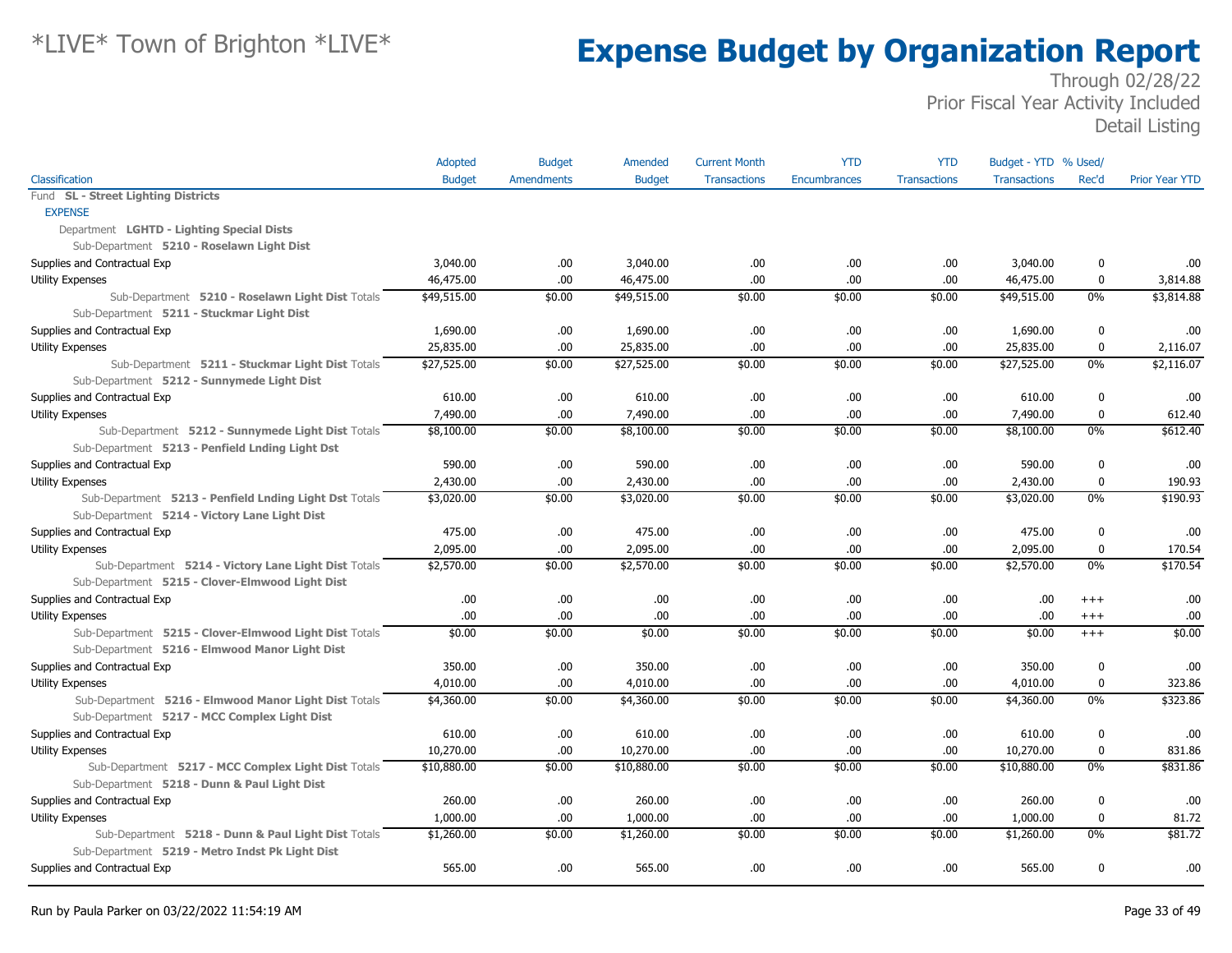|                                                        | Adopted       | <b>Budget</b>     | Amended       | <b>Current Month</b> | <b>YTD</b>          | <b>YTD</b>          | Budget - YTD % Used/ |             |                       |
|--------------------------------------------------------|---------------|-------------------|---------------|----------------------|---------------------|---------------------|----------------------|-------------|-----------------------|
| Classification                                         | <b>Budget</b> | <b>Amendments</b> | <b>Budget</b> | <b>Transactions</b>  | <b>Encumbrances</b> | <b>Transactions</b> | <b>Transactions</b>  | Rec'd       | <b>Prior Year YTD</b> |
| Fund SL - Street Lighting Districts                    |               |                   |               |                      |                     |                     |                      |             |                       |
| <b>EXPENSE</b>                                         |               |                   |               |                      |                     |                     |                      |             |                       |
| Department LGHTD - Lighting Special Dists              |               |                   |               |                      |                     |                     |                      |             |                       |
| Sub-Department 5210 - Roselawn Light Dist              |               |                   |               |                      |                     |                     |                      |             |                       |
| Supplies and Contractual Exp                           | 3,040.00      | .00               | 3,040.00      | .00                  | .00.                | .00                 | 3,040.00             | 0           | .00                   |
| <b>Utility Expenses</b>                                | 46,475.00     | .00.              | 46,475.00     | .00                  | .00                 | .00                 | 46,475.00            | $\bf{0}$    | 3,814.88              |
| Sub-Department 5210 - Roselawn Light Dist Totals       | \$49,515.00   | \$0.00            | \$49,515.00   | \$0.00               | \$0.00              | \$0.00              | \$49,515.00          | $0\%$       | \$3,814.88            |
| Sub-Department 5211 - Stuckmar Light Dist              |               |                   |               |                      |                     |                     |                      |             |                       |
| Supplies and Contractual Exp                           | 1,690.00      | .00               | 1,690.00      | .00                  | .00                 | .00                 | 1,690.00             | 0           | .00                   |
| Utility Expenses                                       | 25,835.00     | .00               | 25,835.00     | .00                  | .00.                | .00                 | 25,835.00            | 0           | 2,116.07              |
| Sub-Department 5211 - Stuckmar Light Dist Totals       | \$27,525.00   | \$0.00            | \$27,525.00   | \$0.00               | \$0.00              | \$0.00              | \$27,525.00          | $0\%$       | \$2,116.07            |
| Sub-Department 5212 - Sunnymede Light Dist             |               |                   |               |                      |                     |                     |                      |             |                       |
| Supplies and Contractual Exp                           | 610.00        | .00               | 610.00        | .00                  | .00.                | .00                 | 610.00               | $\bf{0}$    | .00                   |
| <b>Utility Expenses</b>                                | 7,490.00      | .00.              | 7,490.00      | .00                  | .00.                | .00                 | 7,490.00             | 0           | 612.40                |
| Sub-Department 5212 - Sunnymede Light Dist Totals      | \$8,100.00    | \$0.00            | \$8,100.00    | \$0.00               | \$0.00              | \$0.00              | \$8,100.00           | 0%          | \$612.40              |
| Sub-Department 5213 - Penfield Lnding Light Dst        |               |                   |               |                      |                     |                     |                      |             |                       |
| Supplies and Contractual Exp                           | 590.00        | .00.              | 590.00        | .00                  | .00.                | .00                 | 590.00               | 0           | .00                   |
| <b>Utility Expenses</b>                                | 2,430.00      | .00.              | 2,430.00      | .00                  | .00.                | .00                 | 2,430.00             | $\bf{0}$    | 190.93                |
| Sub-Department 5213 - Penfield Lnding Light Dst Totals | \$3,020.00    | \$0.00            | \$3,020.00    | \$0.00               | \$0.00              | \$0.00              | \$3,020.00           | $0\%$       | \$190.93              |
| Sub-Department 5214 - Victory Lane Light Dist          |               |                   |               |                      |                     |                     |                      |             |                       |
| Supplies and Contractual Exp                           | 475.00        | .00.              | 475.00        | .00                  | .00.                | .00                 | 475.00               | $\bf{0}$    | .00                   |
| <b>Utility Expenses</b>                                | 2,095.00      | .00               | 2,095.00      | .00                  | .00.                | .00                 | 2,095.00             | $\mathbf 0$ | 170.54                |
| Sub-Department 5214 - Victory Lane Light Dist Totals   | \$2,570.00    | \$0.00            | \$2,570.00    | \$0.00               | \$0.00              | \$0.00              | \$2,570.00           | $0\%$       | \$170.54              |
| Sub-Department 5215 - Clover-Elmwood Light Dist        |               |                   |               |                      |                     |                     |                      |             |                       |
| Supplies and Contractual Exp                           | .00           | .00               | .00.          | .00                  | .00.                | .00                 | .00.                 | $^{++}$     | .00                   |
| Utility Expenses                                       | .00.          | .00               | .00.          | .00                  | .00.                | .00                 | .00.                 | $^{+++}$    | .00                   |
| Sub-Department 5215 - Clover-Elmwood Light Dist Totals | \$0.00        | \$0.00            | \$0.00        | \$0.00               | \$0.00              | \$0.00              | \$0.00               | $+++$       | \$0.00                |
| Sub-Department 5216 - Elmwood Manor Light Dist         |               |                   |               |                      |                     |                     |                      |             |                       |
| Supplies and Contractual Exp                           | 350.00        | .00               | 350.00        | .00                  | .00.                | .00                 | 350.00               | $\mathbf 0$ | .00                   |
| Utility Expenses                                       | 4,010.00      | .00.              | 4,010.00      | .00                  | .00                 | .00                 | 4,010.00             | 0           | 323.86                |
| Sub-Department 5216 - Elmwood Manor Light Dist Totals  | \$4,360.00    | \$0.00            | \$4,360.00    | \$0.00               | \$0.00              | \$0.00              | \$4,360.00           | $0\%$       | \$323.86              |
| Sub-Department 5217 - MCC Complex Light Dist           |               |                   |               |                      |                     |                     |                      |             |                       |
| Supplies and Contractual Exp                           | 610.00        | .00               | 610.00        | .00                  | .00.                | .00                 | 610.00               | 0           | .00                   |
| <b>Utility Expenses</b>                                | 10,270.00     | .00               | 10,270.00     | .00                  | .00                 | .00                 | 10,270.00            | 0           | 831.86                |
| Sub-Department 5217 - MCC Complex Light Dist Totals    | \$10,880.00   | \$0.00            | \$10,880.00   | \$0.00               | \$0.00              | \$0.00              | \$10,880.00          | $0\%$       | \$831.86              |
| Sub-Department 5218 - Dunn & Paul Light Dist           |               |                   |               |                      |                     |                     |                      |             |                       |
| Supplies and Contractual Exp                           | 260.00        | .00.              | 260.00        | .00                  | .00.                | .00                 | 260.00               | $\bf{0}$    | .00                   |
| <b>Utility Expenses</b>                                | 1,000.00      | .00               | 1,000.00      | .00                  | .00.                | .00                 | 1,000.00             | $\bf{0}$    | 81.72                 |
| Sub-Department 5218 - Dunn & Paul Light Dist Totals    | \$1,260.00    | \$0.00            | \$1,260.00    | \$0.00               | \$0.00              | \$0.00              | \$1,260.00           | $0\%$       | \$81.72               |
| Sub-Department 5219 - Metro Indst Pk Light Dist        |               |                   |               |                      |                     |                     |                      |             |                       |
| Supplies and Contractual Exp                           | 565.00        | .00               | 565.00        | .00                  | .00.                | .00                 | 565.00               | 0           | .00                   |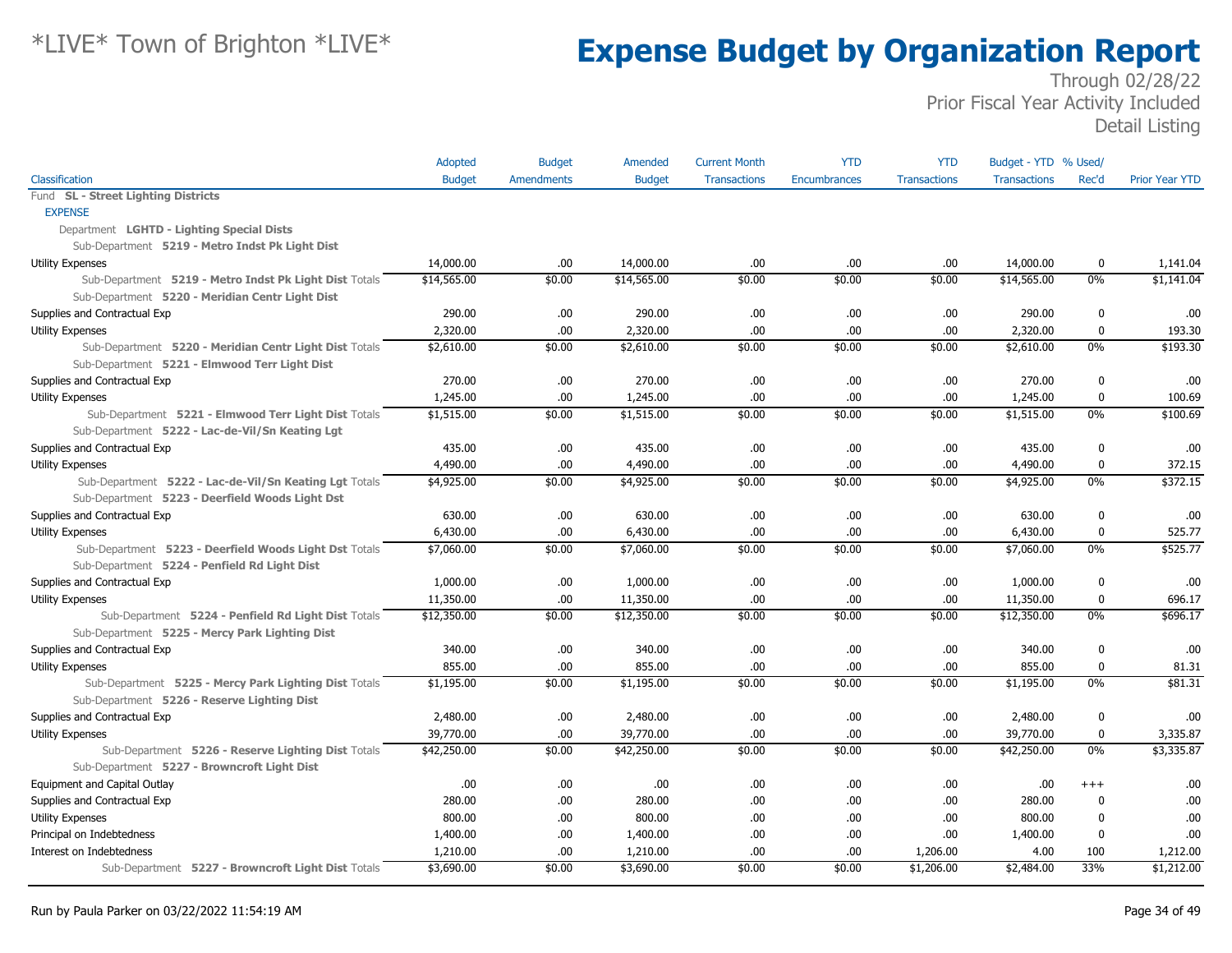|                                                        | Adopted       | <b>Budget</b>     | Amended       | <b>Current Month</b> | <b>YTD</b>          | <b>YTD</b>          | Budget - YTD % Used/ |             |                       |
|--------------------------------------------------------|---------------|-------------------|---------------|----------------------|---------------------|---------------------|----------------------|-------------|-----------------------|
| Classification                                         | <b>Budget</b> | <b>Amendments</b> | <b>Budget</b> | <b>Transactions</b>  | <b>Encumbrances</b> | <b>Transactions</b> | <b>Transactions</b>  | Rec'd       | <b>Prior Year YTD</b> |
| Fund SL - Street Lighting Districts                    |               |                   |               |                      |                     |                     |                      |             |                       |
| <b>EXPENSE</b>                                         |               |                   |               |                      |                     |                     |                      |             |                       |
| Department LGHTD - Lighting Special Dists              |               |                   |               |                      |                     |                     |                      |             |                       |
| Sub-Department 5219 - Metro Indst Pk Light Dist        |               |                   |               |                      |                     |                     |                      |             |                       |
| Utility Expenses                                       | 14,000.00     | .00               | 14,000.00     | .00.                 | .00                 | .00                 | 14,000.00            | 0           | 1,141.04              |
| Sub-Department 5219 - Metro Indst Pk Light Dist Totals | \$14,565.00   | \$0.00            | \$14,565.00   | \$0.00               | \$0.00              | \$0.00              | \$14,565.00          | 0%          | \$1,141.04            |
| Sub-Department 5220 - Meridian Centr Light Dist        |               |                   |               |                      |                     |                     |                      |             |                       |
| Supplies and Contractual Exp                           | 290.00        | .00               | 290.00        | .00                  | .00                 | .00                 | 290.00               | $\mathbf 0$ | .00                   |
| Utility Expenses                                       | 2,320.00      | .00               | 2,320.00      | .00                  | .00                 | .00                 | 2,320.00             | $\mathbf 0$ | 193.30                |
| Sub-Department 5220 - Meridian Centr Light Dist Totals | \$2,610.00    | \$0.00            | \$2,610.00    | \$0.00               | \$0.00              | \$0.00              | \$2,610.00           | 0%          | \$193.30              |
| Sub-Department 5221 - Elmwood Terr Light Dist          |               |                   |               |                      |                     |                     |                      |             |                       |
| Supplies and Contractual Exp                           | 270.00        | .00               | 270.00        | .00                  | .00.                | .00                 | 270.00               | $\mathbf 0$ | .00                   |
| <b>Utility Expenses</b>                                | 1,245.00      | .00               | 1,245.00      | .00                  | .00                 | .00                 | 1,245.00             | $\mathbf 0$ | 100.69                |
| Sub-Department 5221 - Elmwood Terr Light Dist Totals   | \$1,515.00    | \$0.00            | \$1,515.00    | \$0.00               | \$0.00              | \$0.00              | \$1,515.00           | $0\%$       | \$100.69              |
| Sub-Department 5222 - Lac-de-Vil/Sn Keating Lgt        |               |                   |               |                      |                     |                     |                      |             |                       |
| Supplies and Contractual Exp                           | 435.00        | .00               | 435.00        | .00                  | .00                 | .00                 | 435.00               | 0           | .00                   |
| <b>Utility Expenses</b>                                | 4,490.00      | .00               | 4,490.00      | .00                  | 00.                 | .00                 | 4,490.00             | $\mathbf 0$ | 372.15                |
| Sub-Department 5222 - Lac-de-Vil/Sn Keating Lgt Totals | \$4,925.00    | \$0.00            | \$4,925.00    | \$0.00               | \$0.00              | \$0.00              | \$4,925.00           | 0%          | \$372.15              |
| Sub-Department 5223 - Deerfield Woods Light Dst        |               |                   |               |                      |                     |                     |                      |             |                       |
| Supplies and Contractual Exp                           | 630.00        | .00               | 630.00        | .00                  | .00.                | .00                 | 630.00               | 0           | .00                   |
| <b>Utility Expenses</b>                                | 6,430.00      | .00               | 6,430.00      | .00                  | .00                 | .00                 | 6,430.00             | $\mathbf 0$ | 525.77                |
| Sub-Department 5223 - Deerfield Woods Light Dst Totals | \$7,060.00    | \$0.00            | \$7,060.00    | \$0.00               | \$0.00              | \$0.00              | \$7,060.00           | $0\%$       | \$525.77              |
| Sub-Department 5224 - Penfield Rd Light Dist           |               |                   |               |                      |                     |                     |                      |             |                       |
| Supplies and Contractual Exp                           | 1,000.00      | .00               | 1,000.00      | .00                  | .00                 | .00                 | 1,000.00             | 0           | .00                   |
| <b>Utility Expenses</b>                                | 11,350.00     | .00               | 11,350.00     | .00                  | 00.                 | .00                 | 11,350.00            | 0           | 696.17                |
| Sub-Department 5224 - Penfield Rd Light Dist Totals    | \$12,350.00   | \$0.00            | \$12,350.00   | \$0.00               | \$0.00              | \$0.00              | \$12,350.00          | $0\%$       | \$696.17              |
| Sub-Department 5225 - Mercy Park Lighting Dist         |               |                   |               |                      |                     |                     |                      |             |                       |
| Supplies and Contractual Exp                           | 340.00        | .00               | 340.00        | .00                  | .00.                | .00                 | 340.00               | $\bf{0}$    | .00                   |
| <b>Utility Expenses</b>                                | 855.00        | .00               | 855.00        | .00                  | .00.                | .00                 | 855.00               | $\bf{0}$    | 81.31                 |
| Sub-Department 5225 - Mercy Park Lighting Dist Totals  | \$1,195.00    | \$0.00            | \$1,195.00    | \$0.00               | \$0.00              | \$0.00              | \$1,195.00           | 0%          | \$81.31               |
| Sub-Department 5226 - Reserve Lighting Dist            |               |                   |               |                      |                     |                     |                      |             |                       |
| Supplies and Contractual Exp                           | 2,480.00      | .00               | 2,480.00      | .00                  | .00.                | .00                 | 2,480.00             | 0           | .00                   |
| <b>Utility Expenses</b>                                | 39,770.00     | .00               | 39,770.00     | .00                  | .00                 | .00                 | 39,770.00            | $\mathbf 0$ | 3,335.87              |
| Sub-Department 5226 - Reserve Lighting Dist Totals     | \$42,250.00   | \$0.00            | \$42,250.00   | \$0.00               | \$0.00              | \$0.00              | \$42,250.00          | $0\%$       | \$3,335.87            |
| Sub-Department 5227 - Browncroft Light Dist            |               |                   |               |                      |                     |                     |                      |             |                       |
| Equipment and Capital Outlay                           | .00           | .00               | .00.          | .00                  | 00.                 | .00                 | .00                  | $+++$       | .00                   |
| Supplies and Contractual Exp                           | 280.00        | .00               | 280.00        | .00                  | 00.                 | .00                 | 280.00               | $\mathbf 0$ | .00                   |
| <b>Utility Expenses</b>                                | 800.00        | .00.              | 800.00        | .00                  | 00.                 | .00                 | 800.00               | $\mathbf 0$ | .00                   |
| Principal on Indebtedness                              | 1,400.00      | .00               | 1,400.00      | .00                  | .00                 | .00                 | 1,400.00             | 0           | .00                   |
| Interest on Indebtedness                               | 1,210.00      | .00               | 1,210.00      | .00                  | .00                 | 1,206.00            | 4.00                 | 100         | 1,212.00              |
| Sub-Department 5227 - Browncroft Light Dist Totals     | \$3,690.00    | \$0.00            | \$3,690.00    | \$0.00               | \$0.00              | \$1,206.00          | \$2,484.00           | 33%         | \$1,212.00            |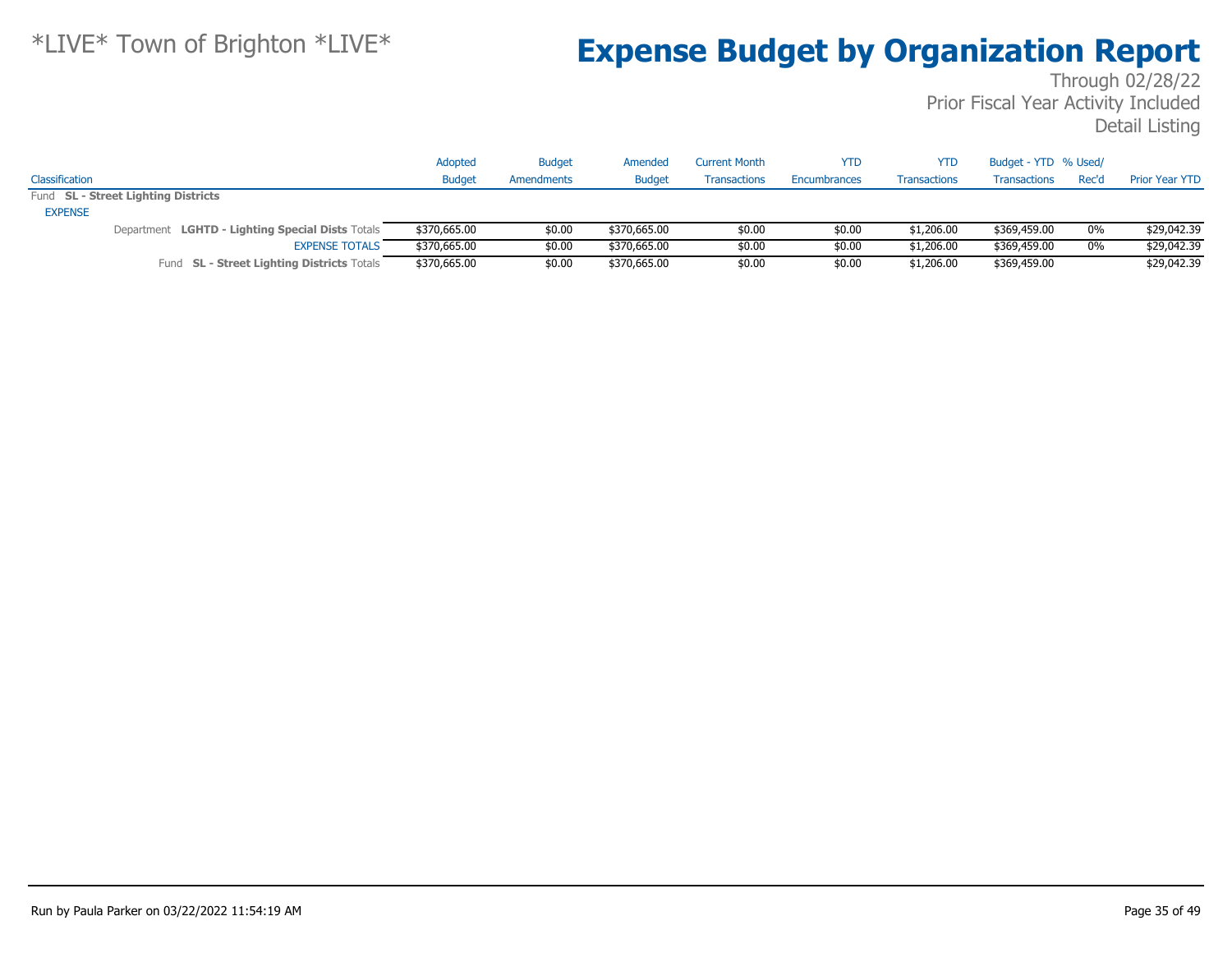| Classification |                                                  | Adopted<br><b>Budget</b> | <b>Budget</b><br>Amendments | Amended<br><b>Budget</b> | <b>Current Month</b><br><b>Transactions</b> | <b>YTD</b><br>Encumbrances | <b>YTD</b><br><b>Transactions</b> | Budget - YTD % Used/<br>Transactions | Rec'd | <b>Prior Year YTD</b> |
|----------------|--------------------------------------------------|--------------------------|-----------------------------|--------------------------|---------------------------------------------|----------------------------|-----------------------------------|--------------------------------------|-------|-----------------------|
|                | Fund SL - Street Lighting Districts              |                          |                             |                          |                                             |                            |                                   |                                      |       |                       |
| <b>EXPENSE</b> |                                                  |                          |                             |                          |                                             |                            |                                   |                                      |       |                       |
|                | Department LGHTD - Lighting Special Dists Totals | \$370,665.00             | \$0.00                      | \$370,665,00             | \$0.00                                      | \$0.00                     | \$1,206.00                        | \$369,459.00                         | 0%    | \$29,042.39           |
|                | <b>EXPENSE TOTALS</b>                            | \$370,665.00             | \$0.00                      | \$370,665,00             | \$0.00                                      | \$0.00                     | \$1,206.00                        | \$369,459.00                         | 0%    | \$29,042.39           |
|                | Fund SL - Street Lighting Districts Totals       | \$370,665.00             | \$0.00                      | \$370,665.00             | \$0.00                                      | \$0.00                     | \$1,206.00                        | \$369,459.00                         |       | \$29,042.39           |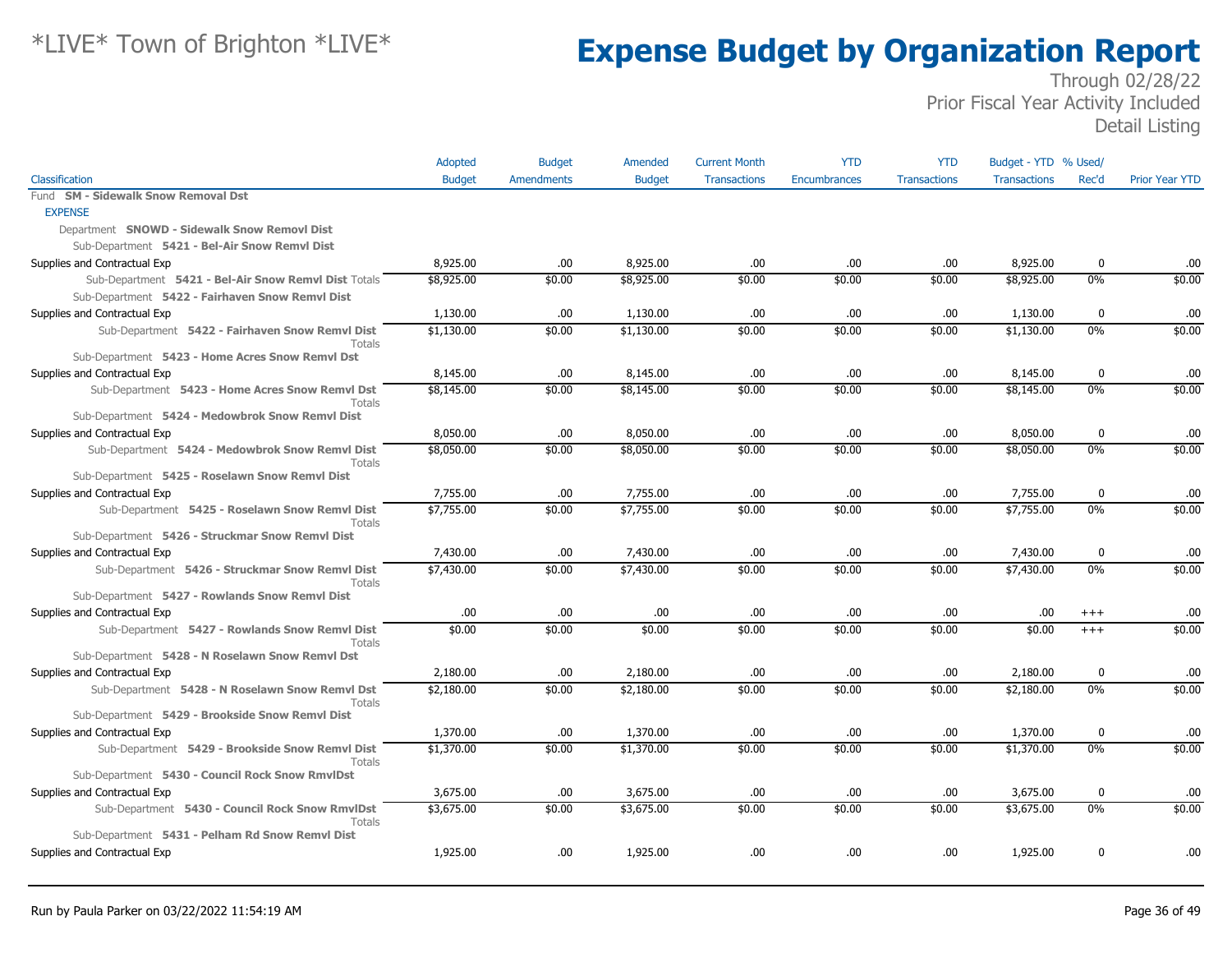|                                                                                                                    | Adopted       | <b>Budget</b>     | Amended       | <b>Current Month</b> | <b>YTD</b>   | <b>YTD</b>          | Budget - YTD % Used/ |             |                       |
|--------------------------------------------------------------------------------------------------------------------|---------------|-------------------|---------------|----------------------|--------------|---------------------|----------------------|-------------|-----------------------|
| Classification                                                                                                     | <b>Budget</b> | <b>Amendments</b> | <b>Budget</b> | <b>Transactions</b>  | Encumbrances | <b>Transactions</b> | <b>Transactions</b>  | Rec'd       | <b>Prior Year YTD</b> |
| Fund SM - Sidewalk Snow Removal Dst                                                                                |               |                   |               |                      |              |                     |                      |             |                       |
| <b>EXPENSE</b>                                                                                                     |               |                   |               |                      |              |                     |                      |             |                       |
| Department SNOWD - Sidewalk Snow Removl Dist                                                                       |               |                   |               |                      |              |                     |                      |             |                       |
| Sub-Department 5421 - Bel-Air Snow Remvl Dist                                                                      |               |                   |               |                      |              |                     |                      |             |                       |
| Supplies and Contractual Exp                                                                                       | 8,925.00      | .00.              | 8,925.00      | .00.                 | .00          | .00                 | 8,925.00             | $\mathbf 0$ | .00                   |
| Sub-Department 5421 - Bel-Air Snow Remvl Dist Totals                                                               | \$8,925.00    | \$0.00            | \$8,925.00    | \$0.00               | \$0.00       | \$0.00              | \$8,925.00           | $0\%$       | \$0.00                |
| Sub-Department 5422 - Fairhaven Snow Remvl Dist                                                                    |               |                   |               |                      |              |                     |                      |             |                       |
| Supplies and Contractual Exp                                                                                       | 1,130.00      | .00.              | 1,130.00      | .00.                 | .00          | .00                 | 1,130.00             | $\mathbf 0$ | .00                   |
| Sub-Department 5422 - Fairhaven Snow Remvl Dist<br>Totals                                                          | \$1,130.00    | \$0.00            | \$1,130.00    | \$0.00               | \$0.00       | \$0.00              | \$1,130.00           | $0\%$       | \$0.00                |
| Sub-Department 5423 - Home Acres Snow Remvl Dst                                                                    |               |                   |               |                      |              |                     |                      |             |                       |
| Supplies and Contractual Exp                                                                                       | 8,145.00      | .00.              | 8,145.00      | .00.                 | .00.         | .00.                | 8,145.00             | $\mathbf 0$ | .00                   |
| Sub-Department 5423 - Home Acres Snow Remvl Dst<br><b>Totals</b>                                                   | \$8,145.00    | \$0.00            | \$8,145.00    | \$0.00               | \$0.00       | \$0.00              | \$8,145.00           | 0%          | \$0.00                |
| Sub-Department 5424 - Medowbrok Snow Remvl Dist                                                                    |               |                   |               |                      |              |                     |                      |             |                       |
| Supplies and Contractual Exp                                                                                       | 8,050.00      | .00.              | 8,050.00      | .00.                 | .00          | .00                 | 8,050.00             | $\mathbf 0$ | .00                   |
| Sub-Department 5424 - Medowbrok Snow Remvl Dist<br><b>Totals</b>                                                   | \$8,050.00    | \$0.00            | \$8,050.00    | \$0.00               | \$0.00       | \$0.00              | \$8,050.00           | 0%          | \$0.00                |
| Sub-Department 5425 - Roselawn Snow Remvl Dist                                                                     |               |                   |               |                      |              |                     |                      |             |                       |
| Supplies and Contractual Exp                                                                                       | 7,755.00      | .00.              | 7,755.00      | .00                  | .00          | .00                 | 7,755.00             | $\mathbf 0$ | .00                   |
| Sub-Department 5425 - Roselawn Snow Remvl Dist<br><b>Totals</b><br>Sub-Department 5426 - Struckmar Snow Remvl Dist | \$7,755.00    | \$0.00            | \$7,755.00    | \$0.00               | \$0.00       | \$0.00              | \$7,755.00           | 0%          | \$0.00                |
| Supplies and Contractual Exp                                                                                       | 7,430.00      | .00.              | 7,430.00      | .00.                 | .00          | .00                 | 7,430.00             | $\mathbf 0$ | .00                   |
| Sub-Department 5426 - Struckmar Snow Remvl Dist                                                                    | \$7,430.00    | \$0.00            | \$7,430.00    | \$0.00               | \$0.00       | \$0.00              | \$7,430.00           | $0\%$       | \$0.00                |
| Totals<br>Sub-Department 5427 - Rowlands Snow Remvl Dist                                                           |               |                   |               |                      |              |                     |                      |             |                       |
| Supplies and Contractual Exp                                                                                       | .00           | .00.              | .00.          | .00.                 | .00          | .00                 | .00                  | $^{+++}$    | .00.                  |
| Sub-Department 5427 - Rowlands Snow Remvl Dist                                                                     | \$0.00        | \$0.00            | \$0.00        | \$0.00               | \$0.00       | \$0.00              | \$0.00               | $+++$       | \$0.00                |
| Totals                                                                                                             |               |                   |               |                      |              |                     |                      |             |                       |
| Sub-Department 5428 - N Roselawn Snow Remvl Dst                                                                    |               |                   |               |                      |              |                     |                      |             |                       |
| Supplies and Contractual Exp                                                                                       | 2,180.00      | .00.              | 2,180.00      | .00.                 | .00          | .00.                | 2,180.00             | $\mathbf 0$ | .00.                  |
| Sub-Department 5428 - N Roselawn Snow Remvl Dst<br><b>Totals</b>                                                   | \$2,180.00    | \$0.00            | \$2,180.00    | \$0.00               | \$0.00       | \$0.00              | \$2,180.00           | $0\%$       | \$0.00                |
| Sub-Department 5429 - Brookside Snow Remvl Dist                                                                    |               |                   |               |                      |              |                     |                      |             |                       |
| Supplies and Contractual Exp                                                                                       | 1,370.00      | .00.              | 1,370.00      | .00.                 | .00.         | .00                 | 1,370.00             | $\mathbf 0$ | .00                   |
| Sub-Department 5429 - Brookside Snow Remvl Dist<br>Totals                                                          | \$1,370.00    | \$0.00            | \$1,370.00    | \$0.00               | \$0.00       | \$0.00              | \$1,370.00           | 0%          | \$0.00                |
| Sub-Department 5430 - Council Rock Snow RmvlDst                                                                    |               |                   |               |                      |              |                     |                      |             |                       |
| Supplies and Contractual Exp                                                                                       | 3,675.00      | .00.              | 3,675.00      | .00.                 | .00          | .00.                | 3,675.00             | $\mathbf 0$ | .00                   |
| Sub-Department 5430 - Council Rock Snow RmvlDst<br><b>Totals</b>                                                   | \$3,675.00    | \$0.00            | \$3,675.00    | \$0.00               | \$0.00       | \$0.00              | \$3,675.00           | 0%          | \$0.00                |
| Sub-Department 5431 - Pelham Rd Snow Remvl Dist                                                                    |               |                   |               |                      |              |                     |                      |             |                       |
| Supplies and Contractual Exp                                                                                       | 1,925.00      | .00.              | 1,925.00      | .00                  | .00          | .00                 | 1,925.00             | $\mathbf 0$ | .00                   |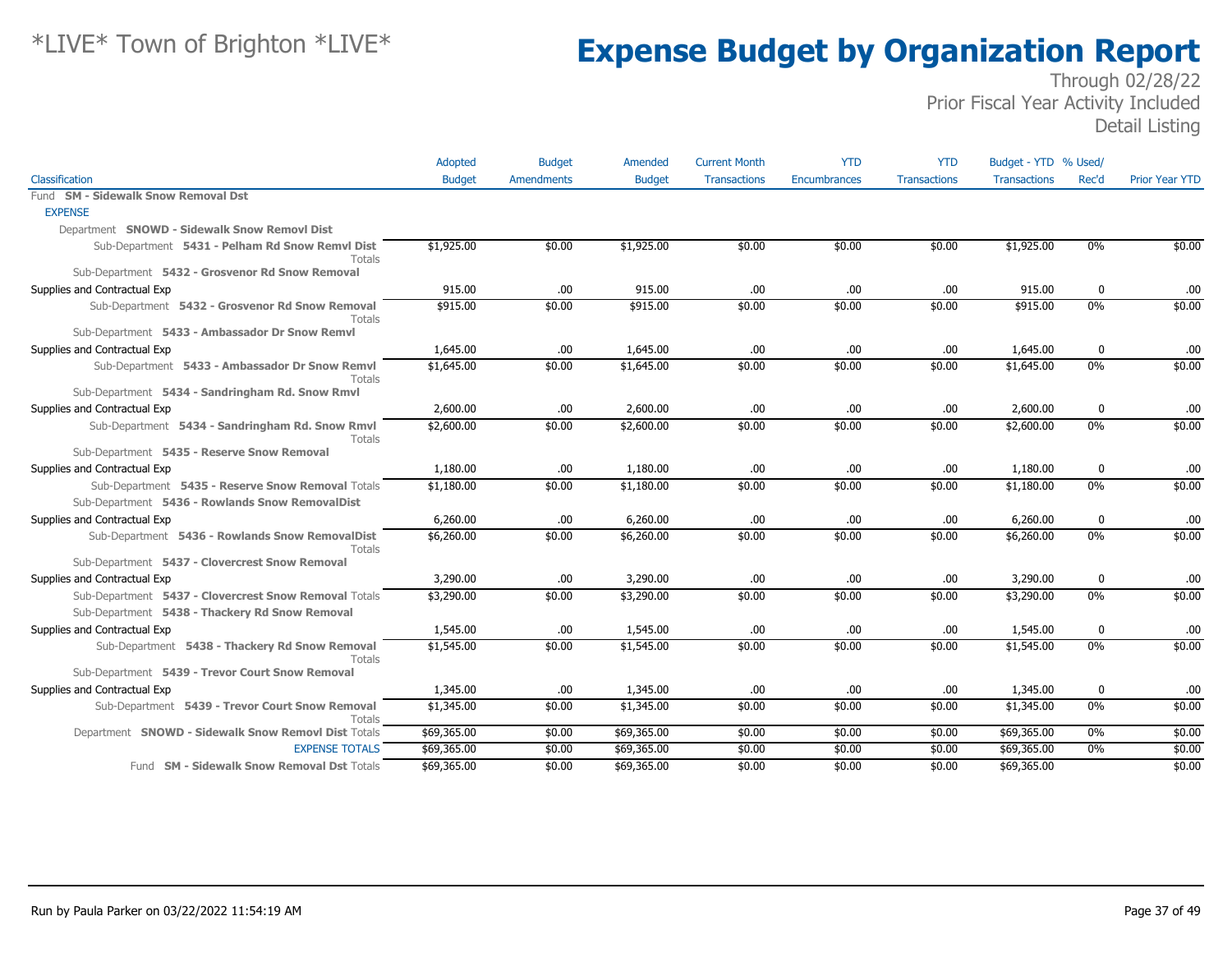|                                                                  | Adopted       | <b>Budget</b> | Amended       | <b>Current Month</b> | <b>YTD</b>          | <b>YTD</b>          | Budget - YTD % Used/ |          |                       |
|------------------------------------------------------------------|---------------|---------------|---------------|----------------------|---------------------|---------------------|----------------------|----------|-----------------------|
| Classification                                                   | <b>Budget</b> | Amendments    | <b>Budget</b> | <b>Transactions</b>  | <b>Encumbrances</b> | <b>Transactions</b> | <b>Transactions</b>  | Rec'd    | <b>Prior Year YTD</b> |
| Fund SM - Sidewalk Snow Removal Dst                              |               |               |               |                      |                     |                     |                      |          |                       |
| <b>EXPENSE</b>                                                   |               |               |               |                      |                     |                     |                      |          |                       |
| Department SNOWD - Sidewalk Snow Removl Dist                     |               |               |               |                      |                     |                     |                      |          |                       |
| Sub-Department 5431 - Pelham Rd Snow Remvl Dist<br>Totals        | \$1,925.00    | \$0.00        | \$1,925.00    | \$0.00               | \$0.00              | \$0.00              | \$1,925.00           | 0%       | \$0.00                |
| Sub-Department 5432 - Grosvenor Rd Snow Removal                  |               |               |               |                      |                     |                     |                      |          |                       |
| Supplies and Contractual Exp                                     | 915.00        | .00           | 915.00        | .00                  | .00.                | .00                 | 915.00               | 0        | .00                   |
| Sub-Department 5432 - Grosvenor Rd Snow Removal<br>Totals        | \$915.00      | \$0.00        | \$915.00      | \$0.00               | \$0.00              | \$0.00              | \$915.00             | 0%       | \$0.00                |
| Sub-Department 5433 - Ambassador Dr Snow Remvl                   |               |               |               |                      |                     |                     |                      |          |                       |
| Supplies and Contractual Exp                                     | 1,645.00      | .00.          | 1,645.00      | .00                  | .00                 | .00                 | 1,645.00             | 0        | .00                   |
| Sub-Department 5433 - Ambassador Dr Snow Remvl<br>Totals         | \$1,645.00    | \$0.00        | \$1,645.00    | \$0.00               | \$0.00              | \$0.00              | \$1,645.00           | $0\%$    | \$0.00                |
| Sub-Department 5434 - Sandringham Rd. Snow Rmvl                  |               |               |               |                      |                     |                     |                      |          |                       |
| Supplies and Contractual Exp                                     | 2,600.00      | .00.          | 2,600.00      | .00.                 | .00                 | .00                 | 2,600.00             | $\bf{0}$ | .00                   |
| Sub-Department 5434 - Sandringham Rd. Snow Rmvl<br>Totals        | \$2,600.00    | \$0.00        | \$2,600.00    | \$0.00               | \$0.00              | \$0.00              | \$2,600.00           | 0%       | \$0.00                |
| Sub-Department 5435 - Reserve Snow Removal                       |               |               |               |                      |                     |                     |                      |          |                       |
| Supplies and Contractual Exp                                     | 1,180.00      | .00.          | 1,180.00      | .00                  | .00.                | .00                 | 1,180.00             | 0        | .00                   |
| Sub-Department 5435 - Reserve Snow Removal Totals                | \$1,180.00    | \$0.00        | \$1,180.00    | \$0.00               | \$0.00              | \$0.00              | \$1,180.00           | 0%       | \$0.00                |
| Sub-Department 5436 - Rowlands Snow RemovalDist                  |               |               |               |                      |                     |                     |                      |          |                       |
| Supplies and Contractual Exp                                     | 6,260.00      | .00.          | 6,260.00      | .00                  | .00                 | .00                 | 6,260.00             | 0        | .00                   |
| Sub-Department 5436 - Rowlands Snow RemovalDist<br><b>Totals</b> | \$6,260.00    | \$0.00        | \$6,260.00    | \$0.00               | \$0.00              | \$0.00              | \$6,260.00           | $0\%$    | \$0.00                |
| Sub-Department 5437 - Clovercrest Snow Removal                   |               |               |               |                      |                     |                     |                      |          |                       |
| Supplies and Contractual Exp                                     | 3,290.00      | .00           | 3,290.00      | .00                  | .00                 | .00                 | 3,290.00             | $\bf{0}$ | .00                   |
| Sub-Department 5437 - Clovercrest Snow Removal Totals            | \$3,290.00    | \$0.00        | \$3,290.00    | \$0.00               | \$0.00              | \$0.00              | \$3,290.00           | $0\%$    | \$0.00                |
| Sub-Department 5438 - Thackery Rd Snow Removal                   |               |               |               |                      |                     |                     |                      |          |                       |
| Supplies and Contractual Exp                                     | 1,545.00      | .00           | 1,545.00      | .00                  | .00                 | .00                 | 1,545.00             | 0        | .00                   |
| Sub-Department 5438 - Thackery Rd Snow Removal<br><b>Totals</b>  | \$1,545.00    | \$0.00        | \$1,545.00    | \$0.00               | \$0.00              | \$0.00              | \$1,545.00           | $0\%$    | \$0.00                |
| Sub-Department 5439 - Trevor Court Snow Removal                  |               |               |               |                      |                     |                     |                      |          |                       |
| Supplies and Contractual Exp                                     | 1,345.00      | .00.          | 1,345.00      | .00                  | .00.                | .00                 | 1,345.00             | 0        | .00                   |
| Sub-Department 5439 - Trevor Court Snow Removal<br>Totals        | \$1,345.00    | \$0.00        | \$1,345.00    | \$0.00               | \$0.00              | \$0.00              | \$1,345.00           | $0\%$    | \$0.00                |
| Department SNOWD - Sidewalk Snow Removl Dist Totals              | \$69,365.00   | \$0.00        | \$69,365.00   | \$0.00               | \$0.00              | \$0.00              | \$69,365.00          | 0%       | \$0.00                |
| <b>EXPENSE TOTALS</b>                                            | \$69,365.00   | \$0.00        | \$69,365.00   | \$0.00               | \$0.00              | \$0.00              | \$69,365.00          | $0\%$    | \$0.00                |
| Fund SM - Sidewalk Snow Removal Dst Totals                       | \$69,365.00   | \$0.00        | \$69,365.00   | \$0.00               | \$0.00              | \$0.00              | \$69,365.00          |          | \$0.00                |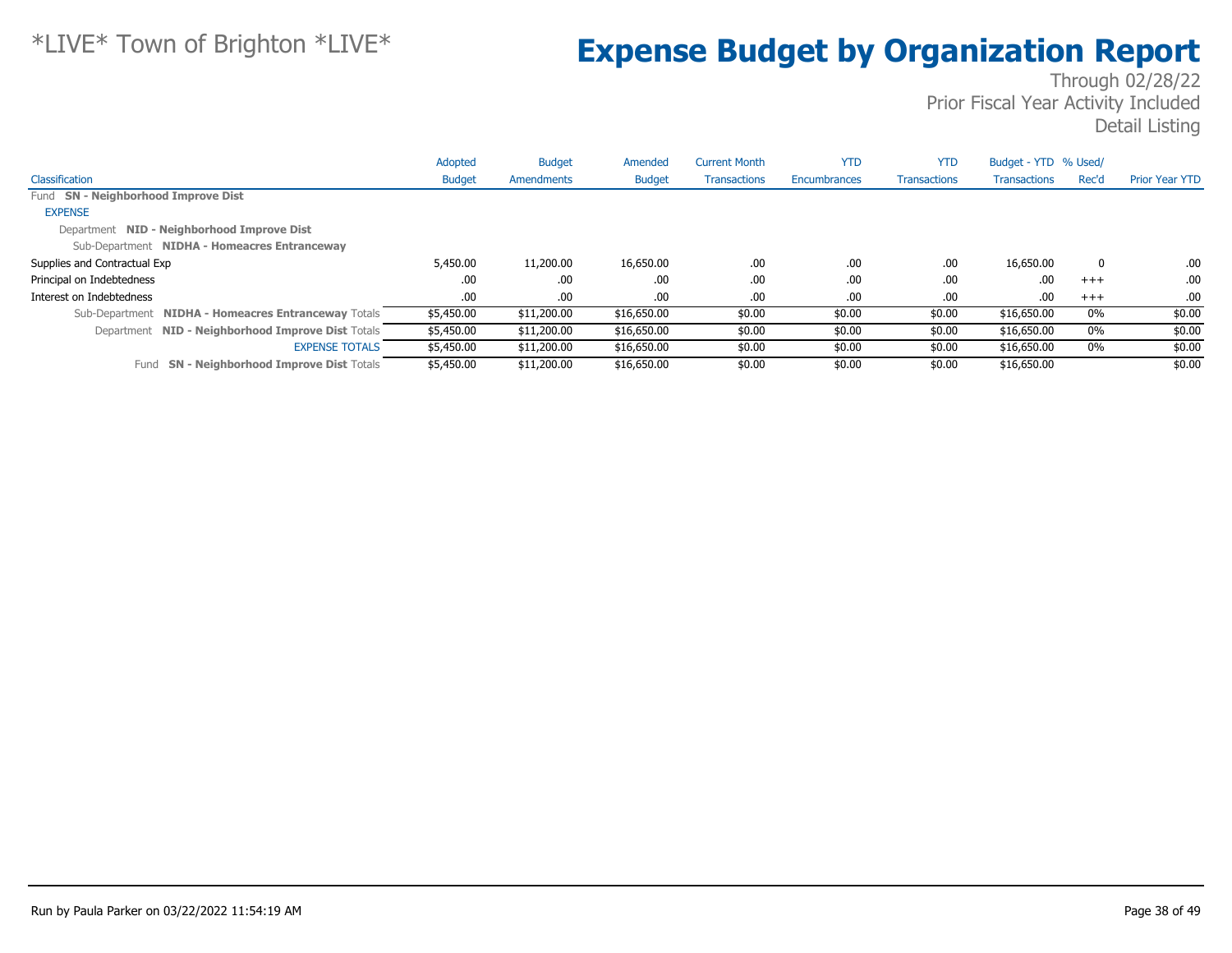|                                                      | Adopted       | <b>Budget</b> | Amended       | <b>Current Month</b> | <b>YTD</b>   | <b>YTD</b>          | Budget - YTD % Used/ |       |                       |
|------------------------------------------------------|---------------|---------------|---------------|----------------------|--------------|---------------------|----------------------|-------|-----------------------|
| Classification                                       | <b>Budget</b> | Amendments    | <b>Budget</b> | <b>Transactions</b>  | Encumbrances | <b>Transactions</b> | <b>Transactions</b>  | Rec'd | <b>Prior Year YTD</b> |
| Fund SN - Neighborhood Improve Dist                  |               |               |               |                      |              |                     |                      |       |                       |
| <b>EXPENSE</b>                                       |               |               |               |                      |              |                     |                      |       |                       |
| Department NID - Neighborhood Improve Dist           |               |               |               |                      |              |                     |                      |       |                       |
| Sub-Department NIDHA - Homeacres Entranceway         |               |               |               |                      |              |                     |                      |       |                       |
| Supplies and Contractual Exp                         | 5,450.00      | 11,200.00     | 16,650.00     | .00.                 | .00          | .00.                | 16,650.00            | 0     | .00                   |
| Principal on Indebtedness                            | .00           | .00           | .00           | .00                  | .00          | .00.                | .00                  | $+++$ | .00                   |
| Interest on Indebtedness                             | .00.          | .00.          | .00.          | .00.                 | .00          | .00.                | .00                  | $+++$ | .00                   |
| Sub-Department NIDHA - Homeacres Entranceway Totals  | \$5,450.00    | \$11,200.00   | \$16,650.00   | \$0.00               | \$0.00       | \$0.00              | \$16,650.00          | 0%    | \$0.00                |
| Department NID - Neighborhood Improve Dist Totals    | \$5,450.00    | \$11,200.00   | \$16,650.00   | \$0.00               | \$0.00       | \$0.00              | \$16,650.00          | $0\%$ | \$0.00                |
| <b>EXPENSE TOTALS</b>                                | \$5,450.00    | \$11,200.00   | \$16,650.00   | \$0.00               | \$0.00       | \$0.00              | \$16,650.00          | 0%    | \$0.00                |
| <b>SN - Neighborhood Improve Dist Totals</b><br>Fund | \$5,450.00    | \$11,200.00   | \$16,650.00   | \$0.00               | \$0.00       | \$0.00              | \$16,650.00          |       | \$0.00                |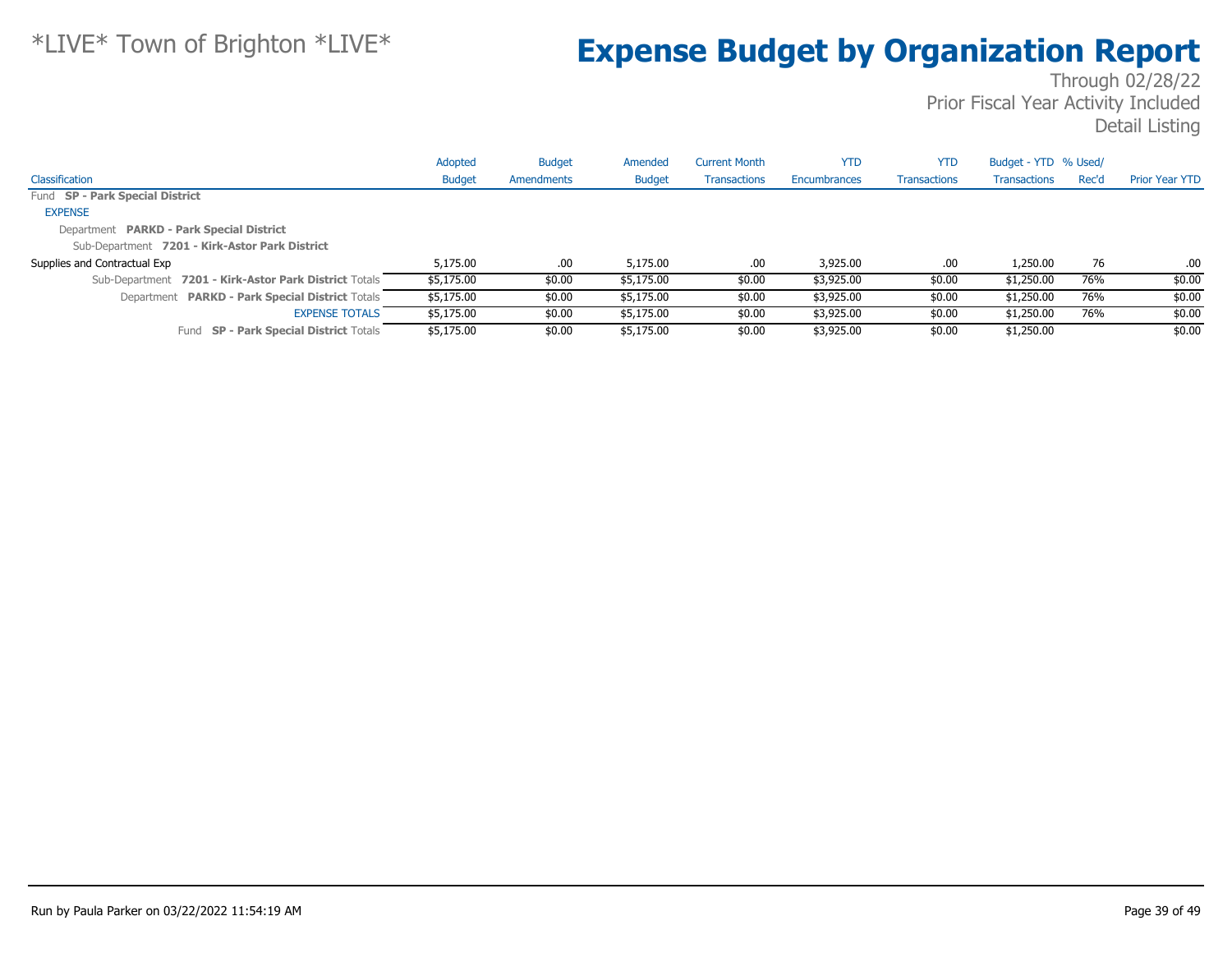|                                                       | Adopted       | <b>Budget</b> | Amended       | <b>Current Month</b> | <b>YTD</b>   | <b>YTD</b>          | Budget - YTD % Used/ |       |                       |
|-------------------------------------------------------|---------------|---------------|---------------|----------------------|--------------|---------------------|----------------------|-------|-----------------------|
| Classification                                        | <b>Budget</b> | Amendments    | <b>Budget</b> | Transactions         | Encumbrances | <b>Transactions</b> | <b>Transactions</b>  | Rec'd | <b>Prior Year YTD</b> |
| Fund SP - Park Special District                       |               |               |               |                      |              |                     |                      |       |                       |
| <b>EXPENSE</b>                                        |               |               |               |                      |              |                     |                      |       |                       |
| Department PARKD - Park Special District              |               |               |               |                      |              |                     |                      |       |                       |
| Sub-Department 7201 - Kirk-Astor Park District        |               |               |               |                      |              |                     |                      |       |                       |
| Supplies and Contractual Exp                          | 5,175,00      | .00.          | 5,175,00      | .00                  | 3,925.00     | .00                 | 1,250.00             | 76    | .00                   |
| Sub-Department 7201 - Kirk-Astor Park District Totals | \$5,175.00    | \$0.00        | \$5,175.00    | \$0.00               | \$3,925.00   | \$0.00              | \$1,250.00           | 76%   | \$0.00                |
| Department PARKD - Park Special District Totals       | \$5,175.00    | \$0.00        | \$5,175.00    | \$0.00               | \$3,925.00   | \$0.00              | \$1,250.00           | 76%   | \$0.00                |
| <b>EXPENSE TOTALS</b>                                 | \$5,175.00    | \$0.00        | \$5,175.00    | \$0.00               | \$3,925.00   | \$0.00              | \$1,250.00           | 76%   | \$0.00                |
| <b>SP - Park Special District Totals</b><br>Fund      | \$5,175.00    | \$0.00        | \$5,175.00    | \$0.00               | \$3,925.00   | \$0.00              | \$1,250.00           |       | \$0.00                |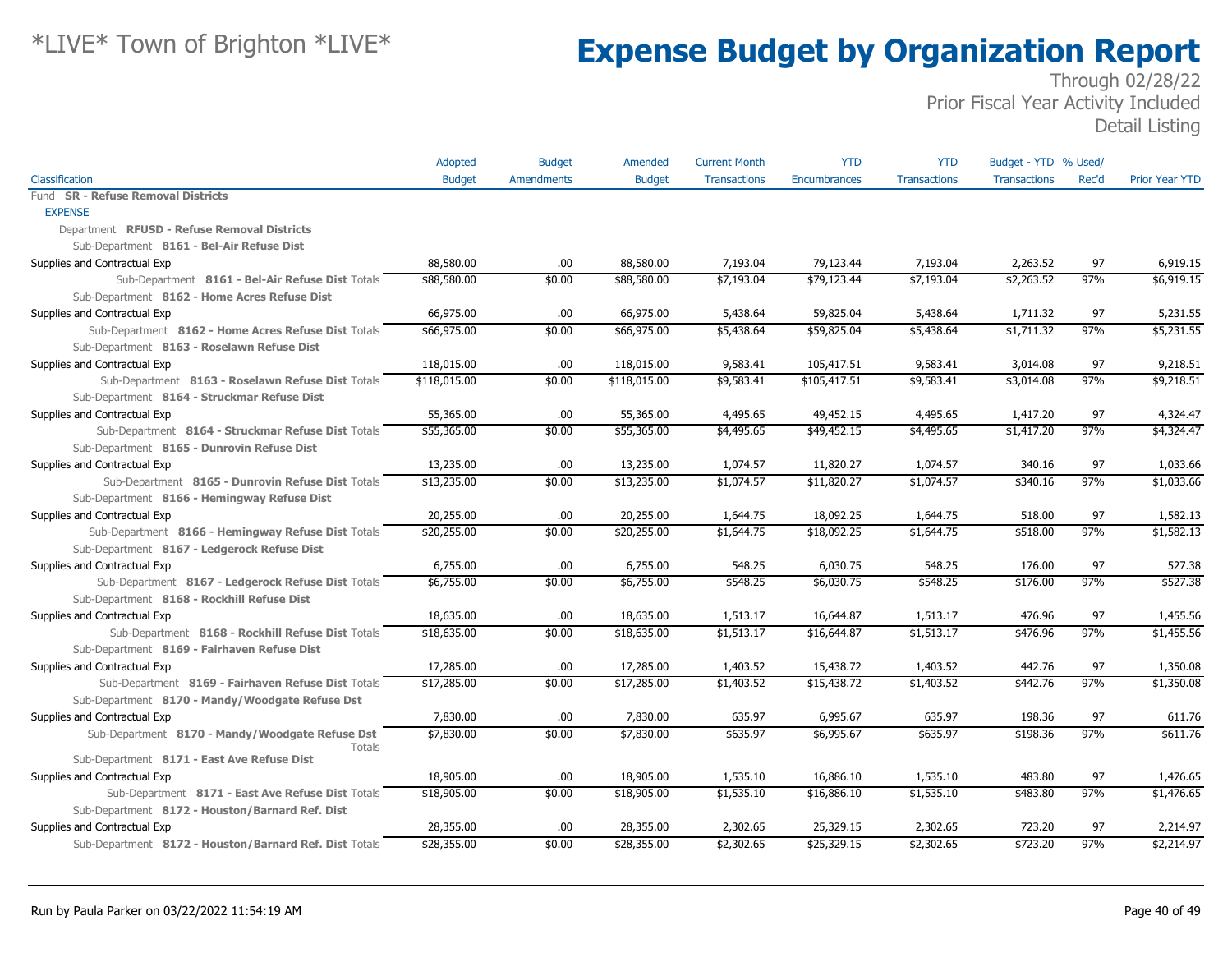|                                                             | Adopted       | <b>Budget</b>     | Amended       | <b>Current Month</b> | <b>YTD</b>   | <b>YTD</b>          | Budget - YTD % Used/ |           |                        |
|-------------------------------------------------------------|---------------|-------------------|---------------|----------------------|--------------|---------------------|----------------------|-----------|------------------------|
| Classification                                              | <b>Budget</b> | <b>Amendments</b> | <b>Budget</b> | <b>Transactions</b>  | Encumbrances | <b>Transactions</b> | <b>Transactions</b>  | Rec'd     | <b>Prior Year YTD</b>  |
| Fund SR - Refuse Removal Districts                          |               |                   |               |                      |              |                     |                      |           |                        |
| <b>EXPENSE</b>                                              |               |                   |               |                      |              |                     |                      |           |                        |
| Department RFUSD - Refuse Removal Districts                 |               |                   |               |                      |              |                     |                      |           |                        |
| Sub-Department 8161 - Bel-Air Refuse Dist                   |               |                   |               |                      |              |                     |                      |           |                        |
| Supplies and Contractual Exp                                | 88,580.00     | .00.              | 88,580.00     | 7,193.04             | 79,123.44    | 7,193.04            | 2,263.52             | 97        | 6,919.15               |
| Sub-Department 8161 - Bel-Air Refuse Dist Totals            | \$88,580.00   | \$0.00            | \$88,580.00   | \$7,193.04           | \$79,123.44  | \$7,193.04          | \$2,263.52           | 97%       | \$6,919.15             |
| Sub-Department 8162 - Home Acres Refuse Dist                |               |                   |               |                      |              |                     |                      |           |                        |
| Supplies and Contractual Exp                                | 66,975.00     | .00               | 66,975.00     | 5,438.64             | 59,825.04    | 5,438.64            | 1,711.32             | 97        | 5,231.55               |
| Sub-Department 8162 - Home Acres Refuse Dist Totals         | \$66,975.00   | \$0.00            | \$66,975.00   | \$5,438.64           | \$59,825.04  | \$5,438.64          | \$1,711.32           | 97%       | \$5,231.55             |
| Sub-Department 8163 - Roselawn Refuse Dist                  |               |                   |               |                      |              |                     |                      |           |                        |
| Supplies and Contractual Exp                                | 118,015.00    | .00               | 118,015.00    | 9,583.41             | 105,417.51   | 9,583.41            | 3,014.08             | 97        | 9,218.51               |
| Sub-Department 8163 - Roselawn Refuse Dist Totals           | \$118,015.00  | \$0.00            | \$118,015.00  | \$9,583.41           | \$105,417.51 | \$9,583.41          | \$3,014.08           | 97%       | \$9,218.51             |
| Sub-Department 8164 - Struckmar Refuse Dist                 |               |                   |               |                      |              |                     |                      |           |                        |
| Supplies and Contractual Exp                                | 55,365.00     | .00.              | 55,365.00     | 4,495.65             | 49,452.15    | 4,495.65            | 1,417.20             | 97        | 4,324.47               |
| Sub-Department 8164 - Struckmar Refuse Dist Totals          | \$55,365.00   | \$0.00            | \$55,365.00   | \$4,495.65           | \$49,452.15  | \$4,495.65          | \$1,417.20           | 97%       | \$4,324.47             |
| Sub-Department 8165 - Dunrovin Refuse Dist                  |               |                   |               |                      |              |                     |                      |           |                        |
| Supplies and Contractual Exp                                | 13,235.00     | .00               | 13,235.00     | 1,074.57             | 11,820.27    | 1,074.57            | 340.16               | 97        | 1,033.66               |
| Sub-Department 8165 - Dunrovin Refuse Dist Totals           | \$13,235.00   | \$0.00            | \$13,235.00   | \$1,074.57           | \$11,820.27  | \$1,074.57          | \$340.16             | 97%       | \$1,033.66             |
| Sub-Department 8166 - Hemingway Refuse Dist                 |               |                   |               |                      |              |                     |                      |           |                        |
| Supplies and Contractual Exp                                | 20,255.00     | .00               | 20,255.00     | 1,644.75             | 18,092.25    | 1,644.75            | 518.00               | 97        | 1,582.13               |
| Sub-Department 8166 - Hemingway Refuse Dist Totals          | \$20,255.00   | \$0.00            | \$20,255.00   | \$1,644.75           | \$18,092.25  | \$1,644.75          | \$518.00             | 97%       | \$1,582.13             |
| Sub-Department 8167 - Ledgerock Refuse Dist                 |               |                   |               |                      |              |                     |                      |           |                        |
| Supplies and Contractual Exp                                | 6,755.00      | .00               | 6,755.00      | 548.25               | 6,030.75     | 548.25              | 176.00               | 97        | 527.38                 |
| Sub-Department 8167 - Ledgerock Refuse Dist Totals          | \$6,755.00    | \$0.00            | \$6,755.00    | \$548.25             | \$6,030.75   | \$548.25            | \$176.00             | 97%       | \$527.38               |
| Sub-Department 8168 - Rockhill Refuse Dist                  |               |                   |               |                      |              |                     |                      |           |                        |
| Supplies and Contractual Exp                                | 18,635.00     | .00               | 18,635.00     | 1,513.17             | 16,644.87    | 1,513.17            | 476.96               | 97        | 1,455.56               |
| Sub-Department 8168 - Rockhill Refuse Dist Totals           | \$18,635.00   | \$0.00            | \$18,635.00   | \$1,513.17           | \$16,644.87  | \$1,513.17          | \$476.96             | 97%       | \$1,455.56             |
| Sub-Department 8169 - Fairhaven Refuse Dist                 |               |                   |               |                      |              |                     |                      |           |                        |
| Supplies and Contractual Exp                                | 17,285.00     | .00.              | 17,285.00     | 1,403.52             | 15,438.72    | 1,403.52            | 442.76               | 97        | 1,350.08               |
| Sub-Department 8169 - Fairhaven Refuse Dist Totals          | \$17,285.00   | \$0.00            | \$17,285.00   | \$1,403.52           | \$15,438.72  | \$1,403.52          | \$442.76             | 97%       | \$1,350.08             |
| Sub-Department 8170 - Mandy/Woodgate Refuse Dst             |               |                   |               |                      |              |                     |                      |           |                        |
| Supplies and Contractual Exp                                | 7,830.00      | .00.              | 7,830.00      | 635.97               | 6,995.67     | 635.97              | 198.36               | 97        | 611.76                 |
| Sub-Department 8170 - Mandy/Woodgate Refuse Dst             | \$7,830.00    | \$0.00            | \$7,830.00    | \$635.97             | \$6,995.67   | \$635.97            | \$198.36             | 97%       | \$611.76               |
| <b>Totals</b><br>Sub-Department 8171 - East Ave Refuse Dist |               |                   |               |                      |              |                     |                      |           |                        |
|                                                             |               |                   | 18,905.00     | 1,535.10             | 16,886.10    | 1,535.10            | 483.80               | 97        |                        |
| Supplies and Contractual Exp                                | 18,905.00     | .00               |               |                      |              |                     |                      | 97%       | 1,476.65<br>\$1,476.65 |
| Sub-Department 8171 - East Ave Refuse Dist Totals           | \$18,905.00   | \$0.00            | \$18,905.00   | \$1,535.10           | \$16,886.10  | \$1,535.10          | \$483.80             |           |                        |
| Sub-Department 8172 - Houston/Barnard Ref. Dist             |               |                   |               |                      |              |                     |                      |           |                        |
| Supplies and Contractual Exp                                | 28,355.00     | .00               | 28,355.00     | 2,302.65             | 25,329.15    | 2,302.65            | 723.20               | 97<br>97% | 2,214.97               |
| Sub-Department 8172 - Houston/Barnard Ref. Dist Totals      | \$28,355.00   | \$0.00            | \$28,355.00   | \$2,302.65           | \$25,329.15  | \$2,302.65          | \$723.20             |           | \$2,214.97             |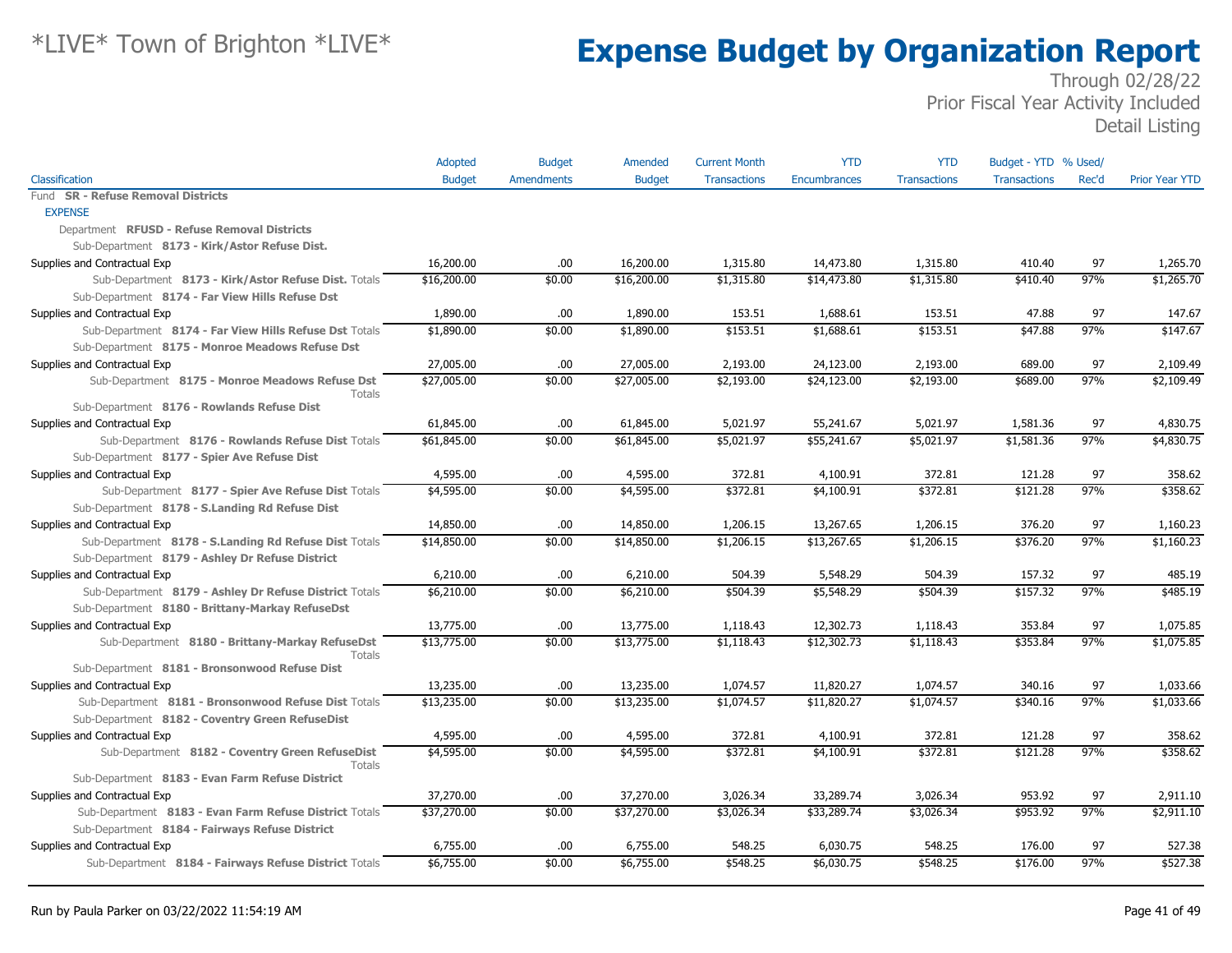| Classification<br><b>Budget</b><br><b>Amendments</b><br><b>Transactions</b><br>Rec'd<br><b>Prior Year YTD</b><br><b>Budget</b><br><b>Transactions</b><br>Encumbrances<br><b>Transactions</b><br>Fund SR - Refuse Removal Districts<br><b>EXPENSE</b><br>Department RFUSD - Refuse Removal Districts<br>Sub-Department 8173 - Kirk/Astor Refuse Dist.<br>Supplies and Contractual Exp<br>16,200.00<br>16,200.00<br>1,315.80<br>14,473.80<br>1,315.80<br>410.40<br>97<br>1,265.70<br>.00<br>97%<br>\$16,200.00<br>\$1,315.80<br>\$1,265.70<br>Sub-Department 8173 - Kirk/Astor Refuse Dist. Totals<br>\$0.00<br>\$16,200.00<br>\$14,473.80<br>\$1,315.80<br>\$410.40<br>Sub-Department 8174 - Far View Hills Refuse Dst<br>1,890.00<br>153.51<br>47.88<br>97<br>Supplies and Contractual Exp<br>.00.<br>1,890.00<br>153.51<br>1,688.61<br>147.67<br>97%<br>\$147.67<br>\$1,890.00<br>\$0.00<br>\$1,890.00<br>\$153.51<br>\$1,688.61<br>\$153.51<br>\$47.88<br>Sub-Department 8174 - Far View Hills Refuse Dst Totals<br>Sub-Department 8175 - Monroe Meadows Refuse Dst<br>27,005.00<br>.00.<br>27,005.00<br>2,193.00<br>24,123.00<br>2,193.00<br>689.00<br>97<br>2,109.49<br>Supplies and Contractual Exp<br>\$27,005.00<br>\$0.00<br>\$27,005.00<br>\$2,193.00<br>97%<br>\$2,109.49<br>\$24,123.00<br>\$2,193.00<br>\$689.00<br>Sub-Department 8175 - Monroe Meadows Refuse Dst<br><b>Totals</b><br>Sub-Department 8176 - Rowlands Refuse Dist<br>Supplies and Contractual Exp<br>5,021.97<br>5,021.97<br>97<br>61,845.00<br>.00.<br>61,845.00<br>55,241.67<br>1,581.36<br>4,830.75<br>97%<br>Sub-Department 8176 - Rowlands Refuse Dist Totals<br>\$61,845.00<br>\$0.00<br>\$61,845.00<br>\$5,021.97<br>\$55,241.67<br>\$5,021.97<br>\$1,581.36<br>\$4,830.75<br>Sub-Department 8177 - Spier Ave Refuse Dist<br>Supplies and Contractual Exp<br>4,595.00<br>.00.<br>4,595.00<br>372.81<br>4,100.91<br>372.81<br>121.28<br>97<br>358.62<br>97%<br>\$358.62<br>\$0.00<br>\$4,595.00<br>\$372.81<br>\$372.81<br>\$121.28<br>Sub-Department 8177 - Spier Ave Refuse Dist Totals<br>\$4,595.00<br>\$4,100.91<br>Sub-Department 8178 - S.Landing Rd Refuse Dist<br>14,850.00<br>376.20<br>97<br>Supplies and Contractual Exp<br>.00.<br>14,850.00<br>1,206.15<br>13,267.65<br>1,206.15<br>1,160.23<br>97%<br>\$0.00<br>\$1,206.15<br>\$13,267.65<br>\$376.20<br>\$1,160.23<br>Sub-Department 8178 - S.Landing Rd Refuse Dist Totals<br>\$14,850.00<br>\$14,850.00<br>\$1,206.15<br>Sub-Department 8179 - Ashley Dr Refuse District<br>6,210.00<br>504.39<br>157.32<br>97<br>Supplies and Contractual Exp<br>.00.<br>6,210.00<br>504.39<br>5,548.29<br>485.19<br>\$504.39<br>97%<br>\$485.19<br>Sub-Department 8179 - Ashley Dr Refuse District Totals<br>\$6,210.00<br>\$0.00<br>\$6,210.00<br>\$5,548.29<br>\$504.39<br>\$157.32<br>Sub-Department 8180 - Brittany-Markay RefuseDst<br>.00.<br>97<br>Supplies and Contractual Exp<br>13,775.00<br>13,775.00<br>1,118.43<br>12,302.73<br>1,118.43<br>353.84<br>1,075.85<br>97%<br>\$0.00<br>\$1,075.85<br>Sub-Department 8180 - Brittany-Markay RefuseDst<br>\$13,775.00<br>\$13,775.00<br>\$1,118.43<br>\$12,302.73<br>\$1,118.43<br>\$353.84<br>Totals<br>Sub-Department 8181 - Bronsonwood Refuse Dist<br>Supplies and Contractual Exp<br>13,235.00<br>13,235.00<br>1,074.57<br>11,820.27<br>1,074.57<br>340.16<br>97<br>1,033.66<br>.00<br>97%<br>\$0.00<br>\$1,074.57<br>\$340.16<br>\$1,033.66<br>Sub-Department 8181 - Bronsonwood Refuse Dist Totals<br>\$13,235.00<br>\$13,235.00<br>\$11,820.27<br>\$1,074.57<br>Sub-Department 8182 - Coventry Green RefuseDist<br>97<br>Supplies and Contractual Exp<br>4,595.00<br>.00.<br>4,595.00<br>372.81<br>4,100.91<br>372.81<br>121.28<br>358.62<br>97%<br>\$0.00<br>\$372.81<br>\$358.62<br>Sub-Department 8182 - Coventry Green RefuseDist<br>\$4,595.00<br>\$4,595.00<br>\$4,100.91<br>\$372.81<br>\$121.28<br>Totals<br>Sub-Department 8183 - Evan Farm Refuse District<br>37,270.00<br>33,289.74<br>3,026.34<br>953.92<br>97<br>Supplies and Contractual Exp<br>37,270.00<br>.00.<br>3,026.34<br>2,911.10<br>97%<br>\$37,270.00<br>\$37,270.00<br>\$33,289.74<br>\$953.92<br>\$2,911.10<br>Sub-Department 8183 - Evan Farm Refuse District Totals<br>\$0.00<br>\$3,026.34<br>\$3,026.34<br>Sub-Department 8184 - Fairways Refuse District<br>Supplies and Contractual Exp<br>548.25<br>548.25<br>176.00<br>97<br>6,755.00<br>.00.<br>6,755.00<br>6,030.75<br>527.38<br>\$527.38<br>\$6,755.00<br>\$0.00<br>\$6,755.00<br>\$548.25<br>\$6,030.75<br>\$548.25<br>\$176.00<br>97%<br>Sub-Department 8184 - Fairways Refuse District Totals | Adopted | <b>Budget</b> | Amended | <b>Current Month</b> | <b>YTD</b> | <b>YTD</b> | Budget - YTD % Used/ |  |
|---------------------------------------------------------------------------------------------------------------------------------------------------------------------------------------------------------------------------------------------------------------------------------------------------------------------------------------------------------------------------------------------------------------------------------------------------------------------------------------------------------------------------------------------------------------------------------------------------------------------------------------------------------------------------------------------------------------------------------------------------------------------------------------------------------------------------------------------------------------------------------------------------------------------------------------------------------------------------------------------------------------------------------------------------------------------------------------------------------------------------------------------------------------------------------------------------------------------------------------------------------------------------------------------------------------------------------------------------------------------------------------------------------------------------------------------------------------------------------------------------------------------------------------------------------------------------------------------------------------------------------------------------------------------------------------------------------------------------------------------------------------------------------------------------------------------------------------------------------------------------------------------------------------------------------------------------------------------------------------------------------------------------------------------------------------------------------------------------------------------------------------------------------------------------------------------------------------------------------------------------------------------------------------------------------------------------------------------------------------------------------------------------------------------------------------------------------------------------------------------------------------------------------------------------------------------------------------------------------------------------------------------------------------------------------------------------------------------------------------------------------------------------------------------------------------------------------------------------------------------------------------------------------------------------------------------------------------------------------------------------------------------------------------------------------------------------------------------------------------------------------------------------------------------------------------------------------------------------------------------------------------------------------------------------------------------------------------------------------------------------------------------------------------------------------------------------------------------------------------------------------------------------------------------------------------------------------------------------------------------------------------------------------------------------------------------------------------------------------------------------------------------------------------------------------------------------------------------------------------------------------------------------------------------------------------------------------------------------------------------------------------------------------------------------------------------------------------------------------------------------------------------------------------------------------------------------------------------------------------------------------------------------------------------------------------------------------------------------------------------------------------------------------------------------------------------------------------------------------------------------------------------------------------------------------------------------------------------------------------------------------------------|---------|---------------|---------|----------------------|------------|------------|----------------------|--|
|                                                                                                                                                                                                                                                                                                                                                                                                                                                                                                                                                                                                                                                                                                                                                                                                                                                                                                                                                                                                                                                                                                                                                                                                                                                                                                                                                                                                                                                                                                                                                                                                                                                                                                                                                                                                                                                                                                                                                                                                                                                                                                                                                                                                                                                                                                                                                                                                                                                                                                                                                                                                                                                                                                                                                                                                                                                                                                                                                                                                                                                                                                                                                                                                                                                                                                                                                                                                                                                                                                                                                                                                                                                                                                                                                                                                                                                                                                                                                                                                                                                                                                                                                                                                                                                                                                                                                                                                                                                                                                                                                                                                                                             |         |               |         |                      |            |            |                      |  |
|                                                                                                                                                                                                                                                                                                                                                                                                                                                                                                                                                                                                                                                                                                                                                                                                                                                                                                                                                                                                                                                                                                                                                                                                                                                                                                                                                                                                                                                                                                                                                                                                                                                                                                                                                                                                                                                                                                                                                                                                                                                                                                                                                                                                                                                                                                                                                                                                                                                                                                                                                                                                                                                                                                                                                                                                                                                                                                                                                                                                                                                                                                                                                                                                                                                                                                                                                                                                                                                                                                                                                                                                                                                                                                                                                                                                                                                                                                                                                                                                                                                                                                                                                                                                                                                                                                                                                                                                                                                                                                                                                                                                                                             |         |               |         |                      |            |            |                      |  |
|                                                                                                                                                                                                                                                                                                                                                                                                                                                                                                                                                                                                                                                                                                                                                                                                                                                                                                                                                                                                                                                                                                                                                                                                                                                                                                                                                                                                                                                                                                                                                                                                                                                                                                                                                                                                                                                                                                                                                                                                                                                                                                                                                                                                                                                                                                                                                                                                                                                                                                                                                                                                                                                                                                                                                                                                                                                                                                                                                                                                                                                                                                                                                                                                                                                                                                                                                                                                                                                                                                                                                                                                                                                                                                                                                                                                                                                                                                                                                                                                                                                                                                                                                                                                                                                                                                                                                                                                                                                                                                                                                                                                                                             |         |               |         |                      |            |            |                      |  |
|                                                                                                                                                                                                                                                                                                                                                                                                                                                                                                                                                                                                                                                                                                                                                                                                                                                                                                                                                                                                                                                                                                                                                                                                                                                                                                                                                                                                                                                                                                                                                                                                                                                                                                                                                                                                                                                                                                                                                                                                                                                                                                                                                                                                                                                                                                                                                                                                                                                                                                                                                                                                                                                                                                                                                                                                                                                                                                                                                                                                                                                                                                                                                                                                                                                                                                                                                                                                                                                                                                                                                                                                                                                                                                                                                                                                                                                                                                                                                                                                                                                                                                                                                                                                                                                                                                                                                                                                                                                                                                                                                                                                                                             |         |               |         |                      |            |            |                      |  |
|                                                                                                                                                                                                                                                                                                                                                                                                                                                                                                                                                                                                                                                                                                                                                                                                                                                                                                                                                                                                                                                                                                                                                                                                                                                                                                                                                                                                                                                                                                                                                                                                                                                                                                                                                                                                                                                                                                                                                                                                                                                                                                                                                                                                                                                                                                                                                                                                                                                                                                                                                                                                                                                                                                                                                                                                                                                                                                                                                                                                                                                                                                                                                                                                                                                                                                                                                                                                                                                                                                                                                                                                                                                                                                                                                                                                                                                                                                                                                                                                                                                                                                                                                                                                                                                                                                                                                                                                                                                                                                                                                                                                                                             |         |               |         |                      |            |            |                      |  |
|                                                                                                                                                                                                                                                                                                                                                                                                                                                                                                                                                                                                                                                                                                                                                                                                                                                                                                                                                                                                                                                                                                                                                                                                                                                                                                                                                                                                                                                                                                                                                                                                                                                                                                                                                                                                                                                                                                                                                                                                                                                                                                                                                                                                                                                                                                                                                                                                                                                                                                                                                                                                                                                                                                                                                                                                                                                                                                                                                                                                                                                                                                                                                                                                                                                                                                                                                                                                                                                                                                                                                                                                                                                                                                                                                                                                                                                                                                                                                                                                                                                                                                                                                                                                                                                                                                                                                                                                                                                                                                                                                                                                                                             |         |               |         |                      |            |            |                      |  |
|                                                                                                                                                                                                                                                                                                                                                                                                                                                                                                                                                                                                                                                                                                                                                                                                                                                                                                                                                                                                                                                                                                                                                                                                                                                                                                                                                                                                                                                                                                                                                                                                                                                                                                                                                                                                                                                                                                                                                                                                                                                                                                                                                                                                                                                                                                                                                                                                                                                                                                                                                                                                                                                                                                                                                                                                                                                                                                                                                                                                                                                                                                                                                                                                                                                                                                                                                                                                                                                                                                                                                                                                                                                                                                                                                                                                                                                                                                                                                                                                                                                                                                                                                                                                                                                                                                                                                                                                                                                                                                                                                                                                                                             |         |               |         |                      |            |            |                      |  |
|                                                                                                                                                                                                                                                                                                                                                                                                                                                                                                                                                                                                                                                                                                                                                                                                                                                                                                                                                                                                                                                                                                                                                                                                                                                                                                                                                                                                                                                                                                                                                                                                                                                                                                                                                                                                                                                                                                                                                                                                                                                                                                                                                                                                                                                                                                                                                                                                                                                                                                                                                                                                                                                                                                                                                                                                                                                                                                                                                                                                                                                                                                                                                                                                                                                                                                                                                                                                                                                                                                                                                                                                                                                                                                                                                                                                                                                                                                                                                                                                                                                                                                                                                                                                                                                                                                                                                                                                                                                                                                                                                                                                                                             |         |               |         |                      |            |            |                      |  |
|                                                                                                                                                                                                                                                                                                                                                                                                                                                                                                                                                                                                                                                                                                                                                                                                                                                                                                                                                                                                                                                                                                                                                                                                                                                                                                                                                                                                                                                                                                                                                                                                                                                                                                                                                                                                                                                                                                                                                                                                                                                                                                                                                                                                                                                                                                                                                                                                                                                                                                                                                                                                                                                                                                                                                                                                                                                                                                                                                                                                                                                                                                                                                                                                                                                                                                                                                                                                                                                                                                                                                                                                                                                                                                                                                                                                                                                                                                                                                                                                                                                                                                                                                                                                                                                                                                                                                                                                                                                                                                                                                                                                                                             |         |               |         |                      |            |            |                      |  |
|                                                                                                                                                                                                                                                                                                                                                                                                                                                                                                                                                                                                                                                                                                                                                                                                                                                                                                                                                                                                                                                                                                                                                                                                                                                                                                                                                                                                                                                                                                                                                                                                                                                                                                                                                                                                                                                                                                                                                                                                                                                                                                                                                                                                                                                                                                                                                                                                                                                                                                                                                                                                                                                                                                                                                                                                                                                                                                                                                                                                                                                                                                                                                                                                                                                                                                                                                                                                                                                                                                                                                                                                                                                                                                                                                                                                                                                                                                                                                                                                                                                                                                                                                                                                                                                                                                                                                                                                                                                                                                                                                                                                                                             |         |               |         |                      |            |            |                      |  |
|                                                                                                                                                                                                                                                                                                                                                                                                                                                                                                                                                                                                                                                                                                                                                                                                                                                                                                                                                                                                                                                                                                                                                                                                                                                                                                                                                                                                                                                                                                                                                                                                                                                                                                                                                                                                                                                                                                                                                                                                                                                                                                                                                                                                                                                                                                                                                                                                                                                                                                                                                                                                                                                                                                                                                                                                                                                                                                                                                                                                                                                                                                                                                                                                                                                                                                                                                                                                                                                                                                                                                                                                                                                                                                                                                                                                                                                                                                                                                                                                                                                                                                                                                                                                                                                                                                                                                                                                                                                                                                                                                                                                                                             |         |               |         |                      |            |            |                      |  |
|                                                                                                                                                                                                                                                                                                                                                                                                                                                                                                                                                                                                                                                                                                                                                                                                                                                                                                                                                                                                                                                                                                                                                                                                                                                                                                                                                                                                                                                                                                                                                                                                                                                                                                                                                                                                                                                                                                                                                                                                                                                                                                                                                                                                                                                                                                                                                                                                                                                                                                                                                                                                                                                                                                                                                                                                                                                                                                                                                                                                                                                                                                                                                                                                                                                                                                                                                                                                                                                                                                                                                                                                                                                                                                                                                                                                                                                                                                                                                                                                                                                                                                                                                                                                                                                                                                                                                                                                                                                                                                                                                                                                                                             |         |               |         |                      |            |            |                      |  |
|                                                                                                                                                                                                                                                                                                                                                                                                                                                                                                                                                                                                                                                                                                                                                                                                                                                                                                                                                                                                                                                                                                                                                                                                                                                                                                                                                                                                                                                                                                                                                                                                                                                                                                                                                                                                                                                                                                                                                                                                                                                                                                                                                                                                                                                                                                                                                                                                                                                                                                                                                                                                                                                                                                                                                                                                                                                                                                                                                                                                                                                                                                                                                                                                                                                                                                                                                                                                                                                                                                                                                                                                                                                                                                                                                                                                                                                                                                                                                                                                                                                                                                                                                                                                                                                                                                                                                                                                                                                                                                                                                                                                                                             |         |               |         |                      |            |            |                      |  |
|                                                                                                                                                                                                                                                                                                                                                                                                                                                                                                                                                                                                                                                                                                                                                                                                                                                                                                                                                                                                                                                                                                                                                                                                                                                                                                                                                                                                                                                                                                                                                                                                                                                                                                                                                                                                                                                                                                                                                                                                                                                                                                                                                                                                                                                                                                                                                                                                                                                                                                                                                                                                                                                                                                                                                                                                                                                                                                                                                                                                                                                                                                                                                                                                                                                                                                                                                                                                                                                                                                                                                                                                                                                                                                                                                                                                                                                                                                                                                                                                                                                                                                                                                                                                                                                                                                                                                                                                                                                                                                                                                                                                                                             |         |               |         |                      |            |            |                      |  |
|                                                                                                                                                                                                                                                                                                                                                                                                                                                                                                                                                                                                                                                                                                                                                                                                                                                                                                                                                                                                                                                                                                                                                                                                                                                                                                                                                                                                                                                                                                                                                                                                                                                                                                                                                                                                                                                                                                                                                                                                                                                                                                                                                                                                                                                                                                                                                                                                                                                                                                                                                                                                                                                                                                                                                                                                                                                                                                                                                                                                                                                                                                                                                                                                                                                                                                                                                                                                                                                                                                                                                                                                                                                                                                                                                                                                                                                                                                                                                                                                                                                                                                                                                                                                                                                                                                                                                                                                                                                                                                                                                                                                                                             |         |               |         |                      |            |            |                      |  |
|                                                                                                                                                                                                                                                                                                                                                                                                                                                                                                                                                                                                                                                                                                                                                                                                                                                                                                                                                                                                                                                                                                                                                                                                                                                                                                                                                                                                                                                                                                                                                                                                                                                                                                                                                                                                                                                                                                                                                                                                                                                                                                                                                                                                                                                                                                                                                                                                                                                                                                                                                                                                                                                                                                                                                                                                                                                                                                                                                                                                                                                                                                                                                                                                                                                                                                                                                                                                                                                                                                                                                                                                                                                                                                                                                                                                                                                                                                                                                                                                                                                                                                                                                                                                                                                                                                                                                                                                                                                                                                                                                                                                                                             |         |               |         |                      |            |            |                      |  |
|                                                                                                                                                                                                                                                                                                                                                                                                                                                                                                                                                                                                                                                                                                                                                                                                                                                                                                                                                                                                                                                                                                                                                                                                                                                                                                                                                                                                                                                                                                                                                                                                                                                                                                                                                                                                                                                                                                                                                                                                                                                                                                                                                                                                                                                                                                                                                                                                                                                                                                                                                                                                                                                                                                                                                                                                                                                                                                                                                                                                                                                                                                                                                                                                                                                                                                                                                                                                                                                                                                                                                                                                                                                                                                                                                                                                                                                                                                                                                                                                                                                                                                                                                                                                                                                                                                                                                                                                                                                                                                                                                                                                                                             |         |               |         |                      |            |            |                      |  |
|                                                                                                                                                                                                                                                                                                                                                                                                                                                                                                                                                                                                                                                                                                                                                                                                                                                                                                                                                                                                                                                                                                                                                                                                                                                                                                                                                                                                                                                                                                                                                                                                                                                                                                                                                                                                                                                                                                                                                                                                                                                                                                                                                                                                                                                                                                                                                                                                                                                                                                                                                                                                                                                                                                                                                                                                                                                                                                                                                                                                                                                                                                                                                                                                                                                                                                                                                                                                                                                                                                                                                                                                                                                                                                                                                                                                                                                                                                                                                                                                                                                                                                                                                                                                                                                                                                                                                                                                                                                                                                                                                                                                                                             |         |               |         |                      |            |            |                      |  |
|                                                                                                                                                                                                                                                                                                                                                                                                                                                                                                                                                                                                                                                                                                                                                                                                                                                                                                                                                                                                                                                                                                                                                                                                                                                                                                                                                                                                                                                                                                                                                                                                                                                                                                                                                                                                                                                                                                                                                                                                                                                                                                                                                                                                                                                                                                                                                                                                                                                                                                                                                                                                                                                                                                                                                                                                                                                                                                                                                                                                                                                                                                                                                                                                                                                                                                                                                                                                                                                                                                                                                                                                                                                                                                                                                                                                                                                                                                                                                                                                                                                                                                                                                                                                                                                                                                                                                                                                                                                                                                                                                                                                                                             |         |               |         |                      |            |            |                      |  |
|                                                                                                                                                                                                                                                                                                                                                                                                                                                                                                                                                                                                                                                                                                                                                                                                                                                                                                                                                                                                                                                                                                                                                                                                                                                                                                                                                                                                                                                                                                                                                                                                                                                                                                                                                                                                                                                                                                                                                                                                                                                                                                                                                                                                                                                                                                                                                                                                                                                                                                                                                                                                                                                                                                                                                                                                                                                                                                                                                                                                                                                                                                                                                                                                                                                                                                                                                                                                                                                                                                                                                                                                                                                                                                                                                                                                                                                                                                                                                                                                                                                                                                                                                                                                                                                                                                                                                                                                                                                                                                                                                                                                                                             |         |               |         |                      |            |            |                      |  |
|                                                                                                                                                                                                                                                                                                                                                                                                                                                                                                                                                                                                                                                                                                                                                                                                                                                                                                                                                                                                                                                                                                                                                                                                                                                                                                                                                                                                                                                                                                                                                                                                                                                                                                                                                                                                                                                                                                                                                                                                                                                                                                                                                                                                                                                                                                                                                                                                                                                                                                                                                                                                                                                                                                                                                                                                                                                                                                                                                                                                                                                                                                                                                                                                                                                                                                                                                                                                                                                                                                                                                                                                                                                                                                                                                                                                                                                                                                                                                                                                                                                                                                                                                                                                                                                                                                                                                                                                                                                                                                                                                                                                                                             |         |               |         |                      |            |            |                      |  |
|                                                                                                                                                                                                                                                                                                                                                                                                                                                                                                                                                                                                                                                                                                                                                                                                                                                                                                                                                                                                                                                                                                                                                                                                                                                                                                                                                                                                                                                                                                                                                                                                                                                                                                                                                                                                                                                                                                                                                                                                                                                                                                                                                                                                                                                                                                                                                                                                                                                                                                                                                                                                                                                                                                                                                                                                                                                                                                                                                                                                                                                                                                                                                                                                                                                                                                                                                                                                                                                                                                                                                                                                                                                                                                                                                                                                                                                                                                                                                                                                                                                                                                                                                                                                                                                                                                                                                                                                                                                                                                                                                                                                                                             |         |               |         |                      |            |            |                      |  |
|                                                                                                                                                                                                                                                                                                                                                                                                                                                                                                                                                                                                                                                                                                                                                                                                                                                                                                                                                                                                                                                                                                                                                                                                                                                                                                                                                                                                                                                                                                                                                                                                                                                                                                                                                                                                                                                                                                                                                                                                                                                                                                                                                                                                                                                                                                                                                                                                                                                                                                                                                                                                                                                                                                                                                                                                                                                                                                                                                                                                                                                                                                                                                                                                                                                                                                                                                                                                                                                                                                                                                                                                                                                                                                                                                                                                                                                                                                                                                                                                                                                                                                                                                                                                                                                                                                                                                                                                                                                                                                                                                                                                                                             |         |               |         |                      |            |            |                      |  |
|                                                                                                                                                                                                                                                                                                                                                                                                                                                                                                                                                                                                                                                                                                                                                                                                                                                                                                                                                                                                                                                                                                                                                                                                                                                                                                                                                                                                                                                                                                                                                                                                                                                                                                                                                                                                                                                                                                                                                                                                                                                                                                                                                                                                                                                                                                                                                                                                                                                                                                                                                                                                                                                                                                                                                                                                                                                                                                                                                                                                                                                                                                                                                                                                                                                                                                                                                                                                                                                                                                                                                                                                                                                                                                                                                                                                                                                                                                                                                                                                                                                                                                                                                                                                                                                                                                                                                                                                                                                                                                                                                                                                                                             |         |               |         |                      |            |            |                      |  |
|                                                                                                                                                                                                                                                                                                                                                                                                                                                                                                                                                                                                                                                                                                                                                                                                                                                                                                                                                                                                                                                                                                                                                                                                                                                                                                                                                                                                                                                                                                                                                                                                                                                                                                                                                                                                                                                                                                                                                                                                                                                                                                                                                                                                                                                                                                                                                                                                                                                                                                                                                                                                                                                                                                                                                                                                                                                                                                                                                                                                                                                                                                                                                                                                                                                                                                                                                                                                                                                                                                                                                                                                                                                                                                                                                                                                                                                                                                                                                                                                                                                                                                                                                                                                                                                                                                                                                                                                                                                                                                                                                                                                                                             |         |               |         |                      |            |            |                      |  |
|                                                                                                                                                                                                                                                                                                                                                                                                                                                                                                                                                                                                                                                                                                                                                                                                                                                                                                                                                                                                                                                                                                                                                                                                                                                                                                                                                                                                                                                                                                                                                                                                                                                                                                                                                                                                                                                                                                                                                                                                                                                                                                                                                                                                                                                                                                                                                                                                                                                                                                                                                                                                                                                                                                                                                                                                                                                                                                                                                                                                                                                                                                                                                                                                                                                                                                                                                                                                                                                                                                                                                                                                                                                                                                                                                                                                                                                                                                                                                                                                                                                                                                                                                                                                                                                                                                                                                                                                                                                                                                                                                                                                                                             |         |               |         |                      |            |            |                      |  |
|                                                                                                                                                                                                                                                                                                                                                                                                                                                                                                                                                                                                                                                                                                                                                                                                                                                                                                                                                                                                                                                                                                                                                                                                                                                                                                                                                                                                                                                                                                                                                                                                                                                                                                                                                                                                                                                                                                                                                                                                                                                                                                                                                                                                                                                                                                                                                                                                                                                                                                                                                                                                                                                                                                                                                                                                                                                                                                                                                                                                                                                                                                                                                                                                                                                                                                                                                                                                                                                                                                                                                                                                                                                                                                                                                                                                                                                                                                                                                                                                                                                                                                                                                                                                                                                                                                                                                                                                                                                                                                                                                                                                                                             |         |               |         |                      |            |            |                      |  |
|                                                                                                                                                                                                                                                                                                                                                                                                                                                                                                                                                                                                                                                                                                                                                                                                                                                                                                                                                                                                                                                                                                                                                                                                                                                                                                                                                                                                                                                                                                                                                                                                                                                                                                                                                                                                                                                                                                                                                                                                                                                                                                                                                                                                                                                                                                                                                                                                                                                                                                                                                                                                                                                                                                                                                                                                                                                                                                                                                                                                                                                                                                                                                                                                                                                                                                                                                                                                                                                                                                                                                                                                                                                                                                                                                                                                                                                                                                                                                                                                                                                                                                                                                                                                                                                                                                                                                                                                                                                                                                                                                                                                                                             |         |               |         |                      |            |            |                      |  |
|                                                                                                                                                                                                                                                                                                                                                                                                                                                                                                                                                                                                                                                                                                                                                                                                                                                                                                                                                                                                                                                                                                                                                                                                                                                                                                                                                                                                                                                                                                                                                                                                                                                                                                                                                                                                                                                                                                                                                                                                                                                                                                                                                                                                                                                                                                                                                                                                                                                                                                                                                                                                                                                                                                                                                                                                                                                                                                                                                                                                                                                                                                                                                                                                                                                                                                                                                                                                                                                                                                                                                                                                                                                                                                                                                                                                                                                                                                                                                                                                                                                                                                                                                                                                                                                                                                                                                                                                                                                                                                                                                                                                                                             |         |               |         |                      |            |            |                      |  |
|                                                                                                                                                                                                                                                                                                                                                                                                                                                                                                                                                                                                                                                                                                                                                                                                                                                                                                                                                                                                                                                                                                                                                                                                                                                                                                                                                                                                                                                                                                                                                                                                                                                                                                                                                                                                                                                                                                                                                                                                                                                                                                                                                                                                                                                                                                                                                                                                                                                                                                                                                                                                                                                                                                                                                                                                                                                                                                                                                                                                                                                                                                                                                                                                                                                                                                                                                                                                                                                                                                                                                                                                                                                                                                                                                                                                                                                                                                                                                                                                                                                                                                                                                                                                                                                                                                                                                                                                                                                                                                                                                                                                                                             |         |               |         |                      |            |            |                      |  |
|                                                                                                                                                                                                                                                                                                                                                                                                                                                                                                                                                                                                                                                                                                                                                                                                                                                                                                                                                                                                                                                                                                                                                                                                                                                                                                                                                                                                                                                                                                                                                                                                                                                                                                                                                                                                                                                                                                                                                                                                                                                                                                                                                                                                                                                                                                                                                                                                                                                                                                                                                                                                                                                                                                                                                                                                                                                                                                                                                                                                                                                                                                                                                                                                                                                                                                                                                                                                                                                                                                                                                                                                                                                                                                                                                                                                                                                                                                                                                                                                                                                                                                                                                                                                                                                                                                                                                                                                                                                                                                                                                                                                                                             |         |               |         |                      |            |            |                      |  |
|                                                                                                                                                                                                                                                                                                                                                                                                                                                                                                                                                                                                                                                                                                                                                                                                                                                                                                                                                                                                                                                                                                                                                                                                                                                                                                                                                                                                                                                                                                                                                                                                                                                                                                                                                                                                                                                                                                                                                                                                                                                                                                                                                                                                                                                                                                                                                                                                                                                                                                                                                                                                                                                                                                                                                                                                                                                                                                                                                                                                                                                                                                                                                                                                                                                                                                                                                                                                                                                                                                                                                                                                                                                                                                                                                                                                                                                                                                                                                                                                                                                                                                                                                                                                                                                                                                                                                                                                                                                                                                                                                                                                                                             |         |               |         |                      |            |            |                      |  |
|                                                                                                                                                                                                                                                                                                                                                                                                                                                                                                                                                                                                                                                                                                                                                                                                                                                                                                                                                                                                                                                                                                                                                                                                                                                                                                                                                                                                                                                                                                                                                                                                                                                                                                                                                                                                                                                                                                                                                                                                                                                                                                                                                                                                                                                                                                                                                                                                                                                                                                                                                                                                                                                                                                                                                                                                                                                                                                                                                                                                                                                                                                                                                                                                                                                                                                                                                                                                                                                                                                                                                                                                                                                                                                                                                                                                                                                                                                                                                                                                                                                                                                                                                                                                                                                                                                                                                                                                                                                                                                                                                                                                                                             |         |               |         |                      |            |            |                      |  |
|                                                                                                                                                                                                                                                                                                                                                                                                                                                                                                                                                                                                                                                                                                                                                                                                                                                                                                                                                                                                                                                                                                                                                                                                                                                                                                                                                                                                                                                                                                                                                                                                                                                                                                                                                                                                                                                                                                                                                                                                                                                                                                                                                                                                                                                                                                                                                                                                                                                                                                                                                                                                                                                                                                                                                                                                                                                                                                                                                                                                                                                                                                                                                                                                                                                                                                                                                                                                                                                                                                                                                                                                                                                                                                                                                                                                                                                                                                                                                                                                                                                                                                                                                                                                                                                                                                                                                                                                                                                                                                                                                                                                                                             |         |               |         |                      |            |            |                      |  |
|                                                                                                                                                                                                                                                                                                                                                                                                                                                                                                                                                                                                                                                                                                                                                                                                                                                                                                                                                                                                                                                                                                                                                                                                                                                                                                                                                                                                                                                                                                                                                                                                                                                                                                                                                                                                                                                                                                                                                                                                                                                                                                                                                                                                                                                                                                                                                                                                                                                                                                                                                                                                                                                                                                                                                                                                                                                                                                                                                                                                                                                                                                                                                                                                                                                                                                                                                                                                                                                                                                                                                                                                                                                                                                                                                                                                                                                                                                                                                                                                                                                                                                                                                                                                                                                                                                                                                                                                                                                                                                                                                                                                                                             |         |               |         |                      |            |            |                      |  |
|                                                                                                                                                                                                                                                                                                                                                                                                                                                                                                                                                                                                                                                                                                                                                                                                                                                                                                                                                                                                                                                                                                                                                                                                                                                                                                                                                                                                                                                                                                                                                                                                                                                                                                                                                                                                                                                                                                                                                                                                                                                                                                                                                                                                                                                                                                                                                                                                                                                                                                                                                                                                                                                                                                                                                                                                                                                                                                                                                                                                                                                                                                                                                                                                                                                                                                                                                                                                                                                                                                                                                                                                                                                                                                                                                                                                                                                                                                                                                                                                                                                                                                                                                                                                                                                                                                                                                                                                                                                                                                                                                                                                                                             |         |               |         |                      |            |            |                      |  |
|                                                                                                                                                                                                                                                                                                                                                                                                                                                                                                                                                                                                                                                                                                                                                                                                                                                                                                                                                                                                                                                                                                                                                                                                                                                                                                                                                                                                                                                                                                                                                                                                                                                                                                                                                                                                                                                                                                                                                                                                                                                                                                                                                                                                                                                                                                                                                                                                                                                                                                                                                                                                                                                                                                                                                                                                                                                                                                                                                                                                                                                                                                                                                                                                                                                                                                                                                                                                                                                                                                                                                                                                                                                                                                                                                                                                                                                                                                                                                                                                                                                                                                                                                                                                                                                                                                                                                                                                                                                                                                                                                                                                                                             |         |               |         |                      |            |            |                      |  |
|                                                                                                                                                                                                                                                                                                                                                                                                                                                                                                                                                                                                                                                                                                                                                                                                                                                                                                                                                                                                                                                                                                                                                                                                                                                                                                                                                                                                                                                                                                                                                                                                                                                                                                                                                                                                                                                                                                                                                                                                                                                                                                                                                                                                                                                                                                                                                                                                                                                                                                                                                                                                                                                                                                                                                                                                                                                                                                                                                                                                                                                                                                                                                                                                                                                                                                                                                                                                                                                                                                                                                                                                                                                                                                                                                                                                                                                                                                                                                                                                                                                                                                                                                                                                                                                                                                                                                                                                                                                                                                                                                                                                                                             |         |               |         |                      |            |            |                      |  |
|                                                                                                                                                                                                                                                                                                                                                                                                                                                                                                                                                                                                                                                                                                                                                                                                                                                                                                                                                                                                                                                                                                                                                                                                                                                                                                                                                                                                                                                                                                                                                                                                                                                                                                                                                                                                                                                                                                                                                                                                                                                                                                                                                                                                                                                                                                                                                                                                                                                                                                                                                                                                                                                                                                                                                                                                                                                                                                                                                                                                                                                                                                                                                                                                                                                                                                                                                                                                                                                                                                                                                                                                                                                                                                                                                                                                                                                                                                                                                                                                                                                                                                                                                                                                                                                                                                                                                                                                                                                                                                                                                                                                                                             |         |               |         |                      |            |            |                      |  |
|                                                                                                                                                                                                                                                                                                                                                                                                                                                                                                                                                                                                                                                                                                                                                                                                                                                                                                                                                                                                                                                                                                                                                                                                                                                                                                                                                                                                                                                                                                                                                                                                                                                                                                                                                                                                                                                                                                                                                                                                                                                                                                                                                                                                                                                                                                                                                                                                                                                                                                                                                                                                                                                                                                                                                                                                                                                                                                                                                                                                                                                                                                                                                                                                                                                                                                                                                                                                                                                                                                                                                                                                                                                                                                                                                                                                                                                                                                                                                                                                                                                                                                                                                                                                                                                                                                                                                                                                                                                                                                                                                                                                                                             |         |               |         |                      |            |            |                      |  |
|                                                                                                                                                                                                                                                                                                                                                                                                                                                                                                                                                                                                                                                                                                                                                                                                                                                                                                                                                                                                                                                                                                                                                                                                                                                                                                                                                                                                                                                                                                                                                                                                                                                                                                                                                                                                                                                                                                                                                                                                                                                                                                                                                                                                                                                                                                                                                                                                                                                                                                                                                                                                                                                                                                                                                                                                                                                                                                                                                                                                                                                                                                                                                                                                                                                                                                                                                                                                                                                                                                                                                                                                                                                                                                                                                                                                                                                                                                                                                                                                                                                                                                                                                                                                                                                                                                                                                                                                                                                                                                                                                                                                                                             |         |               |         |                      |            |            |                      |  |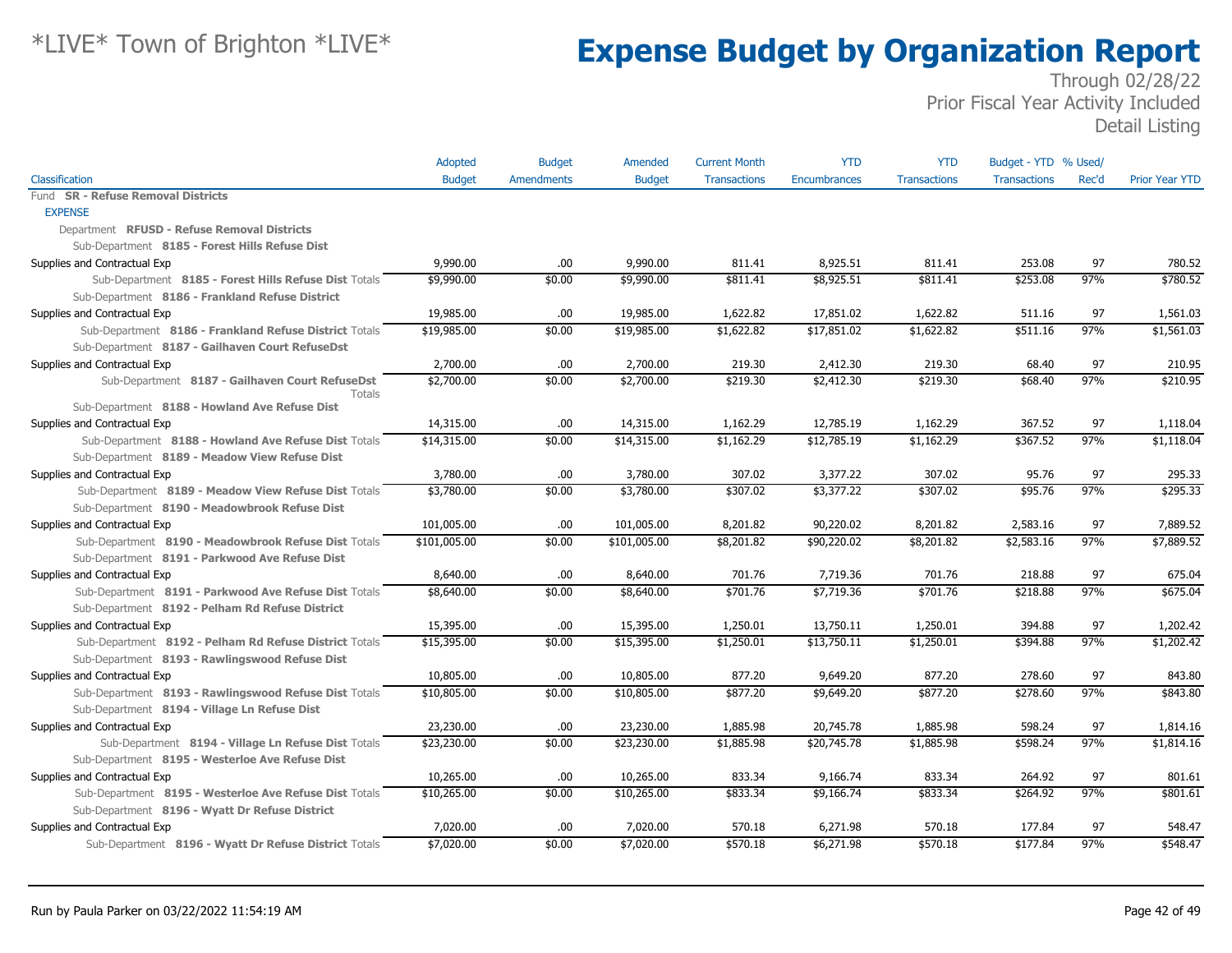|                                                           | Adopted       | <b>Budget</b>     | Amended       | <b>Current Month</b> | <b>YTD</b>   | <b>YTD</b>          | Budget - YTD % Used/ |       |                       |
|-----------------------------------------------------------|---------------|-------------------|---------------|----------------------|--------------|---------------------|----------------------|-------|-----------------------|
| Classification                                            | <b>Budget</b> | <b>Amendments</b> | <b>Budget</b> | <b>Transactions</b>  | Encumbrances | <b>Transactions</b> | <b>Transactions</b>  | Rec'd | <b>Prior Year YTD</b> |
| Fund SR - Refuse Removal Districts                        |               |                   |               |                      |              |                     |                      |       |                       |
| <b>EXPENSE</b>                                            |               |                   |               |                      |              |                     |                      |       |                       |
| Department RFUSD - Refuse Removal Districts               |               |                   |               |                      |              |                     |                      |       |                       |
| Sub-Department 8185 - Forest Hills Refuse Dist            |               |                   |               |                      |              |                     |                      |       |                       |
| Supplies and Contractual Exp                              | 9,990.00      | .00.              | 9,990.00      | 811.41               | 8,925.51     | 811.41              | 253.08               | 97    | 780.52                |
| Sub-Department 8185 - Forest Hills Refuse Dist Totals     | \$9,990.00    | \$0.00            | \$9,990.00    | \$811.41             | \$8,925.51   | \$811.41            | \$253.08             | 97%   | \$780.52              |
| Sub-Department 8186 - Frankland Refuse District           |               |                   |               |                      |              |                     |                      |       |                       |
| Supplies and Contractual Exp                              | 19,985.00     | .00               | 19,985.00     | 1,622.82             | 17,851.02    | 1,622.82            | 511.16               | 97    | 1,561.03              |
| Sub-Department 8186 - Frankland Refuse District Totals    | \$19,985.00   | \$0.00            | \$19,985.00   | \$1,622.82           | \$17,851.02  | \$1,622.82          | \$511.16             | 97%   | \$1,561.03            |
| Sub-Department 8187 - Gailhaven Court RefuseDst           |               |                   |               |                      |              |                     |                      |       |                       |
| Supplies and Contractual Exp                              | 2,700.00      | .00.              | 2,700.00      | 219.30               | 2,412.30     | 219.30              | 68.40                | 97    | 210.95                |
| Sub-Department 8187 - Gailhaven Court RefuseDst<br>Totals | \$2,700.00    | \$0.00            | \$2,700.00    | \$219.30             | \$2,412.30   | \$219.30            | \$68.40              | 97%   | \$210.95              |
| Sub-Department 8188 - Howland Ave Refuse Dist             |               |                   |               |                      |              |                     |                      |       |                       |
| Supplies and Contractual Exp                              | 14,315.00     | .00.              | 14,315.00     | 1,162.29             | 12,785.19    | 1,162.29            | 367.52               | 97    | 1,118.04              |
| Sub-Department 8188 - Howland Ave Refuse Dist Totals      | \$14,315.00   | \$0.00            | \$14,315.00   | \$1,162.29           | \$12,785.19  | \$1,162.29          | \$367.52             | 97%   | \$1,118.04            |
| Sub-Department 8189 - Meadow View Refuse Dist             |               |                   |               |                      |              |                     |                      |       |                       |
| Supplies and Contractual Exp                              | 3,780.00      | .00.              | 3,780.00      | 307.02               | 3,377.22     | 307.02              | 95.76                | 97    | 295.33                |
| Sub-Department 8189 - Meadow View Refuse Dist Totals      | \$3,780.00    | \$0.00            | \$3,780.00    | \$307.02             | \$3,377.22   | \$307.02            | \$95.76              | 97%   | \$295.33              |
| Sub-Department 8190 - Meadowbrook Refuse Dist             |               |                   |               |                      |              |                     |                      |       |                       |
| Supplies and Contractual Exp                              | 101,005.00    | .00.              | 101,005.00    | 8,201.82             | 90,220.02    | 8,201.82            | 2,583.16             | 97    | 7,889.52              |
| Sub-Department 8190 - Meadowbrook Refuse Dist Totals      | \$101,005.00  | \$0.00            | \$101,005.00  | \$8,201.82           | \$90,220.02  | \$8,201.82          | \$2,583.16           | 97%   | \$7,889.52            |
| Sub-Department 8191 - Parkwood Ave Refuse Dist            |               |                   |               |                      |              |                     |                      |       |                       |
| Supplies and Contractual Exp                              | 8,640.00      | .00.              | 8,640.00      | 701.76               | 7,719.36     | 701.76              | 218.88               | 97    | 675.04                |
| Sub-Department 8191 - Parkwood Ave Refuse Dist Totals     | \$8,640.00    | \$0.00            | \$8,640.00    | \$701.76             | \$7,719.36   | \$701.76            | \$218.88             | 97%   | \$675.04              |
| Sub-Department 8192 - Pelham Rd Refuse District           |               |                   |               |                      |              |                     |                      |       |                       |
| Supplies and Contractual Exp                              | 15,395.00     | .00.              | 15,395.00     | 1,250.01             | 13,750.11    | 1,250.01            | 394.88               | 97    | 1,202.42              |
| Sub-Department 8192 - Pelham Rd Refuse District Totals    | \$15,395.00   | \$0.00            | \$15,395.00   | \$1,250.01           | \$13,750.11  | \$1,250.01          | \$394.88             | 97%   | \$1,202.42            |
| Sub-Department 8193 - Rawlingswood Refuse Dist            |               |                   |               |                      |              |                     |                      |       |                       |
| Supplies and Contractual Exp                              | 10,805.00     | .00.              | 10,805.00     | 877.20               | 9,649.20     | 877.20              | 278.60               | 97    | 843.80                |
| Sub-Department 8193 - Rawlingswood Refuse Dist Totals     | \$10,805.00   | \$0.00            | \$10,805.00   | \$877.20             | \$9,649.20   | \$877.20            | \$278.60             | 97%   | \$843.80              |
| Sub-Department 8194 - Village Ln Refuse Dist              |               |                   |               |                      |              |                     |                      |       |                       |
| Supplies and Contractual Exp                              | 23,230.00     | .00.              | 23,230.00     | 1,885.98             | 20,745.78    | 1,885.98            | 598.24               | 97    | 1,814.16              |
| Sub-Department 8194 - Village Ln Refuse Dist Totals       | \$23,230.00   | \$0.00            | \$23,230.00   | \$1,885.98           | \$20,745.78  | \$1,885.98          | \$598.24             | 97%   | \$1,814.16            |
| Sub-Department 8195 - Westerloe Ave Refuse Dist           |               |                   |               |                      |              |                     |                      |       |                       |
| Supplies and Contractual Exp                              | 10,265.00     | .00.              | 10,265.00     | 833.34               | 9,166.74     | 833.34              | 264.92               | 97    | 801.61                |
| Sub-Department 8195 - Westerloe Ave Refuse Dist Totals    | \$10,265.00   | \$0.00            | \$10,265.00   | \$833.34             | \$9,166.74   | \$833.34            | \$264.92             | 97%   | \$801.61              |
| Sub-Department 8196 - Wyatt Dr Refuse District            |               |                   |               |                      |              |                     |                      |       |                       |
| Supplies and Contractual Exp                              | 7,020.00      | .00.              | 7,020.00      | 570.18               | 6,271.98     | 570.18              | 177.84               | 97    | 548.47                |
| Sub-Department 8196 - Wyatt Dr Refuse District Totals     | \$7,020.00    | \$0.00            | \$7,020.00    | \$570.18             | \$6,271.98   | \$570.18            | \$177.84             | 97%   | \$548.47              |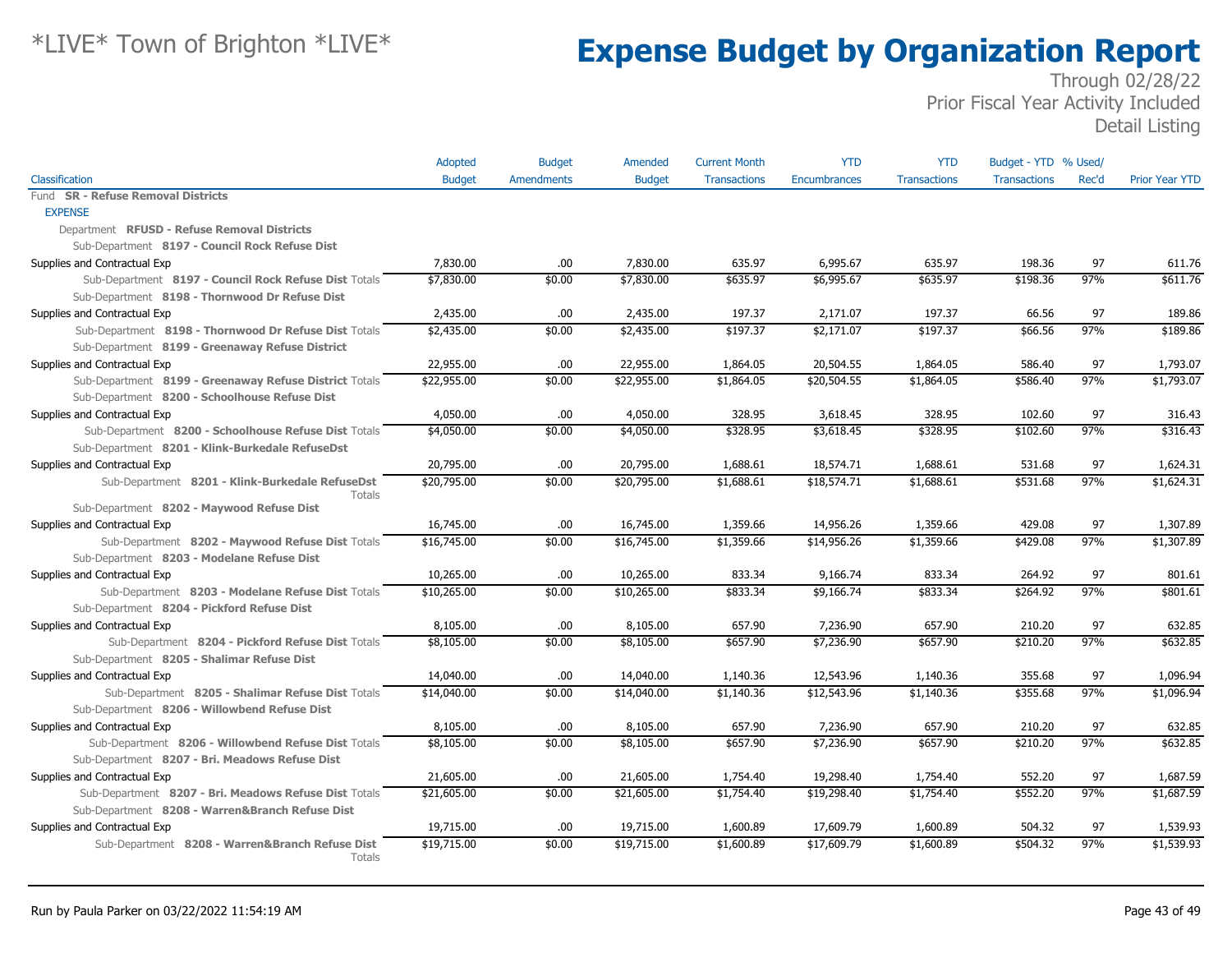|                                                           | <b>Adopted</b> | <b>Budget</b> | Amended       | <b>Current Month</b> | <b>YTD</b>   | <b>YTD</b>          | Budget - YTD % Used/ |       |                       |
|-----------------------------------------------------------|----------------|---------------|---------------|----------------------|--------------|---------------------|----------------------|-------|-----------------------|
| Classification                                            | <b>Budget</b>  | Amendments    | <b>Budget</b> | <b>Transactions</b>  | Encumbrances | <b>Transactions</b> | <b>Transactions</b>  | Rec'd | <b>Prior Year YTD</b> |
| Fund SR - Refuse Removal Districts                        |                |               |               |                      |              |                     |                      |       |                       |
| <b>EXPENSE</b>                                            |                |               |               |                      |              |                     |                      |       |                       |
| Department RFUSD - Refuse Removal Districts               |                |               |               |                      |              |                     |                      |       |                       |
| Sub-Department 8197 - Council Rock Refuse Dist            |                |               |               |                      |              |                     |                      |       |                       |
| Supplies and Contractual Exp                              | 7,830.00       | .00           | 7,830.00      | 635.97               | 6,995.67     | 635.97              | 198.36               | 97    | 611.76                |
| Sub-Department 8197 - Council Rock Refuse Dist Totals     | \$7,830.00     | \$0.00        | \$7,830.00    | \$635.97             | \$6,995.67   | \$635.97            | \$198.36             | 97%   | \$611.76              |
| Sub-Department 8198 - Thornwood Dr Refuse Dist            |                |               |               |                      |              |                     |                      |       |                       |
| Supplies and Contractual Exp                              | 2,435.00       | .00.          | 2,435.00      | 197.37               | 2,171.07     | 197.37              | 66.56                | 97    | 189.86                |
| Sub-Department 8198 - Thornwood Dr Refuse Dist Totals     | \$2,435.00     | \$0.00        | \$2,435.00    | \$197.37             | \$2,171.07   | \$197.37            | \$66.56              | 97%   | \$189.86              |
| Sub-Department 8199 - Greenaway Refuse District           |                |               |               |                      |              |                     |                      |       |                       |
| Supplies and Contractual Exp                              | 22,955.00      | .00.          | 22,955.00     | 1,864.05             | 20,504.55    | 1,864.05            | 586.40               | 97    | 1,793.07              |
| Sub-Department 8199 - Greenaway Refuse District Totals    | \$22,955.00    | \$0.00        | \$22,955.00   | \$1,864.05           | \$20,504.55  | \$1,864.05          | \$586.40             | 97%   | \$1,793.07            |
| Sub-Department 8200 - Schoolhouse Refuse Dist             |                |               |               |                      |              |                     |                      |       |                       |
| Supplies and Contractual Exp                              | 4,050.00       | .00.          | 4,050.00      | 328.95               | 3,618.45     | 328.95              | 102.60               | 97    | 316.43                |
| Sub-Department 8200 - Schoolhouse Refuse Dist Totals      | \$4,050.00     | \$0.00        | \$4,050.00    | \$328.95             | \$3,618.45   | \$328.95            | \$102.60             | 97%   | \$316.43              |
| Sub-Department 8201 - Klink-Burkedale RefuseDst           |                |               |               |                      |              |                     |                      |       |                       |
| Supplies and Contractual Exp                              | 20,795.00      | .00.          | 20,795.00     | 1,688.61             | 18,574.71    | 1,688.61            | 531.68               | 97    | 1,624.31              |
| Sub-Department 8201 - Klink-Burkedale RefuseDst<br>Totals | \$20,795.00    | \$0.00        | \$20,795.00   | \$1,688.61           | \$18,574.71  | \$1,688.61          | \$531.68             | 97%   | \$1,624.31            |
| Sub-Department 8202 - Maywood Refuse Dist                 |                |               |               |                      |              |                     |                      |       |                       |
| Supplies and Contractual Exp                              | 16,745.00      | .00.          | 16,745.00     | 1,359.66             | 14,956.26    | 1,359.66            | 429.08               | 97    | 1,307.89              |
| Sub-Department 8202 - Maywood Refuse Dist Totals          | \$16,745.00    | \$0.00        | \$16,745.00   | \$1,359.66           | \$14,956.26  | \$1,359.66          | \$429.08             | 97%   | \$1,307.89            |
| Sub-Department 8203 - Modelane Refuse Dist                |                |               |               |                      |              |                     |                      |       |                       |
| Supplies and Contractual Exp                              | 10,265.00      | .00.          | 10,265.00     | 833.34               | 9,166.74     | 833.34              | 264.92               | 97    | 801.61                |
| Sub-Department 8203 - Modelane Refuse Dist Totals         | \$10,265.00    | \$0.00        | \$10,265.00   | \$833.34             | \$9,166.74   | \$833.34            | \$264.92             | 97%   | \$801.61              |
| Sub-Department 8204 - Pickford Refuse Dist                |                |               |               |                      |              |                     |                      |       |                       |
| Supplies and Contractual Exp                              | 8,105.00       | .00.          | 8,105.00      | 657.90               | 7,236.90     | 657.90              | 210.20               | 97    | 632.85                |
| Sub-Department 8204 - Pickford Refuse Dist Totals         | \$8,105.00     | \$0.00        | \$8,105.00    | \$657.90             | \$7,236.90   | \$657.90            | \$210.20             | 97%   | \$632.85              |
| Sub-Department 8205 - Shalimar Refuse Dist                |                |               |               |                      |              |                     |                      |       |                       |
| Supplies and Contractual Exp                              | 14,040.00      | .00.          | 14,040.00     | 1,140.36             | 12,543.96    | 1,140.36            | 355.68               | 97    | 1,096.94              |
| Sub-Department 8205 - Shalimar Refuse Dist Totals         | \$14,040.00    | \$0.00        | \$14,040.00   | \$1,140.36           | \$12,543.96  | \$1,140.36          | \$355.68             | 97%   | \$1,096.94            |
| Sub-Department 8206 - Willowbend Refuse Dist              |                |               |               |                      |              |                     |                      |       |                       |
| Supplies and Contractual Exp                              | 8,105.00       | .00.          | 8,105.00      | 657.90               | 7,236.90     | 657.90              | 210.20               | 97    | 632.85                |
| Sub-Department 8206 - Willowbend Refuse Dist Totals       | \$8,105.00     | \$0.00        | \$8,105.00    | \$657.90             | \$7,236.90   | \$657.90            | \$210.20             | 97%   | \$632.85              |
| Sub-Department 8207 - Bri. Meadows Refuse Dist            |                |               |               |                      |              |                     |                      |       |                       |
| Supplies and Contractual Exp                              | 21,605.00      | .00.          | 21,605.00     | 1,754.40             | 19,298.40    | 1,754.40            | 552.20               | 97    | 1,687.59              |
| Sub-Department 8207 - Bri. Meadows Refuse Dist Totals     | \$21,605.00    | \$0.00        | \$21,605.00   | \$1,754.40           | \$19,298.40  | \$1,754.40          | \$552.20             | 97%   | \$1,687.59            |
| Sub-Department 8208 - Warren&Branch Refuse Dist           |                |               |               |                      |              |                     |                      |       |                       |
| Supplies and Contractual Exp                              | 19,715.00      | .00.          | 19,715.00     | 1,600.89             | 17,609.79    | 1,600.89            | 504.32               | 97    | 1,539.93              |
| Sub-Department 8208 - Warren&Branch Refuse Dist<br>Totals | \$19,715.00    | \$0.00        | \$19,715.00   | \$1,600.89           | \$17,609.79  | \$1,600.89          | \$504.32             | 97%   | \$1,539.93            |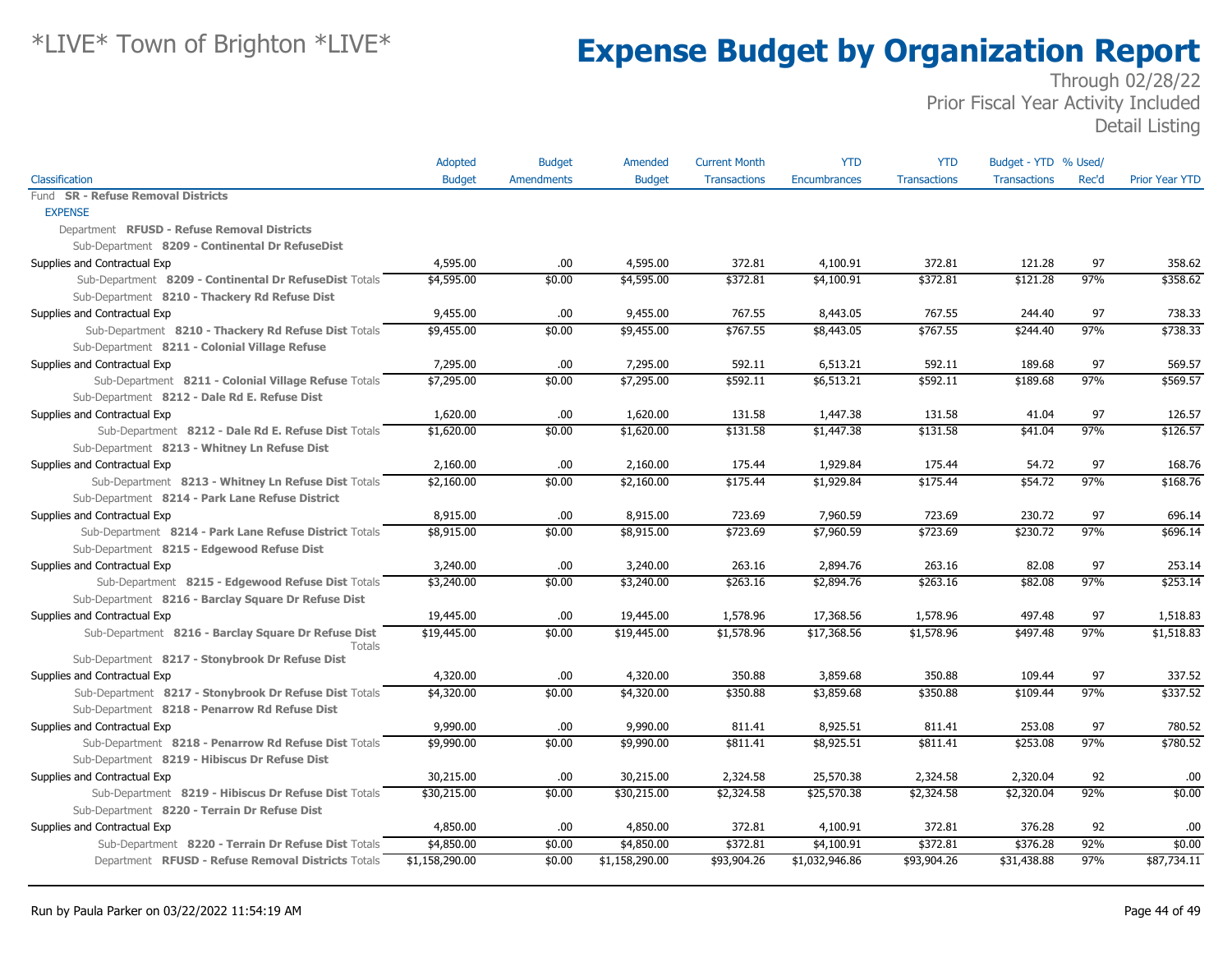|                                                        | Adopted        | <b>Budget</b>     | Amended        | <b>Current Month</b> | <b>YTD</b>          | <b>YTD</b>          | Budget - YTD % Used/ |       |                       |
|--------------------------------------------------------|----------------|-------------------|----------------|----------------------|---------------------|---------------------|----------------------|-------|-----------------------|
| Classification                                         | <b>Budget</b>  | <b>Amendments</b> | <b>Budget</b>  | <b>Transactions</b>  | <b>Encumbrances</b> | <b>Transactions</b> | <b>Transactions</b>  | Rec'd | <b>Prior Year YTD</b> |
| Fund SR - Refuse Removal Districts                     |                |                   |                |                      |                     |                     |                      |       |                       |
| <b>EXPENSE</b>                                         |                |                   |                |                      |                     |                     |                      |       |                       |
| Department RFUSD - Refuse Removal Districts            |                |                   |                |                      |                     |                     |                      |       |                       |
| Sub-Department 8209 - Continental Dr RefuseDist        |                |                   |                |                      |                     |                     |                      |       |                       |
| Supplies and Contractual Exp                           | 4,595.00       | .00.              | 4,595.00       | 372.81               | 4,100.91            | 372.81              | 121.28               | 97    | 358.62                |
| Sub-Department 8209 - Continental Dr RefuseDist Totals | \$4,595.00     | \$0.00            | \$4,595.00     | \$372.81             | \$4,100.91          | \$372.81            | \$121.28             | 97%   | \$358.62              |
| Sub-Department 8210 - Thackery Rd Refuse Dist          |                |                   |                |                      |                     |                     |                      |       |                       |
| Supplies and Contractual Exp                           | 9,455.00       | .00               | 9,455.00       | 767.55               | 8,443.05            | 767.55              | 244.40               | 97    | 738.33                |
| Sub-Department 8210 - Thackery Rd Refuse Dist Totals   | \$9,455.00     | \$0.00            | \$9,455.00     | \$767.55             | \$8,443.05          | \$767.55            | \$244.40             | 97%   | \$738.33              |
| Sub-Department 8211 - Colonial Village Refuse          |                |                   |                |                      |                     |                     |                      |       |                       |
| Supplies and Contractual Exp                           | 7,295.00       | .00               | 7,295.00       | 592.11               | 6,513.21            | 592.11              | 189.68               | 97    | 569.57                |
| Sub-Department 8211 - Colonial Village Refuse Totals   | \$7,295.00     | \$0.00            | \$7,295.00     | \$592.11             | \$6,513.21          | \$592.11            | \$189.68             | 97%   | \$569.57              |
| Sub-Department 8212 - Dale Rd E. Refuse Dist           |                |                   |                |                      |                     |                     |                      |       |                       |
| Supplies and Contractual Exp                           | 1,620.00       | .00               | 1,620.00       | 131.58               | 1,447.38            | 131.58              | 41.04                | 97    | 126.57                |
| Sub-Department 8212 - Dale Rd E. Refuse Dist Totals    | \$1,620.00     | \$0.00            | \$1,620.00     | \$131.58             | \$1,447.38          | \$131.58            | \$41.04              | 97%   | \$126.57              |
| Sub-Department 8213 - Whitney Ln Refuse Dist           |                |                   |                |                      |                     |                     |                      |       |                       |
| Supplies and Contractual Exp                           | 2,160.00       | .00.              | 2,160.00       | 175.44               | 1,929.84            | 175.44              | 54.72                | 97    | 168.76                |
| Sub-Department 8213 - Whitney Ln Refuse Dist Totals    | \$2,160.00     | \$0.00            | \$2,160.00     | \$175.44             | \$1,929.84          | \$175.44            | \$54.72              | 97%   | \$168.76              |
| Sub-Department 8214 - Park Lane Refuse District        |                |                   |                |                      |                     |                     |                      |       |                       |
| Supplies and Contractual Exp                           | 8,915.00       | .00.              | 8,915.00       | 723.69               | 7,960.59            | 723.69              | 230.72               | 97    | 696.14                |
| Sub-Department 8214 - Park Lane Refuse District Totals | \$8,915.00     | \$0.00            | \$8,915.00     | \$723.69             | \$7,960.59          | \$723.69            | \$230.72             | 97%   | \$696.14              |
| Sub-Department 8215 - Edgewood Refuse Dist             |                |                   |                |                      |                     |                     |                      |       |                       |
| Supplies and Contractual Exp                           | 3,240.00       | .00.              | 3,240.00       | 263.16               | 2,894.76            | 263.16              | 82.08                | 97    | 253.14                |
| Sub-Department 8215 - Edgewood Refuse Dist Totals      | \$3,240.00     | \$0.00            | \$3,240.00     | \$263.16             | \$2,894.76          | \$263.16            | \$82.08              | 97%   | \$253.14              |
| Sub-Department 8216 - Barclay Square Dr Refuse Dist    |                |                   |                |                      |                     |                     |                      |       |                       |
| Supplies and Contractual Exp                           | 19,445.00      | .00.              | 19,445.00      | 1,578.96             | 17,368.56           | 1,578.96            | 497.48               | 97    | 1,518.83              |
| Sub-Department 8216 - Barclay Square Dr Refuse Dist    | \$19,445.00    | \$0.00            | \$19,445.00    | \$1,578.96           | \$17,368.56         | \$1,578.96          | \$497.48             | 97%   | \$1,518.83            |
| Totals                                                 |                |                   |                |                      |                     |                     |                      |       |                       |
| Sub-Department 8217 - Stonybrook Dr Refuse Dist        |                |                   |                |                      |                     |                     |                      |       |                       |
| Supplies and Contractual Exp                           | 4,320.00       | .00.              | 4,320.00       | 350.88               | 3,859.68            | 350.88              | 109.44               | 97    | 337.52                |
| Sub-Department 8217 - Stonybrook Dr Refuse Dist Totals | \$4,320.00     | \$0.00            | \$4,320.00     | \$350.88             | \$3,859.68          | \$350.88            | \$109.44             | 97%   | \$337.52              |
| Sub-Department 8218 - Penarrow Rd Refuse Dist          |                |                   |                |                      |                     |                     |                      |       |                       |
| Supplies and Contractual Exp                           | 9,990.00       | .00               | 9,990.00       | 811.41               | 8,925.51            | 811.41              | 253.08               | 97    | 780.52                |
| Sub-Department 8218 - Penarrow Rd Refuse Dist Totals   | \$9,990.00     | \$0.00            | \$9,990.00     | \$811.41             | \$8,925.51          | \$811.41            | \$253.08             | 97%   | \$780.52              |
| Sub-Department 8219 - Hibiscus Dr Refuse Dist          |                |                   |                |                      |                     |                     |                      |       |                       |
| Supplies and Contractual Exp                           | 30,215.00      | .00               | 30,215.00      | 2,324.58             | 25,570.38           | 2,324.58            | 2,320.04             | 92    | .00                   |
| Sub-Department 8219 - Hibiscus Dr Refuse Dist Totals   | \$30,215.00    | \$0.00            | \$30,215.00    | \$2,324.58           | \$25,570.38         | \$2,324.58          | \$2,320.04           | 92%   | \$0.00                |
| Sub-Department 8220 - Terrain Dr Refuse Dist           |                |                   |                |                      |                     |                     |                      |       |                       |
| Supplies and Contractual Exp                           | 4,850.00       | .00.              | 4,850.00       | 372.81               | 4,100.91            | 372.81              | 376.28               | 92    | .00                   |
| Sub-Department 8220 - Terrain Dr Refuse Dist Totals    | \$4,850.00     | \$0.00            | \$4,850.00     | \$372.81             | \$4,100.91          | \$372.81            | \$376.28             | 92%   | \$0.00                |
| Department RFUSD - Refuse Removal Districts Totals     | \$1,158,290.00 | \$0.00            | \$1,158,290.00 | \$93,904.26          | \$1,032,946.86      | \$93,904.26         | \$31,438.88          | 97%   | \$87,734.11           |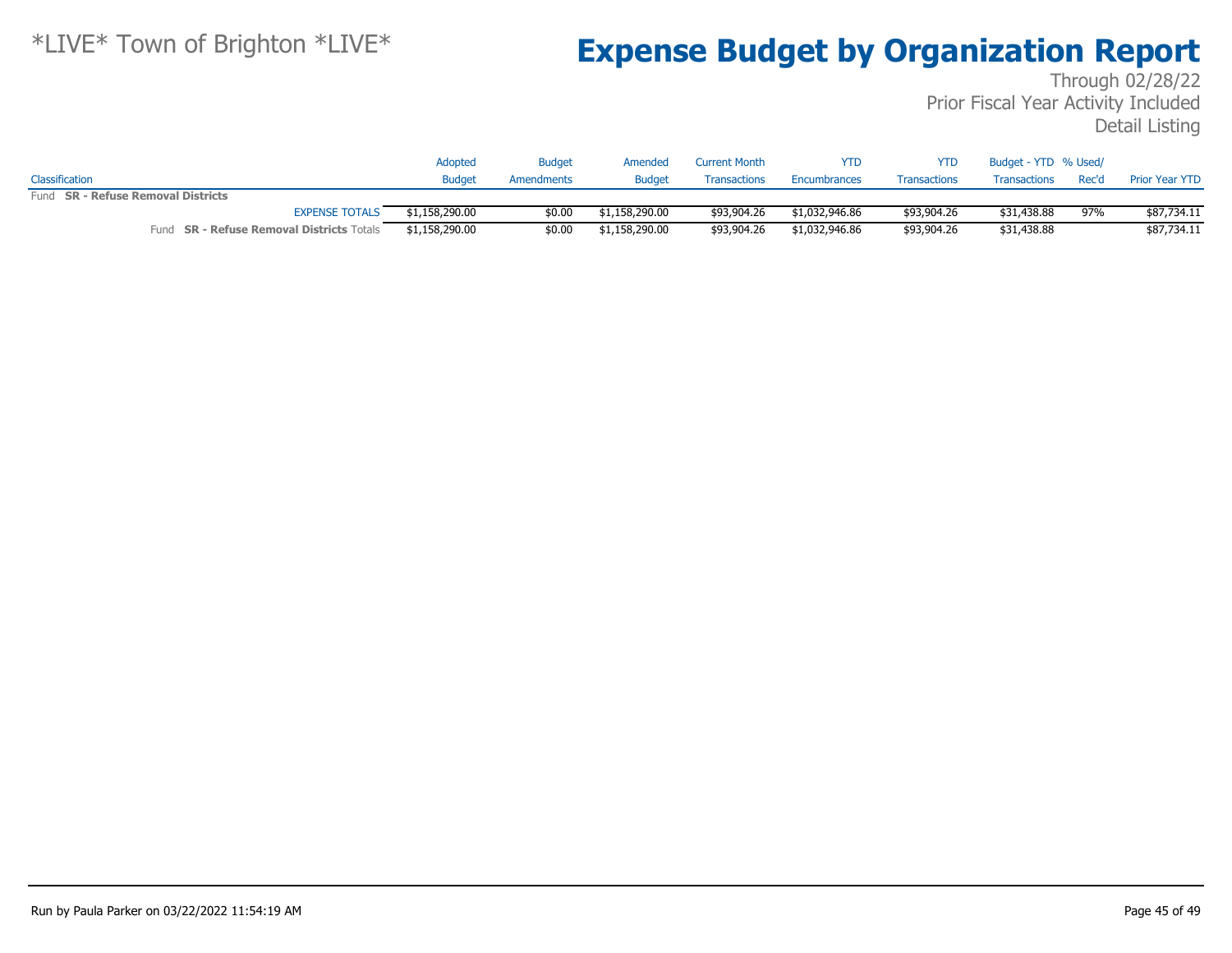|                                                  | Adopted        | <b>Budget</b> | Amended        | <b>Current Month</b> | YTD            | YTD.                | Budget - YTD % Used/ |       |                       |
|--------------------------------------------------|----------------|---------------|----------------|----------------------|----------------|---------------------|----------------------|-------|-----------------------|
| Classification                                   | <b>Budget</b>  | Amendments    | Budget         | <b>Transactions</b>  | Encumbrances   | <b>Transactions</b> | Transactions         | Rec'd | <b>Prior Year YTD</b> |
| Fund SR - Refuse Removal Districts               |                |               |                |                      |                |                     |                      |       |                       |
| <b>EXPENSE TOTALS</b>                            | \$1,158,290.00 | \$0.00        | \$1,158,290.00 | \$93,904.26          | \$1,032,946.86 | \$93,904.26         | \$31,438.88          | 97%   | \$87,734.11           |
| Fund <b>SR - Refuse Removal Districts</b> Totals | \$1,158,290.00 | \$0.00        | \$1,158,290.00 | \$93,904.26          | \$1,032,946.86 | \$93,904.26         | \$31,438.88          |       | \$87,734.11           |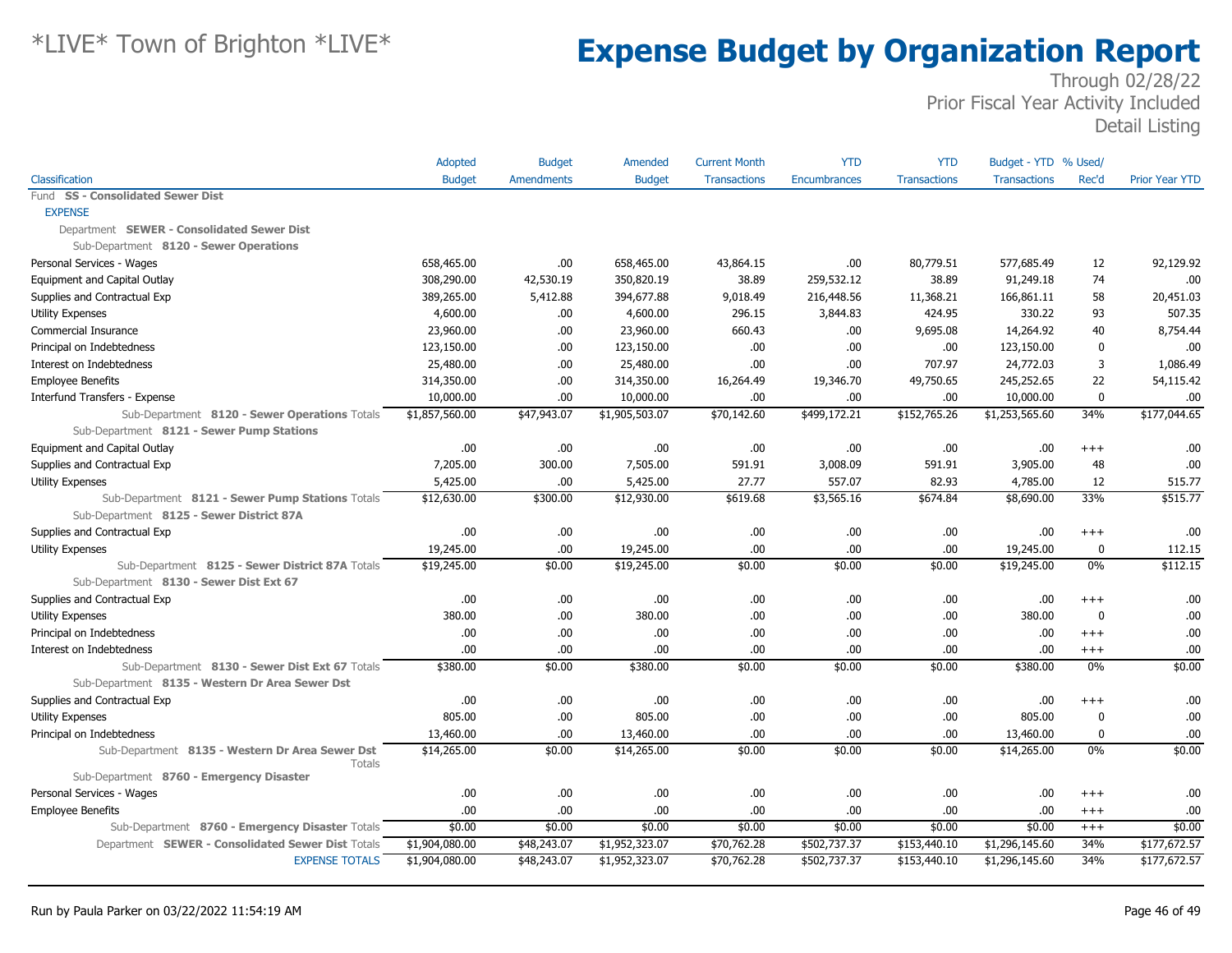|                                                           | Adopted        | <b>Budget</b>     | Amended        | <b>Current Month</b> | <b>YTD</b>   | <b>YTD</b>          | Budget - YTD % Used/ |                  |                       |
|-----------------------------------------------------------|----------------|-------------------|----------------|----------------------|--------------|---------------------|----------------------|------------------|-----------------------|
| Classification                                            | <b>Budget</b>  | <b>Amendments</b> | <b>Budget</b>  | <b>Transactions</b>  | Encumbrances | <b>Transactions</b> | <b>Transactions</b>  | Rec'd            | <b>Prior Year YTD</b> |
| Fund SS - Consolidated Sewer Dist                         |                |                   |                |                      |              |                     |                      |                  |                       |
| <b>EXPENSE</b>                                            |                |                   |                |                      |              |                     |                      |                  |                       |
| Department SEWER - Consolidated Sewer Dist                |                |                   |                |                      |              |                     |                      |                  |                       |
| Sub-Department 8120 - Sewer Operations                    |                |                   |                |                      |              |                     |                      |                  |                       |
| Personal Services - Wages                                 | 658,465.00     | .00               | 658,465.00     | 43,864.15            | .00          | 80,779.51           | 577,685.49           | 12               | 92,129.92             |
| Equipment and Capital Outlay                              | 308,290.00     | 42,530.19         | 350,820.19     | 38.89                | 259,532.12   | 38.89               | 91,249.18            | 74               | .00                   |
| Supplies and Contractual Exp                              | 389,265.00     | 5,412.88          | 394,677.88     | 9,018.49             | 216,448.56   | 11,368.21           | 166,861.11           | 58               | 20,451.03             |
| <b>Utility Expenses</b>                                   | 4,600.00       | .00.              | 4,600.00       | 296.15               | 3,844.83     | 424.95              | 330.22               | 93               | 507.35                |
| Commercial Insurance                                      | 23,960.00      | .00               | 23,960.00      | 660.43               | .00          | 9,695.08            | 14,264.92            | 40               | 8,754.44              |
| Principal on Indebtedness                                 | 123,150.00     | .00.              | 123,150.00     | .00.                 | .00          | .00.                | 123,150.00           | $\boldsymbol{0}$ | .00                   |
| Interest on Indebtedness                                  | 25,480.00      | .00.              | 25,480.00      | .00.                 | .00          | 707.97              | 24,772.03            | 3                | 1,086.49              |
| <b>Employee Benefits</b>                                  | 314,350.00     | .00               | 314,350.00     | 16,264.49            | 19,346.70    | 49,750.65           | 245,252.65           | 22               | 54,115.42             |
| Interfund Transfers - Expense                             | 10,000.00      | .00               | 10,000.00      | .00                  | .00          | .00                 | 10,000.00            | $\mathbf{0}$     | .00                   |
| Sub-Department 8120 - Sewer Operations Totals             | \$1,857,560.00 | \$47,943.07       | \$1,905,503.07 | \$70,142.60          | \$499,172.21 | \$152,765.26        | \$1,253,565.60       | 34%              | \$177,044.65          |
| Sub-Department 8121 - Sewer Pump Stations                 |                |                   |                |                      |              |                     |                      |                  |                       |
| Equipment and Capital Outlay                              | .00.           | .00.              | .00            | .00.                 | .00          | .00.                | .00                  | $^{+++}$         | .00                   |
| Supplies and Contractual Exp                              | 7,205.00       | 300.00            | 7,505.00       | 591.91               | 3,008.09     | 591.91              | 3,905.00             | 48               | .00                   |
| <b>Utility Expenses</b>                                   | 5,425.00       | .00.              | 5,425.00       | 27.77                | 557.07       | 82.93               | 4,785.00             | 12               | 515.77                |
| Sub-Department 8121 - Sewer Pump Stations Totals          | \$12,630.00    | \$300.00          | \$12,930.00    | \$619.68             | \$3,565.16   | \$674.84            | \$8,690.00           | 33%              | \$515.77              |
| Sub-Department 8125 - Sewer District 87A                  |                |                   |                |                      |              |                     |                      |                  |                       |
| Supplies and Contractual Exp                              | .00            | .00.              | .00.           | .00.                 | .00          | .00.                | .00                  | $^{+++}$         | .00                   |
| Utility Expenses                                          | 19,245.00      | .00               | 19,245.00      | .00.                 | .00          | .00.                | 19,245.00            | 0                | 112.15                |
| Sub-Department 8125 - Sewer District 87A Totals           | \$19,245.00    | \$0.00            | \$19,245.00    | \$0.00               | \$0.00       | \$0.00              | \$19,245.00          | 0%               | \$112.15              |
| Sub-Department 8130 - Sewer Dist Ext 67                   |                |                   |                |                      |              |                     |                      |                  |                       |
| Supplies and Contractual Exp                              | .00            | .00.              | .00            | .00.                 | .00          | .00.                | .00                  | $^{+++}$         | .00                   |
| <b>Utility Expenses</b>                                   | 380.00         | .00               | 380.00         | .00.                 | .00          | .00.                | 380.00               | $\mathbf{0}$     | .00                   |
| Principal on Indebtedness                                 | .00            | .00               | .00            | .00.                 | .00          | .00.                | .00                  | $+++$            | .00                   |
| Interest on Indebtedness                                  | .00            | .00               | .00            | .00                  | .00          | .00.                | .00                  | $^{+++}$         | .00                   |
| Sub-Department 8130 - Sewer Dist Ext 67 Totals            | \$380.00       | \$0.00            | \$380.00       | \$0.00               | \$0.00       | \$0.00              | \$380.00             | 0%               | \$0.00                |
| Sub-Department 8135 - Western Dr Area Sewer Dst           |                |                   |                |                      |              |                     |                      |                  |                       |
| Supplies and Contractual Exp                              | .00.           | .00               | .00            | .00                  | .00          | .00.                | .00                  | $+++$            | .00                   |
| <b>Utility Expenses</b>                                   | 805.00         | .00               | 805.00         | .00.                 | .00          | .00.                | 805.00               | $\Omega$         | .00                   |
| Principal on Indebtedness                                 | 13,460.00      | .00               | 13,460.00      | .00.                 | .00          | .00.                | 13,460.00            | $\mathbf 0$      | .00                   |
| Sub-Department 8135 - Western Dr Area Sewer Dst<br>Totals | \$14,265.00    | \$0.00            | \$14,265.00    | \$0.00               | \$0.00       | \$0.00              | \$14,265.00          | 0%               | \$0.00                |
| Sub-Department 8760 - Emergency Disaster                  |                |                   |                |                      |              |                     |                      |                  |                       |
| Personal Services - Wages                                 | .00            | .00.              | .00.           | .00.                 | .00          | .00.                | .00                  | $^{+++}$         | .00                   |
| <b>Employee Benefits</b>                                  | .00.           | .00.              | .00            | .00.                 | .00          | .00                 | .00                  | $^{+++}$         | .00                   |
| Sub-Department 8760 - Emergency Disaster Totals           | \$0.00         | \$0.00            | \$0.00         | \$0.00               | \$0.00       | \$0.00              | \$0.00               | $^{+++}$         | \$0.00                |
| Department SEWER - Consolidated Sewer Dist Totals         | \$1,904,080.00 | \$48,243.07       | \$1,952,323.07 | \$70,762.28          | \$502,737.37 | \$153,440.10        | \$1,296,145.60       | 34%              | \$177,672.57          |
| <b>EXPENSE TOTALS</b>                                     | \$1,904,080.00 | \$48,243.07       | \$1,952,323.07 | \$70,762.28          | \$502,737.37 | \$153,440.10        | \$1,296,145.60       | 34%              | \$177,672.57          |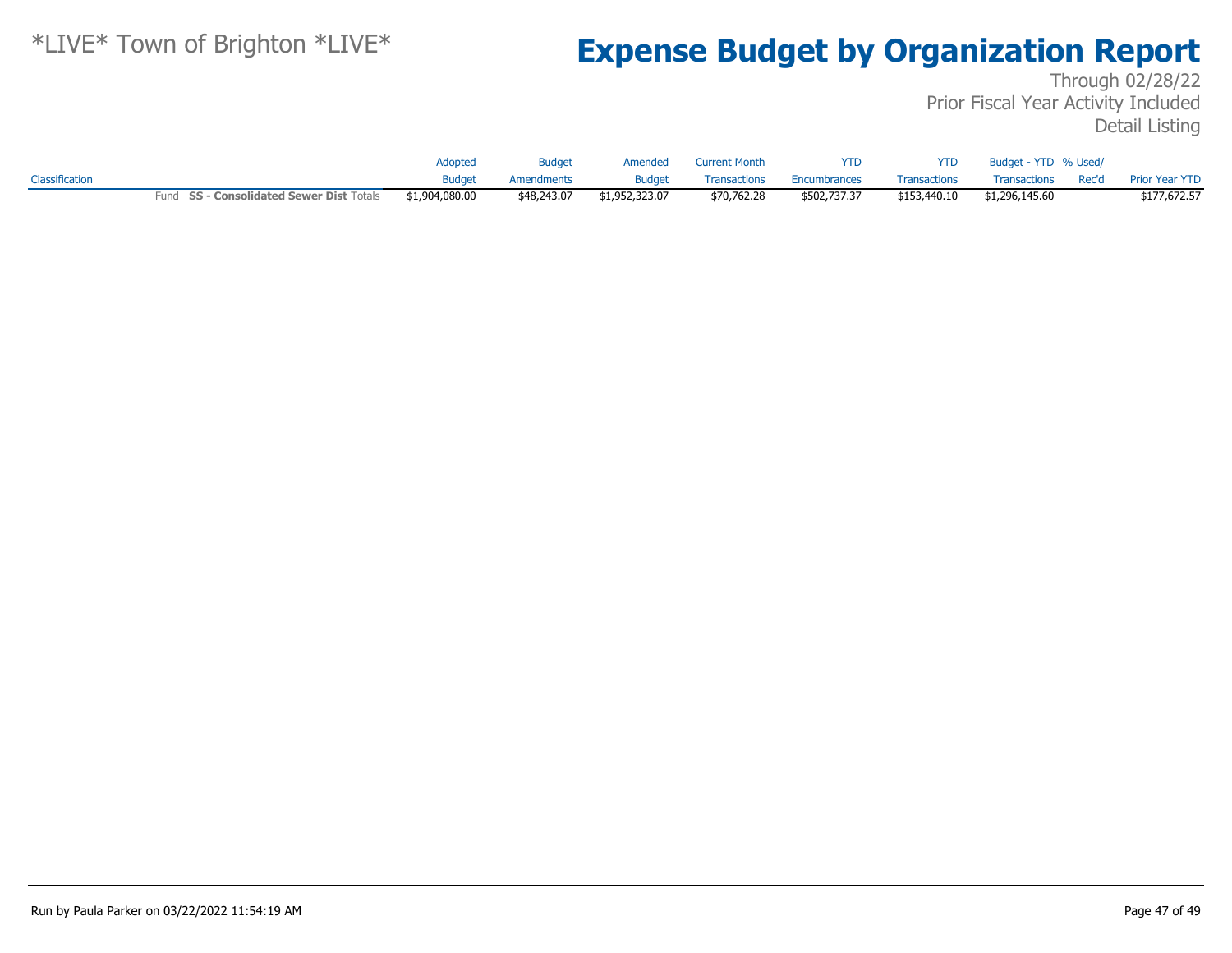|                |                                          | Adopted        | <b>Budget</b> | Amended        | Current Month | <b>YTD</b>   | <b>YTD</b>          | Budget - YTD % Used/ |                      |
|----------------|------------------------------------------|----------------|---------------|----------------|---------------|--------------|---------------------|----------------------|----------------------|
| Classification |                                          | Budaet         | Amendments    | <b>Budget</b>  | Transactions  | Encumbrances | <b>Transactions</b> | Transactions         | Rec'd Prior Year YTD |
|                | Fund SS - Consolidated Sewer Dist Totals | \$1,904,080.00 | \$48,243.07   | \$1,952,323.07 | \$70,762.28   | \$502,737.37 | \$153,440.10        | \$1,296,145.60       | \$177,672.57         |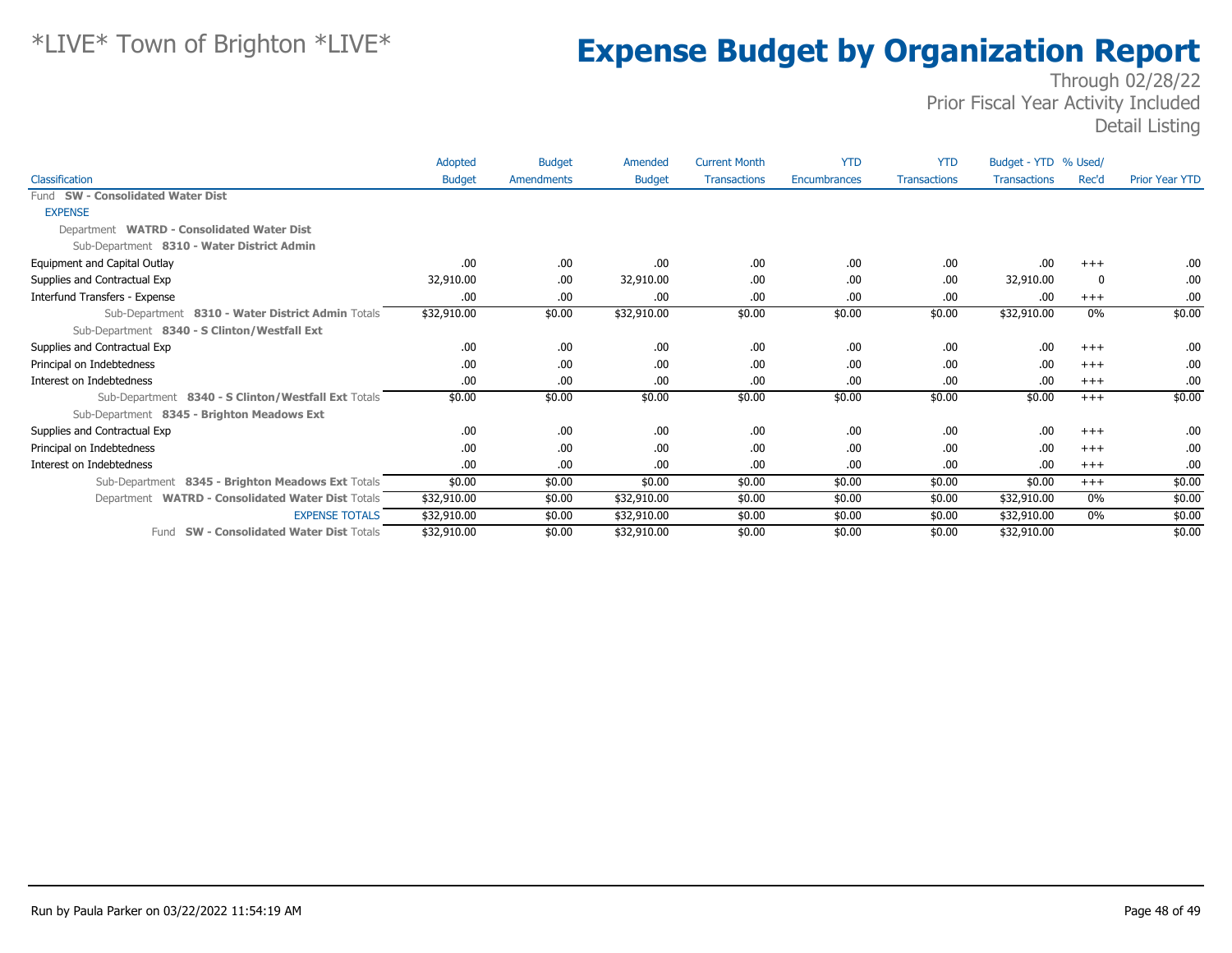|                                                     | Adopted       | <b>Budget</b> | Amended       | <b>Current Month</b> | <b>YTD</b>   | <b>YTD</b>          | Budget - YTD % Used/ |       |                       |
|-----------------------------------------------------|---------------|---------------|---------------|----------------------|--------------|---------------------|----------------------|-------|-----------------------|
| Classification                                      | <b>Budget</b> | Amendments    | <b>Budget</b> | <b>Transactions</b>  | Encumbrances | <b>Transactions</b> | <b>Transactions</b>  | Rec'd | <b>Prior Year YTD</b> |
| Fund SW - Consolidated Water Dist                   |               |               |               |                      |              |                     |                      |       |                       |
| <b>EXPENSE</b>                                      |               |               |               |                      |              |                     |                      |       |                       |
| Department WATRD - Consolidated Water Dist          |               |               |               |                      |              |                     |                      |       |                       |
| Sub-Department 8310 - Water District Admin          |               |               |               |                      |              |                     |                      |       |                       |
| Equipment and Capital Outlay                        | .00           | .00.          | .00           | .00                  | .00          | .00.                | .00                  | $+++$ | .00.                  |
| Supplies and Contractual Exp                        | 32,910.00     | .00.          | 32,910.00     | .00                  | .00          | .00.                | 32,910.00            | -0    | .00.                  |
| Interfund Transfers - Expense                       | .00           | .00.          | .00.          | .00                  | .00          | .00.                | .00                  | $+++$ | .00.                  |
| Sub-Department 8310 - Water District Admin Totals   | \$32,910.00   | \$0.00        | \$32,910.00   | \$0.00               | \$0.00       | \$0.00              | \$32,910.00          | $0\%$ | \$0.00                |
| Sub-Department 8340 - S Clinton/Westfall Ext        |               |               |               |                      |              |                     |                      |       |                       |
| Supplies and Contractual Exp                        | .00           | .00.          | .00.          | .00                  | .00          | .00.                | .00                  | $+++$ | .00.                  |
| Principal on Indebtedness                           | .00           | .00.          | .00           | .00                  | .00          | .00.                | .00.                 | $+++$ | .00                   |
| Interest on Indebtedness                            | .00           | .00.          | .00.          | .00                  | .00          | .00                 | .00                  | $+++$ | .00                   |
| Sub-Department 8340 - S Clinton/Westfall Ext Totals | \$0.00        | \$0.00        | \$0.00        | \$0.00               | \$0.00       | \$0.00              | \$0.00               | $+++$ | \$0.00                |
| Sub-Department 8345 - Brighton Meadows Ext          |               |               |               |                      |              |                     |                      |       |                       |
| Supplies and Contractual Exp                        | .00           | .00.          | .00.          | .00                  | .00          | .00.                | .00                  | $+++$ | .00.                  |
| Principal on Indebtedness                           | .00.          | .00.          | .00.          | .00                  | .00          | .00.                | .00.                 | $+++$ | .00.                  |
| Interest on Indebtedness                            | .00           | .00.          | .00.          | .00                  | .00          | .00.                | .00.                 | $+++$ | .00.                  |
| Sub-Department 8345 - Brighton Meadows Ext Totals   | \$0.00        | \$0.00        | \$0.00        | \$0.00               | \$0.00       | \$0.00              | \$0.00               | $+++$ | \$0.00                |
| Department WATRD - Consolidated Water Dist Totals   | \$32,910.00   | \$0.00        | \$32,910.00   | \$0.00               | \$0.00       | \$0.00              | \$32,910.00          | 0%    | \$0.00                |
| <b>EXPENSE TOTALS</b>                               | \$32,910.00   | \$0.00        | \$32,910.00   | \$0.00               | \$0.00       | \$0.00              | \$32,910.00          | 0%    | \$0.00                |
| <b>SW - Consolidated Water Dist Totals</b><br>Fund  | \$32,910.00   | \$0.00        | \$32,910.00   | \$0.00               | \$0.00       | \$0.00              | \$32,910.00          |       | \$0.00                |